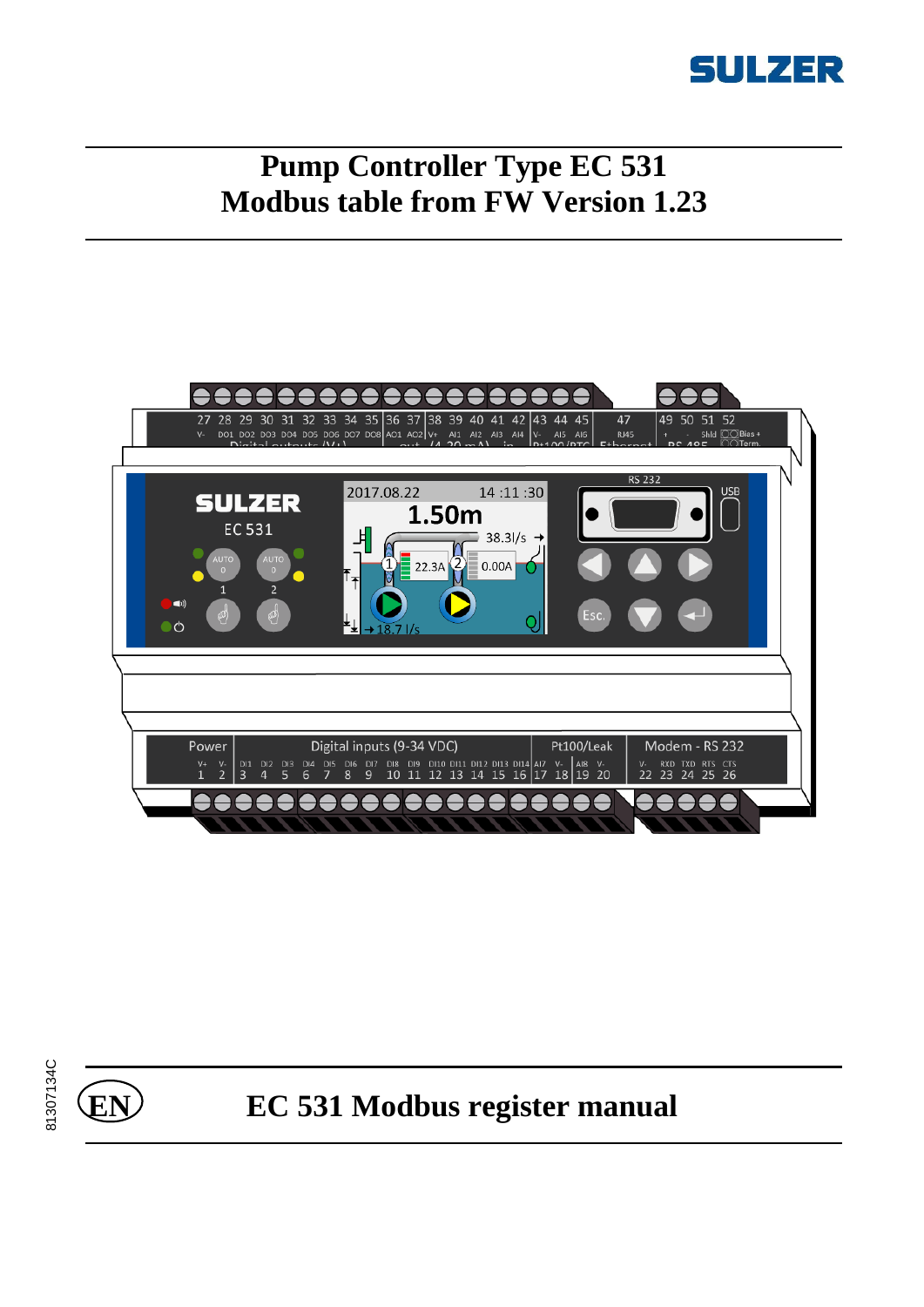

# **Pump Controller Type EC 531 Modbus table from FW Version 1.23**





# **EN EC 531 Modbus register manual**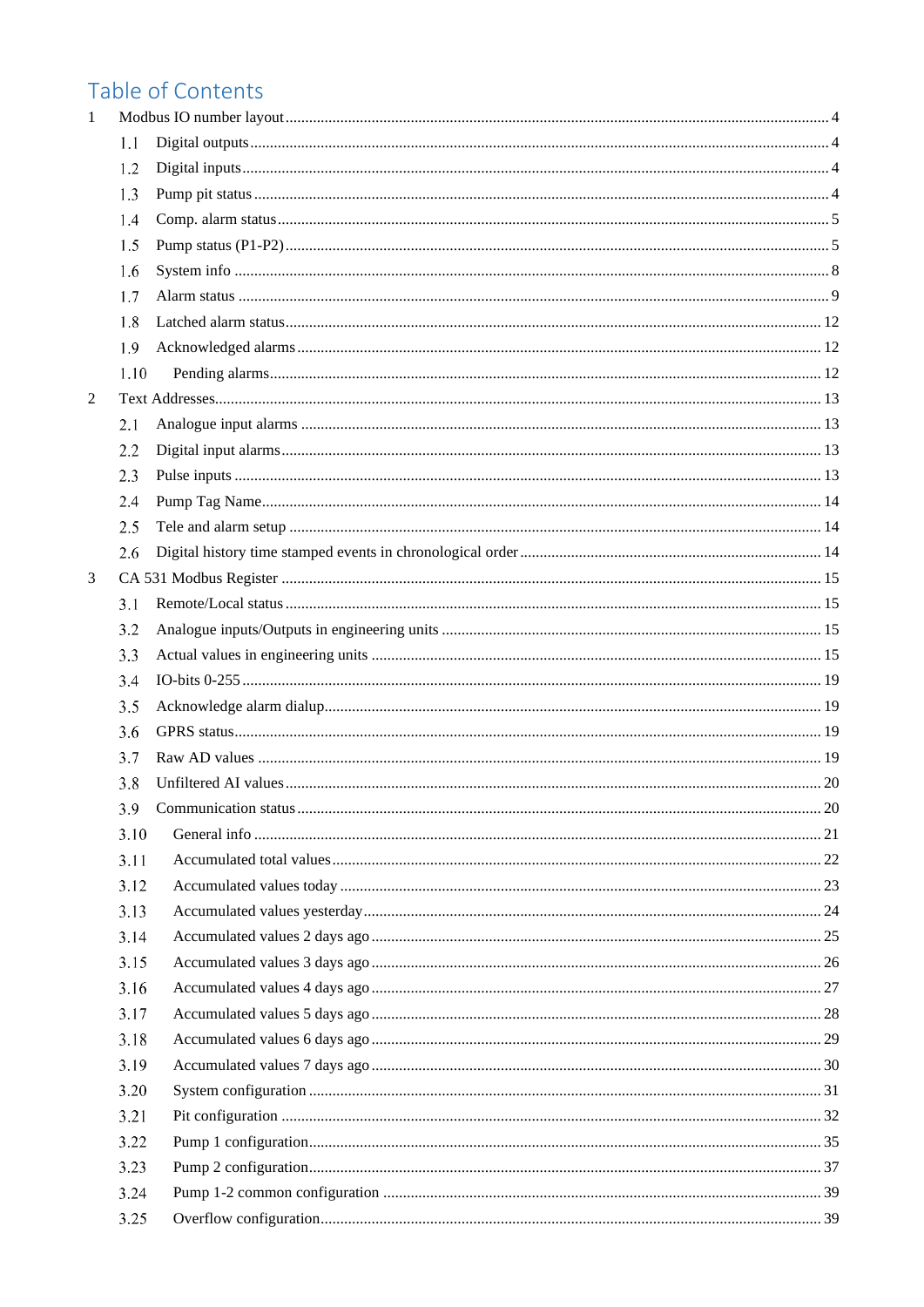# Table of Contents

| 1 |      |  |
|---|------|--|
|   | 1.1  |  |
|   | 1.2  |  |
|   | 1.3  |  |
|   | 1.4  |  |
|   | 1.5  |  |
|   | 1.6  |  |
|   | 1.7  |  |
|   | 1.8  |  |
|   | 1.9  |  |
|   | 1.10 |  |
| 2 |      |  |
|   | 2.1  |  |
|   | 2.2  |  |
|   | 2.3  |  |
|   | 2.4  |  |
|   | 2.5  |  |
|   | 2.6  |  |
| 3 |      |  |
|   | 3.1  |  |
|   | 3.2  |  |
|   | 3.3  |  |
|   | 3.4  |  |
|   | 3.5  |  |
|   | 3.6  |  |
|   | 3.7  |  |
|   | 3.8  |  |
|   | 3.9  |  |
|   | 3.10 |  |
|   | 3.11 |  |
|   | 3.12 |  |
|   | 3.13 |  |
|   | 3.14 |  |
|   | 3.15 |  |
|   | 3.16 |  |
|   | 3.17 |  |
|   | 3.18 |  |
|   | 3.19 |  |
|   | 3.20 |  |
|   | 3.21 |  |
|   | 3.22 |  |
|   | 3.23 |  |
|   | 3.24 |  |
|   | 3.25 |  |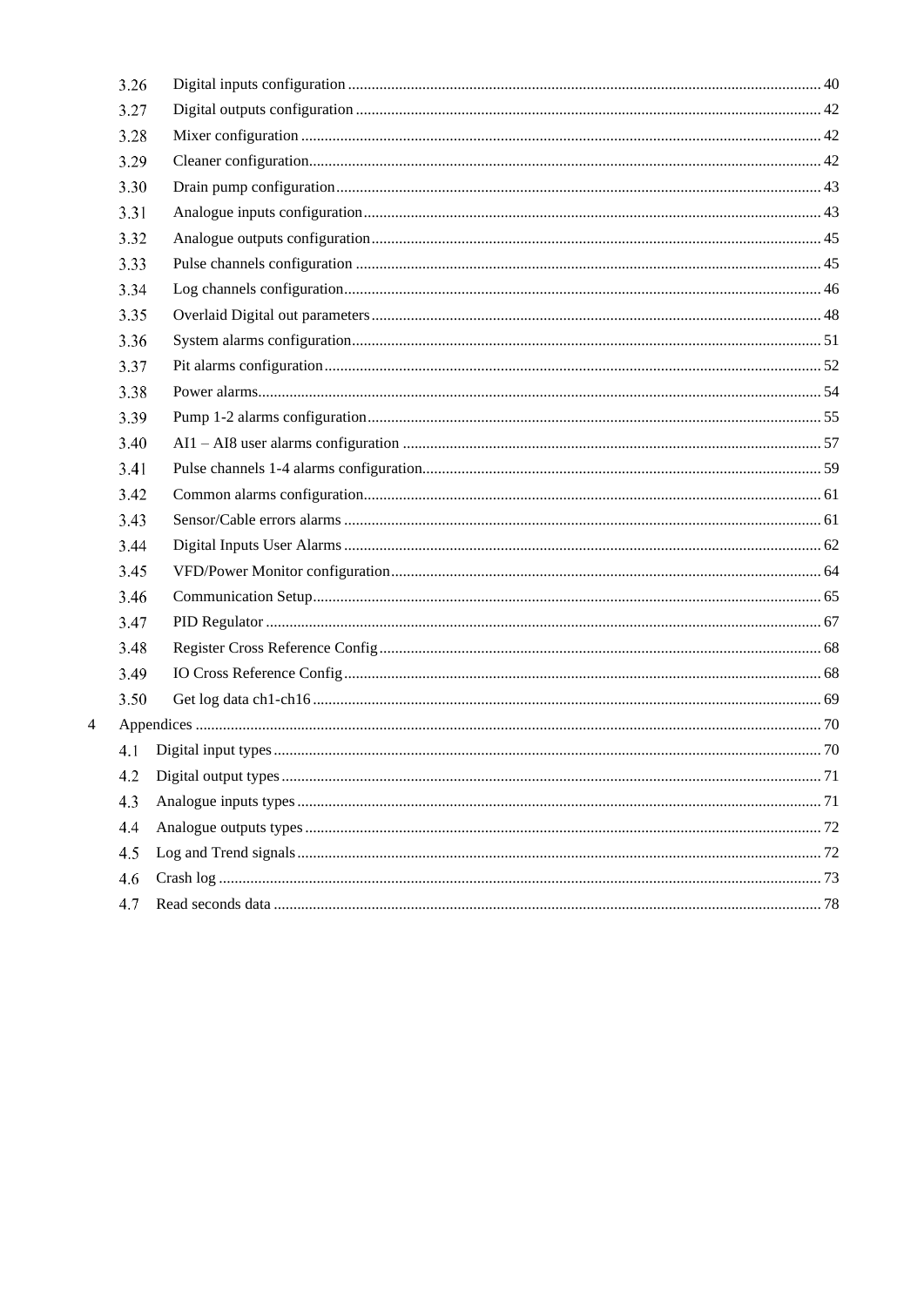| 3.26 |  |
|------|--|
| 3.27 |  |
| 3.28 |  |
| 3.29 |  |
| 3.30 |  |
| 3.31 |  |
| 3.32 |  |
| 3.33 |  |
| 3.34 |  |
| 3.35 |  |
| 3.36 |  |
| 3.37 |  |
| 3.38 |  |
| 3.39 |  |
| 3.40 |  |
| 3.41 |  |
| 3.42 |  |
| 3.43 |  |
| 3.44 |  |
| 3.45 |  |
| 3.46 |  |
| 3.47 |  |
| 3.48 |  |
| 3.49 |  |
| 3.50 |  |
|      |  |
| 4.1  |  |
| 4.2  |  |
| 4.3  |  |
| 4.4  |  |
| 4.5  |  |
| 4.6  |  |
| 4.7  |  |

 $\overline{4}$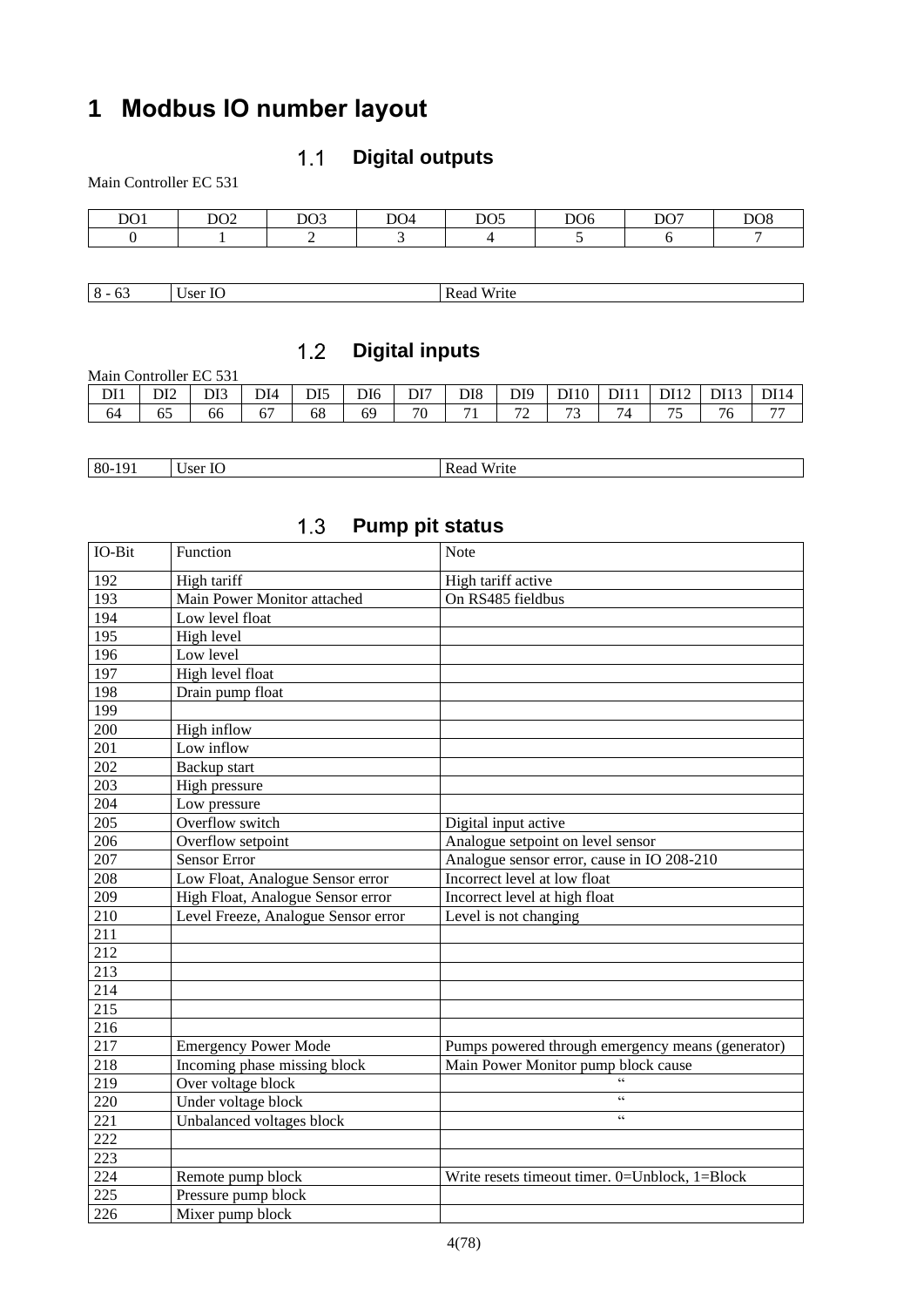# <span id="page-3-1"></span><span id="page-3-0"></span>**Modbus IO number layout**

### **Digital outputs**  $1.1$

Main Controller EC 531

| DO1 | DO <sub>2</sub> | DQ<br>LUJ. | DO <sub>4</sub> | DO <sub>5</sub> | DO <sub>6</sub> | D <sub>07</sub><br>້ | DO <sub>8</sub> |
|-----|-----------------|------------|-----------------|-----------------|-----------------|----------------------|-----------------|
|     |                 |            |                 |                 |                 |                      |                 |

<span id="page-3-2"></span>8 - 63 User IO Read Write

### **Digital inputs**  $1.2$

| Main Controller EC 531 |     |     |     |                 |     |     |                 |         |                               |     |               |      |             |
|------------------------|-----|-----|-----|-----------------|-----|-----|-----------------|---------|-------------------------------|-----|---------------|------|-------------|
| DI1                    | DI2 | DI3 | DI4 | DI <sub>5</sub> | DI6 | DI7 | DI <sub>8</sub> | DI9     | <b>DI10</b>                   | DI1 | DI12          | DI13 | <b>DI14</b> |
| 64                     | ნა  | 66  |     | 68              | 69  | 70  | $\mathbf{r}$    | 70<br>∸ | $\overline{\phantom{a}}$<br>ຼ | 4   | $\sim$<br>ر_. |      | --          |

| 80-191 | User IO | Write<br>Read |
|--------|---------|---------------|

<span id="page-3-3"></span>

|        | ا                                   | <b>1 GULD DIL STATUS</b>                          |
|--------|-------------------------------------|---------------------------------------------------|
| IO-Bit | Function                            | <b>Note</b>                                       |
| 192    | High tariff                         | High tariff active                                |
| 193    | Main Power Monitor attached         | On RS485 fieldbus                                 |
| 194    | Low level float                     |                                                   |
| 195    | High level                          |                                                   |
| 196    | Low level                           |                                                   |
| 197    | High level float                    |                                                   |
| 198    | Drain pump float                    |                                                   |
| 199    |                                     |                                                   |
| 200    | High inflow                         |                                                   |
| 201    | Low inflow                          |                                                   |
| 202    | Backup start                        |                                                   |
| 203    | High pressure                       |                                                   |
| 204    | Low pressure                        |                                                   |
| 205    | Overflow switch                     | Digital input active                              |
| 206    | Overflow setpoint                   | Analogue setpoint on level sensor                 |
| 207    | <b>Sensor Error</b>                 | Analogue sensor error, cause in IO 208-210        |
| 208    | Low Float, Analogue Sensor error    | Incorrect level at low float                      |
| 209    | High Float, Analogue Sensor error   | Incorrect level at high float                     |
| 210    | Level Freeze, Analogue Sensor error | Level is not changing                             |
| 211    |                                     |                                                   |
| 212    |                                     |                                                   |
| 213    |                                     |                                                   |
| 214    |                                     |                                                   |
| 215    |                                     |                                                   |
| 216    |                                     |                                                   |
| 217    | <b>Emergency Power Mode</b>         | Pumps powered through emergency means (generator) |
| 218    | Incoming phase missing block        | Main Power Monitor pump block cause               |
| 219    | Over voltage block                  |                                                   |
| 220    | Under voltage block                 | $\zeta\,\zeta$                                    |
| 221    | Unbalanced voltages block           | $\zeta\,\zeta$                                    |
| 222    |                                     |                                                   |
| 223    |                                     |                                                   |
| 224    | Remote pump block                   | Write resets timeout timer. 0=Unblock, 1=Block    |
| 225    | Pressure pump block                 |                                                   |
| 226    | Mixer pump block                    |                                                   |

#### $1<sub>2</sub>$ **Pump pit status**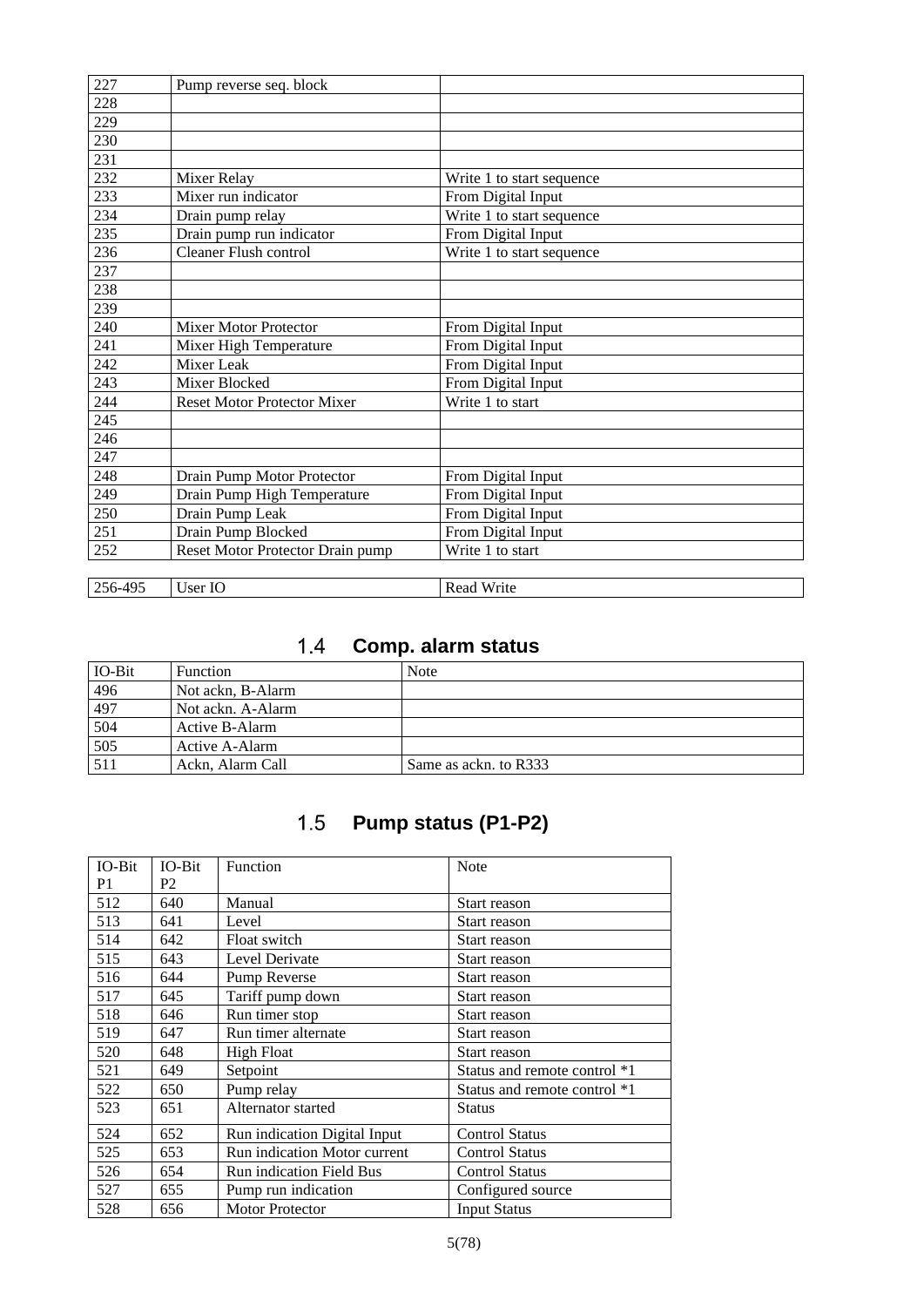| 227     | Pump reverse seq. block            |                           |
|---------|------------------------------------|---------------------------|
| 228     |                                    |                           |
| 229     |                                    |                           |
| 230     |                                    |                           |
| 231     |                                    |                           |
| 232     | Mixer Relay                        | Write 1 to start sequence |
| 233     | Mixer run indicator                | From Digital Input        |
| 234     | Drain pump relay                   | Write 1 to start sequence |
| 235     | Drain pump run indicator           | From Digital Input        |
| 236     | Cleaner Flush control              | Write 1 to start sequence |
| 237     |                                    |                           |
| 238     |                                    |                           |
| 239     |                                    |                           |
| 240     | <b>Mixer Motor Protector</b>       | From Digital Input        |
| 241     | Mixer High Temperature             | From Digital Input        |
| 242     | Mixer Leak                         | From Digital Input        |
| 243     | Mixer Blocked                      | From Digital Input        |
| 244     | <b>Reset Motor Protector Mixer</b> | Write 1 to start          |
| 245     |                                    |                           |
| 246     |                                    |                           |
| 247     |                                    |                           |
| 248     | Drain Pump Motor Protector         | From Digital Input        |
| 249     | Drain Pump High Temperature        | From Digital Input        |
| 250     | Drain Pump Leak                    | From Digital Input        |
| 251     | Drain Pump Blocked                 | From Digital Input        |
| 252     | Reset Motor Protector Drain pump   | Write 1 to start          |
|         |                                    |                           |
| 256-495 | User IO                            | <b>Read Write</b>         |

# **Comp. alarm status**

<span id="page-4-0"></span>

| IO-Bit | <b>Function</b>   | Note                  |
|--------|-------------------|-----------------------|
| 496    | Not ackn, B-Alarm |                       |
| 497    | Not ackn. A-Alarm |                       |
| 504    | Active B-Alarm    |                       |
| 505    | Active A-Alarm    |                       |
| 511    | Ackn, Alarm Call  | Same as ackn. to R333 |

### $1.5$ **Pump status (P1-P2)**

<span id="page-4-1"></span>

| IO-Bit | $IO-Bit$ | Function                        | <b>Note</b>                  |
|--------|----------|---------------------------------|------------------------------|
| P1     | P2       |                                 |                              |
| 512    | 640      | Manual                          | Start reason                 |
| 513    | 641      | Level                           | Start reason                 |
| 514    | 642      | Float switch                    | Start reason                 |
| 515    | 643      | Level Derivate                  | Start reason                 |
| 516    | 644      | Pump Reverse                    | Start reason                 |
| 517    | 645      | Tariff pump down                | Start reason                 |
| 518    | 646      | Run timer stop                  | Start reason                 |
| 519    | 647      | Run timer alternate             | Start reason                 |
| 520    | 648      | <b>High Float</b>               | Start reason                 |
| 521    | 649      | Setpoint                        | Status and remote control *1 |
| 522    | 650      | Pump relay                      | Status and remote control *1 |
| 523    | 651      | Alternator started              | <b>Status</b>                |
| 524    | 652      | Run indication Digital Input    | <b>Control Status</b>        |
| 525    | 653      | Run indication Motor current    | <b>Control Status</b>        |
| 526    | 654      | <b>Run</b> indication Field Bus | <b>Control Status</b>        |
| 527    | 655      | Pump run indication             | Configured source            |
| 528    | 656      | <b>Motor Protector</b>          | <b>Input Status</b>          |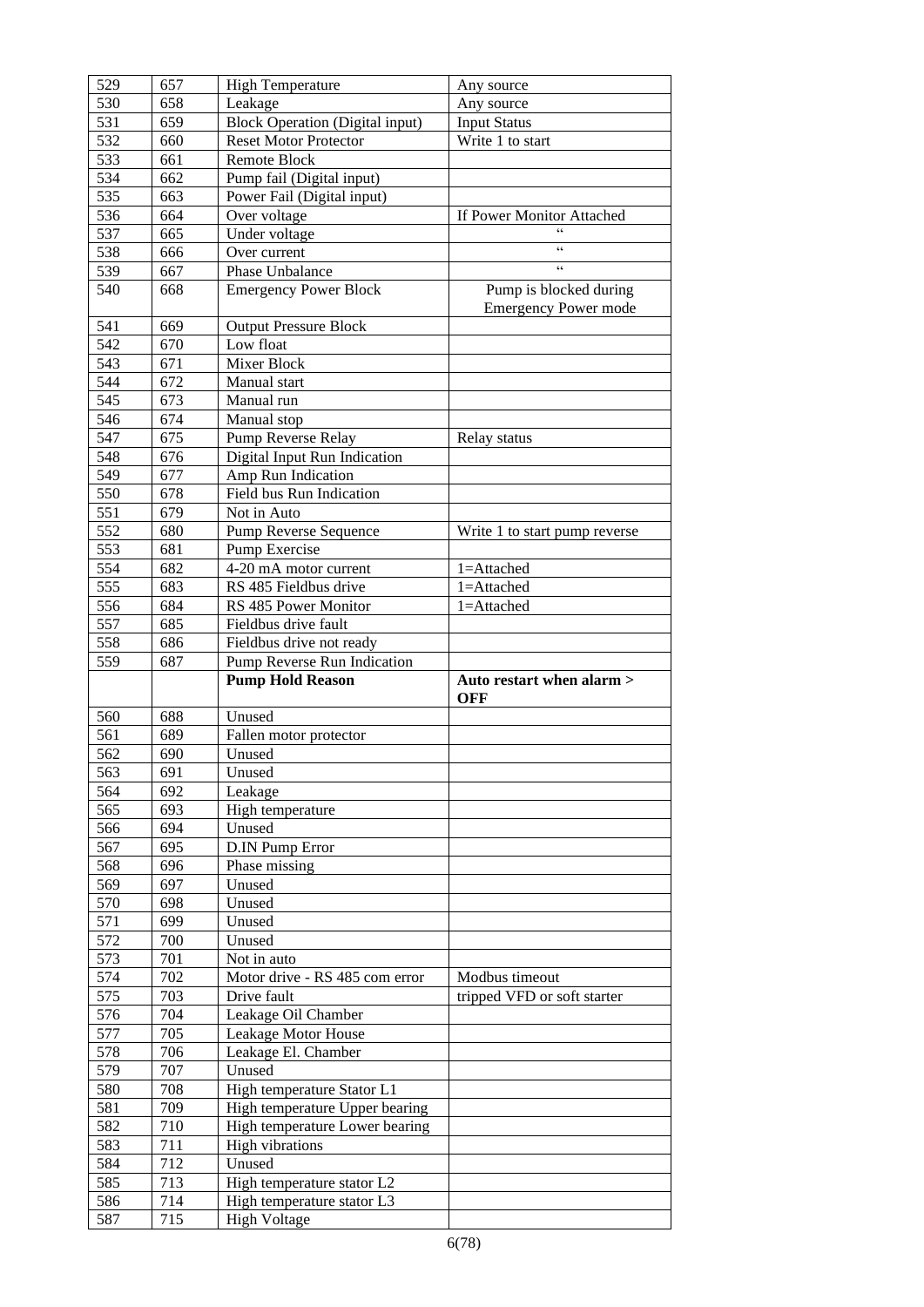| 529        | 657        | <b>High Temperature</b>                                |                                                       |
|------------|------------|--------------------------------------------------------|-------------------------------------------------------|
| 530        | 658        |                                                        | Any source                                            |
|            |            | Leakage                                                | Any source                                            |
| 531        | 659        | <b>Block Operation (Digital input)</b>                 | <b>Input Status</b>                                   |
| 532        | 660        | <b>Reset Motor Protector</b>                           | Write 1 to start                                      |
| 533        | 661        | Remote Block                                           |                                                       |
| 534        | 662        | Pump fail (Digital input)                              |                                                       |
| 535        | 663        | Power Fail (Digital input)                             |                                                       |
| 536        | 664        | Over voltage                                           | If Power Monitor Attached                             |
| 537        | 665        | Under voltage                                          |                                                       |
| 538        | 666        | Over current                                           | $\zeta\,\zeta$                                        |
| 539        | 667        | Phase Unbalance                                        | $\zeta \, \zeta$                                      |
| 540        | 668        | <b>Emergency Power Block</b>                           | Pump is blocked during<br><b>Emergency Power mode</b> |
| 541        | 669        | <b>Output Pressure Block</b>                           |                                                       |
| 542        | 670        | Low float                                              |                                                       |
| 543        | 671        | Mixer Block                                            |                                                       |
| 544        | 672        | Manual start                                           |                                                       |
| 545        | 673        | Manual run                                             |                                                       |
| 546        | 674        | Manual stop                                            |                                                       |
| 547        | 675        |                                                        |                                                       |
|            |            | Pump Reverse Relay                                     | Relay status                                          |
| 548        | 676        | Digital Input Run Indication                           |                                                       |
| 549        | 677        | Amp Run Indication                                     |                                                       |
| 550        | 678        | Field bus Run Indication                               |                                                       |
| 551        | 679        | Not in Auto                                            |                                                       |
| 552        | 680        | Pump Reverse Sequence                                  | Write 1 to start pump reverse                         |
| 553        | 681        | Pump Exercise                                          |                                                       |
| 554        | 682        | 4-20 mA motor current                                  | 1=Attached                                            |
| 555        | 683        | RS 485 Fieldbus drive                                  | 1=Attached                                            |
| 556        | 684        | RS 485 Power Monitor                                   | 1=Attached                                            |
| 557        | 685        | Fieldbus drive fault                                   |                                                       |
| 558        | 686        | Fieldbus drive not ready                               |                                                       |
|            |            |                                                        |                                                       |
|            |            |                                                        |                                                       |
| 559        | 687        | Pump Reverse Run Indication<br><b>Pump Hold Reason</b> | Auto restart when alarm >                             |
|            |            | Unused                                                 | <b>OFF</b>                                            |
| 560        | 688        |                                                        |                                                       |
| 561        | 689        | Fallen motor protector                                 |                                                       |
| 562        | 690        | Unused                                                 |                                                       |
| 563        | 691        | Unused                                                 |                                                       |
| 564        | 692        | Leakage                                                |                                                       |
| 565        | 693        | High temperature                                       |                                                       |
| 566        | 694        | Unused                                                 |                                                       |
| 567        | 695        | D.IN Pump Error                                        |                                                       |
| 568        | 696        | Phase missing                                          |                                                       |
| 569        | 697        | Unused                                                 |                                                       |
| 570        | 698        | Unused                                                 |                                                       |
| 571        | 699        | Unused                                                 |                                                       |
| 572        | 700        | Unused                                                 |                                                       |
| 573        | 701        | Not in auto                                            |                                                       |
| 574        | 702        | Motor drive - RS 485 com error                         | Modbus timeout                                        |
| 575        | 703        | Drive fault                                            | tripped VFD or soft starter                           |
| 576        | 704        | Leakage Oil Chamber                                    |                                                       |
| 577        | 705        | Leakage Motor House                                    |                                                       |
| 578        | 706        | Leakage El. Chamber                                    |                                                       |
| 579        | 707        | Unused                                                 |                                                       |
| 580        | 708        | High temperature Stator L1                             |                                                       |
|            |            |                                                        |                                                       |
| 581        | 709        | High temperature Upper bearing                         |                                                       |
| 582        | 710        | High temperature Lower bearing                         |                                                       |
| 583        | 711        | <b>High vibrations</b>                                 |                                                       |
| 584        | 712        | Unused                                                 |                                                       |
| 585        | 713        | High temperature stator L2                             |                                                       |
| 586<br>587 | 714<br>715 | High temperature stator L3<br><b>High Voltage</b>      |                                                       |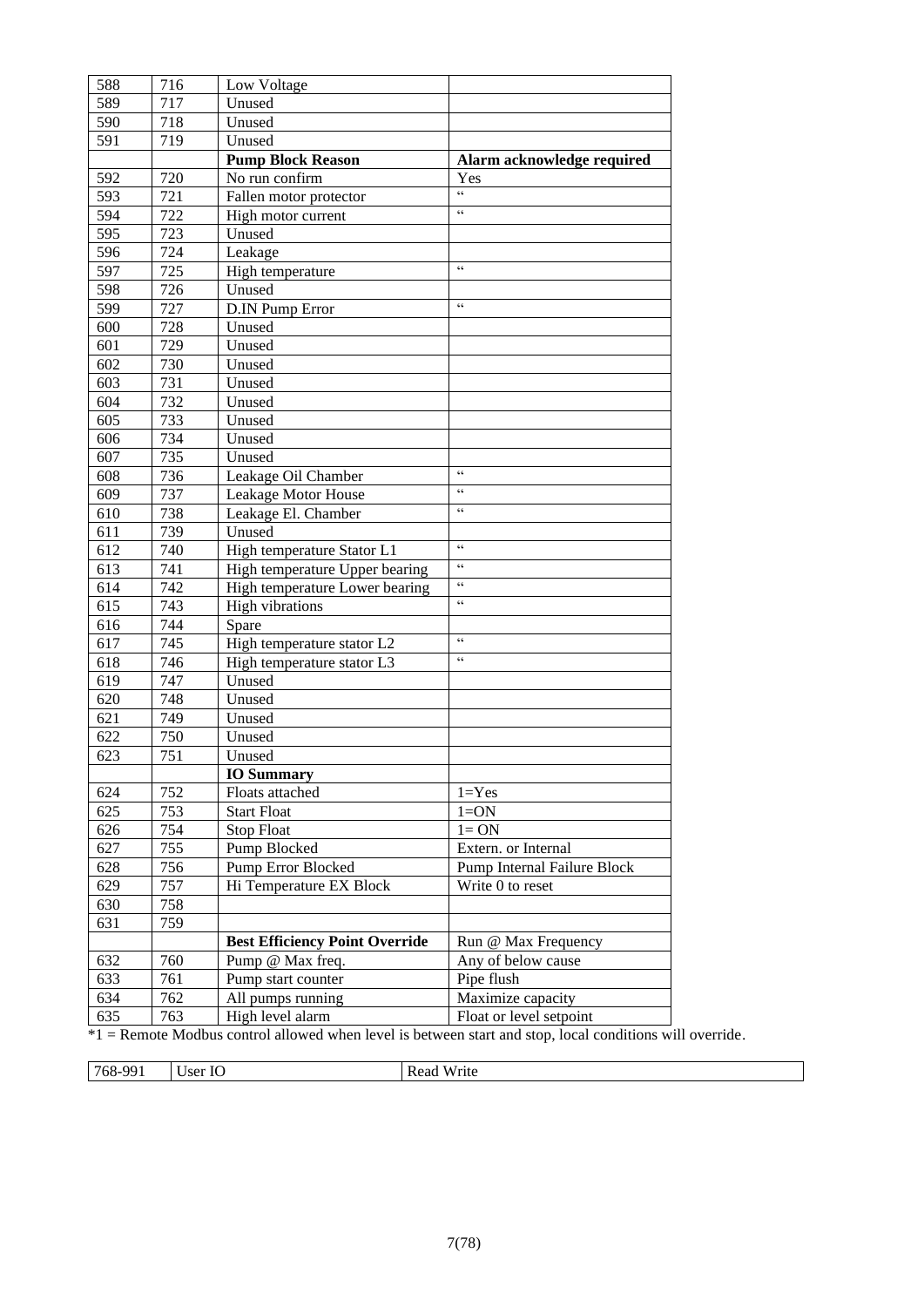| 588<br>589 | 716<br>717 | Low Voltage<br>Unused                 |                                    |
|------------|------------|---------------------------------------|------------------------------------|
| 590        | 718        |                                       |                                    |
|            |            | Unused                                |                                    |
| 591        | 719        | Unused                                |                                    |
|            |            | <b>Pump Block Reason</b>              | Alarm acknowledge required         |
| 592        | 720        | No run confirm                        | Yes<br>66                          |
| 593        | 721        | Fallen motor protector                | 66                                 |
| 594        | 722        | High motor current                    |                                    |
| 595        | 723        | Unused                                |                                    |
| 596        | 724        | Leakage                               | $\zeta\,\zeta$                     |
| 597        | 725        | High temperature                      |                                    |
| 598        | 726        | Unused                                |                                    |
| 599        | 727        | D.IN Pump Error                       | $\zeta\,\zeta$                     |
| 600        | 728        | Unused                                |                                    |
| 601        | 729        | Unused                                |                                    |
| 602        | 730        | Unused                                |                                    |
| 603        | 731        | Unused                                |                                    |
| 604        | 732        | Unused                                |                                    |
| 605        | 733        | Unused                                |                                    |
| 606        | 734        | Unused                                |                                    |
| 607        | 735        | Unused                                |                                    |
| 608        | 736        | Leakage Oil Chamber                   | $\zeta\,\zeta$                     |
| 609        | 737        | Leakage Motor House                   | $\zeta\,\zeta$                     |
| 610        | 738        | Leakage El. Chamber                   | 66                                 |
| 611        | 739        | Unused                                |                                    |
| 612        | 740        | High temperature Stator L1            | $\zeta \zeta$                      |
| 613        | 741        | High temperature Upper bearing        | $\zeta\,\zeta$                     |
| 614        | 742        | High temperature Lower bearing        | $\zeta\,\zeta$                     |
| 615        | 743        | <b>High vibrations</b>                | $\zeta \, \zeta$                   |
| 616        | 744        | Spare                                 |                                    |
| 617        | 745        | High temperature stator L2            | $\zeta$ $\zeta$                    |
| 618        | 746        | High temperature stator L3            | 66                                 |
| 619        | 747        | Unused                                |                                    |
| 620        | 748        | Unused                                |                                    |
| 621        | 749        | Unused                                |                                    |
| 622        | 750        | Unused                                |                                    |
| 623        | 751        | Unused                                |                                    |
|            |            | <b>IO Summary</b>                     |                                    |
| 624        | 752        | Floats attached                       | $1 = Yes$                          |
| 625        | 753        | <b>Start Float</b>                    | $1=ON$                             |
| 626        | 754        | <b>Stop Float</b>                     | $l = ON$                           |
| 627        | 755        | Pump Blocked                          | Extern. or Internal                |
| 628        | 756        | <b>Pump Error Blocked</b>             | <b>Pump Internal Failure Block</b> |
| 629        | 757        | Hi Temperature EX Block               | Write 0 to reset                   |
| 630        | 758        |                                       |                                    |
| 631        | 759        |                                       |                                    |
|            |            | <b>Best Efficiency Point Override</b> | Run @ Max Frequency                |
| 632        | 760        | Pump @ Max freq.                      | Any of below cause                 |
| 633        | 761        | Pump start counter                    | Pipe flush                         |
| 634        | 762        | All pumps running                     | Maximize capacity                  |
| 635        | 763        | High level alarm                      | Float or level setpoint            |
|            |            |                                       |                                    |

\*1 = Remote Modbus control allowed when level is between start and stop, local conditions will override.

768-991 User IO Read Write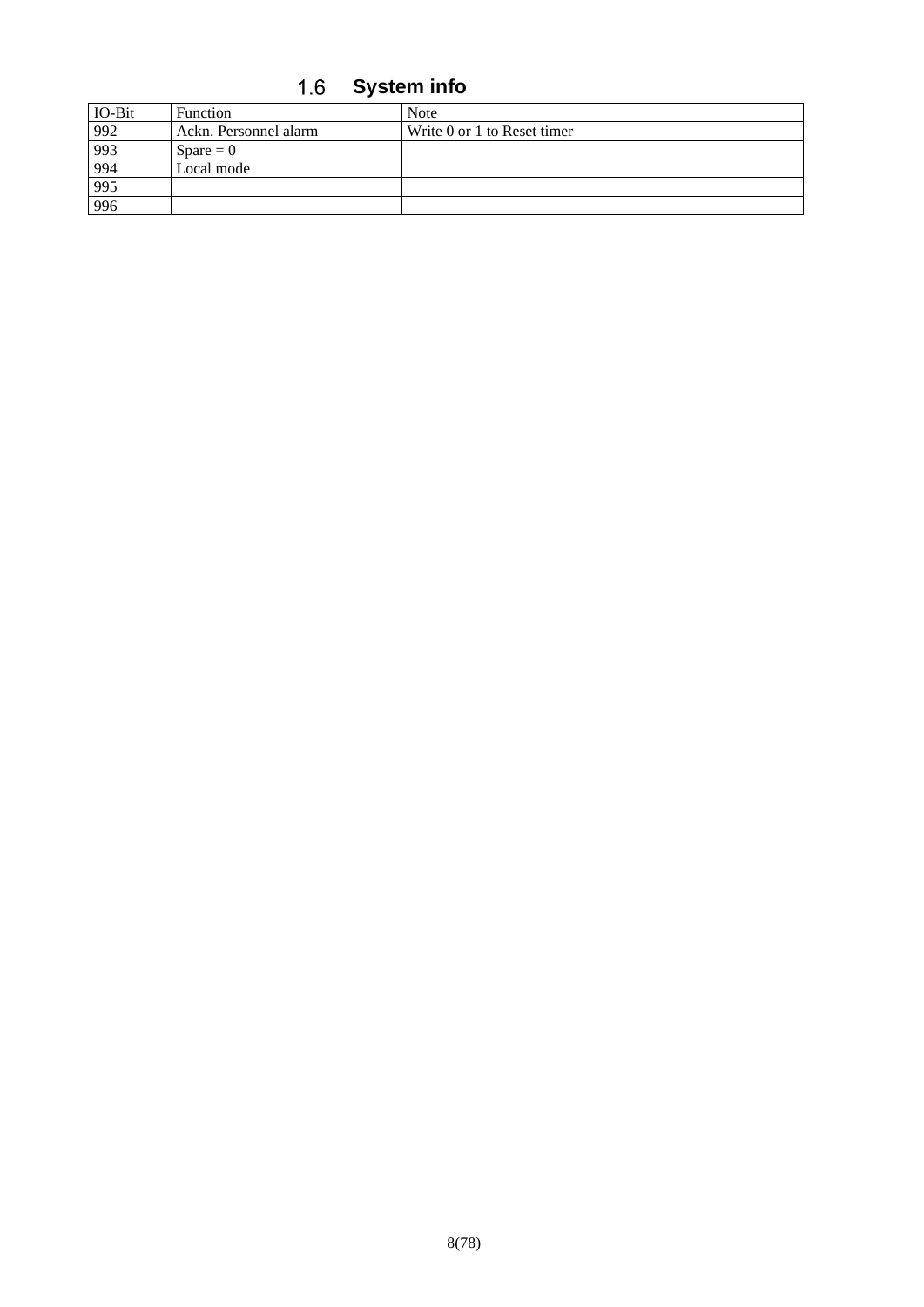**System info**

<span id="page-7-0"></span>

| IO-Bit            | Function              | <b>Note</b>                 |
|-------------------|-----------------------|-----------------------------|
| $\frac{992}{993}$ | Ackn. Personnel alarm | Write 0 or 1 to Reset timer |
|                   | $Space = 0$           |                             |
|                   | Local mode            |                             |
| 994<br>995        |                       |                             |
| 996               |                       |                             |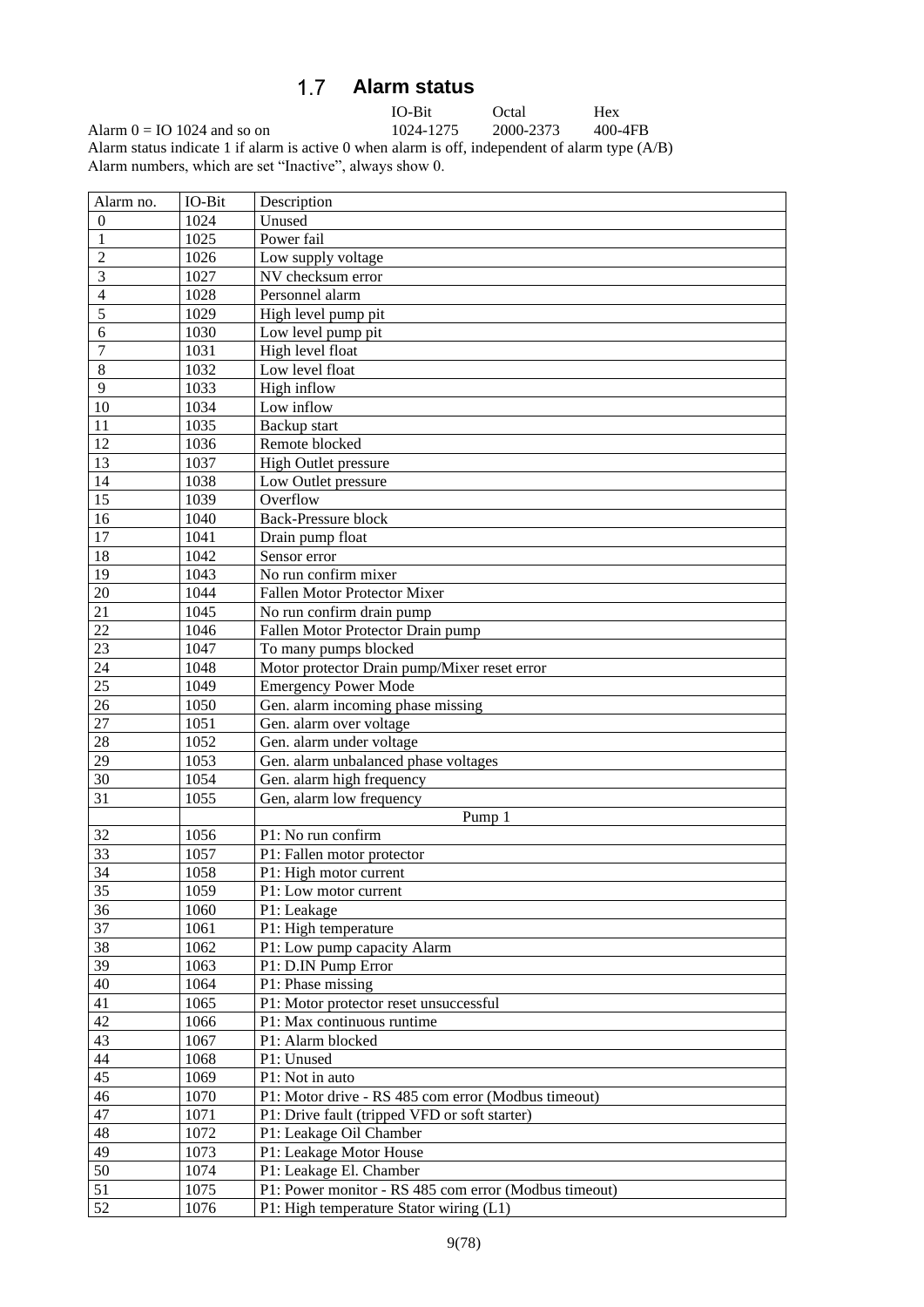### $1.7$ **Alarm status**

IO-Bit Octal Hex<br>1024-1275 2000-2373 400-4FB

<span id="page-8-0"></span>Alarm  $0 = IO 1024$  and so on Alarm status indicate 1 if alarm is active 0 when alarm is off, independent of alarm type (A/B) Alarm numbers, which are set "Inactive", always show 0.

| Alarm no.       | IO-Bit | Description                                           |
|-----------------|--------|-------------------------------------------------------|
| $\theta$        | 1024   | Unused                                                |
|                 | 1025   | Power fail                                            |
| $\overline{c}$  | 1026   | Low supply voltage                                    |
| 3               | 1027   | NV checksum error                                     |
| 4               | 1028   | Personnel alarm                                       |
| 5               | 1029   | High level pump pit                                   |
| 6               | 1030   | Low level pump pit                                    |
| 7               | 1031   | High level float                                      |
| 8               | 1032   | Low level float                                       |
| 9               | 1033   | High inflow                                           |
| 10              | 1034   | Low inflow                                            |
| 11              | 1035   | Backup start                                          |
| 12              | 1036   | Remote blocked                                        |
| 13              | 1037   | High Outlet pressure                                  |
| 14              | 1038   | Low Outlet pressure                                   |
| 15              | 1039   | Overflow                                              |
| 16              | 1040   | <b>Back-Pressure block</b>                            |
| 17              | 1041   | Drain pump float                                      |
| 18              | 1042   | Sensor error                                          |
| $\overline{19}$ | 1043   | No run confirm mixer                                  |
| 20              | 1044   | Fallen Motor Protector Mixer                          |
| 21              | 1045   | No run confirm drain pump                             |
| $\overline{22}$ | 1046   | Fallen Motor Protector Drain pump                     |
| 23              | 1047   | To many pumps blocked                                 |
| 24              | 1048   |                                                       |
| $\overline{25}$ | 1049   | Motor protector Drain pump/Mixer reset error          |
|                 |        | <b>Emergency Power Mode</b>                           |
| $26\,$          | 1050   | Gen. alarm incoming phase missing                     |
| 27              | 1051   | Gen. alarm over voltage                               |
| 28              | 1052   | Gen. alarm under voltage                              |
| 29              | 1053   | Gen. alarm unbalanced phase voltages                  |
| 30              | 1054   | Gen. alarm high frequency                             |
| 31              | 1055   | Gen, alarm low frequency                              |
|                 |        | Pump 1                                                |
| 32              | 1056   | P1: No run confirm                                    |
| 33              | 1057   | P1: Fallen motor protector                            |
| 34              | 1058   | P1: High motor current                                |
| 35              | 1059   | P1: Low motor current                                 |
| 36              | 1060   | P1: Leakage                                           |
| 37              | 1061   | P1: High temperature                                  |
| 38              | 1062   | P1: Low pump capacity Alarm                           |
| 39              | 1063   | P1: D.IN Pump Error                                   |
| 40              | 1064   | P1: Phase missing                                     |
| 41              | 1065   | P1: Motor protector reset unsuccessful                |
| 42              | 1066   | P1: Max continuous runtime                            |
| 43              | 1067   | P1: Alarm blocked                                     |
| 44              | 1068   | P1: Unused                                            |
| $\overline{45}$ | 1069   | P1: Not in auto                                       |
| 46              | 1070   | P1: Motor drive - RS 485 com error (Modbus timeout)   |
| 47              | 1071   | P1: Drive fault (tripped VFD or soft starter)         |
| 48              | 1072   | P1: Leakage Oil Chamber                               |
| 49              | 1073   | P1: Leakage Motor House                               |
| 50              | 1074   | P1: Leakage El. Chamber                               |
| 51              | 1075   | P1: Power monitor - RS 485 com error (Modbus timeout) |
| 52              | 1076   | P1: High temperature Stator wiring (L1)               |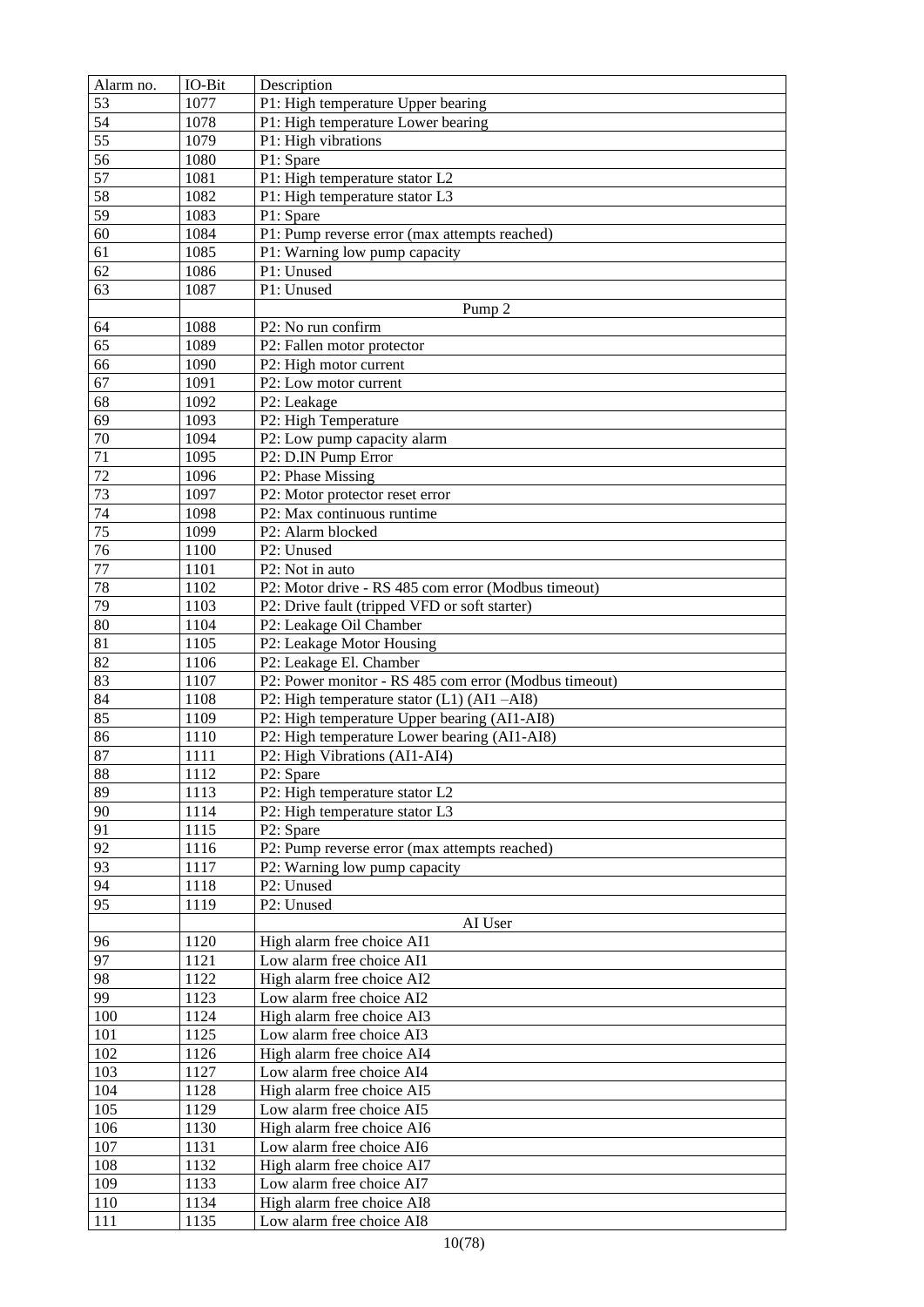| Alarm no.       | IO-Bit | Description                                           |
|-----------------|--------|-------------------------------------------------------|
| 53              | 1077   | P1: High temperature Upper bearing                    |
| 54              | 1078   | P1: High temperature Lower bearing                    |
| $\overline{55}$ | 1079   | P1: High vibrations                                   |
| 56              | 1080   | P1: Spare                                             |
| 57              | 1081   | P1: High temperature stator L2                        |
| 58              | 1082   | P1: High temperature stator L3                        |
| $\overline{59}$ | 1083   | P1: Spare                                             |
| $\overline{60}$ | 1084   | P1: Pump reverse error (max attempts reached)         |
| 61              | 1085   | P1: Warning low pump capacity                         |
| 62              | 1086   | P1: Unused                                            |
| 63              | 1087   | P1: Unused                                            |
|                 |        |                                                       |
|                 |        | Pump <sub>2</sub>                                     |
| 64              | 1088   | P2: No run confirm                                    |
| 65              | 1089   | P2: Fallen motor protector                            |
| 66              | 1090   | P2: High motor current                                |
| 67              | 1091   | P2: Low motor current                                 |
| $\overline{68}$ | 1092   | P2: Leakage                                           |
| $\overline{69}$ | 1093   | P2: High Temperature                                  |
| $70\,$          | 1094   | P2: Low pump capacity alarm                           |
| $\overline{71}$ | 1095   | P2: D.IN Pump Error                                   |
| $\overline{72}$ | 1096   | P2: Phase Missing                                     |
| 73              | 1097   | P2: Motor protector reset error                       |
| 74              | 1098   | P2: Max continuous runtime                            |
| 75              | 1099   | P2: Alarm blocked                                     |
| 76              | 1100   | P2: Unused                                            |
| $77 \,$         | 1101   | P2: Not in auto                                       |
| 78              | 1102   | P2: Motor drive - RS 485 com error (Modbus timeout)   |
| 79              | 1103   | P2: Drive fault (tripped VFD or soft starter)         |
| $\overline{80}$ | 1104   | P2: Leakage Oil Chamber                               |
| 81              | 1105   | P2: Leakage Motor Housing                             |
| $\overline{82}$ | 1106   | P2: Leakage El. Chamber                               |
| 83              | 1107   | P2: Power monitor - RS 485 com error (Modbus timeout) |
| 84              | 1108   | P2: High temperature stator (L1) (AI1-AI8)            |
| 85              | 1109   | P2: High temperature Upper bearing (AI1-AI8)          |
| 86              | 1110   | P2: High temperature Lower bearing (AI1-AI8)          |
| 87              | 1111   | P2: High Vibrations (AI1-AI4)                         |
| 88              | 1112   | P2: Spare                                             |
| 89              | 1113   | P2: High temperature stator L2                        |
| 90              | 1114   | P2: High temperature stator L3                        |
| 91              | 1115   | P2: Spare                                             |
| 92              | 1116   | P2: Pump reverse error (max attempts reached)         |
| 93              | 1117   | P2: Warning low pump capacity                         |
| 94              | 1118   | P2: Unused                                            |
| 95              | 1119   | P2: Unused                                            |
|                 |        | AI User                                               |
| 96              | 1120   | High alarm free choice AI1                            |
| 97              | 1121   | Low alarm free choice AI1                             |
| 98              | 1122   | High alarm free choice AI2                            |
| 99              | 1123   | Low alarm free choice AI2                             |
| 100             | 1124   | High alarm free choice AI3                            |
|                 |        | Low alarm free choice AI3                             |
| 101             | 1125   |                                                       |
| 102             | 1126   | High alarm free choice AI4                            |
| 103             | 1127   | Low alarm free choice AI4                             |
| 104             | 1128   | High alarm free choice AI5                            |
| 105             | 1129   | Low alarm free choice AI5                             |
| 106             | 1130   | High alarm free choice AI6                            |
| 107             | 1131   | Low alarm free choice AI6                             |
| 108             | 1132   | High alarm free choice AI7                            |
| 109             | 1133   | Low alarm free choice AI7                             |
| 110             | 1134   | High alarm free choice AI8                            |
| 111             | 1135   | Low alarm free choice AI8                             |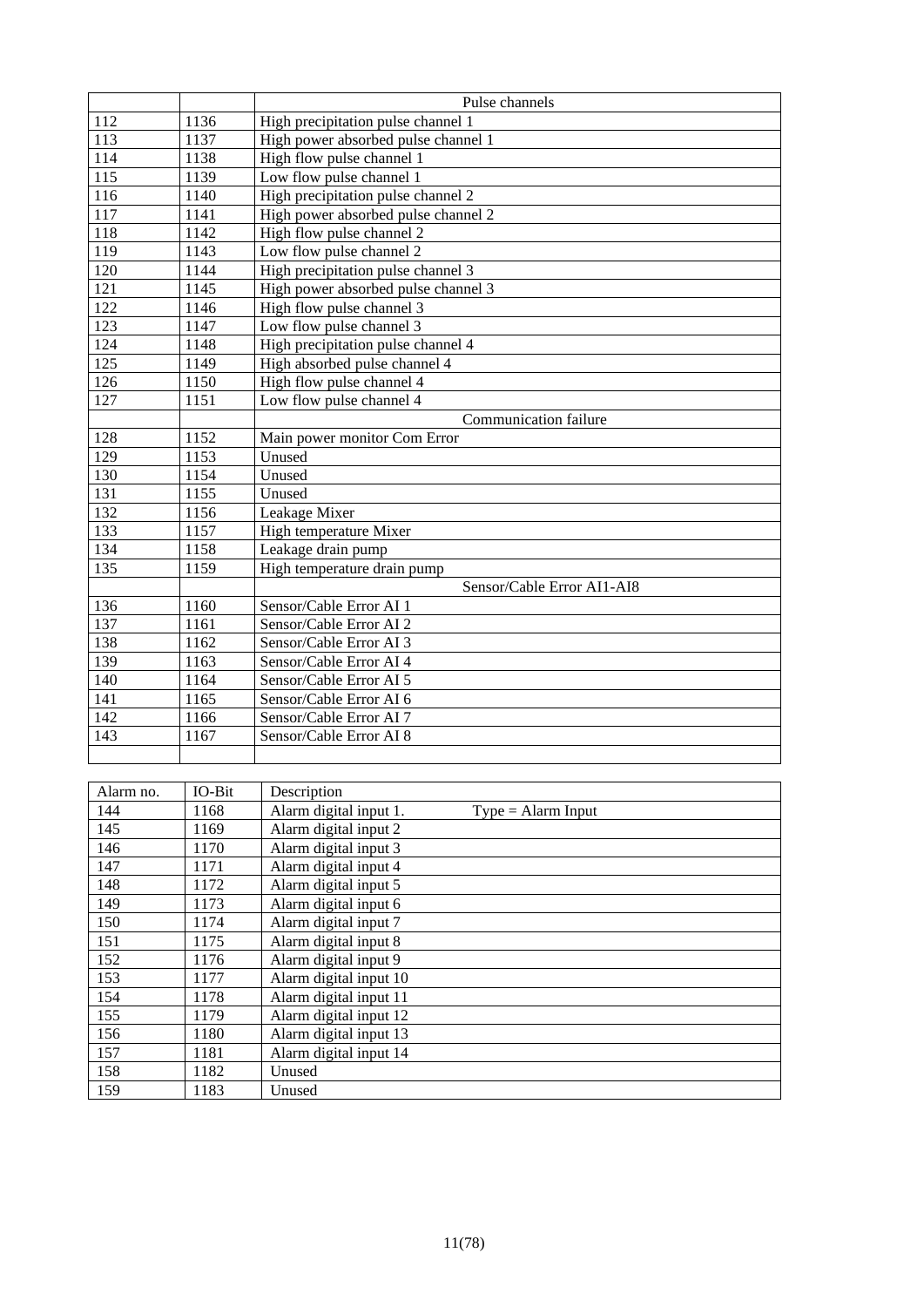|                   |        | Pulse channels                                 |  |  |
|-------------------|--------|------------------------------------------------|--|--|
| 112               | 1136   | High precipitation pulse channel 1             |  |  |
| 113               | 1137   | High power absorbed pulse channel 1            |  |  |
| 114               | 1138   | High flow pulse channel 1                      |  |  |
| $\frac{115}{115}$ | 1139   | Low flow pulse channel 1                       |  |  |
| 116               | 1140   | High precipitation pulse channel 2             |  |  |
| 117               | 1141   | High power absorbed pulse channel 2            |  |  |
| 118               | 1142   | High flow pulse channel 2                      |  |  |
| 119               | 1143   | Low flow pulse channel 2                       |  |  |
| 120               | 1144   | High precipitation pulse channel 3             |  |  |
| 121               | 1145   | High power absorbed pulse channel 3            |  |  |
| 122               | 1146   | High flow pulse channel 3                      |  |  |
| 123               | 1147   | Low flow pulse channel 3                       |  |  |
| 124               | 1148   | High precipitation pulse channel 4             |  |  |
| 125               | 1149   | High absorbed pulse channel 4                  |  |  |
| 126               | 1150   | High flow pulse channel 4                      |  |  |
| 127               | 1151   | Low flow pulse channel 4                       |  |  |
|                   |        | Communication failure                          |  |  |
| 128               | 1152   | Main power monitor Com Error                   |  |  |
| 129               | 1153   | Unused                                         |  |  |
| 130               | 1154   | Unused                                         |  |  |
| 131               | 1155   | Unused                                         |  |  |
| 132               | 1156   | Leakage Mixer                                  |  |  |
| 133               | 1157   | High temperature Mixer                         |  |  |
| 134               | 1158   | Leakage drain pump                             |  |  |
| 135               | 1159   | High temperature drain pump                    |  |  |
|                   |        | Sensor/Cable Error AI1-AI8                     |  |  |
| 136               | 1160   | Sensor/Cable Error AI 1                        |  |  |
| 137               | 1161   | Sensor/Cable Error AI 2                        |  |  |
| 138               | 1162   | Sensor/Cable Error AI 3                        |  |  |
| 139               | 1163   | Sensor/Cable Error AI 4                        |  |  |
| 140               | 1164   | Sensor/Cable Error AI 5                        |  |  |
| 141               | 1165   | Sensor/Cable Error AI 6                        |  |  |
| 142               | 1166   | Sensor/Cable Error AI 7                        |  |  |
| 143               | 1167   | Sensor/Cable Error AI 8                        |  |  |
|                   |        |                                                |  |  |
|                   |        |                                                |  |  |
| Alarm no.         | IO-Bit | Description                                    |  |  |
| 144               | 1168   | Alarm digital input 1.<br>$Type = Alarm Input$ |  |  |

| Alarm no. | IO-Bit | Description                                    |  |
|-----------|--------|------------------------------------------------|--|
| 144       | 1168   | Alarm digital input 1.<br>$Type = Alarm Input$ |  |
| 145       | 1169   | Alarm digital input 2                          |  |
| 146       | 1170   | Alarm digital input 3                          |  |
| 147       | 1171   | Alarm digital input 4                          |  |
| 148       | 1172   | Alarm digital input 5                          |  |
| 149       | 1173   | Alarm digital input 6                          |  |
| 150       | 1174   | Alarm digital input 7                          |  |
| 151       | 1175   | Alarm digital input 8                          |  |
| 152       | 1176   | Alarm digital input 9                          |  |
| 153       | 1177   | Alarm digital input 10                         |  |
| 154       | 1178   | Alarm digital input 11                         |  |
| 155       | 1179   | Alarm digital input 12                         |  |
| 156       | 1180   | Alarm digital input 13                         |  |
| 157       | 1181   | Alarm digital input 14                         |  |
| 158       | 1182   | Unused                                         |  |
| 159       | 1183   | Unused                                         |  |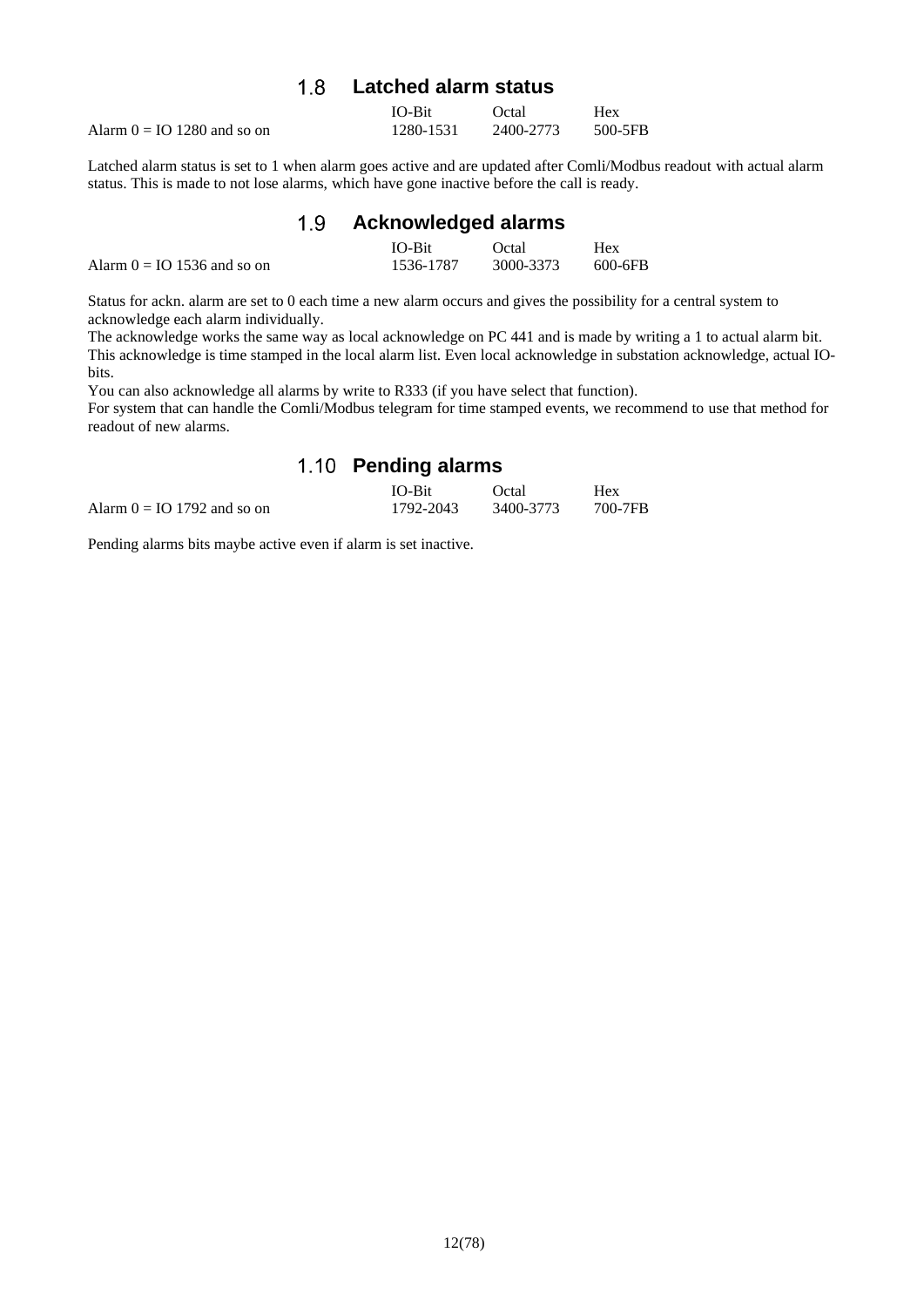#### $1.8$ **Latched alarm status**

<span id="page-11-0"></span>

|                               | $IO-Bit$  | Octal     | Hex     |
|-------------------------------|-----------|-----------|---------|
| Alarm $0 = IO 1280$ and so on | 1280-1531 | 2400-2773 | 500-5FB |

Latched alarm status is set to 1 when alarm goes active and are updated after Comli/Modbus readout with actual alarm status. This is made to not lose alarms, which have gone inactive before the call is ready.

<span id="page-11-1"></span>

|                               | 1.9 Acknowledged alarms |           |            |
|-------------------------------|-------------------------|-----------|------------|
|                               | $IO-Bit$                | Octal     | <b>Hex</b> |
| Alarm $0 = IO 1536$ and so on | 1536-1787               | 3000-3373 | 600-6FB    |

Status for ackn. alarm are set to 0 each time a new alarm occurs and gives the possibility for a central system to acknowledge each alarm individually.

The acknowledge works the same way as local acknowledge on PC 441 and is made by writing a 1 to actual alarm bit. This acknowledge is time stamped in the local alarm list. Even local acknowledge in substation acknowledge, actual IObits.

You can also acknowledge all alarms by write to R333 (if you have select that function).

<span id="page-11-2"></span>For system that can handle the Comli/Modbus telegram for time stamped events, we recommend to use that method for readout of new alarms.

### **Pending alarms**

|                               | <b>IO-Bit</b> | Octal     | Hex     |
|-------------------------------|---------------|-----------|---------|
| Alarm $0 = IO 1792$ and so on | 1792-2043     | 3400-3773 | 700-7FB |

Pending alarms bits maybe active even if alarm is set inactive.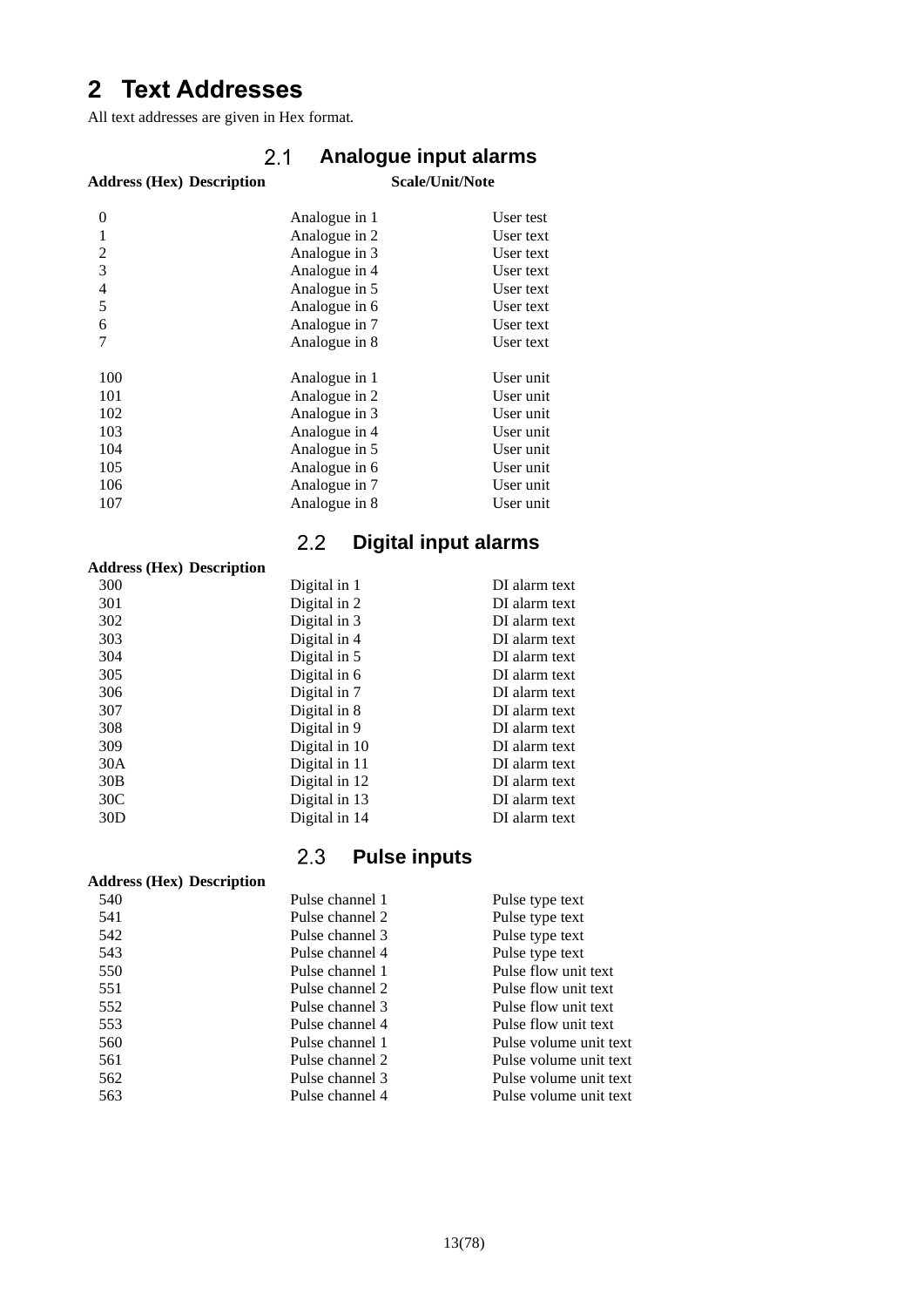# <span id="page-12-0"></span>**Text Addresses**

<span id="page-12-1"></span>All text addresses are given in Hex format.

#### $2.1$ **Analogue input alarms**

### **Address (Hex) Description Scale/Unit/Note**

| $\theta$                 | Analogue in 1 | User test |
|--------------------------|---------------|-----------|
| 1                        | Analogue in 2 | User text |
| 2                        | Analogue in 3 | User text |
| 3                        | Analogue in 4 | User text |
| $\overline{\mathcal{L}}$ | Analogue in 5 | User text |
| 5                        | Analogue in 6 | User text |
| 6                        | Analogue in 7 | User text |
|                          | Analogue in 8 | User text |
|                          |               |           |
| 100                      | Analogue in 1 | User unit |
| 101                      | Analogue in 2 | User unit |
| 102                      | Analogue in 3 | User unit |
| 103                      | Analogue in 4 | User unit |
| 104                      | Analogue in 5 | User unit |
| 105                      | Analogue in 6 | User unit |
| 106                      | Analogue in 7 | User unit |
| 107                      | Analogue in 8 | User unit |
|                          |               |           |

#### $2.2$ **Digital input alarms**

<span id="page-12-2"></span>

| <b>Address (Hex) Description</b> |               |               |
|----------------------------------|---------------|---------------|
| 300                              | Digital in 1  | DI alarm text |
| 301                              | Digital in 2  | DI alarm text |
| 302                              | Digital in 3  | DI alarm text |
| 303                              | Digital in 4  | DI alarm text |
| 304                              | Digital in 5  | DI alarm text |
| 305                              | Digital in 6  | DI alarm text |
| 306                              | Digital in 7  | DI alarm text |
| 307                              | Digital in 8  | DI alarm text |
| 308                              | Digital in 9  | DI alarm text |
| 309                              | Digital in 10 | DI alarm text |
| 30A                              | Digital in 11 | DI alarm text |
| 30B                              | Digital in 12 | DI alarm text |
| 30 <sub>C</sub>                  | Digital in 13 | DI alarm text |
| 30D                              | Digital in 14 | DI alarm text |
|                                  |               |               |

#### $2.3$ **Pulse inputs**

<span id="page-12-3"></span>

| <b>Address (Hex) Description</b> |                 |                        |
|----------------------------------|-----------------|------------------------|
| 540                              | Pulse channel 1 | Pulse type text        |
| 541                              | Pulse channel 2 | Pulse type text        |
| 542                              | Pulse channel 3 | Pulse type text        |
| 543                              | Pulse channel 4 | Pulse type text        |
| 550                              | Pulse channel 1 | Pulse flow unit text   |
| 551                              | Pulse channel 2 | Pulse flow unit text   |
| 552                              | Pulse channel 3 | Pulse flow unit text   |
| 553                              | Pulse channel 4 | Pulse flow unit text   |
| 560                              | Pulse channel 1 | Pulse volume unit text |
| 561                              | Pulse channel 2 | Pulse volume unit text |
| 562                              | Pulse channel 3 | Pulse volume unit text |
| 563                              | Pulse channel 4 | Pulse volume unit text |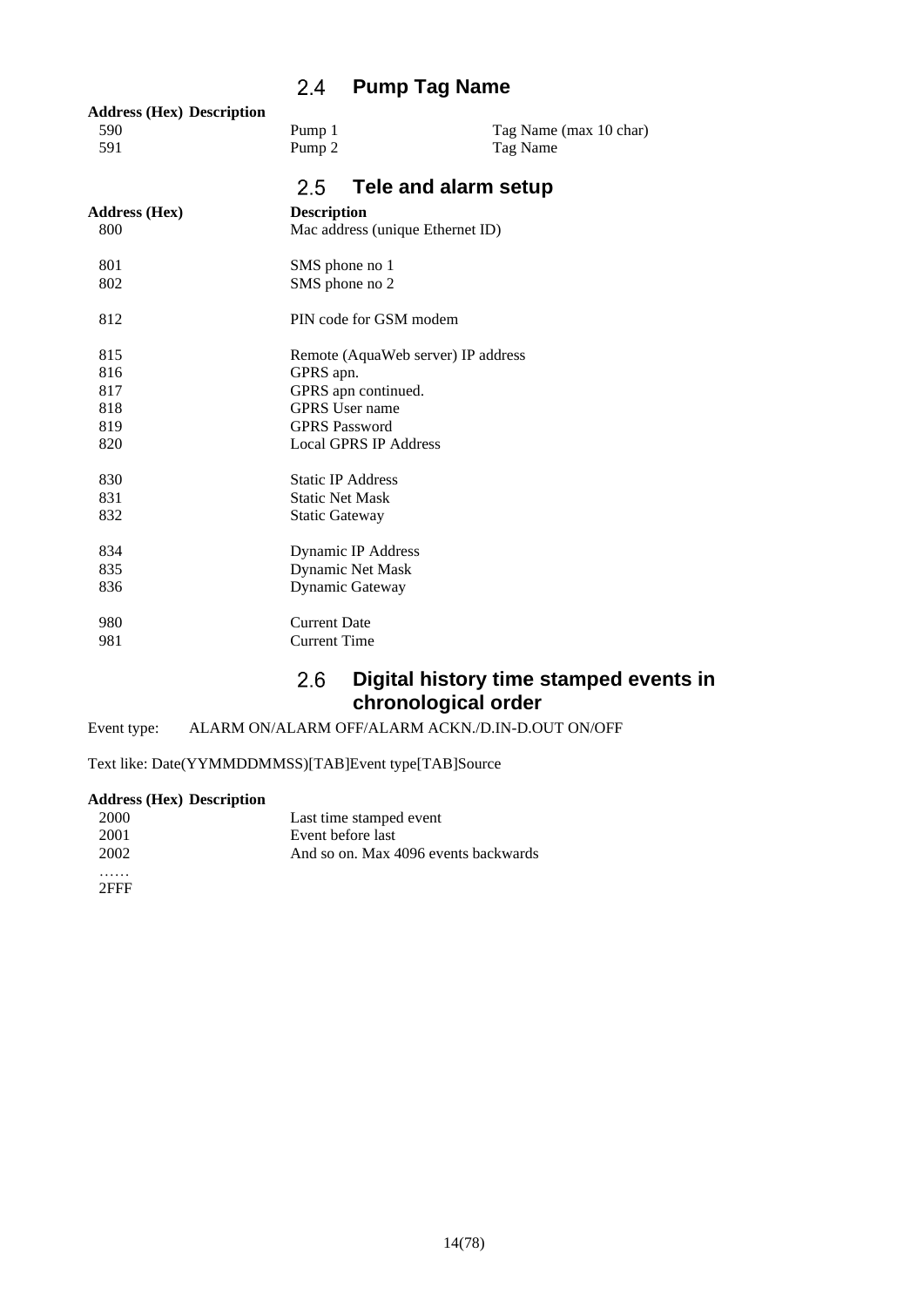### **Pump Tag Name**

<span id="page-13-1"></span><span id="page-13-0"></span>

| <b>Address (Hex) Description</b><br>590<br>591 | Pump 1<br>Pump <sub>2</sub>        | Tag Name (max 10 char)<br>Tag Name |  |
|------------------------------------------------|------------------------------------|------------------------------------|--|
|                                                |                                    |                                    |  |
|                                                | 2.5<br>Tele and alarm setup        |                                    |  |
| <b>Address (Hex)</b>                           | <b>Description</b>                 |                                    |  |
| 800                                            | Mac address (unique Ethernet ID)   |                                    |  |
| 801                                            | SMS phone no 1                     |                                    |  |
| 802                                            | SMS phone no 2                     |                                    |  |
| 812                                            | PIN code for GSM modem             |                                    |  |
| 815                                            | Remote (AquaWeb server) IP address |                                    |  |
| 816                                            | GPRS apn.                          |                                    |  |
| 817                                            | GPRS apn continued.                |                                    |  |
| 818                                            | <b>GPRS</b> User name              |                                    |  |
| 819                                            | <b>GPRS Password</b>               |                                    |  |
| 820                                            | <b>Local GPRS IP Address</b>       |                                    |  |
| 830                                            | <b>Static IP Address</b>           |                                    |  |
| 831                                            | <b>Static Net Mask</b>             |                                    |  |
| 832                                            | <b>Static Gateway</b>              |                                    |  |
| 834                                            | Dynamic IP Address                 |                                    |  |
| 835                                            | Dynamic Net Mask                   |                                    |  |
| 836                                            | Dynamic Gateway                    |                                    |  |
| 980                                            | <b>Current Date</b>                |                                    |  |
| 981                                            | <b>Current Time</b>                |                                    |  |
|                                                |                                    |                                    |  |

### $2.6$ **Digital history time stamped events in chronological order**

<span id="page-13-2"></span>Event type: ALARM ON/ALARM OFF/ALARM ACKN./D.IN-D.OUT ON/OFF

Text like: Date(YYMMDDMMSS)[TAB]Event type[TAB]Source

### **Address (Hex) Description**

| 2000                        | Last time stamped event              |
|-----------------------------|--------------------------------------|
| 2001                        | Event before last                    |
| 2002                        | And so on. Max 4096 events backwards |
| .                           |                                      |
| $\sim$ $\sim$ $\sim$ $\sim$ |                                      |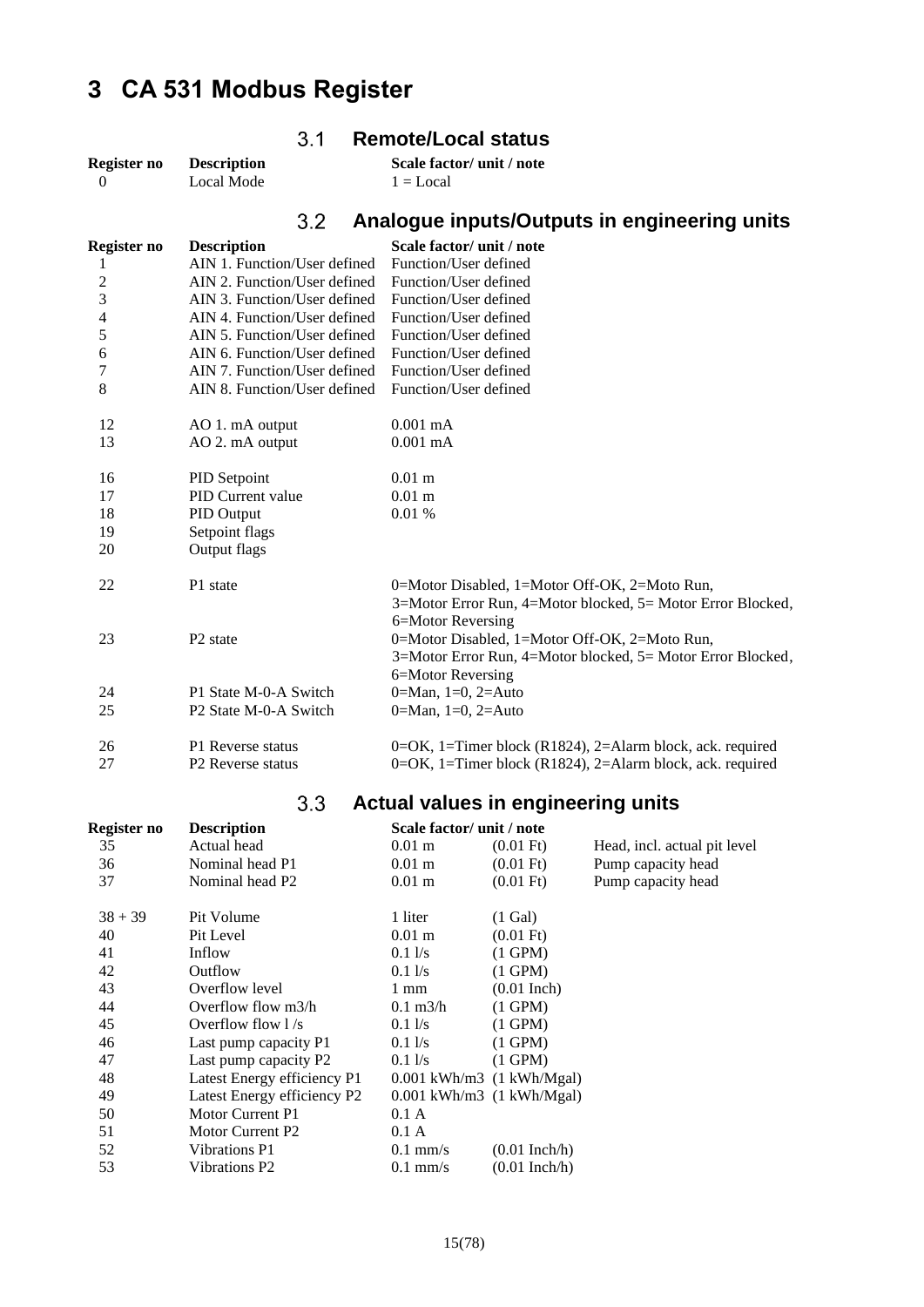# <span id="page-14-1"></span><span id="page-14-0"></span>**CA 531 Modbus Register**

<span id="page-14-2"></span>

| Register no    | <b>Description</b>           | Scale factor/ unit / note                                                                                    |
|----------------|------------------------------|--------------------------------------------------------------------------------------------------------------|
| $\Omega$       | <b>Local Mode</b>            | $1 = Local$                                                                                                  |
|                | 3.2                          | Analogue inputs/Outputs in engineering units                                                                 |
| Register no    | <b>Description</b>           | Scale factor/ unit / note                                                                                    |
| 1              | AIN 1. Function/User defined | Function/User defined                                                                                        |
| $\overline{c}$ | AIN 2. Function/User defined | Function/User defined                                                                                        |
| $\overline{3}$ | AIN 3. Function/User defined | Function/User defined                                                                                        |
| 4              | AIN 4. Function/User defined | Function/User defined                                                                                        |
| 5              | AIN 5. Function/User defined | Function/User defined                                                                                        |
| 6              | AIN 6. Function/User defined | Function/User defined                                                                                        |
| 7              | AIN 7. Function/User defined | Function/User defined                                                                                        |
| 8              | AIN 8. Function/User defined | Function/User defined                                                                                        |
| 12             | AO 1. mA output              | $0.001$ mA                                                                                                   |
| 13             | AO 2. mA output              | $0.001$ mA                                                                                                   |
| 16             | PID Setpoint                 | $0.01$ m                                                                                                     |
| 17             | PID Current value            | $0.01$ m                                                                                                     |
| 18             | PID Output                   | 0.01%                                                                                                        |
| 19             | Setpoint flags               |                                                                                                              |
| 20             | Output flags                 |                                                                                                              |
| 22             | P1 state                     | 0=Motor Disabled, 1=Motor Off-OK, 2=Moto Run,<br>3=Motor Error Run, 4=Motor blocked, 5= Motor Error Blocked, |
|                |                              | 6=Motor Reversing                                                                                            |
| 23             | P <sub>2</sub> state         | 0=Motor Disabled, 1=Motor Off-OK, 2=Moto Run,                                                                |
|                |                              | 3=Motor Error Run, 4=Motor blocked, 5= Motor Error Blocked,                                                  |
|                |                              | 6=Motor Reversing                                                                                            |
| 24             | P1 State M-0-A Switch        | 0=Man, $1=0$ , $2=Auto$                                                                                      |
| 25             | P2 State M-0-A Switch        | 0=Man, $1=0$ , $2=Auto$                                                                                      |
| 26             | P1 Reverse status            | 0= $OK$ , 1=Timer block (R1824), 2=Alarm block, ack. required                                                |
| 27             | P2 Reverse status            | 0= $OK$ , 1=Timer block (R1824), 2=Alarm block, ack. required                                                |

**Remote/Local status**

### **Actual values in engineering units**

<span id="page-14-3"></span>

| Register no | <b>Description</b>          | Scale factor/ unit / note     |                     |                              |
|-------------|-----------------------------|-------------------------------|---------------------|------------------------------|
| 35          | Actual head                 | $0.01 \text{ m}$              | $(0.01 \text{ Ft})$ | Head, incl. actual pit level |
| 36          | Nominal head P1             | $0.01 \text{ m}$              | $(0.01 \text{ Ft})$ | Pump capacity head           |
| 37          | Nominal head P2             | $0.01 \text{ m}$              | $(0.01 \text{ Ft})$ | Pump capacity head           |
| $38 + 39$   | Pit Volume                  | 1 liter                       | $(1)$ Gal)          |                              |
| 40          | Pit Level                   | $0.01 \text{ m}$              | $(0.01 \text{ Ft})$ |                              |
| 41          | Inflow                      | 0.11/s                        | $(1$ GPM $)$        |                              |
| 42          | Outflow                     | $0.1\,\mathrm{Vs}$            | $(1$ GPM $)$        |                              |
| 43          | Overflow level              | 1 mm                          | $(0.01$ Inch)       |                              |
| 44          | Overflow flow m3/h          | $0.1 \text{ m}^3/h$           | $(1$ GPM $)$        |                              |
| 45          | Overflow flow $1/s$         | $0.1\,\mathrm{Vs}$            | $(1$ GPM $)$        |                              |
| 46          | Last pump capacity P1       | $0.1\,\mathrm{l/s}$           | $(1$ GPM $)$        |                              |
| 47          | Last pump capacity P2       | $0.1\,\mathrm{l/s}$           | $(1$ GPM $)$        |                              |
| 48          | Latest Energy efficiency P1 | $0.001$ kWh/m3 $(1$ kWh/Mgal) |                     |                              |
| 49          | Latest Energy efficiency P2 | $0.001$ kWh/m3 $(1$ kWh/Mgal) |                     |                              |
| 50          | Motor Current P1            | 0.1 A                         |                     |                              |
| 51          | Motor Current P2            | 0.1 A                         |                     |                              |
| 52          | Vibrations P1               | $0.1$ mm/s                    | $(0.01$ Inch/h)     |                              |
| 53          | Vibrations P2               | $0.1$ mm/s                    | $(0.01$ Inch/h)     |                              |
|             |                             |                               |                     |                              |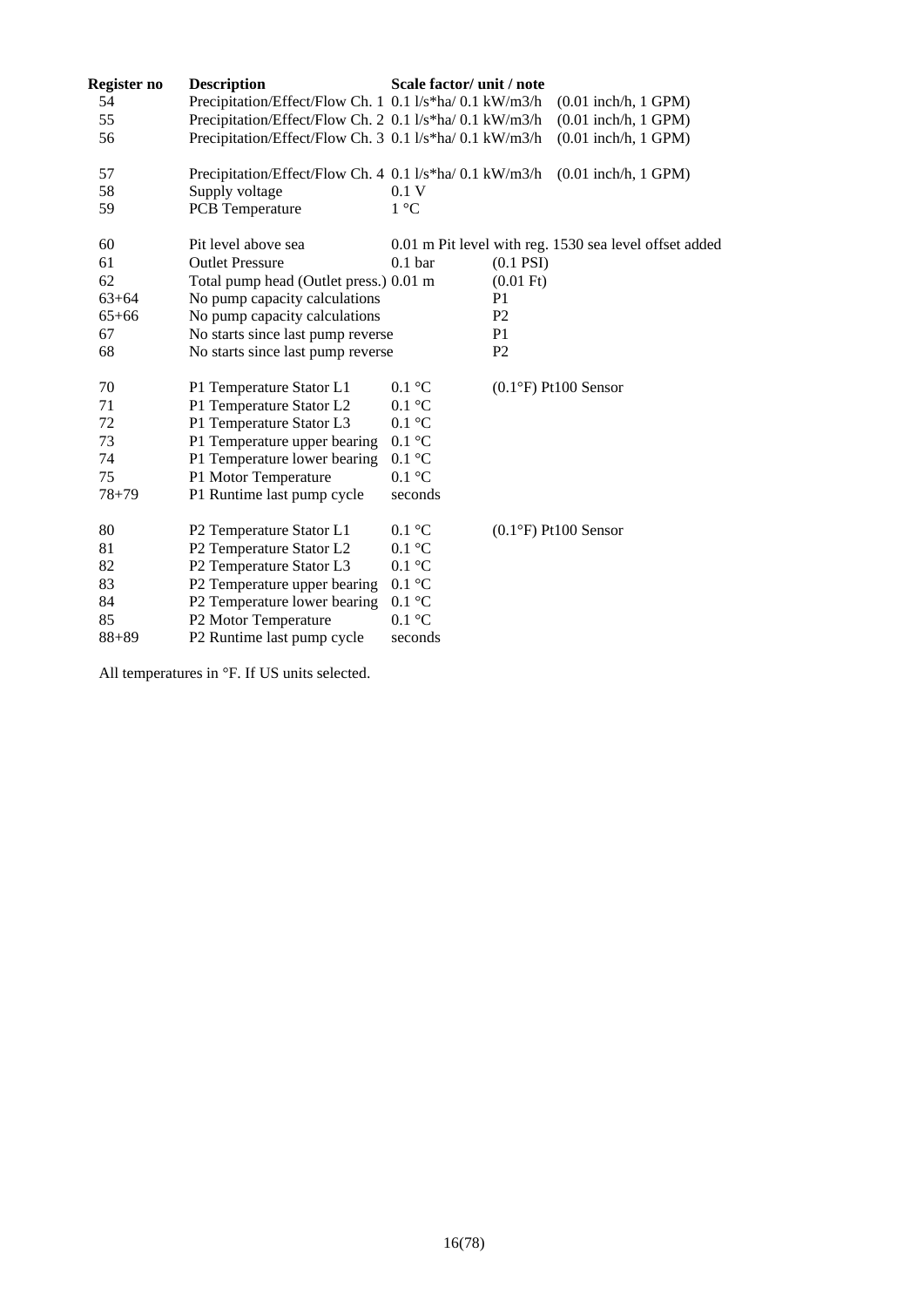| Register no | <b>Description</b>                                      | Scale factor/ unit / note |                     |                                                        |
|-------------|---------------------------------------------------------|---------------------------|---------------------|--------------------------------------------------------|
| 54          | Precipitation/Effect/Flow Ch. 1 0.1 l/s*ha/ 0.1 kW/m3/h |                           |                     | $(0.01$ inch/h, 1 GPM)                                 |
| 55          | Precipitation/Effect/Flow Ch. 2 0.1 l/s*ha/ 0.1 kW/m3/h |                           |                     | $(0.01$ inch/h, 1 GPM)                                 |
| 56          | Precipitation/Effect/Flow Ch. 3 0.1 l/s*ha/ 0.1 kW/m3/h |                           |                     | $(0.01$ inch/h, $1$ GPM)                               |
| 57          | Precipitation/Effect/Flow Ch. 4 0.1 l/s*ha/ 0.1 kW/m3/h |                           |                     | $(0.01$ inch/h, 1 GPM)                                 |
| 58          | Supply voltage                                          | 0.1V                      |                     |                                                        |
| 59          | <b>PCB</b> Temperature                                  | 1 °C                      |                     |                                                        |
| 60          | Pit level above sea                                     |                           |                     | 0.01 m Pit level with reg. 1530 sea level offset added |
| 61          | <b>Outlet Pressure</b>                                  | 0.1 <sub>bar</sub>        | $(0.1$ PSI $)$      |                                                        |
| 62          | Total pump head (Outlet press.) 0.01 m                  |                           | $(0.01 \text{ Ft})$ |                                                        |
| $63 + 64$   | No pump capacity calculations                           |                           | P <sub>1</sub>      |                                                        |
| $65 + 66$   | No pump capacity calculations                           |                           | P <sub>2</sub>      |                                                        |
| 67          | No starts since last pump reverse                       |                           | P <sub>1</sub>      |                                                        |
| 68          | No starts since last pump reverse                       |                           | P <sub>2</sub>      |                                                        |
| 70          | P1 Temperature Stator L1                                | $0.1 \text{ }^{\circ}C$   |                     | $(0.1^{\circ}F)$ Pt100 Sensor                          |
| 71          | P1 Temperature Stator L2                                | $0.1 \text{ }^{\circ}C$   |                     |                                                        |
| 72          | P1 Temperature Stator L3                                | $0.1\ ^{\circ}\textrm{C}$ |                     |                                                        |
| 73          | P1 Temperature upper bearing                            | 0.1 °C                    |                     |                                                        |
| 74          | P1 Temperature lower bearing                            | $0.1\ ^{\circ}\textrm{C}$ |                     |                                                        |
| 75          | P1 Motor Temperature                                    | $0.1 \text{ }^{\circ}C$   |                     |                                                        |
| $78 + 79$   | P1 Runtime last pump cycle                              | seconds                   |                     |                                                        |
| 80          | P2 Temperature Stator L1                                | $0.1 \text{ }^{\circ}C$   |                     | $(0.1°F)$ Pt100 Sensor                                 |
| 81          | P2 Temperature Stator L2                                | $0.1 \text{ }^{\circ}C$   |                     |                                                        |
| 82          | P2 Temperature Stator L3                                | 0.1 °C                    |                     |                                                        |
| 83          | P2 Temperature upper bearing                            | $0.1 \text{ }^{\circ}C$   |                     |                                                        |
| 84          | P2 Temperature lower bearing                            | 0.1 °C                    |                     |                                                        |
| 85          | P2 Motor Temperature                                    | $0.1 \text{ }^{\circ}C$   |                     |                                                        |
| $88 + 89$   | P2 Runtime last pump cycle                              | seconds                   |                     |                                                        |
|             |                                                         |                           |                     |                                                        |

All temperatures in °F. If US units selected.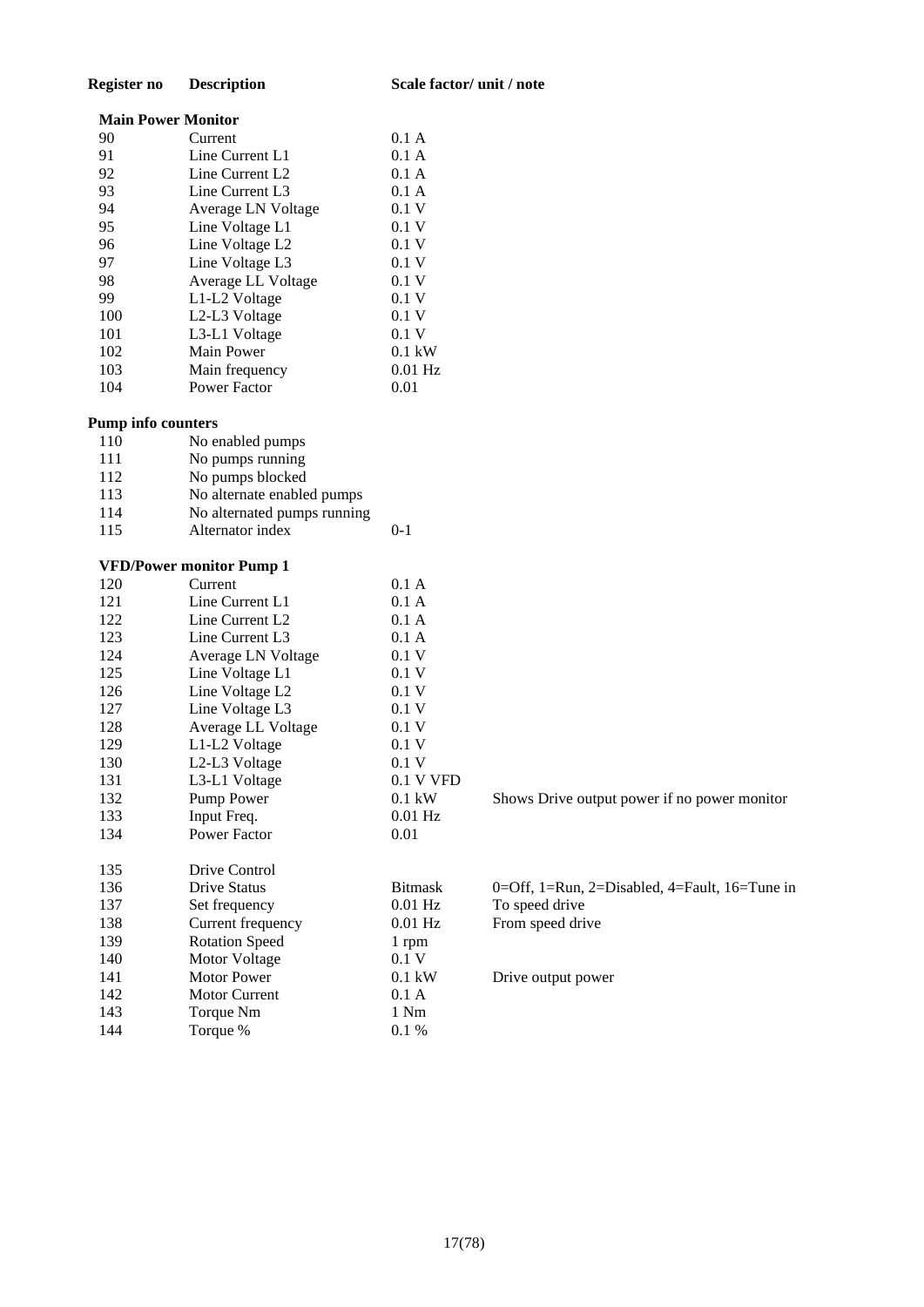### **Register no Description Scale factor/ unit / note**

### **Main Power Monitor**

| 90  | Current                                | 0.1 A     |
|-----|----------------------------------------|-----------|
| 91  | Line Current L1                        | 0.1 A     |
| 92  | Line Current L <sub>2</sub>            | 0.1 A     |
| 93  | Line Current L3                        | 0.1 A     |
| 94  | Average LN Voltage                     | 0.1V      |
| 95  | Line Voltage L1                        | 0.1V      |
| 96  | Line Voltage L <sub>2</sub>            | 0.1V      |
| 97  | Line Voltage L3                        | 0.1V      |
| 98  | Average LL Voltage                     | 0.1V      |
| 99  | L1-L2 Voltage                          | 0.1V      |
| 100 | L <sub>2</sub> -L <sub>3</sub> Voltage | 0.1V      |
| 101 | L3-L1 Voltage                          | 0.1V      |
| 102 | Main Power                             | $0.1$ kW  |
| 103 | Main frequency                         | $0.01$ Hz |
| 104 | <b>Power Factor</b>                    | 0.01      |
|     |                                        |           |

### **Pump info counters**

| 110 | No enabled pumps            |         |
|-----|-----------------------------|---------|
| 111 | No pumps running            |         |
| 112 | No pumps blocked            |         |
| 113 | No alternate enabled pumps  |         |
| 114 | No alternated pumps running |         |
| 115 | Alternator index            | $0 - 1$ |
|     |                             |         |

### **VFD/Power monitor Pump 1**

| 120 | Current               | 0.1 A            |
|-----|-----------------------|------------------|
| 121 | Line Current L1       | 0.1 A            |
| 122 | Line Current L2       | 0.1 A            |
| 123 | Line Current L3       | 0.1 A            |
| 124 | Average LN Voltage    | 0.1V             |
| 125 | Line Voltage L1       | 0.1 V            |
| 126 | Line Voltage L2       | 0.1V             |
| 127 | Line Voltage L3       | 0.1V             |
| 128 | Average LL Voltage    | 0.1V             |
| 129 | L1-L2 Voltage         | 0.1V             |
| 130 | L2-L3 Voltage         | 0.1V             |
| 131 | L3-L1 Voltage         | $0.1$ V VFD      |
| 132 | Pump Power            | $0.1 \text{ kW}$ |
| 133 | Input Freq.           | $0.01$ Hz        |
| 134 | <b>Power Factor</b>   | 0.01             |
|     |                       |                  |
| 135 | Drive Control         |                  |
| 136 | <b>Drive Status</b>   | <b>Bitmask</b>   |
| 137 | Set frequency         | $0.01$ Hz        |
| 138 | Current frequency     | $0.01$ Hz        |
| 139 | <b>Rotation Speed</b> | 1 rpm            |
| 140 | <b>Motor Voltage</b>  | 0.1V             |
| 141 | Motor Power           | $0.1 \text{ kW}$ |
| 142 | <b>Motor Current</b>  | 0.1 A            |
| 143 | Torque Nm             | 1 Nm             |
| 144 | Torque %              | 0.1%             |

Shows Drive output power if no power monitor

0=Off, 1=Run, 2=Disabled, 4=Fault, 16=Tune in To speed drive From speed drive

Drive output power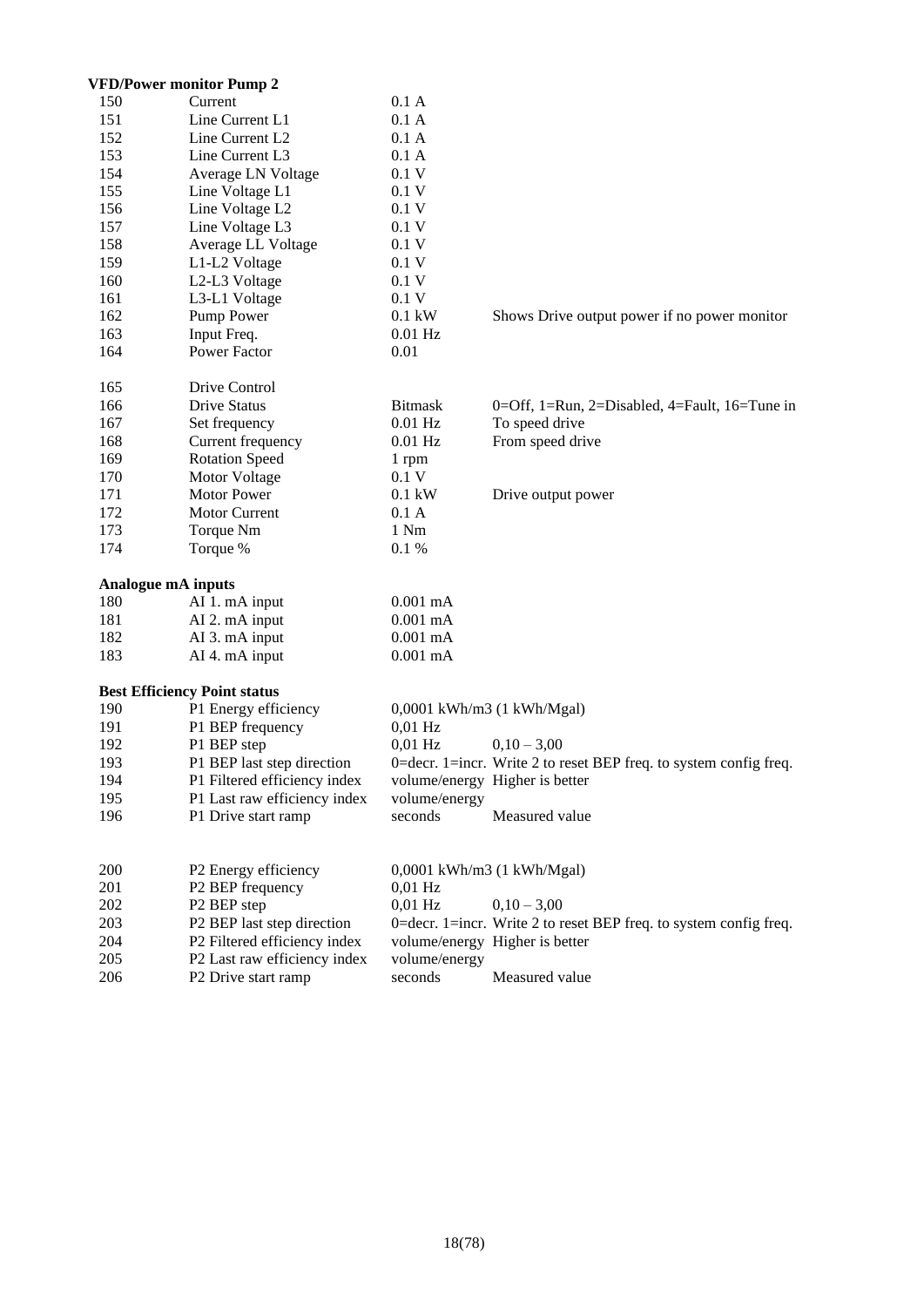|     | <b>VFD/Power monitor Pump 2</b>     |                   |                                                                       |
|-----|-------------------------------------|-------------------|-----------------------------------------------------------------------|
| 150 | Current                             | 0.1 A             |                                                                       |
| 151 | Line Current L1                     | 0.1 A             |                                                                       |
| 152 | Line Current L <sub>2</sub>         | 0.1 A             |                                                                       |
| 153 | Line Current L3                     | 0.1A              |                                                                       |
| 154 | Average LN Voltage                  | 0.1V              |                                                                       |
| 155 | Line Voltage L1                     | 0.1V              |                                                                       |
| 156 | Line Voltage L2                     | 0.1V              |                                                                       |
| 157 | Line Voltage L3                     | 0.1V              |                                                                       |
| 158 | Average LL Voltage                  | $0.1\;\mathrm{V}$ |                                                                       |
| 159 | L1-L2 Voltage                       | 0.1V              |                                                                       |
| 160 | L2-L3 Voltage                       | 0.1V              |                                                                       |
| 161 | L3-L1 Voltage                       | 0.1V              |                                                                       |
| 162 | Pump Power                          | $0.1$ kW          | Shows Drive output power if no power monitor                          |
| 163 | Input Freq.                         | $0.01$ Hz         |                                                                       |
| 164 | Power Factor                        | 0.01              |                                                                       |
| 165 | Drive Control                       |                   |                                                                       |
| 166 | <b>Drive Status</b>                 | <b>Bitmask</b>    | 0=Off, 1=Run, 2=Disabled, 4=Fault, 16=Tune in                         |
| 167 | Set frequency                       | $0.01$ Hz         | To speed drive                                                        |
| 168 | Current frequency                   | $0.01$ Hz         | From speed drive                                                      |
| 169 | <b>Rotation Speed</b>               | 1 rpm             |                                                                       |
| 170 | Motor Voltage                       | 0.1V              |                                                                       |
| 171 | Motor Power                         | $0.1$ kW          | Drive output power                                                    |
| 172 | <b>Motor Current</b>                | 0.1 A             |                                                                       |
| 173 | Torque Nm                           | 1 Nm              |                                                                       |
| 174 | Torque %                            | 0.1%              |                                                                       |
|     | Analogue mA inputs                  |                   |                                                                       |
| 180 | AI 1. mA input                      | $0.001$ mA        |                                                                       |
| 181 | AI 2. mA input                      | $0.001$ mA        |                                                                       |
| 182 | AI 3. mA input                      | $0.001$ mA        |                                                                       |
| 183 | AI 4. mA input                      | $0.001$ mA        |                                                                       |
|     | <b>Best Efficiency Point status</b> |                   |                                                                       |
| 190 | P1 Energy efficiency                |                   | 0,0001 kWh/m3 (1 kWh/Mgal)                                            |
| 191 | P1 BEP frequency                    | $0,01$ Hz         |                                                                       |
| 192 | P1 BEP step                         | $0.01$ Hz         | $0,10-3,00$                                                           |
| 193 | P1 BEP last step direction          |                   | 0=decr. 1=incr. Write 2 to reset BEP freq. to system config freq.     |
| 194 | P1 Filtered efficiency index        |                   | volume/energy Higher is better                                        |
| 195 | P1 Last raw efficiency index        | volume/energy     |                                                                       |
| 196 | P1 Drive start ramp                 | seconds           | Measured value                                                        |
|     |                                     |                   |                                                                       |
| 200 | P2 Energy efficiency                |                   | 0,0001 kWh/m3 (1 kWh/Mgal)                                            |
| 201 | P2 BEP frequency                    | $0,01$ Hz         |                                                                       |
| 202 | P2 BEP step                         | $0,01$ Hz         | $0,10-3,00$                                                           |
| 203 | P2 BEP last step direction          |                   | $0 =$ decr. 1=incr. Write 2 to reset BEP freq. to system config freq. |
| 204 | P2 Filtered efficiency index        |                   | volume/energy Higher is better                                        |
| 205 | P2 Last raw efficiency index        | volume/energy     |                                                                       |
| 206 | P2 Drive start ramp                 | seconds           | Measured value                                                        |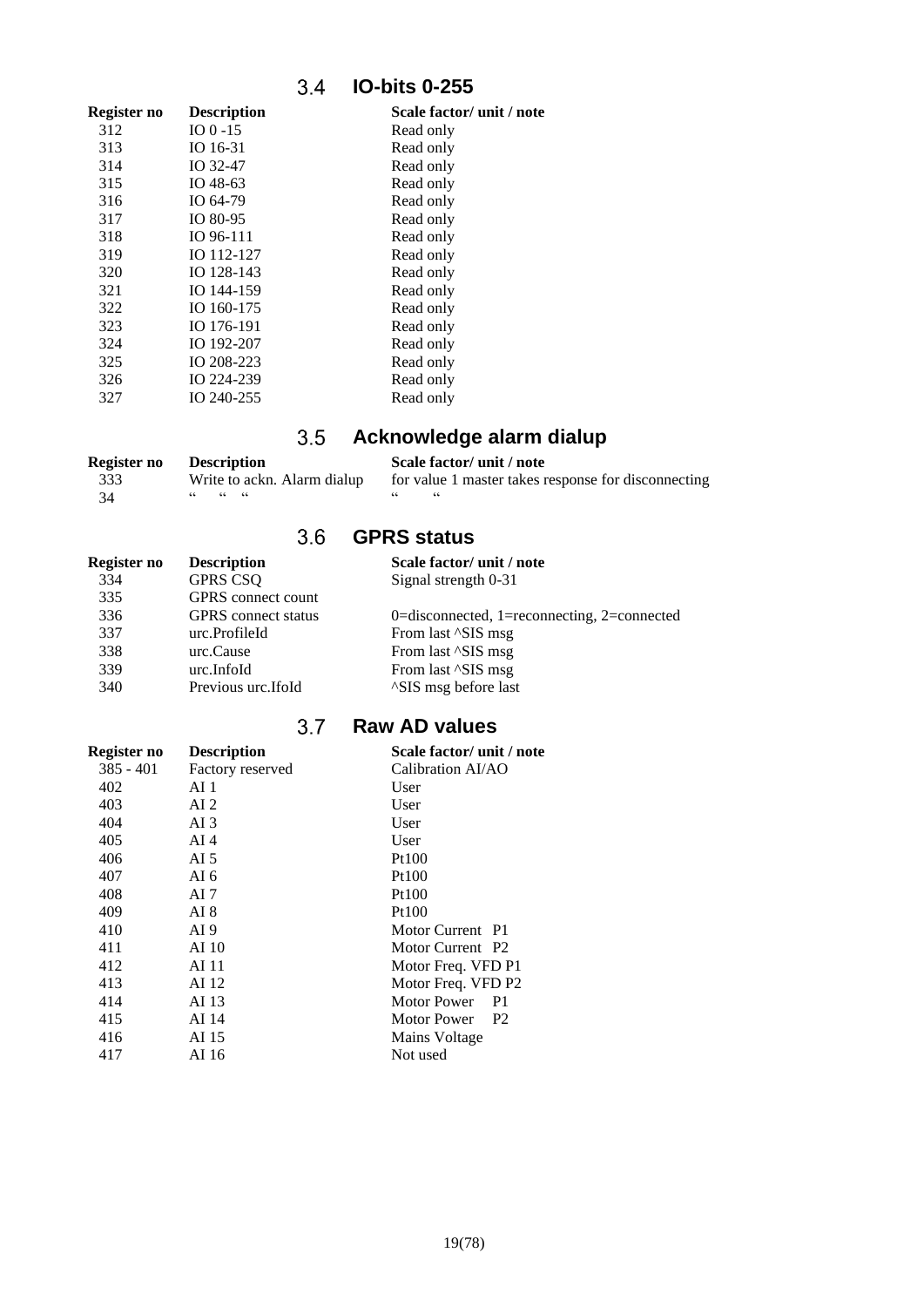### **IO-bits 0-255**

<span id="page-18-0"></span>

| Register no | <b>Description</b> | Scale factor/ unit / note |
|-------------|--------------------|---------------------------|
| 312         | IO $0-15$          | Read only                 |
| 313         | IO 16-31           | Read only                 |
| 314         | IO 32-47           | Read only                 |
| 315         | IO 48-63           | Read only                 |
| 316         | IO 64-79           | Read only                 |
| 317         | IO 80-95           | Read only                 |
| 318         | IO 96-111          | Read only                 |
| 319         | IO 112-127         | Read only                 |
| 320         | IO 128-143         | Read only                 |
| 321         | IO 144-159         | Read only                 |
| 322         | IO 160-175         | Read only                 |
| 323         | IO 176-191         | Read only                 |
| 324         | IO 192-207         | Read only                 |
| 325         | IO 208-223         | Read only                 |
| 326         | IO 224-239         | Read only                 |
| 327         | IO 240-255         | Read only                 |
|             |                    |                           |

### **Acknowledge alarm dialup**  $3.5$

<span id="page-18-1"></span>

| Register no | <b>Description</b>          | Scale factor/ unit / note                           |
|-------------|-----------------------------|-----------------------------------------------------|
| 333         | Write to ackn. Alarm dialup | for value 1 master takes response for disconnecting |
| - 34        |                             |                                                     |

### **GPRS status**

<span id="page-18-2"></span>

| Register no | <b>Description</b>         | Scale factor/ unit / note                   |
|-------------|----------------------------|---------------------------------------------|
| 334         | <b>GPRS CSQ</b>            | Signal strength 0-31                        |
| 335         | <b>GPRS</b> connect count  |                                             |
| 336         | <b>GPRS</b> connect status | 0=disconnected, 1=reconnecting, 2=connected |
| 337         | urc.ProfileId              | From last $^{\wedge}$ SIS msg               |
| 338         | urc.Cause                  | From last ^SIS msg                          |
| 339         | urc.InfoId                 | From last $^{\wedge}$ SIS msg               |
| 340         | Previous urc. If oId       | <sup>^</sup> SIS msg before last            |

### **Raw AD values**

<span id="page-18-3"></span>

| Register no | <b>Description</b> | Scale factor/unit / note             |  |
|-------------|--------------------|--------------------------------------|--|
| $385 - 401$ | Factory reserved   | Calibration AI/AO                    |  |
| 402         | AI 1               | User                                 |  |
| 403         | AI 2               | User                                 |  |
| 404         | AI 3               | User                                 |  |
| 405         | AI $4$             | User                                 |  |
| 406         | AI 5               | Pt100                                |  |
| 407         | AI 6               | Pt100                                |  |
| 408         | AI 7               | Pt100                                |  |
| 409         | AI 8               | Pt100                                |  |
| 410         | AI 9               | Motor Current P1                     |  |
| 411         | AI 10              | Motor Current P2                     |  |
| 412         | AI 11              | Motor Freq. VFD P1                   |  |
| 413         | AI 12              | Motor Freq. VFD P2                   |  |
| 414         | AI 13              | <b>Motor Power</b><br>P <sub>1</sub> |  |
| 415         | AI 14              | Motor Power<br>P <sub>2</sub>        |  |
| 416         | AI 15              | Mains Voltage                        |  |
| 417         | AI 16              | Not used                             |  |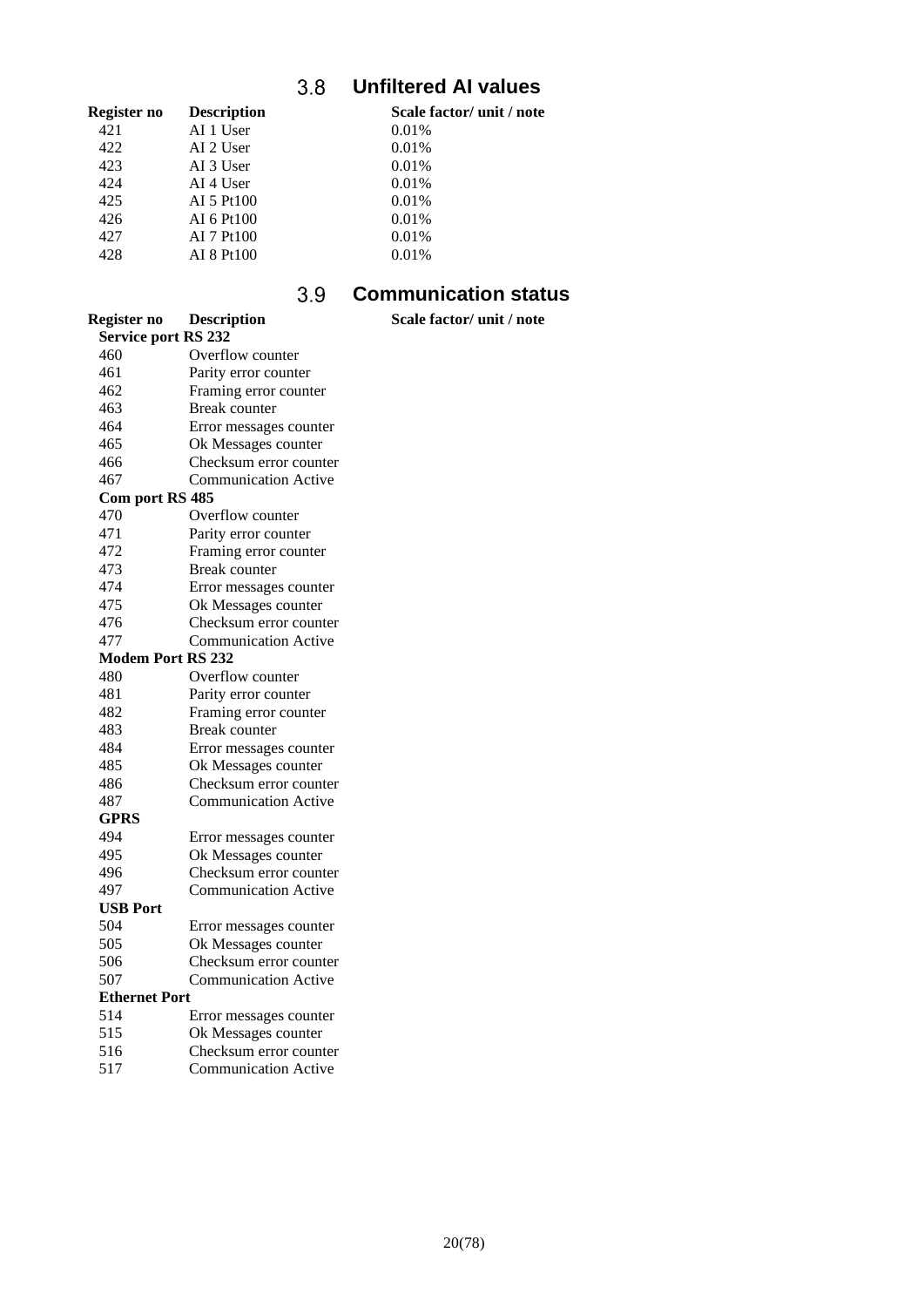### $3.8$ **Unfiltered AI values**

<span id="page-19-0"></span>

| Register no | <b>Description</b> | Scale factor/ unit / note |
|-------------|--------------------|---------------------------|
| 421         | AI 1 User          | 0.01%                     |
| 422         | AI 2 User          | 0.01%                     |
| 423         | AI 3 User          | 0.01%                     |
| 424         | AI 4 User          | 0.01%                     |
| 425         | AI 5 Pt100         | 0.01%                     |
| 426         | AI 6 Pt100         | 0.01%                     |
| 427         | AI 7 Pt100         | 0.01%                     |
| 428         | AI 8 Pt100         | 0.01%                     |
|             |                    |                           |

#### $3.9$ **Communication status**

<span id="page-19-1"></span>

| <b>Register no</b>         | <b>Description</b>          | Scale factor/ unit / note |
|----------------------------|-----------------------------|---------------------------|
| <b>Service port RS 232</b> |                             |                           |
| 460                        | Overflow counter            |                           |
| 461                        | Parity error counter        |                           |
| 462                        | Framing error counter       |                           |
| 463                        | Break counter               |                           |
| 464                        | Error messages counter      |                           |
| 465                        | Ok Messages counter         |                           |
| 466                        | Checksum error counter      |                           |
| 467                        | <b>Communication Active</b> |                           |
| Com port RS 485            |                             |                           |
| 470                        | Overflow counter            |                           |
| 471                        | Parity error counter        |                           |
| 472                        | Framing error counter       |                           |
| 473                        | <b>Break counter</b>        |                           |
| 474                        | Error messages counter      |                           |
| 475                        | Ok Messages counter         |                           |
| 476                        | Checksum error counter      |                           |
| 477                        | <b>Communication Active</b> |                           |
| <b>Modem Port RS 232</b>   |                             |                           |
| 480                        | Overflow counter            |                           |
| 481                        | Parity error counter        |                           |
| 482                        | Framing error counter       |                           |
| 483                        | <b>Break</b> counter        |                           |
| 484                        | Error messages counter      |                           |
| 485                        | Ok Messages counter         |                           |
| 486                        | Checksum error counter      |                           |
| 487                        | <b>Communication Active</b> |                           |
| GPRS                       |                             |                           |
| 494                        | Error messages counter      |                           |
| 495                        | Ok Messages counter         |                           |
| 496                        | Checksum error counter      |                           |
| 497                        | <b>Communication Active</b> |                           |
| <b>USB Port</b>            |                             |                           |
| 504                        | Error messages counter      |                           |
| 505                        | Ok Messages counter         |                           |
| 506                        | Checksum error counter      |                           |
| 507                        | <b>Communication Active</b> |                           |
| <b>Ethernet Port</b>       |                             |                           |
| 514                        | Error messages counter      |                           |
| 515                        | Ok Messages counter         |                           |
| 51C                        | $C1. - 1. -$                |                           |

516 Checksum error counter<br>517 Communication Active Communication Active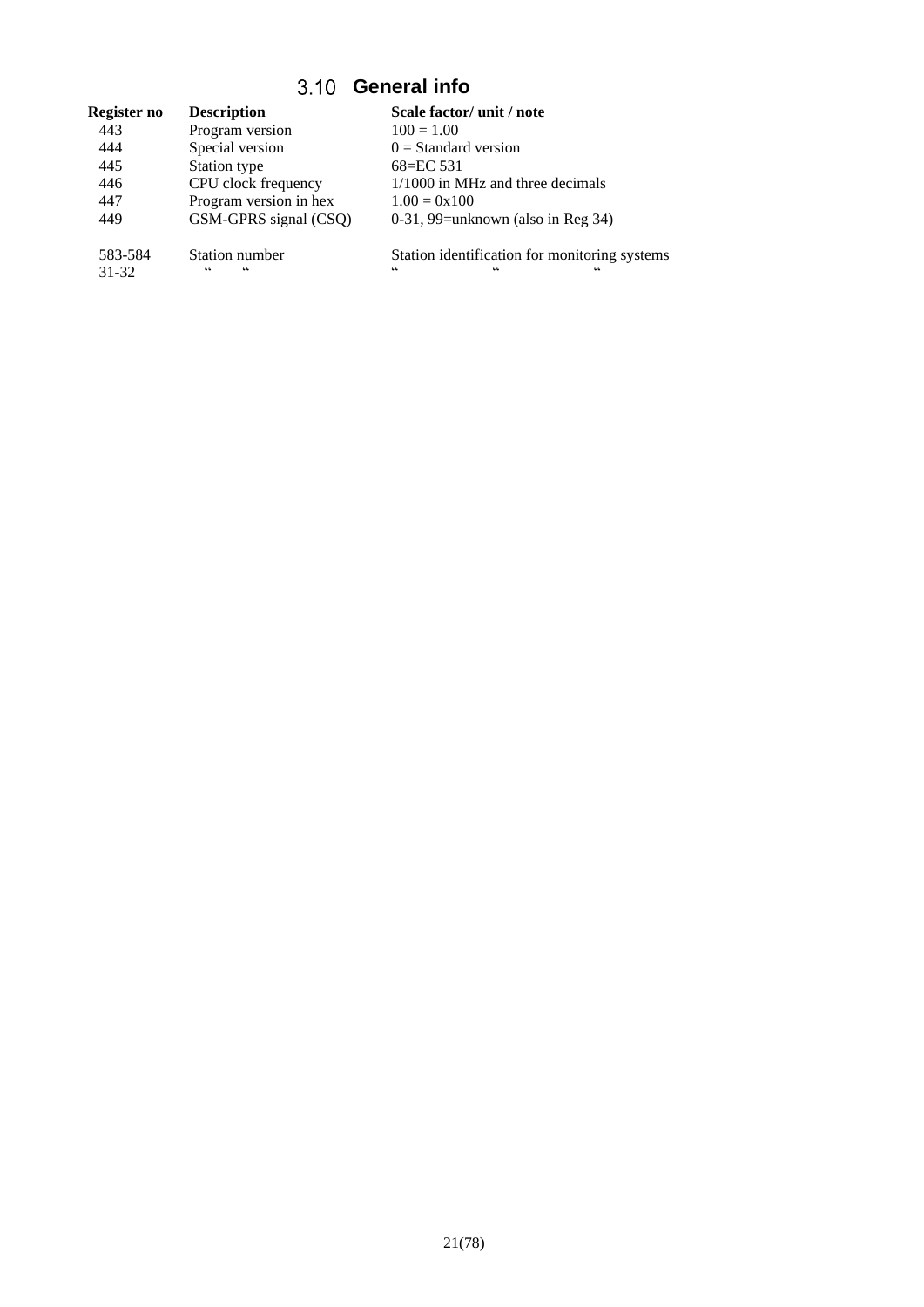### **General info**

<span id="page-20-0"></span>

| Register no | <b>Description</b>     | Scale factor/ unit / note                     |
|-------------|------------------------|-----------------------------------------------|
| 443         | Program version        | $100 = 1.00$                                  |
| 444         | Special version        | $0 =$ Standard version                        |
| 445         | Station type           | 68=EC 531                                     |
| 446         | CPU clock frequency    | 1/1000 in MHz and three decimals              |
| 447         | Program version in hex | $1.00 = 0 \times 100$                         |
| 449         | GSM-GPRS signal (CSQ)  | $0-31$ , 99=unknown (also in Reg 34)          |
| 583-584     | Station number         | Station identification for monitoring systems |
| 31-32       | 66<br>66               | 66<br>66<br>66                                |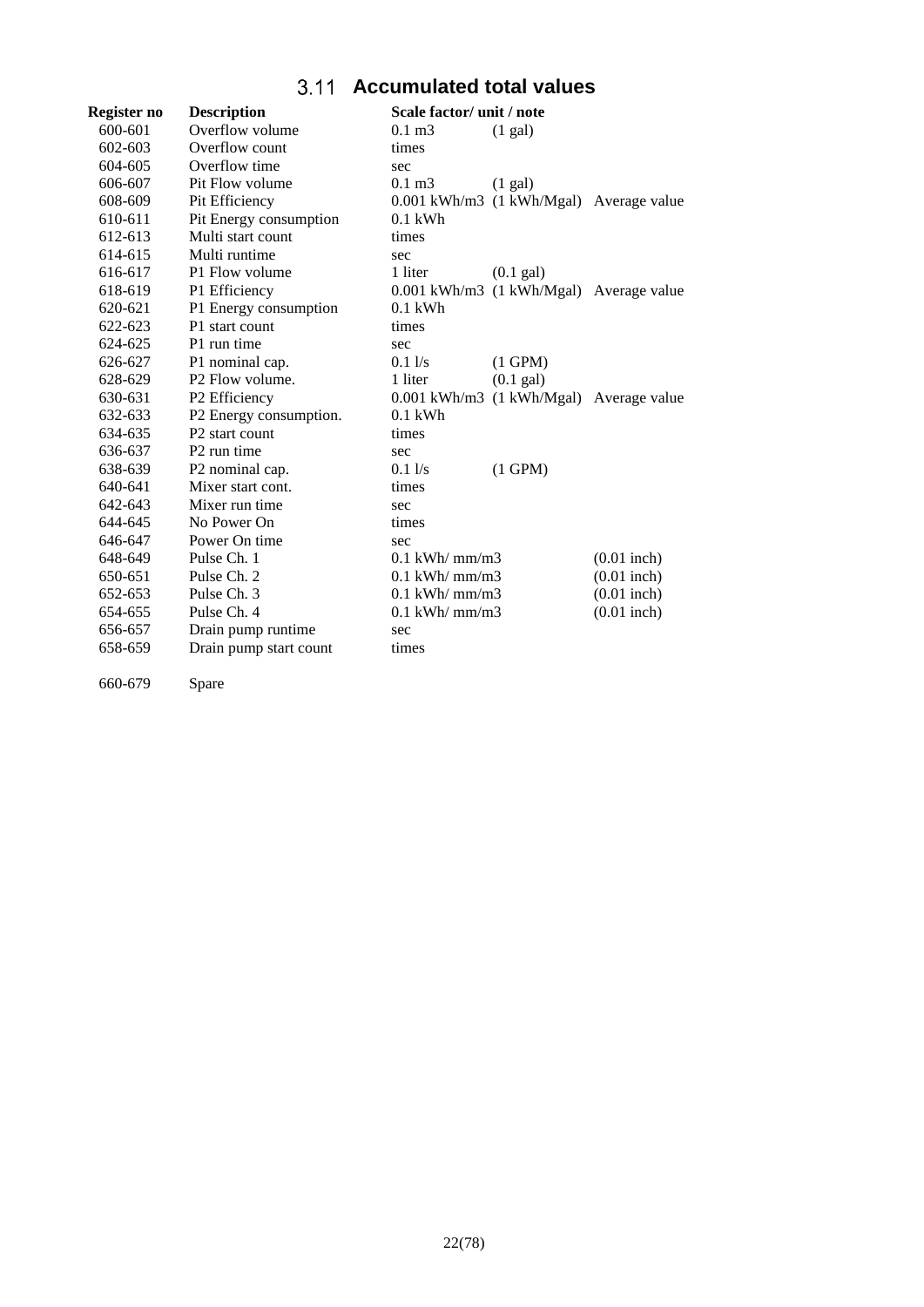### **Accumulated total values**

<span id="page-21-0"></span>

| Register no | <b>Description</b>         | Scale factor/ unit / note |                                         |               |
|-------------|----------------------------|---------------------------|-----------------------------------------|---------------|
| 600-601     | Overflow volume            | $0.1 \text{ m}$ 3         | $(1 \text{ gal})$                       |               |
| 602-603     | Overflow count             | times                     |                                         |               |
| 604-605     | Overflow time              | sec                       |                                         |               |
| 606-607     | Pit Flow volume            | $0.1 \text{ m}$ 3         | $(1 \text{ gal})$                       |               |
| 608-609     | Pit Efficiency             |                           | 0.001 kWh/m3 (1 kWh/Mgal) Average value |               |
| 610-611     | Pit Energy consumption     | $0.1$ kWh                 |                                         |               |
| 612-613     | Multi start count          | times                     |                                         |               |
| 614-615     | Multi runtime              | sec                       |                                         |               |
| 616-617     | P1 Flow volume             | 1 liter                   | $(0.1)$ gal)                            |               |
| 618-619     | P1 Efficiency              |                           | 0.001 kWh/m3 (1 kWh/Mgal) Average value |               |
| 620-621     | P1 Energy consumption      | $0.1$ kWh                 |                                         |               |
| 622-623     | P1 start count             | times                     |                                         |               |
| 624-625     | P1 run time                | sec                       |                                         |               |
| 626-627     | P1 nominal cap.            | $0.1$ $\sqrt{s}$          | $(1$ GPM $)$                            |               |
| 628-629     | P2 Flow volume.            | 1 liter                   | $(0.1)$ gal)                            |               |
| 630-631     | P <sub>2</sub> Efficiency  |                           | 0.001 kWh/m3 (1 kWh/Mgal) Average value |               |
| 632-633     | P2 Energy consumption.     | $0.1$ kWh                 |                                         |               |
| 634-635     | P <sub>2</sub> start count | times                     |                                         |               |
| 636-637     | P <sub>2</sub> run time    | sec                       |                                         |               |
| 638-639     | P2 nominal cap.            | $0.1\,\mathrm{Vs}$        | $(1$ GPM $)$                            |               |
| 640-641     | Mixer start cont.          | times                     |                                         |               |
| 642-643     | Mixer run time             | sec                       |                                         |               |
| 644-645     | No Power On                | times                     |                                         |               |
| 646-647     | Power On time              | sec                       |                                         |               |
| 648-649     | Pulse Ch. 1                | $0.1$ kWh/ mm/m3          |                                         | $(0.01$ inch) |
| 650-651     | Pulse Ch. 2                | $0.1$ kWh/ mm/m3          |                                         | $(0.01$ inch) |
| 652-653     | Pulse Ch. 3                | $0.1$ kWh/ mm/m3          |                                         | $(0.01$ inch) |
| 654-655     | Pulse Ch. 4                | $0.1$ kWh/ mm/m3          |                                         | $(0.01$ inch) |
| 656-657     | Drain pump runtime         | sec                       |                                         |               |
| 658-659     | Drain pump start count     | times                     |                                         |               |

660-679 Spare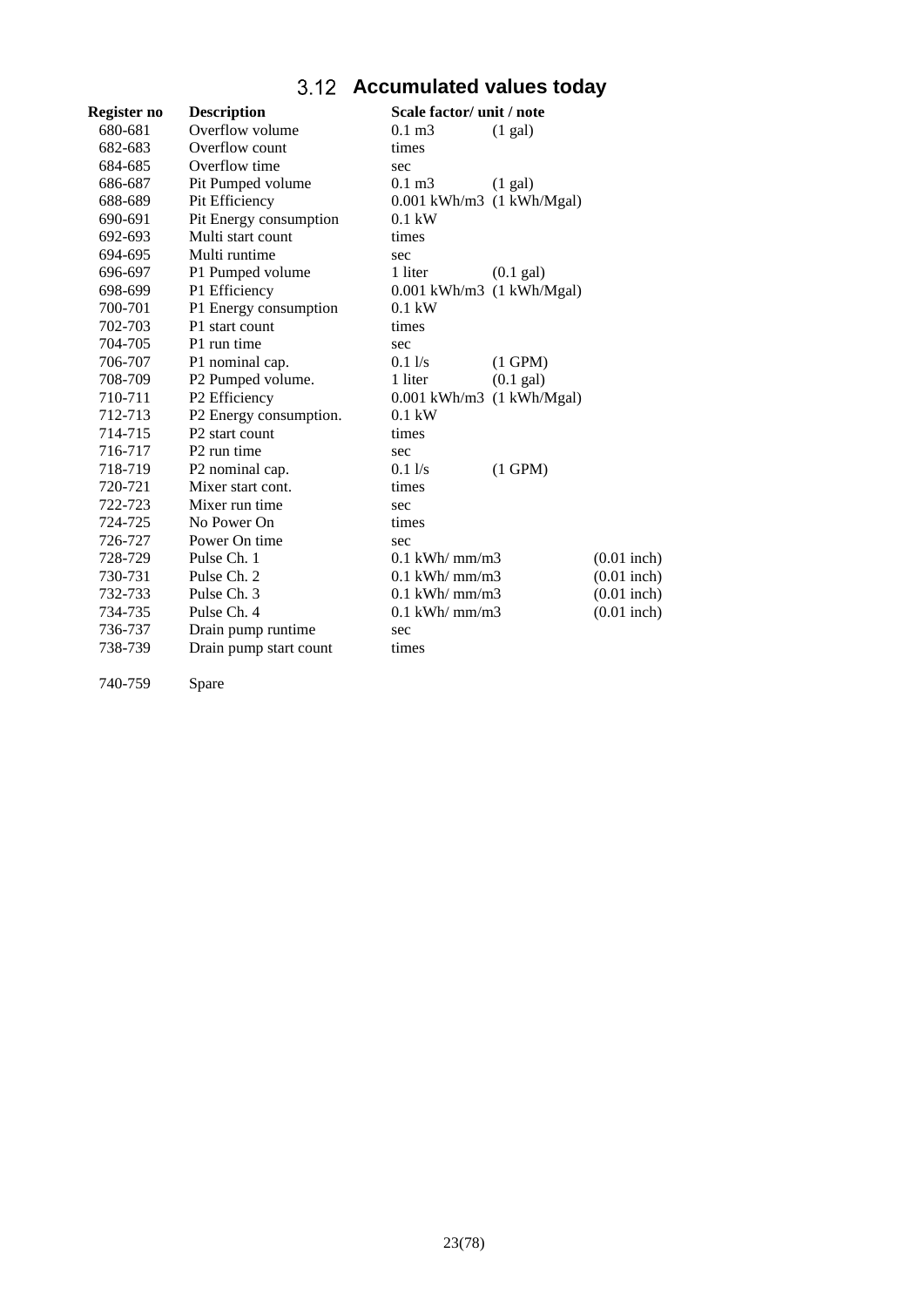# **Accumulated values today**

<span id="page-22-0"></span>

| Register no | <b>Description</b>         | Scale factor/ unit / note              |               |
|-------------|----------------------------|----------------------------------------|---------------|
| 680-681     | Overflow volume            | $0.1 \text{ m}$ 3<br>(1 gal)           |               |
| 682-683     | Overflow count             | times                                  |               |
| 684-685     | Overflow time              | sec                                    |               |
| 686-687     | Pit Pumped volume          | $0.1 \text{ m}$ 3<br>$(1 \text{ gal})$ |               |
| 688-689     | Pit Efficiency             | $0.001$ kWh/m3 $(1$ kWh/Mgal)          |               |
| 690-691     | Pit Energy consumption     | $0.1$ kW                               |               |
| 692-693     | Multi start count          | times                                  |               |
| 694-695     | Multi runtime              | sec                                    |               |
| 696-697     | P1 Pumped volume           | 1 liter<br>$(0.1 \text{ gal})$         |               |
| 698-699     | P1 Efficiency              | $0.001$ kWh/m3 $(1$ kWh/Mgal)          |               |
| 700-701     | P1 Energy consumption      | $0.1$ kW                               |               |
| 702-703     | P1 start count             | times                                  |               |
| 704-705     | P1 run time                | sec                                    |               |
| 706-707     | P1 nominal cap.            | $(1$ GPM $)$<br>$0.1$ $\sqrt{s}$       |               |
| 708-709     | P2 Pumped volume.          | 1 liter<br>$(0.1 \text{ gal})$         |               |
| 710-711     | P2 Efficiency              | $0.001$ kWh/m3 $(1$ kWh/Mgal)          |               |
| 712-713     | P2 Energy consumption.     | $0.1$ kW                               |               |
| 714-715     | P <sub>2</sub> start count | times                                  |               |
| 716-717     | P <sub>2</sub> run time    | sec                                    |               |
| 718-719     | P2 nominal cap.            | $0.1$ $\sqrt{s}$<br>$(1$ GPM $)$       |               |
| 720-721     | Mixer start cont.          | times                                  |               |
| 722-723     | Mixer run time             | sec                                    |               |
| 724-725     | No Power On                | times                                  |               |
| 726-727     | Power On time              | sec                                    |               |
| 728-729     | Pulse Ch. 1                | $0.1$ kWh/ mm/m3                       | $(0.01$ inch) |
| 730-731     | Pulse Ch. 2                | $0.1$ kWh/ $mm/m3$                     | $(0.01$ inch) |
| 732-733     | Pulse Ch. 3                | $0.1$ kWh/ mm/m3                       | $(0.01$ inch) |
| 734-735     | Pulse Ch. 4                | $0.1$ kWh/ mm/m3                       | $(0.01$ inch) |
| 736-737     | Drain pump runtime         | sec                                    |               |
| 738-739     | Drain pump start count     | times                                  |               |
|             |                            |                                        |               |

740-759 Spare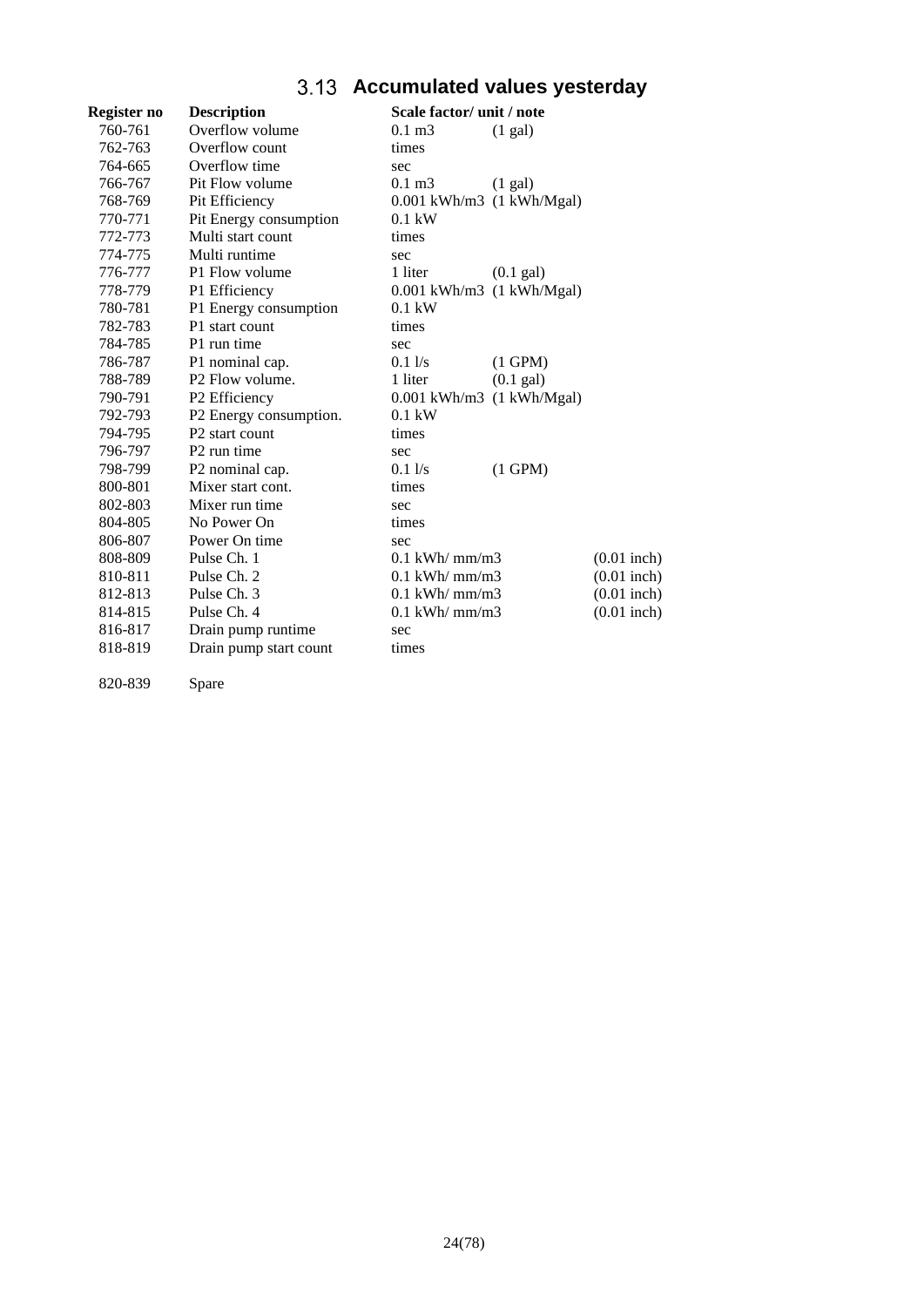# **Accumulated values yesterday**

<span id="page-23-0"></span>

| Register no | <b>Description</b>          | Scale factor/ unit / note              |               |
|-------------|-----------------------------|----------------------------------------|---------------|
| 760-761     | Overflow volume             | $0.1 \text{ m}$ 3<br>$(1 \text{ gal})$ |               |
| 762-763     | Overflow count              | times                                  |               |
| 764-665     | Overflow time               | sec                                    |               |
| 766-767     | Pit Flow volume             | $0.1 \text{ m}$ 3<br>$(1 \text{ gal})$ |               |
| 768-769     | Pit Efficiency              | $0.001$ kWh/m3 $(1$ kWh/Mgal)          |               |
| 770-771     | Pit Energy consumption      | $0.1$ kW                               |               |
| 772-773     | Multi start count           | times                                  |               |
| 774-775     | Multi runtime               | sec                                    |               |
| 776-777     | P1 Flow volume              | 1 liter<br>$(0.1 \text{ gal})$         |               |
| 778-779     | P1 Efficiency               | $0.001$ kWh/m3 $(1$ kWh/Mgal)          |               |
| 780-781     | P1 Energy consumption       | $0.1$ kW                               |               |
| 782-783     | P1 start count              | times                                  |               |
| 784-785     | P1 run time                 | sec                                    |               |
| 786-787     | P1 nominal cap.             | $0.1$ $\sqrt{s}$<br>$(1$ GPM $)$       |               |
| 788-789     | P <sub>2</sub> Flow volume. | 1 liter<br>$(0.1)$ gal)                |               |
| 790-791     | P <sub>2</sub> Efficiency   | $0.001$ kWh/m3 $(1$ kWh/Mgal)          |               |
| 792-793     | P2 Energy consumption.      | $0.1$ kW                               |               |
| 794-795     | P <sub>2</sub> start count  | times                                  |               |
| 796-797     | P <sub>2</sub> run time     | sec                                    |               |
| 798-799     | P <sub>2</sub> nominal cap. | $0.1\frac{1}{s}$<br>$(1$ GPM $)$       |               |
| 800-801     | Mixer start cont.           | times                                  |               |
| 802-803     | Mixer run time              | sec                                    |               |
| 804-805     | No Power On                 | times                                  |               |
| 806-807     | Power On time               | sec                                    |               |
| 808-809     | Pulse Ch. 1                 | $0.1$ kWh/ mm/m3                       | $(0.01$ inch) |
| 810-811     | Pulse Ch. 2                 | $0.1$ kWh/ mm/m3                       | $(0.01$ inch) |
| 812-813     | Pulse Ch. 3                 | $0.1$ kWh/ mm/m3                       | $(0.01$ inch) |
| 814-815     | Pulse Ch. 4                 | $0.1$ kWh/ mm/m3                       | $(0.01$ inch) |
| 816-817     | Drain pump runtime          | sec                                    |               |
| 818-819     | Drain pump start count      | times                                  |               |
|             |                             |                                        |               |

820-839 Spare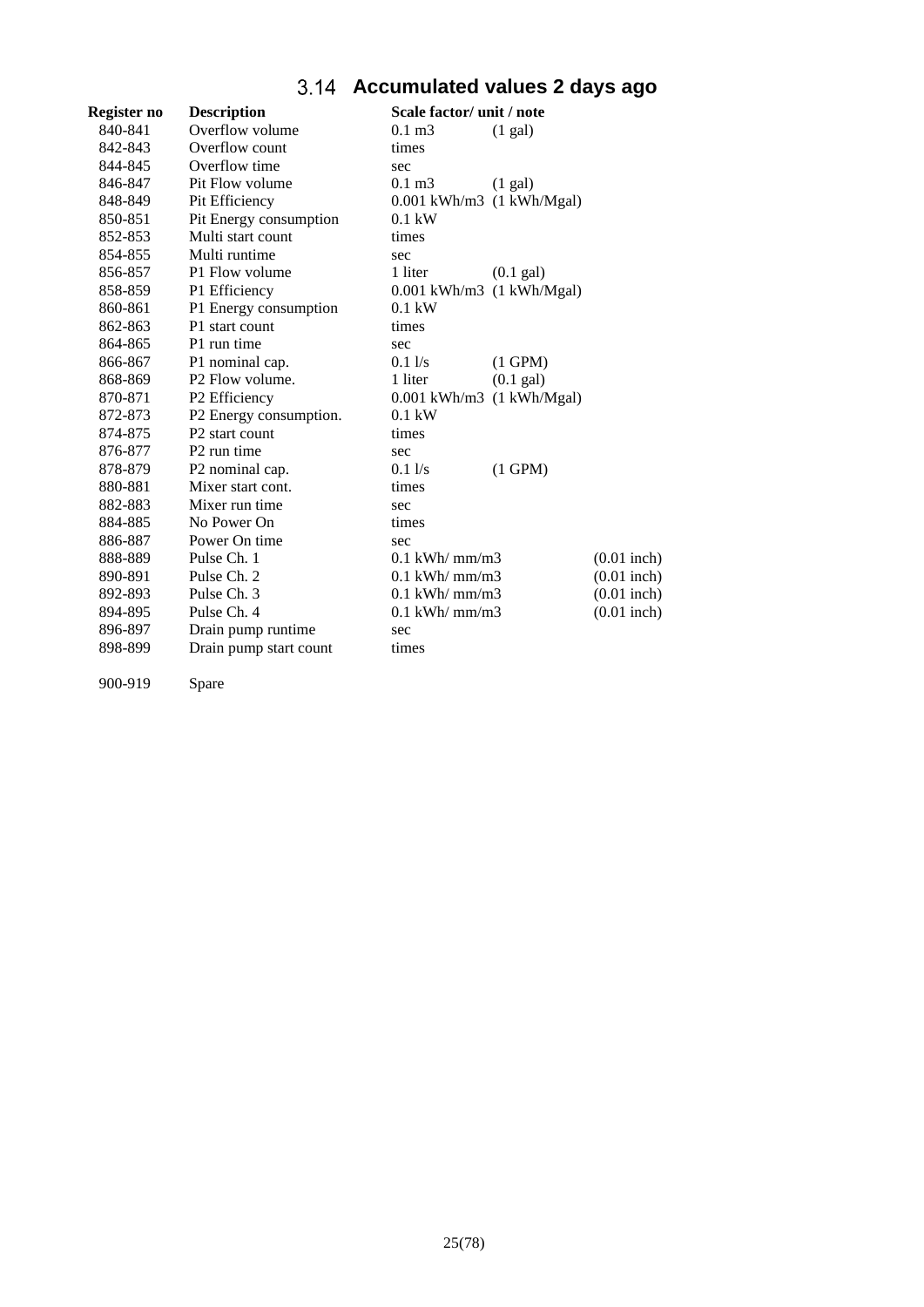# **Accumulated values 2 days ago**

<span id="page-24-0"></span>

| Register no | <b>Description</b>          | Scale factor/ unit / note              |               |
|-------------|-----------------------------|----------------------------------------|---------------|
| 840-841     | Overflow volume             | $0.1 \text{ m}$ 3<br>$(1 \text{ gal})$ |               |
| 842-843     | Overflow count              | times                                  |               |
| 844-845     | Overflow time               | sec                                    |               |
| 846-847     | Pit Flow volume             | $0.1 \text{ m}$ 3<br>$(1 \text{ gal})$ |               |
| 848-849     | Pit Efficiency              | $0.001$ kWh/m3 $(1$ kWh/Mgal)          |               |
| 850-851     | Pit Energy consumption      | $0.1$ kW                               |               |
| 852-853     | Multi start count           | times                                  |               |
| 854-855     | Multi runtime               | sec                                    |               |
| 856-857     | P1 Flow volume              | 1 liter<br>$(0.1 \text{ gal})$         |               |
| 858-859     | P1 Efficiency               | $0.001$ kWh/m3 $(1$ kWh/Mgal)          |               |
| 860-861     | P1 Energy consumption       | $0.1$ kW                               |               |
| 862-863     | P1 start count              | times                                  |               |
| 864-865     | P1 run time                 | sec                                    |               |
| 866-867     | P1 nominal cap.             | $0.1$ $\sqrt{s}$<br>$(1$ GPM $)$       |               |
| 868-869     | P <sub>2</sub> Flow volume. | $(0.1)$ gal)<br>1 liter                |               |
| 870-871     | P <sub>2</sub> Efficiency   | $0.001$ kWh/m3 $(1$ kWh/Mgal)          |               |
| 872-873     | P2 Energy consumption.      | $0.1$ kW                               |               |
| 874-875     | P <sub>2</sub> start count  | times                                  |               |
| 876-877     | P <sub>2</sub> run time     | sec                                    |               |
| 878-879     | P2 nominal cap.             | 0.11/s<br>$(1$ GPM $)$                 |               |
| 880-881     | Mixer start cont.           | times                                  |               |
| 882-883     | Mixer run time              | sec                                    |               |
| 884-885     | No Power On                 | times                                  |               |
| 886-887     | Power On time               | sec                                    |               |
| 888-889     | Pulse Ch. 1                 | $0.1$ kWh/ mm/m3                       | $(0.01$ inch) |
| 890-891     | Pulse Ch. 2                 | $0.1$ kWh/ mm/m3                       | $(0.01$ inch) |
| 892-893     | Pulse Ch. 3                 | $0.1$ kWh/ $mm/m3$                     | $(0.01$ inch) |
| 894-895     | Pulse Ch. 4                 | $0.1$ kWh/ mm/m3                       | $(0.01$ inch) |
| 896-897     | Drain pump runtime          | sec                                    |               |
| 898-899     | Drain pump start count      | times                                  |               |
|             |                             |                                        |               |

900-919 Spare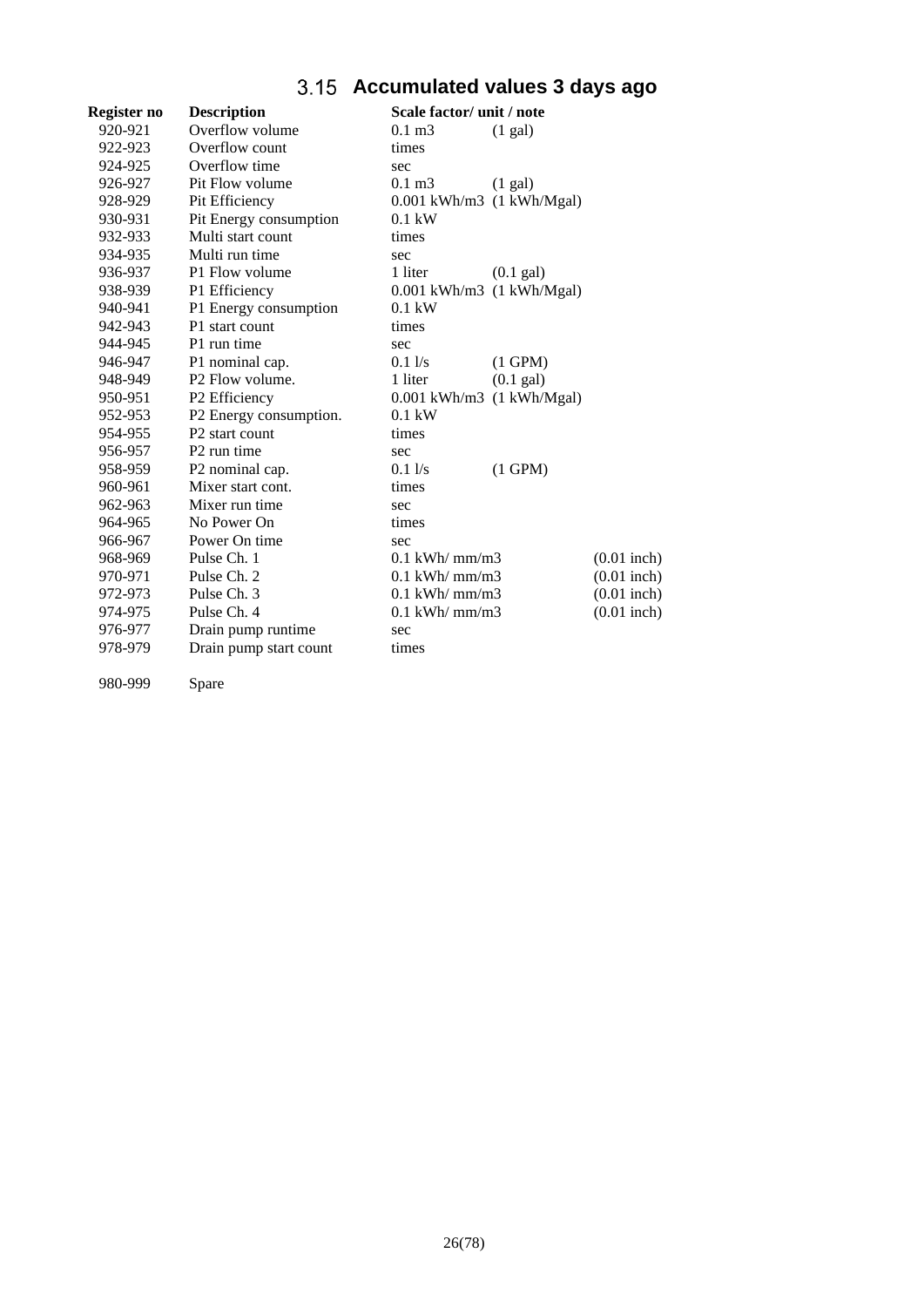# **Accumulated values 3 days ago**

<span id="page-25-0"></span>

| Register no | <b>Description</b>          | Scale factor/ unit / note              |               |
|-------------|-----------------------------|----------------------------------------|---------------|
| 920-921     | Overflow volume             | $0.1 \text{ m}$ 3<br>(1 gal)           |               |
| 922-923     | Overflow count              | times                                  |               |
| 924-925     | Overflow time               | sec                                    |               |
| 926-927     | Pit Flow volume             | $0.1 \text{ m}$ 3<br>$(1 \text{ gal})$ |               |
| 928-929     | Pit Efficiency              | $0.001$ kWh/m3 $(1$ kWh/Mgal)          |               |
| 930-931     | Pit Energy consumption      | $0.1$ kW                               |               |
| 932-933     | Multi start count           | times                                  |               |
| 934-935     | Multi run time              | sec                                    |               |
| 936-937     | P1 Flow volume              | 1 liter<br>$(0.1 \text{ gal})$         |               |
| 938-939     | P1 Efficiency               | $0.001$ kWh/m3 $(1$ kWh/Mgal)          |               |
| 940-941     | P1 Energy consumption       | $0.1$ kW                               |               |
| 942-943     | P1 start count              | times                                  |               |
| 944-945     | P1 run time                 | sec                                    |               |
| 946-947     | P1 nominal cap.             | $0.1$ $\sqrt{s}$<br>$(1$ GPM $)$       |               |
| 948-949     | P <sub>2</sub> Flow volume. | $(0.1)$ gal)<br>1 liter                |               |
| 950-951     | P2 Efficiency               | $0.001$ kWh/m3 $(1$ kWh/Mgal)          |               |
| 952-953     | P2 Energy consumption.      | $0.1$ kW                               |               |
| 954-955     | P <sub>2</sub> start count  | times                                  |               |
| 956-957     | P <sub>2</sub> run time     | sec                                    |               |
| 958-959     | P2 nominal cap.             | $0.1$ $\sqrt{s}$<br>$(1$ GPM $)$       |               |
| 960-961     | Mixer start cont.           | times                                  |               |
| 962-963     | Mixer run time              | sec                                    |               |
| 964-965     | No Power On                 | times                                  |               |
| 966-967     | Power On time               | sec                                    |               |
| 968-969     | Pulse Ch. 1                 | $0.1$ kWh/ mm/m3                       | $(0.01$ inch) |
| 970-971     | Pulse Ch. 2                 | $0.1$ kWh/ mm/m3                       | $(0.01$ inch) |
| 972-973     | Pulse Ch. 3                 | $0.1$ kWh/ $mm/m3$                     | $(0.01$ inch) |
| 974-975     | Pulse Ch. 4                 | $0.1$ kWh/ mm/m3                       | $(0.01$ inch) |
| 976-977     | Drain pump runtime          | sec                                    |               |
| 978-979     | Drain pump start count      | times                                  |               |
|             |                             |                                        |               |

980-999 Spare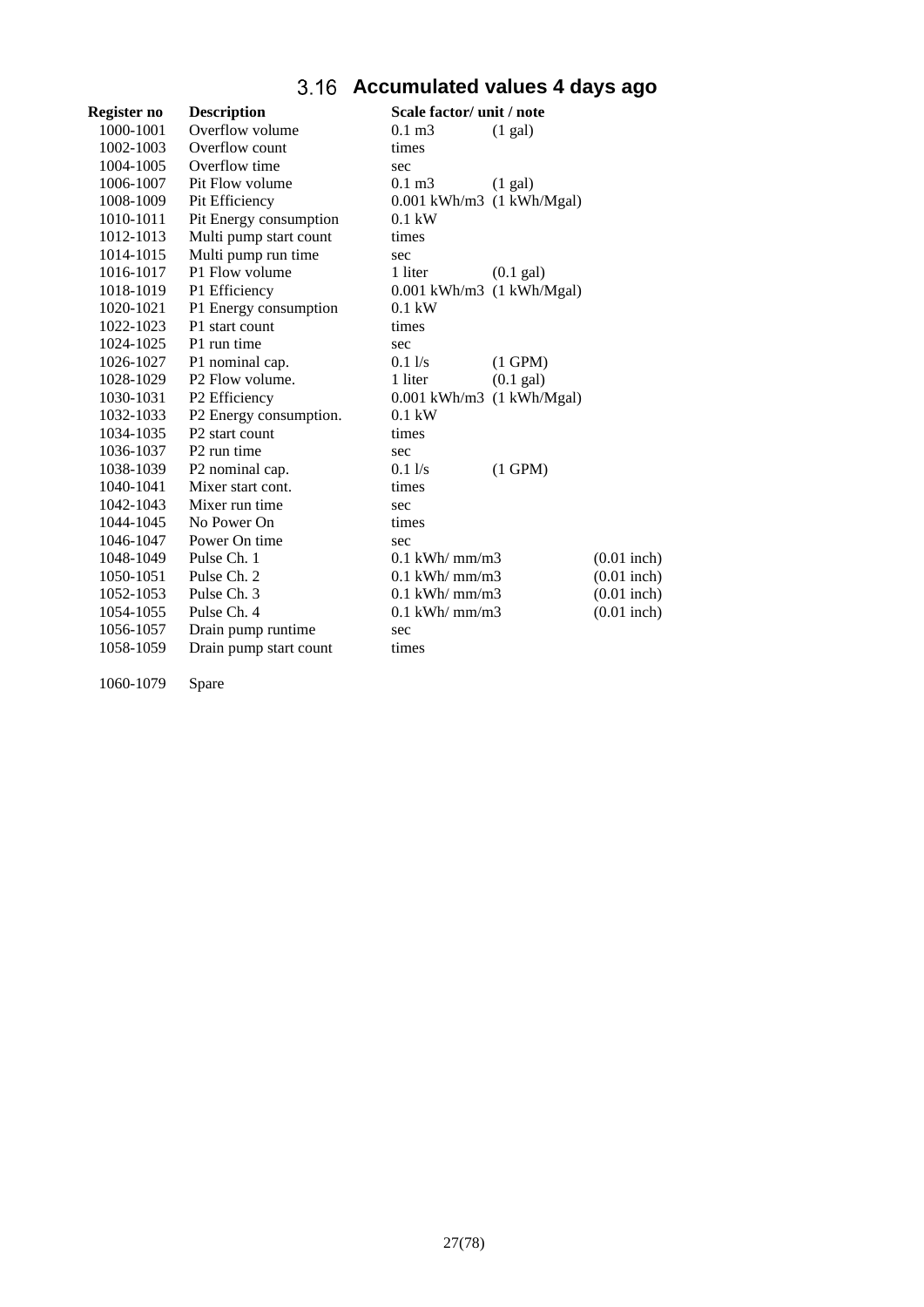# **Accumulated values 4 days ago**

<span id="page-26-0"></span>

| Register no | <b>Description</b>         | Scale factor/ unit / note              |               |
|-------------|----------------------------|----------------------------------------|---------------|
| 1000-1001   | Overflow volume            | $0.1 \text{ m}$ 3<br>(1 gal)           |               |
| 1002-1003   | Overflow count             | times                                  |               |
| 1004-1005   | Overflow time              | sec                                    |               |
| 1006-1007   | Pit Flow volume            | $0.1 \text{ m}$ 3<br>$(1 \text{ gal})$ |               |
| 1008-1009   | Pit Efficiency             | $0.001$ kWh/m3 $(1$ kWh/Mgal)          |               |
| 1010-1011   | Pit Energy consumption     | $0.1$ kW                               |               |
| 1012-1013   | Multi pump start count     | times                                  |               |
| 1014-1015   | Multi pump run time        | sec                                    |               |
| 1016-1017   | P1 Flow volume             | 1 liter<br>$(0.1 \text{ gal})$         |               |
| 1018-1019   | P1 Efficiency              | $0.001$ kWh/m3 $(1$ kWh/Mgal)          |               |
| 1020-1021   | P1 Energy consumption      | $0.1$ kW                               |               |
| 1022-1023   | P1 start count             | times                                  |               |
| 1024-1025   | P1 run time                | sec                                    |               |
| 1026-1027   | P1 nominal cap.            | $0.1$ $\sqrt{s}$<br>$(1$ GPM $)$       |               |
| 1028-1029   | P2 Flow volume.            | $(0.1)$ gal)<br>1 liter                |               |
| 1030-1031   | P2 Efficiency              | $0.001$ kWh/m3 $(1$ kWh/Mgal)          |               |
| 1032-1033   | P2 Energy consumption.     | $0.1$ kW                               |               |
| 1034-1035   | P <sub>2</sub> start count | times                                  |               |
| 1036-1037   | P <sub>2</sub> run time    | sec                                    |               |
| 1038-1039   | P2 nominal cap.            | $0.1\frac{1}{s}$<br>$(1$ GPM $)$       |               |
| 1040-1041   | Mixer start cont.          | times                                  |               |
| 1042-1043   | Mixer run time             | sec                                    |               |
| 1044-1045   | No Power On                | times                                  |               |
| 1046-1047   | Power On time              | sec                                    |               |
| 1048-1049   | Pulse Ch. 1                | $0.1$ kWh/ mm/m3                       | $(0.01$ inch) |
| 1050-1051   | Pulse Ch. 2                | $0.1$ kWh/ mm/m3                       | $(0.01$ inch) |
| 1052-1053   | Pulse Ch. 3                | $0.1$ kWh/ mm/m3                       | $(0.01$ inch) |
| 1054-1055   | Pulse Ch. 4                | $0.1$ kWh/ mm/m3                       | $(0.01$ inch) |
| 1056-1057   | Drain pump runtime         | sec                                    |               |
| 1058-1059   | Drain pump start count     | times                                  |               |
|             |                            |                                        |               |

1060-1079 Spare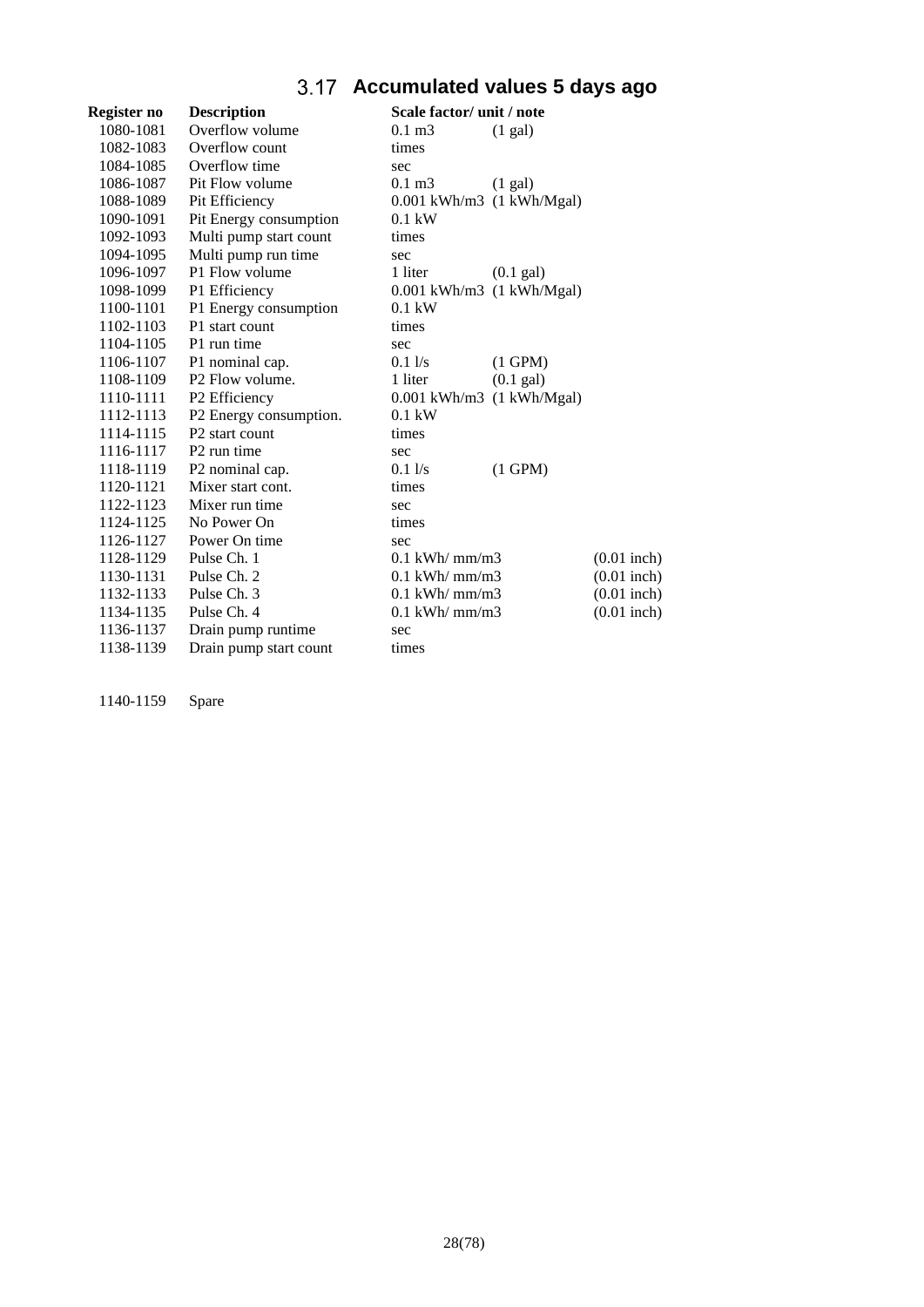# **Accumulated values 5 days ago**

<span id="page-27-0"></span>

| Register no | <b>Description</b>          | Scale factor/ unit / note              |               |
|-------------|-----------------------------|----------------------------------------|---------------|
| 1080-1081   | Overflow volume             | $0.1 \text{ m}$ 3<br>(1 gal)           |               |
| 1082-1083   | Overflow count              | times                                  |               |
| 1084-1085   | Overflow time               | sec                                    |               |
| 1086-1087   | Pit Flow volume             | $0.1 \text{ m}$ 3<br>$(1 \text{ gal})$ |               |
| 1088-1089   | Pit Efficiency              | $0.001$ kWh/m3 $(1$ kWh/Mgal)          |               |
| 1090-1091   | Pit Energy consumption      | $0.1$ kW                               |               |
| 1092-1093   | Multi pump start count      | times                                  |               |
| 1094-1095   | Multi pump run time         | sec                                    |               |
| 1096-1097   | P1 Flow volume              | 1 liter<br>$(0.1 \text{ gal})$         |               |
| 1098-1099   | P1 Efficiency               | $0.001$ kWh/m3 $(1$ kWh/Mgal)          |               |
| 1100-1101   | P1 Energy consumption       | $0.1$ kW                               |               |
| 1102-1103   | P1 start count              | times                                  |               |
| 1104-1105   | P1 run time                 | sec                                    |               |
| 1106-1107   | P1 nominal cap.             | 0.11/s<br>$(1$ GPM $)$                 |               |
| 1108-1109   | P <sub>2</sub> Flow volume. | $(0.1)$ gal)<br>1 liter                |               |
| 1110-1111   | P2 Efficiency               | $0.001$ kWh/m3 $(1$ kWh/Mgal)          |               |
| 1112-1113   | P2 Energy consumption.      | $0.1$ kW                               |               |
| 1114-1115   | P <sub>2</sub> start count  | times                                  |               |
| 1116-1117   | P <sub>2</sub> run time     | sec                                    |               |
| 1118-1119   | P2 nominal cap.             | $(1$ GPM $)$<br>$0.1\frac{1}{s}$       |               |
| 1120-1121   | Mixer start cont.           | times                                  |               |
| 1122-1123   | Mixer run time              | sec                                    |               |
| 1124-1125   | No Power On                 | times                                  |               |
| 1126-1127   | Power On time               | sec                                    |               |
| 1128-1129   | Pulse Ch. 1                 | $0.1$ kWh/ mm/m3                       | $(0.01$ inch) |
| 1130-1131   | Pulse Ch. 2                 | $0.1$ kWh/ mm/m3                       | $(0.01$ inch) |
| 1132-1133   | Pulse Ch. 3                 | $0.1$ kWh/ mm/m3                       | $(0.01$ inch) |
| 1134-1135   | Pulse Ch. 4                 | $0.1$ kWh/ mm/m3                       | $(0.01$ inch) |
| 1136-1137   | Drain pump runtime          | sec                                    |               |
| 1138-1139   | Drain pump start count      | times                                  |               |

1140-1159 Spare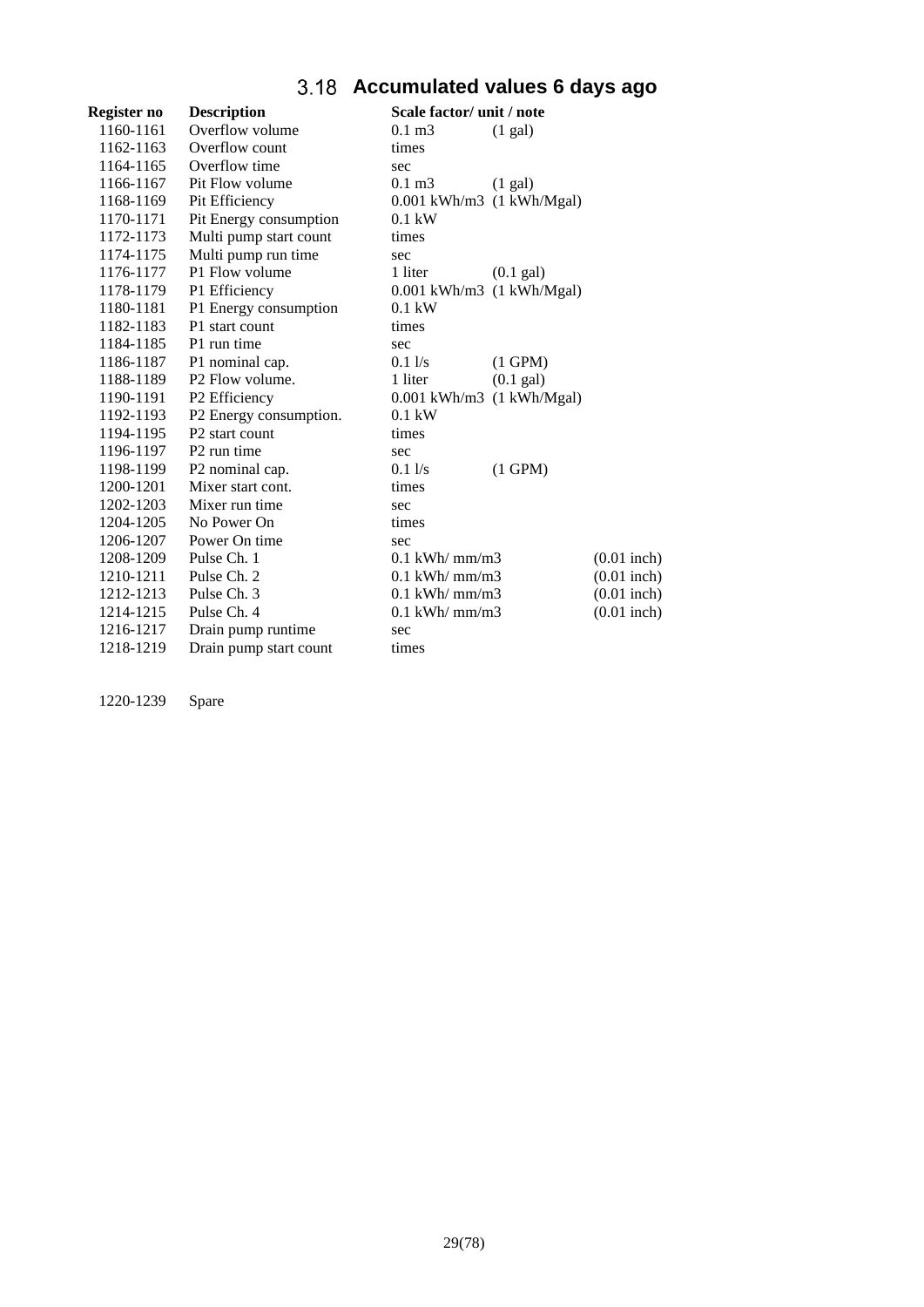# **Accumulated values 6 days ago**

<span id="page-28-0"></span>

| Register no | <b>Description</b>          | Scale factor/ unit / note        |               |
|-------------|-----------------------------|----------------------------------|---------------|
| 1160-1161   | Overflow volume             | $0.1 \text{ m}$ 3<br>(1 gal)     |               |
| 1162-1163   | Overflow count              | times                            |               |
| 1164-1165   | Overflow time               | sec                              |               |
| 1166-1167   | Pit Flow volume             | $0.1 \text{ m}$ 3<br>(1 gal)     |               |
| 1168-1169   | Pit Efficiency              | $0.001$ kWh/m3 $(1$ kWh/Mgal)    |               |
| 1170-1171   | Pit Energy consumption      | $0.1$ kW                         |               |
| 1172-1173   | Multi pump start count      | times                            |               |
| 1174-1175   | Multi pump run time         | sec                              |               |
| 1176-1177   | P1 Flow volume              | 1 liter<br>$(0.1 \text{ gal})$   |               |
| 1178-1179   | P1 Efficiency               | $0.001$ kWh/m3 $(1$ kWh/Mgal)    |               |
| 1180-1181   | P1 Energy consumption       | $0.1$ kW                         |               |
| 1182-1183   | P1 start count              | times                            |               |
| 1184-1185   | P1 run time                 | sec                              |               |
| 1186-1187   | P1 nominal cap.             | 0.11/s<br>$(1$ GPM $)$           |               |
| 1188-1189   | P <sub>2</sub> Flow volume. | $(0.1)$ gal)<br>1 liter          |               |
| 1190-1191   | P2 Efficiency               | $0.001$ kWh/m3 $(1$ kWh/Mgal)    |               |
| 1192-1193   | P2 Energy consumption.      | $0.1$ kW                         |               |
| 1194-1195   | P2 start count              | times                            |               |
| 1196-1197   | P <sub>2</sub> run time     | sec                              |               |
| 1198-1199   | P2 nominal cap.             | $(1$ GPM $)$<br>$0.1\frac{1}{s}$ |               |
| 1200-1201   | Mixer start cont.           | times                            |               |
| 1202-1203   | Mixer run time              | sec                              |               |
| 1204-1205   | No Power On                 | times                            |               |
| 1206-1207   | Power On time               | sec                              |               |
| 1208-1209   | Pulse Ch. 1                 | $0.1$ kWh/ mm/m3                 | $(0.01$ inch) |
| 1210-1211   | Pulse Ch. 2                 | $0.1$ kWh/ mm/m3                 | $(0.01$ inch) |
| 1212-1213   | Pulse Ch. 3                 | $0.1$ kWh/ mm/m3                 | $(0.01$ inch) |
| 1214-1215   | Pulse Ch. 4                 | $0.1$ kWh/ mm/m3                 | $(0.01$ inch) |
| 1216-1217   | Drain pump runtime          | sec                              |               |
| 1218-1219   | Drain pump start count      | times                            |               |

1220-1239 Spare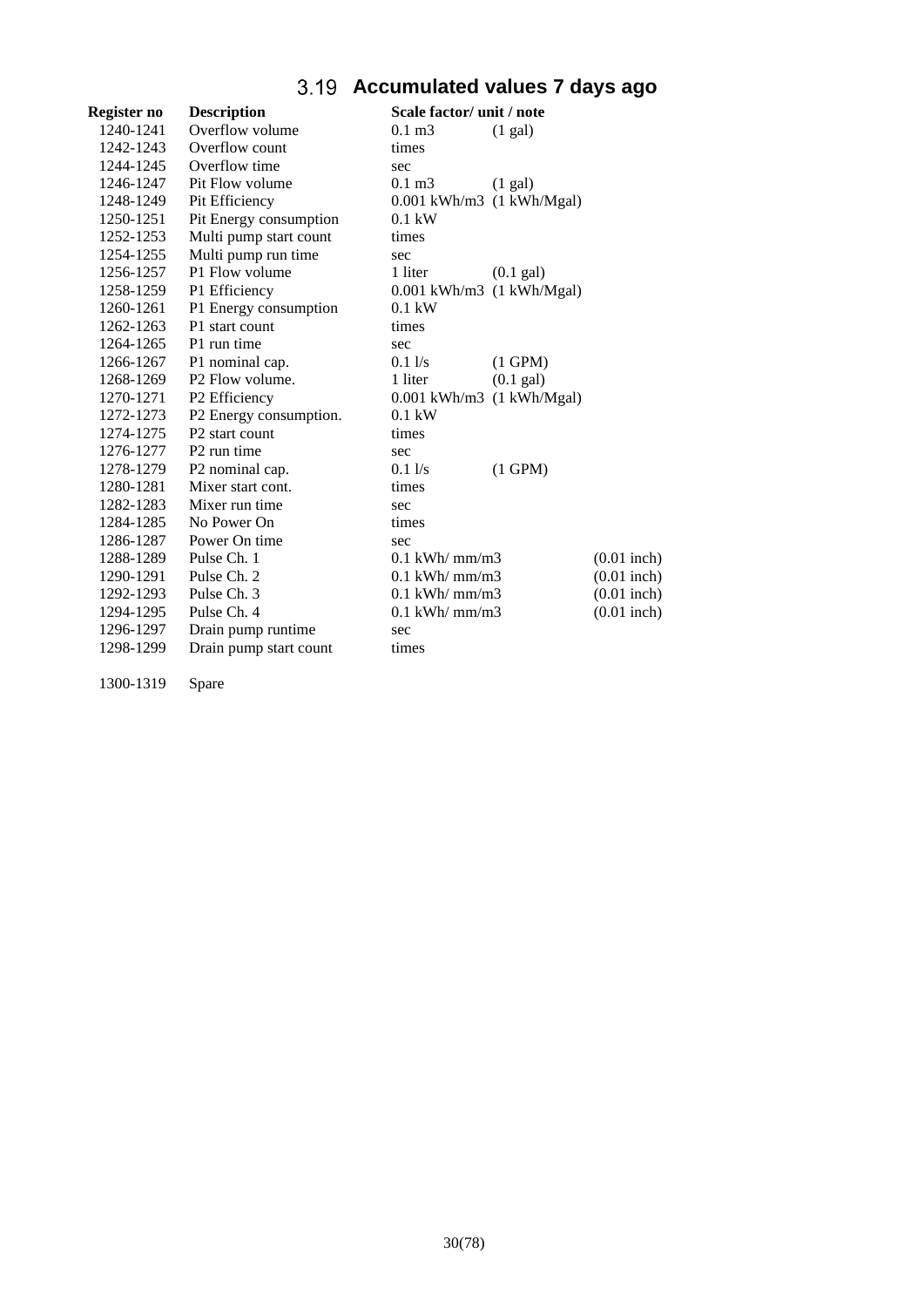# **Accumulated values 7 days ago**

<span id="page-29-0"></span>

| Overflow volume             | $0.1 \text{ m}$ 3                            | $(1 \text{ gal})$   |                                                                                                                                                                                                              |
|-----------------------------|----------------------------------------------|---------------------|--------------------------------------------------------------------------------------------------------------------------------------------------------------------------------------------------------------|
| Overflow count              | times                                        |                     |                                                                                                                                                                                                              |
| Overflow time               | sec                                          |                     |                                                                                                                                                                                                              |
| Pit Flow volume             | $0.1 \text{ m}$ 3                            | $(1 \text{ gal})$   |                                                                                                                                                                                                              |
| Pit Efficiency              |                                              |                     |                                                                                                                                                                                                              |
| Pit Energy consumption      | $0.1$ kW                                     |                     |                                                                                                                                                                                                              |
|                             | times                                        |                     |                                                                                                                                                                                                              |
| Multi pump run time         | sec                                          |                     |                                                                                                                                                                                                              |
| P1 Flow volume              | 1 liter                                      | $(0.1 \text{ gal})$ |                                                                                                                                                                                                              |
| P1 Efficiency               |                                              |                     |                                                                                                                                                                                                              |
| P1 Energy consumption       | $0.1$ kW                                     |                     |                                                                                                                                                                                                              |
| P1 start count              | times                                        |                     |                                                                                                                                                                                                              |
| P1 run time                 | sec                                          |                     |                                                                                                                                                                                                              |
| P1 nominal cap.             | $0.1$ $\sqrt{s}$                             | $(1$ GPM $)$        |                                                                                                                                                                                                              |
| P <sub>2</sub> Flow volume. | 1 liter                                      | $(0.1)$ gal)        |                                                                                                                                                                                                              |
| P2 Efficiency               |                                              |                     |                                                                                                                                                                                                              |
| P2 Energy consumption.      | $0.1$ kW                                     |                     |                                                                                                                                                                                                              |
| P <sub>2</sub> start count  | times                                        |                     |                                                                                                                                                                                                              |
| P <sub>2</sub> run time     | sec                                          |                     |                                                                                                                                                                                                              |
| P2 nominal cap.             | $0.1$ $1/s$                                  | $(1$ GPM $)$        |                                                                                                                                                                                                              |
| Mixer start cont.           | times                                        |                     |                                                                                                                                                                                                              |
| Mixer run time              | sec                                          |                     |                                                                                                                                                                                                              |
| No Power On                 | times                                        |                     |                                                                                                                                                                                                              |
| Power On time               | sec                                          |                     |                                                                                                                                                                                                              |
| Pulse Ch. 1                 |                                              |                     | $(0.01$ inch)                                                                                                                                                                                                |
| Pulse Ch. 2                 |                                              |                     | $(0.01$ inch)                                                                                                                                                                                                |
| Pulse Ch. 3                 |                                              |                     | $(0.01$ inch)                                                                                                                                                                                                |
| Pulse Ch. 4                 |                                              |                     | $(0.01$ inch)                                                                                                                                                                                                |
| Drain pump runtime          | sec                                          |                     |                                                                                                                                                                                                              |
| Drain pump start count      | times                                        |                     |                                                                                                                                                                                                              |
|                             | <b>Description</b><br>Multi pump start count |                     | Scale factor/ unit / note<br>$0.001$ kWh/m3 $(1$ kWh/Mgal)<br>$0.001$ kWh/m3 $(1$ kWh/Mgal)<br>$0.001$ kWh/m3 $(1$ kWh/Mgal)<br>$0.1$ kWh/ mm/m3<br>$0.1$ kWh/ mm/m3<br>$0.1$ kWh/ mm/m3<br>$0.1$ kWh/ mm/m3 |

1300-1319 Spare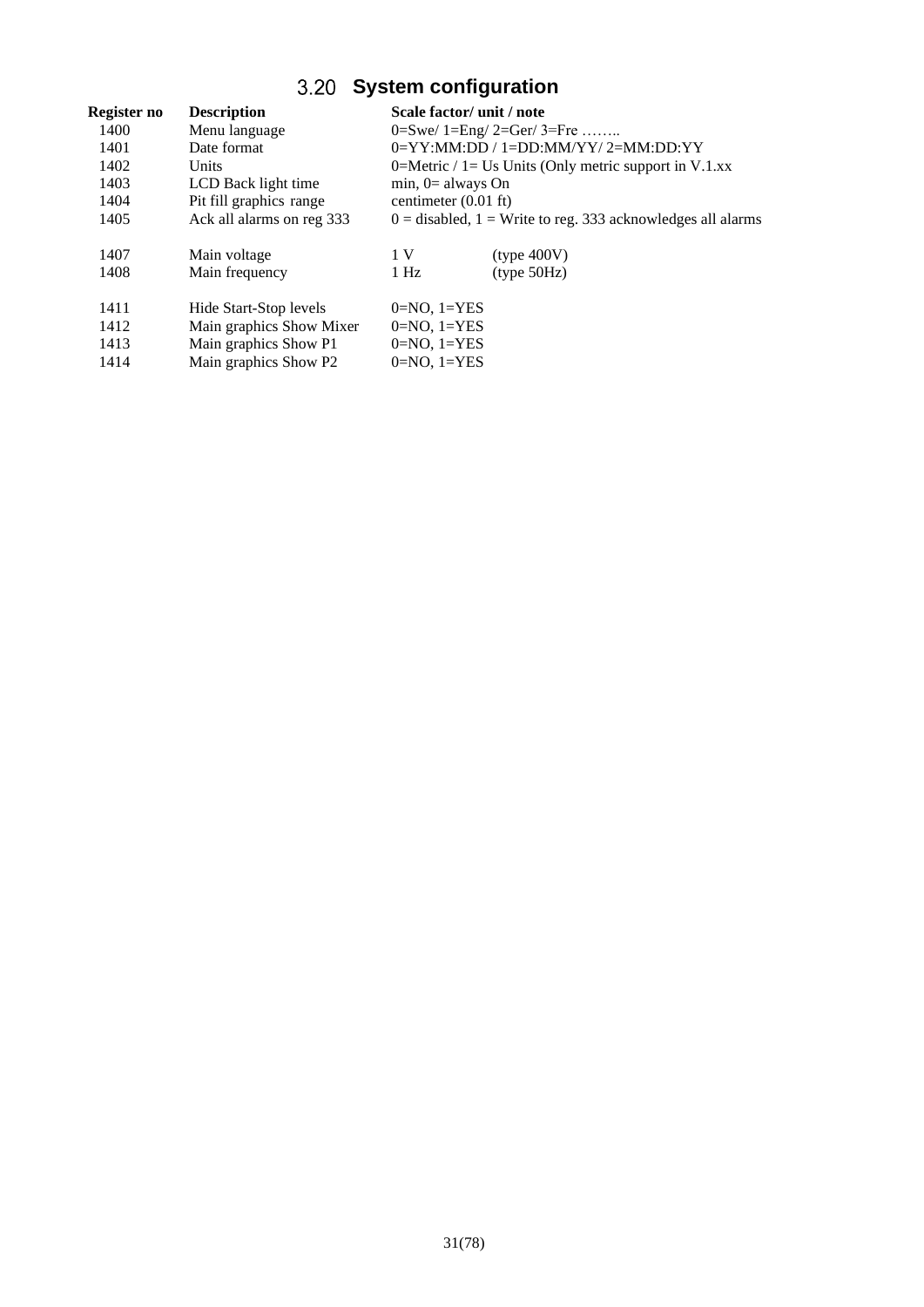# **System configuration**

<span id="page-30-0"></span>

| Register no | <b>Description</b>        | Scale factor/ unit / note                             |                                                                 |  |
|-------------|---------------------------|-------------------------------------------------------|-----------------------------------------------------------------|--|
| 1400        | Menu language             | 0=Swe/ $1=$ Eng/ $2=$ Ger/ $3=$ Fre                   |                                                                 |  |
| 1401        | Date format               | $0 = YY: MM: DD / 1 = DD: MM/YY / 2 = MM: DD: YY$     |                                                                 |  |
| 1402        | <b>Units</b>              | 0=Metric / 1= Us Units (Only metric support in V.1.xx |                                                                 |  |
| 1403        | LCD Back light time       | min, $0=$ always On                                   |                                                                 |  |
| 1404        | Pit fill graphics range   | centimeter $(0.01 \text{ ft})$                        |                                                                 |  |
| 1405        | Ack all alarms on reg 333 |                                                       | $0 =$ disabled, $1 =$ Write to reg. 333 acknowledges all alarms |  |
| 1407        | Main voltage              | 1 V                                                   | (type 400V)                                                     |  |
| 1408        | Main frequency            | $1$ Hz                                                | (tvpe 50Hz)                                                     |  |
| 1411        | Hide Start-Stop levels    | $0=NO$ , $1=YES$                                      |                                                                 |  |
| 1412        | Main graphics Show Mixer  | $0=NO$ , $1=YES$                                      |                                                                 |  |
| 1413        | Main graphics Show P1     | $0=NO$ , $1=YES$                                      |                                                                 |  |
| 1414        | Main graphics Show P2     | $0=NO$ , $1=YES$                                      |                                                                 |  |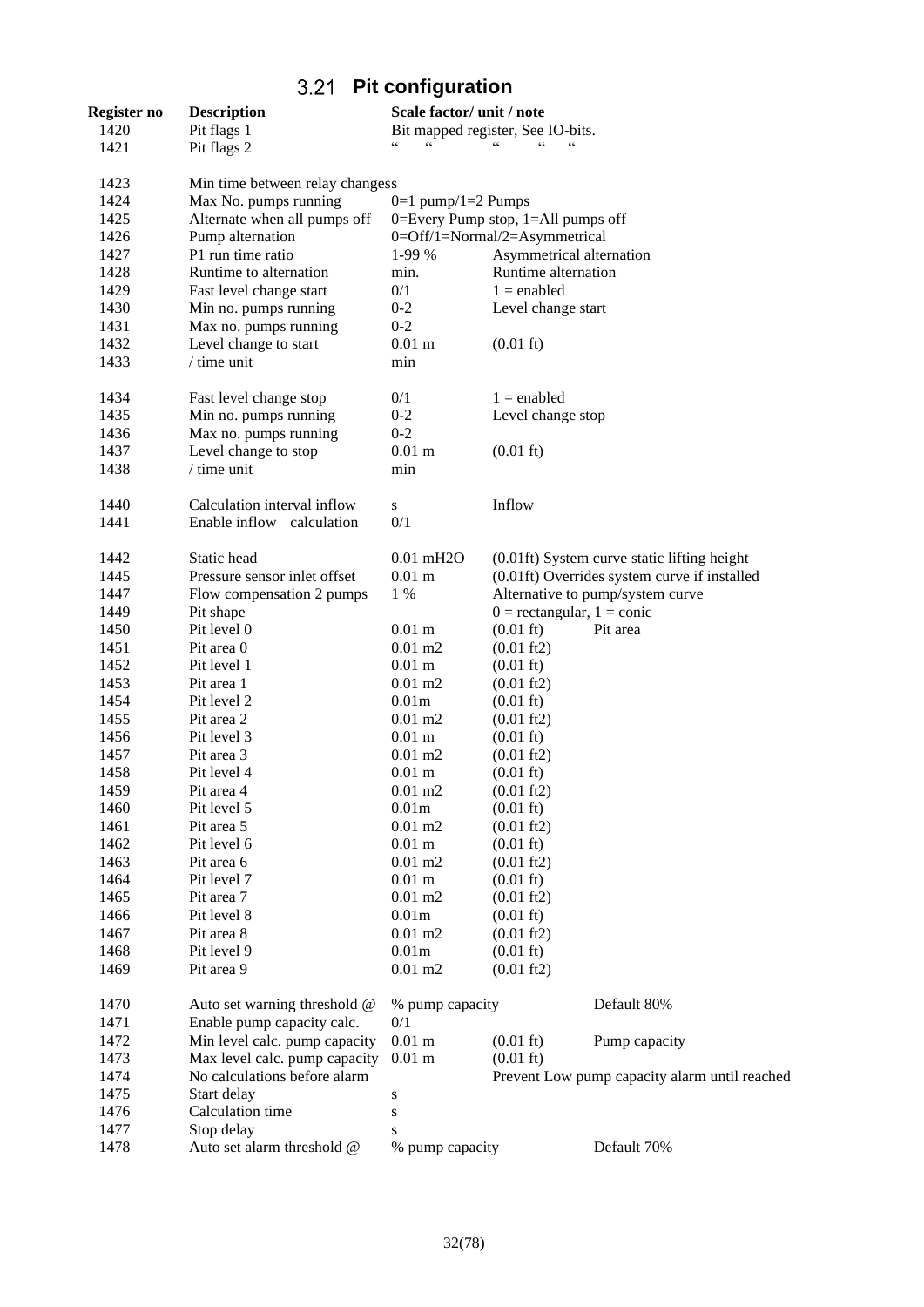# **Pit configuration**

<span id="page-31-0"></span>

| Register no | <b>Description</b>              | Scale factor/ unit / note          |                                |                                               |
|-------------|---------------------------------|------------------------------------|--------------------------------|-----------------------------------------------|
| 1420        | Pit flags 1                     | Bit mapped register, See IO-bits.  |                                |                                               |
| 1421        | Pit flags 2                     | $\zeta$ $\zeta$                    | $\epsilon$<br>$\epsilon$       |                                               |
| 1423        | Min time between relay changess |                                    |                                |                                               |
| 1424        | Max No. pumps running           | $0=1$ pump/1=2 Pumps               |                                |                                               |
| 1425        | Alternate when all pumps off    | 0=Every Pump stop, 1=All pumps off |                                |                                               |
| 1426        | Pump alternation                | 0=Off/1=Normal/2=Asymmetrical      |                                |                                               |
| 1427        | P1 run time ratio               | 1-99 %                             | Asymmetrical alternation       |                                               |
| 1428        | Runtime to alternation          | min.                               | Runtime alternation            |                                               |
| 1429        | Fast level change start         | 0/1                                | $1 =$ enabled                  |                                               |
| 1430        | Min no. pumps running           | $0 - 2$                            | Level change start             |                                               |
| 1431        | Max no. pumps running           | $0 - 2$                            |                                |                                               |
| 1432        | Level change to start           | $0.01$ m                           | $(0.01 \text{ ft})$            |                                               |
| 1433        | $/$ time unit                   | min                                |                                |                                               |
| 1434        | Fast level change stop          | 0/1                                | $1 =$ enabled                  |                                               |
| 1435        | Min no. pumps running           | $0 - 2$                            | Level change stop              |                                               |
| 1436        | Max no. pumps running           | $0 - 2$                            |                                |                                               |
| 1437        | Level change to stop            | $0.01$ m                           | $(0.01 \text{ ft})$            |                                               |
| 1438        | / time unit                     | min                                |                                |                                               |
| 1440        | Calculation interval inflow     | S                                  | Inflow                         |                                               |
| 1441        | Enable inflow calculation       | 0/1                                |                                |                                               |
| 1442        | Static head                     | $0.01$ mH <sub>2</sub> O           |                                | (0.01ft) System curve static lifting height   |
| 1445        | Pressure sensor inlet offset    | $0.01$ m                           |                                | (0.01ft) Overrides system curve if installed  |
| 1447        | Flow compensation 2 pumps       | 1 %                                |                                | Alternative to pump/system curve              |
| 1449        | Pit shape                       |                                    | $0 =$ rectangular, $1 =$ conic |                                               |
| 1450        | Pit level 0                     | $0.01$ m                           | $(0.01 \text{ ft})$            | Pit area                                      |
| 1451        | Pit area 0                      | $0.01 \text{ m2}$                  | $(0.01 \text{ ft2})$           |                                               |
| 1452        | Pit level 1                     | $0.01$ m                           | $(0.01 \text{ ft})$            |                                               |
| 1453        | Pit area 1                      | $0.01 \text{ m2}$                  | $(0.01 \text{ ft2})$           |                                               |
| 1454        | Pit level 2                     | 0.01 <sub>m</sub>                  | $(0.01 \text{ ft})$            |                                               |
| 1455        | Pit area 2                      | $0.01 \text{ m2}$                  | $(0.01 \text{ ft2})$           |                                               |
| 1456        | Pit level 3                     | $0.01$ m                           | $(0.01 \text{ ft})$            |                                               |
| 1457        | Pit area 3                      | $0.01 \text{ m2}$                  | $(0.01 \text{ ft2})$           |                                               |
| 1458        | Pit level 4                     | $0.01$ m                           | $(0.01 \text{ ft})$            |                                               |
| 1459        | Pit area 4                      | $0.01 \text{ m}$ 2                 | $(0.01 \text{ ft2})$           |                                               |
| 1460        | Pit level 5                     | 0.01 <sub>m</sub>                  | $(0.01 \text{ ft})$            |                                               |
| 1461        | Pit area 5                      | $0.01 \text{ m2}$                  | $(0.01 \text{ ft2})$           |                                               |
| 1462        | Pit level 6                     | $0.01$ m                           | $(0.01 \text{ ft})$            |                                               |
| 1463        | Pit area 6                      | $0.01 \text{ m2}$                  | $(0.01 \text{ ft2})$           |                                               |
| 1464        | Pit level 7                     | $0.01$ m                           | $(0.01 \text{ ft})$            |                                               |
| 1465        | Pit area 7                      | $0.01 \text{ m2}$                  | $(0.01 \text{ ft2})$           |                                               |
| 1466        | Pit level 8                     | 0.01 <sub>m</sub>                  | $(0.01 \text{ ft})$            |                                               |
| 1467        | Pit area 8                      | $0.01 \text{ m2}$                  | $(0.01 \text{ ft2})$           |                                               |
| 1468        | Pit level 9                     | 0.01 <sub>m</sub>                  | $(0.01 \text{ ft})$            |                                               |
| 1469        | Pit area 9                      | $0.01 \text{ m2}$                  | $(0.01 \text{ ft2})$           |                                               |
| 1470        | Auto set warning threshold @    | % pump capacity                    |                                | Default 80%                                   |
| 1471        | Enable pump capacity calc.      | 0/1                                |                                |                                               |
| 1472        | Min level calc. pump capacity   | $0.01$ m                           | $(0.01 \text{ ft})$            | Pump capacity                                 |
| 1473        | Max level calc. pump capacity   | $0.01$ m                           | $(0.01 \text{ ft})$            |                                               |
| 1474        | No calculations before alarm    |                                    |                                | Prevent Low pump capacity alarm until reached |
| 1475        | Start delay                     | S                                  |                                |                                               |
| 1476        | Calculation time                | S                                  |                                |                                               |
| 1477        | Stop delay                      | S                                  |                                |                                               |
| 1478        | Auto set alarm threshold @      | % pump capacity                    |                                | Default 70%                                   |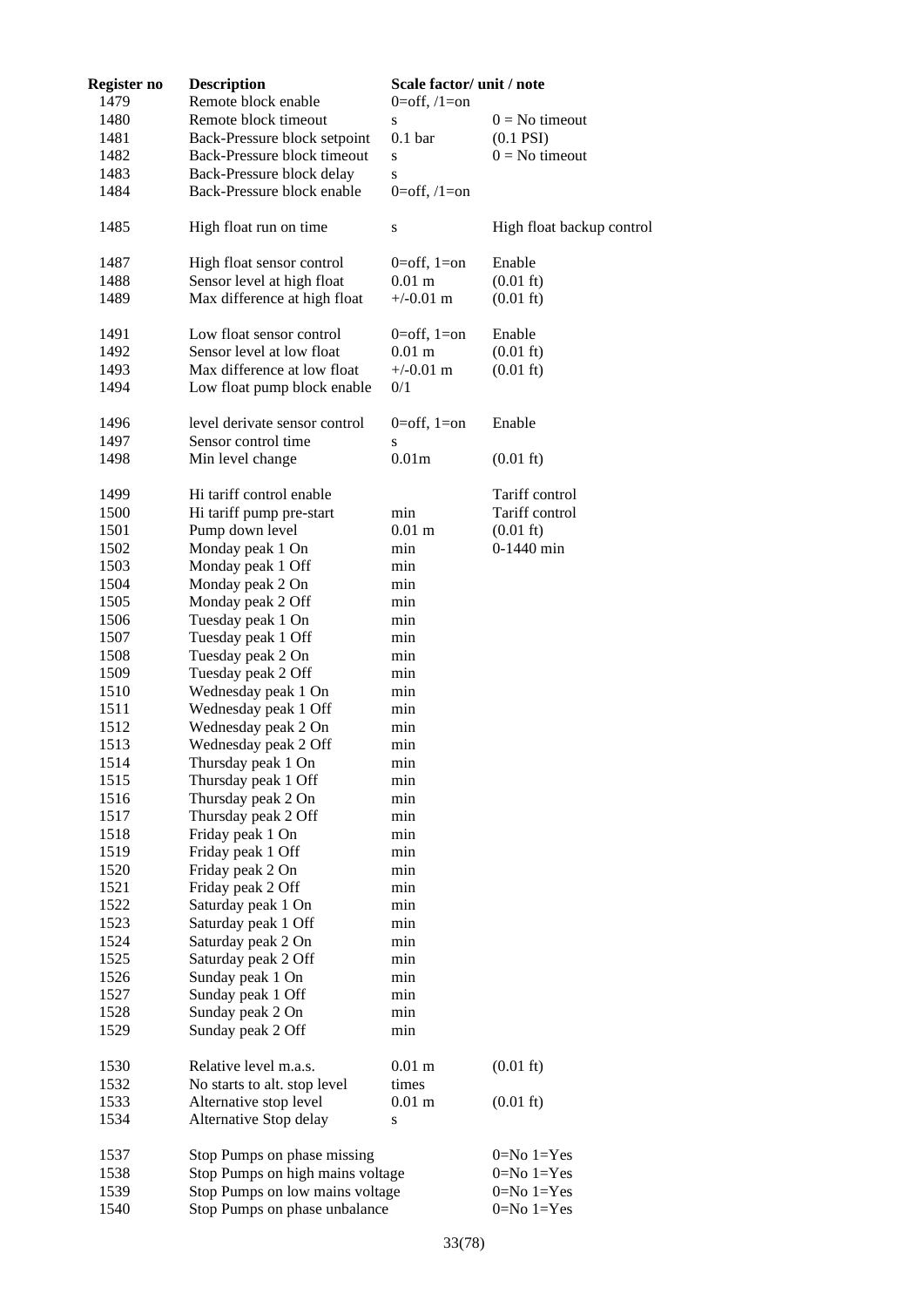| Register no | <b>Description</b>               | Scale factor/ unit / note |                           |
|-------------|----------------------------------|---------------------------|---------------------------|
| 1479        | Remote block enable              | $0=$ off, $/1=$ on        |                           |
| 1480        | Remote block timeout             | ${\bf S}$                 | $0 = No$ timeout          |
| 1481        | Back-Pressure block setpoint     | 0.1 <sub>bar</sub>        | $(0.1$ PSI $)$            |
| 1482        | Back-Pressure block timeout      | S                         | $0 = No$ timeout          |
| 1483        | Back-Pressure block delay        | S                         |                           |
| 1484        | Back-Pressure block enable       | $0=$ off, $/1=$ on        |                           |
| 1485        | High float run on time           | S                         | High float backup control |
| 1487        | High float sensor control        | $0=$ off, $1=$ on         | Enable                    |
| 1488        | Sensor level at high float       | $0.01$ m                  | $(0.01 \text{ ft})$       |
| 1489        | Max difference at high float     | $+/-0.01$ m               | $(0.01 \text{ ft})$       |
| 1491        | Low float sensor control         | $0=$ off, $1=$ on         | Enable                    |
| 1492        | Sensor level at low float        | $0.01 \text{ m}$          | $(0.01 \text{ ft})$       |
| 1493        | Max difference at low float      | $+/-0.01$ m               | $(0.01 \text{ ft})$       |
| 1494        | Low float pump block enable      | 0/1                       |                           |
| 1496        | level derivate sensor control    | $0=$ off, $1=$ on         | Enable                    |
| 1497        | Sensor control time              | S                         |                           |
| 1498        | Min level change                 | 0.01m                     | $(0.01 \text{ ft})$       |
| 1499        | Hi tariff control enable         |                           | Tariff control            |
| 1500        | Hi tariff pump pre-start         | min                       | Tariff control            |
| 1501        | Pump down level                  | $0.01$ m                  | $(0.01 \text{ ft})$       |
| 1502        | Monday peak 1 On                 | min                       | 0-1440 min                |
| 1503        | Monday peak 1 Off                | min                       |                           |
| 1504        | Monday peak 2 On                 | min                       |                           |
| 1505        | Monday peak 2 Off                | min                       |                           |
| 1506        | Tuesday peak 1 On                | min                       |                           |
| 1507        | Tuesday peak 1 Off               | min                       |                           |
| 1508        | Tuesday peak 2 On                | min                       |                           |
| 1509        | Tuesday peak 2 Off               | min                       |                           |
| 1510        | Wednesday peak 1 On              | min                       |                           |
| 1511        | Wednesday peak 1 Off             | min                       |                           |
| 1512        | Wednesday peak 2 On              | min                       |                           |
| 1513        | Wednesday peak 2 Off             | min                       |                           |
| 1514        | Thursday peak 1 On               | min                       |                           |
| 1515        | Thursday peak 1 Off              | min                       |                           |
| 1516        | Thursday peak 2 On               | min                       |                           |
| 1517        | Thursday peak 2 Off              | min                       |                           |
| 1518        | Friday peak 1 On                 | min                       |                           |
| 1519        | Friday peak 1 Off                | min                       |                           |
| 1520        | Friday peak 2 On                 | min                       |                           |
| 1521        | Friday peak 2 Off                | min                       |                           |
| 1522        | Saturday peak 1 On               | min                       |                           |
| 1523        | Saturday peak 1 Off              | min                       |                           |
| 1524        | Saturday peak 2 On               | min                       |                           |
| 1525        | Saturday peak 2 Off              | min                       |                           |
| 1526        | Sunday peak 1 On                 | min                       |                           |
| 1527        | Sunday peak 1 Off                | min                       |                           |
| 1528        | Sunday peak 2 On                 | min                       |                           |
| 1529        | Sunday peak 2 Off                | min                       |                           |
| 1530        | Relative level m.a.s.            | $0.01$ m                  | $(0.01 \text{ ft})$       |
| 1532        | No starts to alt. stop level     | times                     |                           |
| 1533        | Alternative stop level           | $0.01$ m                  | $(0.01 \text{ ft})$       |
| 1534        | Alternative Stop delay           | S                         |                           |
| 1537        | Stop Pumps on phase missing      |                           | $0=No 1=Yes$              |
| 1538        | Stop Pumps on high mains voltage |                           | $0=No 1=Yes$              |
| 1539        | Stop Pumps on low mains voltage  |                           | $0=No 1=Yes$              |
| 1540        | Stop Pumps on phase unbalance    |                           | $0=No 1=Yes$              |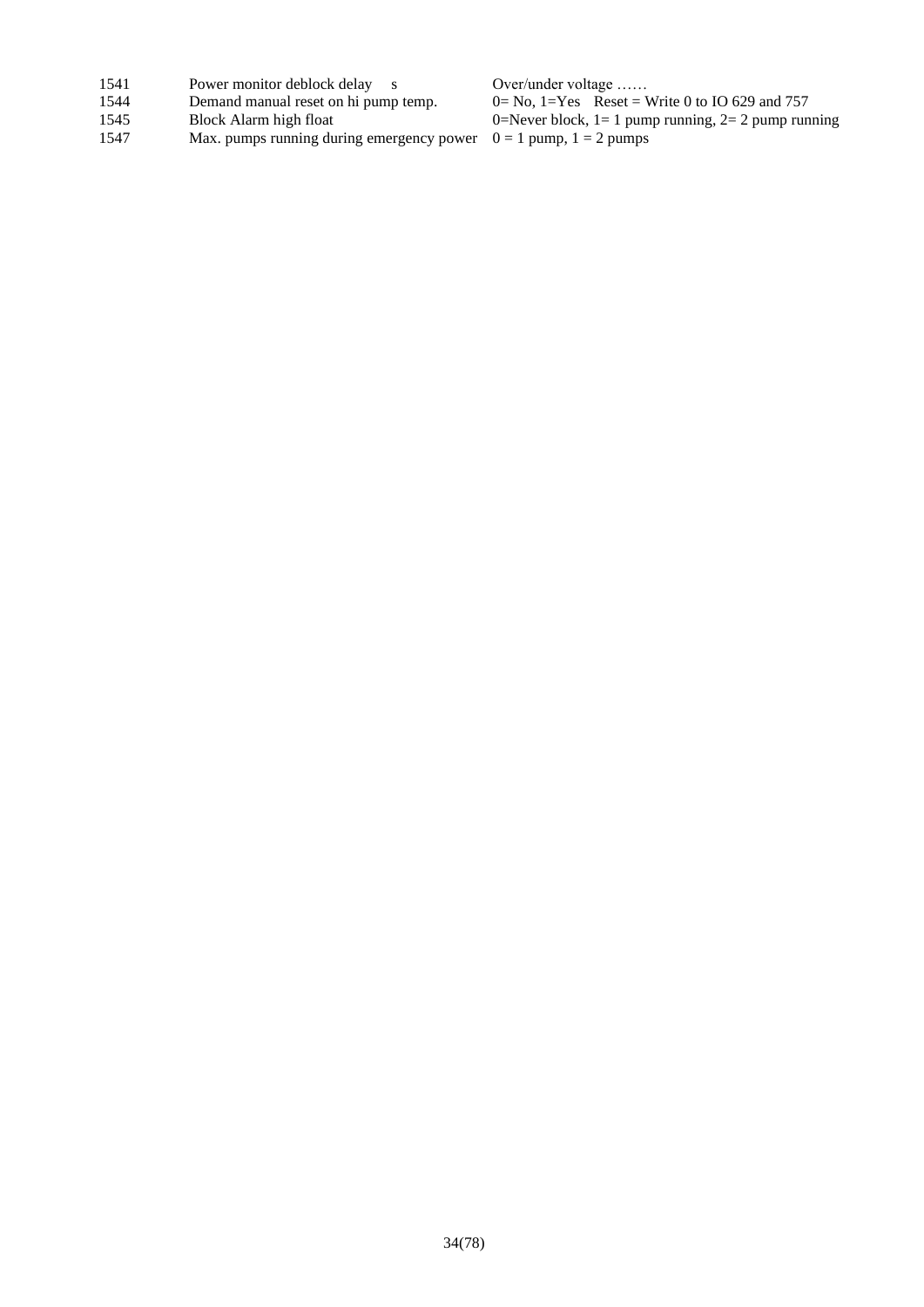- 
- 1541 Power monitor deblock delay s Over/under voltage ……<br>1544 Demand manual reset on hi pump temp.  $0 = No$ ,  $1 = Yes$  Reset = V
- 
- Max. pumps running during emergency power

1544 Demand manual reset on hi pump temp.  $0=N_0$ , 1=Yes Reset = Write 0 to IO 629 and 757<br>1545 Block Alarm high float  $0=N_0$ , 1=Yes Reset = Write 0 to IO 629 and 757 1545 Block Alarm high float  $0=$ Never block, 1= 1 pump running, 2= 2 pump running 1547 Max. pumps running during emergency power  $0 = 1$  pump, 1 = 2 pumps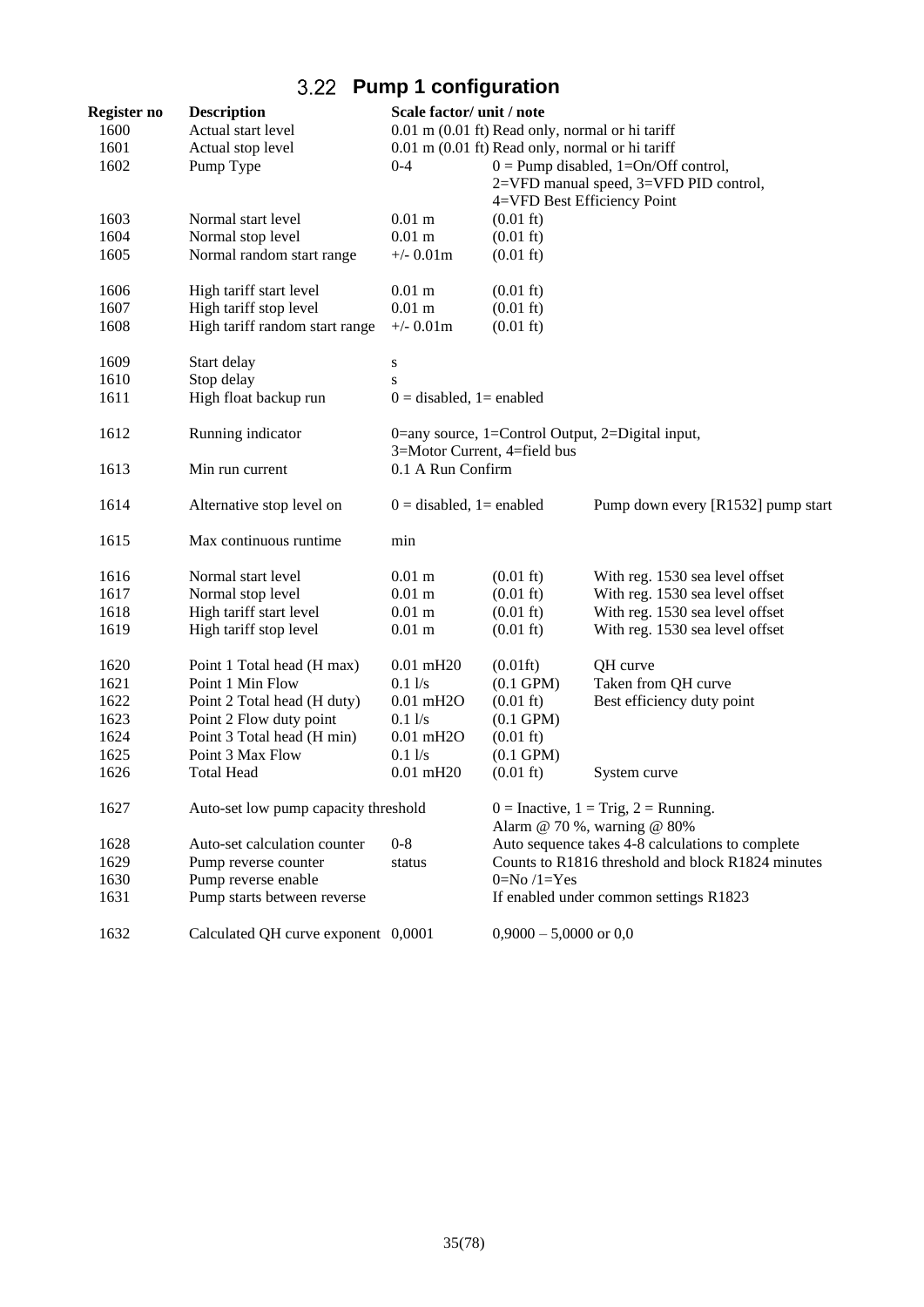# **Pump 1 configuration**

<span id="page-34-0"></span>

| Register no | <b>Description</b>                   | Scale factor/ unit / note                                                        |                                                   |                                                  |  |
|-------------|--------------------------------------|----------------------------------------------------------------------------------|---------------------------------------------------|--------------------------------------------------|--|
| 1600        | Actual start level                   | 0.01 m (0.01 ft) Read only, normal or hi tariff                                  |                                                   |                                                  |  |
| 1601        | Actual stop level                    | 0.01 m (0.01 ft) Read only, normal or hi tariff                                  |                                                   |                                                  |  |
| 1602        | Pump Type                            | $0 - 4$                                                                          |                                                   | $0 =$ Pump disabled, 1=On/Off control,           |  |
|             |                                      |                                                                                  |                                                   | 2=VFD manual speed, 3=VFD PID control,           |  |
|             |                                      |                                                                                  |                                                   | 4=VFD Best Efficiency Point                      |  |
| 1603        | Normal start level                   | $0.01$ m                                                                         | $(0.01 \text{ ft})$                               |                                                  |  |
| 1604        | Normal stop level                    | $0.01$ m                                                                         | $(0.01 \text{ ft})$                               |                                                  |  |
| 1605        | Normal random start range            | $+/- 0.01m$                                                                      | $(0.01 \text{ ft})$                               |                                                  |  |
| 1606        | High tariff start level              | $0.01$ m                                                                         | $(0.01 \text{ ft})$                               |                                                  |  |
| 1607        | High tariff stop level               | $0.01$ m                                                                         | $(0.01 \text{ ft})$                               |                                                  |  |
| 1608        | High tariff random start range       | $+/- 0.01m$                                                                      | $(0.01 \text{ ft})$                               |                                                  |  |
| 1609        | Start delay                          | S                                                                                |                                                   |                                                  |  |
| 1610        | Stop delay                           | S                                                                                |                                                   |                                                  |  |
| 1611        | High float backup run                | $0 =$ disabled, 1 = enabled                                                      |                                                   |                                                  |  |
| 1612        | Running indicator                    | 0=any source, 1=Control Output, 2=Digital input,<br>3=Motor Current, 4=field bus |                                                   |                                                  |  |
|             |                                      |                                                                                  |                                                   |                                                  |  |
| 1613        | Min run current                      | 0.1 A Run Confirm                                                                |                                                   |                                                  |  |
| 1614        | Alternative stop level on            | $0 =$ disabled, 1= enabled                                                       |                                                   | Pump down every [R1532] pump start               |  |
| 1615        | Max continuous runtime               | min                                                                              |                                                   |                                                  |  |
| 1616        | Normal start level                   | $0.01$ m                                                                         | $(0.01 \text{ ft})$                               | With reg. 1530 sea level offset                  |  |
| 1617        | Normal stop level                    | $0.01$ m                                                                         | $(0.01 \text{ ft})$                               | With reg. 1530 sea level offset                  |  |
| 1618        | High tariff start level              | $0.01$ m                                                                         | $(0.01 \text{ ft})$                               | With reg. 1530 sea level offset                  |  |
| 1619        | High tariff stop level               | $0.01$ m                                                                         | $(0.01 \text{ ft})$                               | With reg. 1530 sea level offset                  |  |
| 1620        | Point 1 Total head (H max)           | $0.01$ mH20                                                                      | $(0.01\text{ft})$                                 | QH curve                                         |  |
| 1621        | Point 1 Min Flow                     | 0.11/s                                                                           | $(0.1$ GPM $)$                                    | Taken from QH curve                              |  |
| 1622        | Point 2 Total head (H duty)          | $0.01$ mH <sub>2</sub> O                                                         | $(0.01 \text{ ft})$                               | Best efficiency duty point                       |  |
| 1623        | Point 2 Flow duty point              | 0.11/s                                                                           | $(0.1$ GPM $)$                                    |                                                  |  |
| 1624        | Point 3 Total head (H min)           | $0.01$ mH <sub>2</sub> O                                                         | $(0.01 \text{ ft})$                               |                                                  |  |
| 1625        | Point 3 Max Flow                     | $0.1$ $1/s$                                                                      | $(0.1 \text{ GPM})$                               |                                                  |  |
| 1626        | <b>Total Head</b>                    | $0.01$ mH20                                                                      | $(0.01 \text{ ft})$                               | System curve                                     |  |
| 1627        | Auto-set low pump capacity threshold | $0 =$ Inactive, $1 =$ Trig, $2 =$ Running.<br>Alarm @ 70 %, warning @ 80%        |                                                   |                                                  |  |
| 1628        | Auto-set calculation counter         | $0 - 8$                                                                          |                                                   | Auto sequence takes 4-8 calculations to complete |  |
| 1629        | Pump reverse counter                 | status                                                                           | Counts to R1816 threshold and block R1824 minutes |                                                  |  |
| 1630        | Pump reverse enable                  |                                                                                  | $0=No/1=Yes$                                      |                                                  |  |
| 1631        | Pump starts between reverse          |                                                                                  |                                                   | If enabled under common settings R1823           |  |
| 1632        | Calculated QH curve exponent 0,0001  |                                                                                  | $0,9000 - 5,0000$ or $0,0$                        |                                                  |  |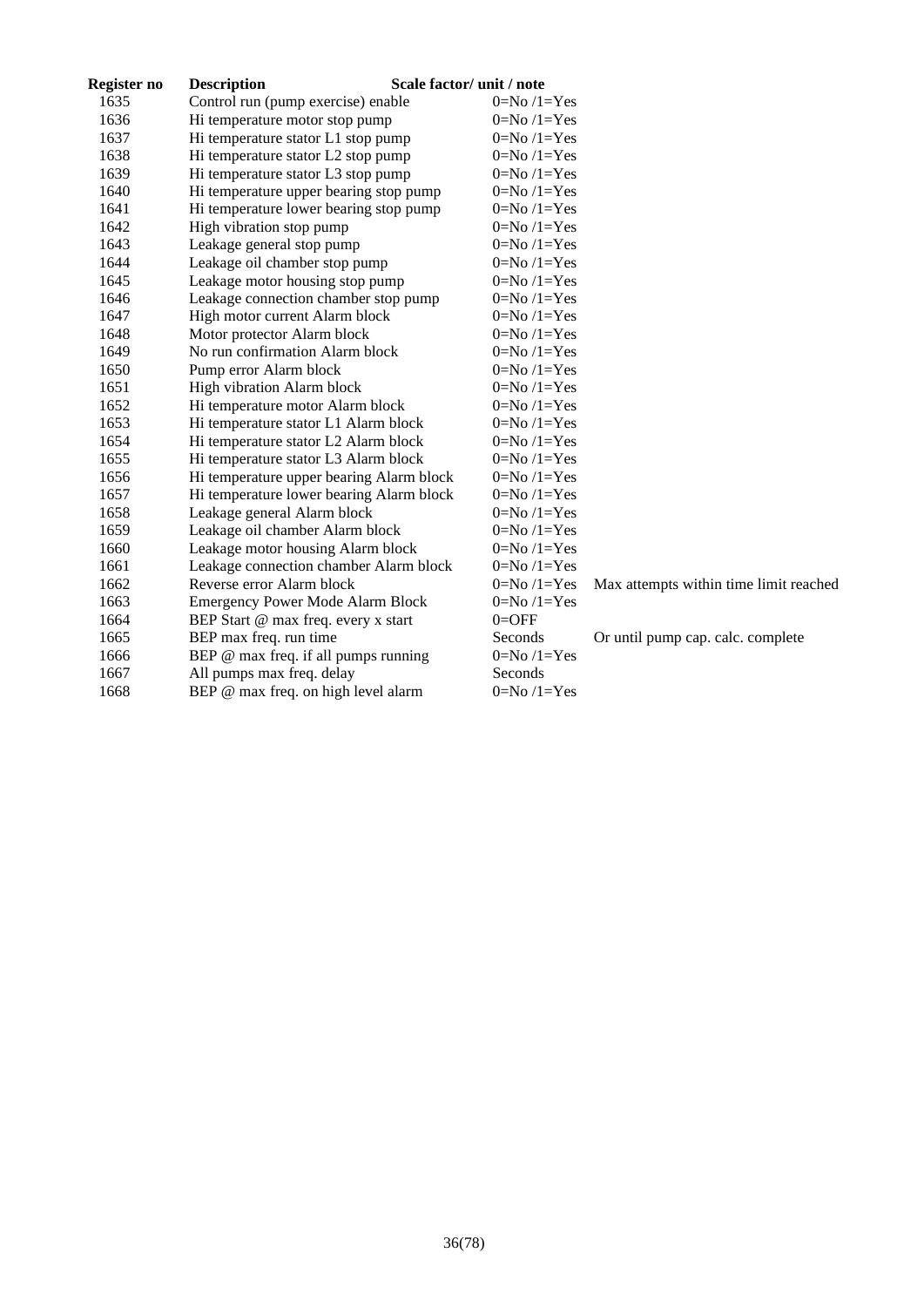| Register no | <b>Description</b>                       | Scale factor/ unit / note |                                        |
|-------------|------------------------------------------|---------------------------|----------------------------------------|
| 1635        | Control run (pump exercise) enable       | $0=No/1=Yes$              |                                        |
| 1636        | Hi temperature motor stop pump           | $0=No/1=Yes$              |                                        |
| 1637        | Hi temperature stator L1 stop pump       | $0=No/1=Yes$              |                                        |
| 1638        | Hi temperature stator L2 stop pump       | $0=No/1=Yes$              |                                        |
| 1639        | Hi temperature stator L3 stop pump       | $0=No/1=Yes$              |                                        |
| 1640        | Hi temperature upper bearing stop pump   | $0=No/1=Yes$              |                                        |
| 1641        | Hi temperature lower bearing stop pump   | $0=No/1=Yes$              |                                        |
| 1642        | High vibration stop pump                 | $0=No/1=Yes$              |                                        |
| 1643        | Leakage general stop pump                | $0=No/1=Yes$              |                                        |
| 1644        | Leakage oil chamber stop pump            | $0=No/1=Yes$              |                                        |
| 1645        | Leakage motor housing stop pump          | $0=No/1=Yes$              |                                        |
| 1646        | Leakage connection chamber stop pump     | $0=No/1=Yes$              |                                        |
| 1647        | High motor current Alarm block           | $0=No/1=Yes$              |                                        |
| 1648        | Motor protector Alarm block              | $0=No/1=Yes$              |                                        |
| 1649        | No run confirmation Alarm block          | $0=No/1=Yes$              |                                        |
| 1650        | Pump error Alarm block                   | $0=No/1=Yes$              |                                        |
| 1651        | High vibration Alarm block               | $0=No/1=Yes$              |                                        |
| 1652        | Hi temperature motor Alarm block         | $0=No/1=Yes$              |                                        |
| 1653        | Hi temperature stator L1 Alarm block     | $0=No/1=Yes$              |                                        |
| 1654        | Hi temperature stator L2 Alarm block     | $0=No/1=Yes$              |                                        |
| 1655        | Hi temperature stator L3 Alarm block     | $0=No/1=Yes$              |                                        |
| 1656        | Hi temperature upper bearing Alarm block | $0=No/1=Yes$              |                                        |
| 1657        | Hi temperature lower bearing Alarm block | $0=No/1=Yes$              |                                        |
| 1658        | Leakage general Alarm block              | $0=No/1=Yes$              |                                        |
| 1659        | Leakage oil chamber Alarm block          | $0=No/1=Yes$              |                                        |
| 1660        | Leakage motor housing Alarm block        | $0=No/1=Yes$              |                                        |
| 1661        | Leakage connection chamber Alarm block   | $0=No/1=Yes$              |                                        |
| 1662        | Reverse error Alarm block                | $0=No/1=Yes$              | Max attempts within time limit reached |
| 1663        | <b>Emergency Power Mode Alarm Block</b>  | $0=No/1=Yes$              |                                        |
| 1664        | BEP Start @ max freq. every x start      | $0 =$ OFF                 |                                        |
| 1665        | BEP max freq. run time                   | Seconds                   | Or until pump cap. calc. complete      |
| 1666        | BEP @ max freq. if all pumps running     | $0=No/1=Yes$              |                                        |
| 1667        | All pumps max freq. delay                | Seconds                   |                                        |
| 1668        | BEP @ max freq. on high level alarm      | $0=No/1=Yes$              |                                        |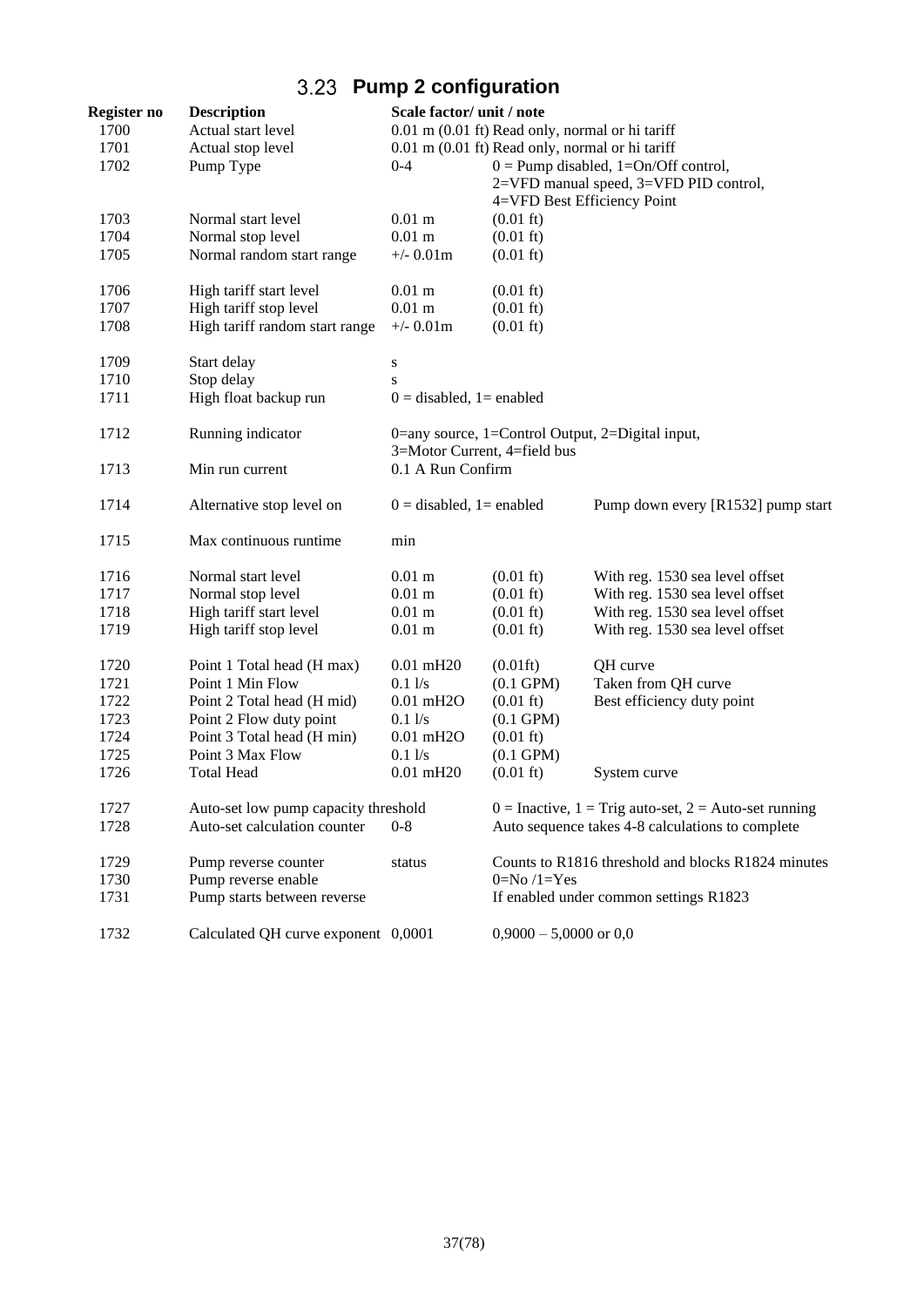# **Pump 2 configuration**

| Register no  | <b>Description</b>                   | Scale factor/ unit / note   |                                                 |                                                             |
|--------------|--------------------------------------|-----------------------------|-------------------------------------------------|-------------------------------------------------------------|
| 1700         | Actual start level                   |                             | 0.01 m (0.01 ft) Read only, normal or hi tariff |                                                             |
| 1701         | Actual stop level                    |                             | 0.01 m (0.01 ft) Read only, normal or hi tariff |                                                             |
| 1702         | Pump Type                            | $0 - 4$                     |                                                 | $0 =$ Pump disabled, 1=On/Off control,                      |
|              |                                      |                             |                                                 | 2=VFD manual speed, 3=VFD PID control,                      |
|              |                                      |                             |                                                 | 4=VFD Best Efficiency Point                                 |
| 1703<br>1704 | Normal start level                   | $0.01$ m<br>$0.01$ m        | $(0.01 \text{ ft})$                             |                                                             |
|              | Normal stop level                    |                             | $(0.01 \text{ ft})$                             |                                                             |
| 1705         | Normal random start range            | $+/- 0.01m$                 | $(0.01 \text{ ft})$                             |                                                             |
| 1706         | High tariff start level              | $0.01$ m                    | $(0.01 \text{ ft})$                             |                                                             |
| 1707         | High tariff stop level               | $0.01$ m                    | $(0.01 \text{ ft})$                             |                                                             |
| 1708         | High tariff random start range       | $+/- 0.01m$                 | $(0.01 \text{ ft})$                             |                                                             |
| 1709         | Start delay                          | S                           |                                                 |                                                             |
| 1710         | Stop delay                           | S                           |                                                 |                                                             |
| 1711         | High float backup run                | $0 =$ disabled, 1 = enabled |                                                 |                                                             |
| 1712         | Running indicator                    |                             |                                                 | 0=any source, 1=Control Output, 2=Digital input,            |
|              |                                      |                             | 3=Motor Current, 4=field bus                    |                                                             |
| 1713         | Min run current                      | 0.1 A Run Confirm           |                                                 |                                                             |
| 1714         | Alternative stop level on            | $0 =$ disabled, 1= enabled  |                                                 | Pump down every [R1532] pump start                          |
| 1715         | Max continuous runtime               | min                         |                                                 |                                                             |
| 1716         | Normal start level                   | $0.01$ m                    | $(0.01 \text{ ft})$                             | With reg. 1530 sea level offset                             |
| 1717         | Normal stop level                    | $0.01$ m                    | $(0.01 \text{ ft})$                             | With reg. 1530 sea level offset                             |
| 1718         | High tariff start level              | $0.01$ m                    | $(0.01 \text{ ft})$                             | With reg. 1530 sea level offset                             |
| 1719         | High tariff stop level               | $0.01$ m                    | $(0.01 \text{ ft})$                             | With reg. 1530 sea level offset                             |
| 1720         | Point 1 Total head (H max)           | $0.01$ mH20                 | $(0.01\text{ft})$                               | QH curve                                                    |
| 1721         | Point 1 Min Flow                     | 0.11/s                      | $(0.1$ GPM $)$                                  | Taken from QH curve                                         |
| 1722         | Point 2 Total head (H mid)           | $0.01$ mH <sub>2</sub> O    | $(0.01 \text{ ft})$                             | Best efficiency duty point                                  |
| 1723         | Point 2 Flow duty point              | 0.11/s                      | $(0.1$ GPM $)$                                  |                                                             |
| 1724         | Point 3 Total head (H min)           | $0.01$ mH <sub>2</sub> O    | $(0.01 \text{ ft})$                             |                                                             |
| 1725         | Point 3 Max Flow                     | $0.1$ $1/s$                 | $(0.1 \text{ GPM})$                             |                                                             |
| 1726         | <b>Total Head</b>                    | $0.01$ mH20                 | $(0.01 \text{ ft})$                             | System curve                                                |
| 1727         | Auto-set low pump capacity threshold |                             |                                                 | $0 =$ Inactive, $1 =$ Trig auto-set, $2 =$ Auto-set running |
| 1728         | Auto-set calculation counter         | $0 - 8$                     |                                                 | Auto sequence takes 4-8 calculations to complete            |
| 1729         | Pump reverse counter                 | status                      |                                                 | Counts to R1816 threshold and blocks R1824 minutes          |
| 1730         | Pump reverse enable                  |                             | $0=No/1=Yes$                                    |                                                             |
| 1731         | Pump starts between reverse          |                             |                                                 | If enabled under common settings R1823                      |
| 1732         | Calculated QH curve exponent 0,0001  |                             | $0,9000 - 5,0000$ or $0,0$                      |                                                             |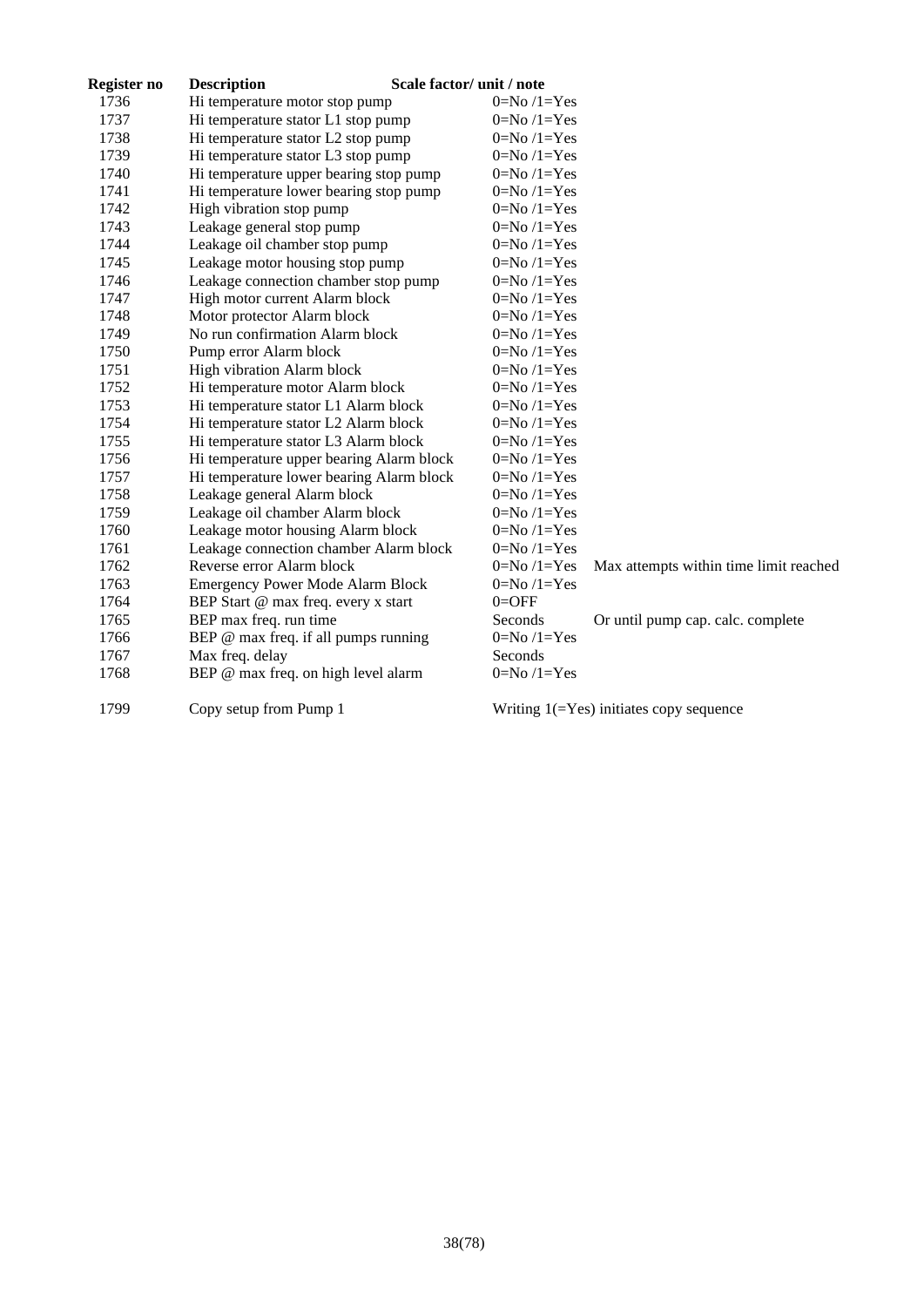| Register no | <b>Description</b>                       | Scale factor/ unit / note                              |
|-------------|------------------------------------------|--------------------------------------------------------|
| 1736        | Hi temperature motor stop pump           | $0=No/1=Yes$                                           |
| 1737        | Hi temperature stator L1 stop pump       | $0=No/1=Yes$                                           |
| 1738        | Hi temperature stator L2 stop pump       | $0=No/1=Yes$                                           |
| 1739        | Hi temperature stator L3 stop pump       | $0=No/1=Yes$                                           |
| 1740        | Hi temperature upper bearing stop pump   | $0=No/1=Yes$                                           |
| 1741        | Hi temperature lower bearing stop pump   | $0=No/1=Yes$                                           |
| 1742        | High vibration stop pump                 | $0=No/1=Yes$                                           |
| 1743        | Leakage general stop pump                | $0=No/1=Yes$                                           |
| 1744        | Leakage oil chamber stop pump            | $0=No/1=Yes$                                           |
| 1745        | Leakage motor housing stop pump          | $0=No/1=Yes$                                           |
| 1746        | Leakage connection chamber stop pump     | $0=No/1=Yes$                                           |
| 1747        | High motor current Alarm block           | $0=No/1=Yes$                                           |
| 1748        | Motor protector Alarm block              | $0=No/1=Yes$                                           |
| 1749        | No run confirmation Alarm block          | $0=No/1=Yes$                                           |
| 1750        | Pump error Alarm block                   | $0=No/1=Yes$                                           |
| 1751        | High vibration Alarm block               | $0=No/1=Yes$                                           |
| 1752        | Hi temperature motor Alarm block         | $0=No/1=Yes$                                           |
| 1753        | Hi temperature stator L1 Alarm block     | $0=No/1=Yes$                                           |
| 1754        | Hi temperature stator L2 Alarm block     | $0=No/1=Yes$                                           |
| 1755        | Hi temperature stator L3 Alarm block     | $0=No/1=Yes$                                           |
| 1756        | Hi temperature upper bearing Alarm block | $0=No/1=Yes$                                           |
| 1757        | Hi temperature lower bearing Alarm block | $0=No/1=Yes$                                           |
| 1758        | Leakage general Alarm block              | $0=No/1=Yes$                                           |
| 1759        | Leakage oil chamber Alarm block          | $0=No/1=Yes$                                           |
| 1760        | Leakage motor housing Alarm block        | $0=No/1=Yes$                                           |
| 1761        | Leakage connection chamber Alarm block   | $0=No/1=Yes$                                           |
| 1762        | Reverse error Alarm block                | $0=No/1=Yes$<br>Max attempts within time limit reached |
| 1763        | <b>Emergency Power Mode Alarm Block</b>  | $0=No/1=Yes$                                           |
| 1764        | BEP Start @ max freq. every x start      | $0 =$ OFF                                              |
| 1765        | BEP max freq. run time                   | Seconds<br>Or until pump cap. calc. complete           |
| 1766        | BEP @ max freq. if all pumps running     | $0=No/1=Yes$                                           |
| 1767        | Max freq. delay                          | Seconds                                                |
| 1768        | BEP @ max freq. on high level alarm      | $0=No/1=Yes$                                           |
| 1799        | Copy setup from Pump 1                   | Writing $1(=\text{Yes})$ initiates copy sequence       |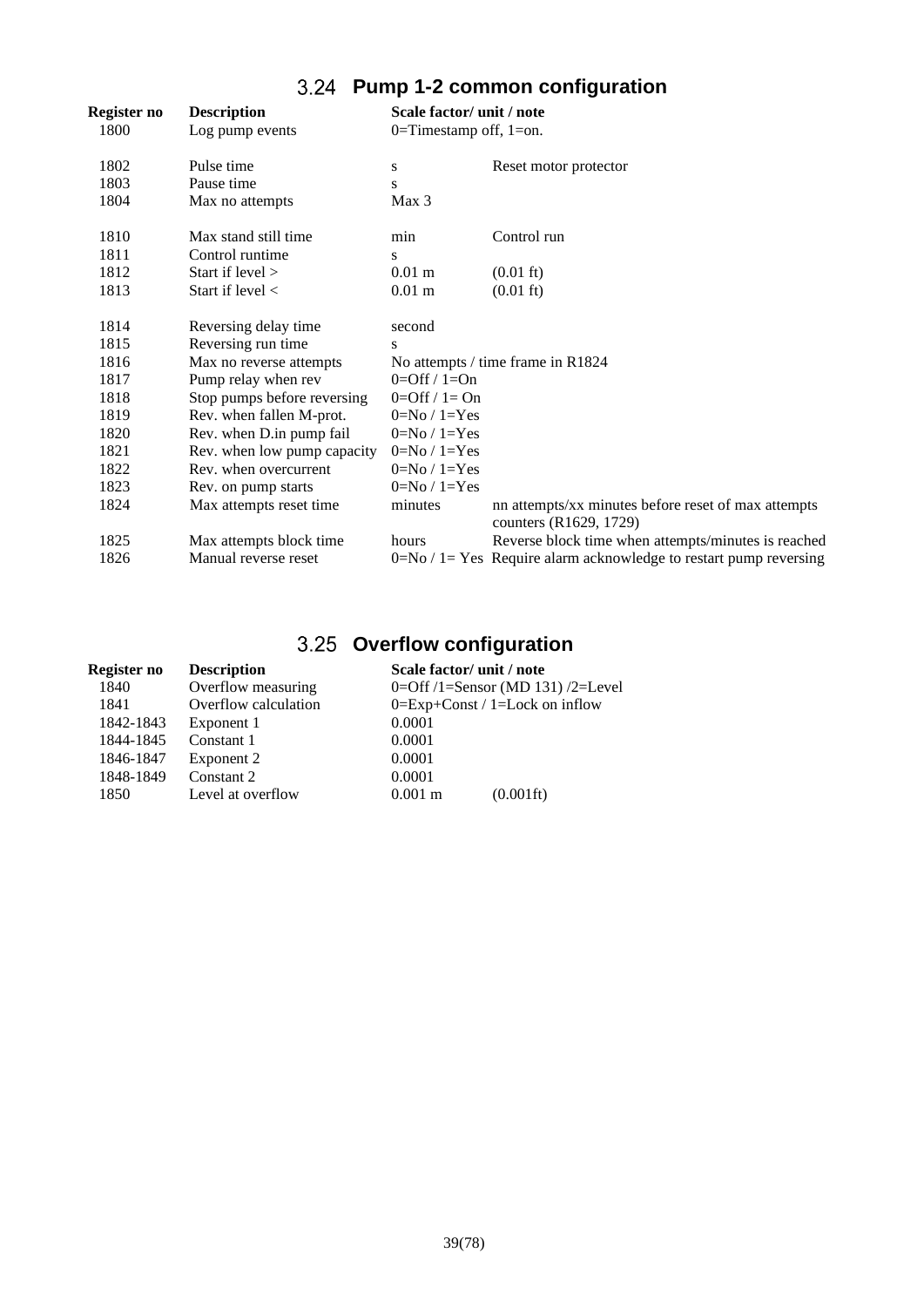# **Pump 1-2 common configuration**

| Register no | <b>Description</b>          | Scale factor/ unit / note |                                                                               |
|-------------|-----------------------------|---------------------------|-------------------------------------------------------------------------------|
| 1800        | Log pump events             | 0=Timestamp off, $1=$ on. |                                                                               |
| 1802        | Pulse time                  | S                         | Reset motor protector                                                         |
| 1803        | Pause time                  | S                         |                                                                               |
| 1804        | Max no attempts             | Max 3                     |                                                                               |
| 1810        | Max stand still time        | min                       | Control run                                                                   |
| 1811        | Control runtime             | S                         |                                                                               |
| 1812        | Start if level $>$          | $0.01 \text{ m}$          | $(0.01 \text{ ft})$                                                           |
| 1813        | Start if level $\langle$    | $0.01 \text{ m}$          | $(0.01 \text{ ft})$                                                           |
| 1814        | Reversing delay time        | second                    |                                                                               |
| 1815        | Reversing run time          | S                         |                                                                               |
| 1816        | Max no reverse attempts     |                           | No attempts / time frame in R1824                                             |
| 1817        | Pump relay when rev         | $0=Off / 1=On$            |                                                                               |
| 1818        | Stop pumps before reversing | $0=Off / 1=On$            |                                                                               |
| 1819        | Rev. when fallen M-prot.    | $0=No / 1 = Yes$          |                                                                               |
| 1820        | Rev. when D.in pump fail    | $0=No / 1 = Yes$          |                                                                               |
| 1821        | Rev. when low pump capacity | $0=No/1=Yes$              |                                                                               |
| 1822        | Rev. when overcurrent       | $0=No / 1 = Yes$          |                                                                               |
| 1823        | Rev. on pump starts         | $0=No / 1 = Yes$          |                                                                               |
| 1824        | Max attempts reset time     | minutes                   | nn attempts/xx minutes before reset of max attempts<br>counters (R1629, 1729) |
| 1825        | Max attempts block time     | hours                     | Reverse block time when attempts/minutes is reached                           |
| 1826        | Manual reverse reset        |                           | $0=No / 1 = Yes$ Require alarm acknowledge to restart pump reversing          |

# **Overflow configuration**

| Register no | <b>Description</b>   | Scale factor/ unit / note                    |
|-------------|----------------------|----------------------------------------------|
| 1840        | Overflow measuring   | 0=Off $/1$ =Sensor (MD 131) $/2$ =Level      |
| 1841        | Overflow calculation | $0=Exp+Const / 1=Lock$ on inflow             |
| 1842-1843   | Exponent 1           | 0.0001                                       |
| 1844-1845   | Constant 1           | 0.0001                                       |
| 1846-1847   | Exponent 2           | 0.0001                                       |
| 1848-1849   | Constant 2           | 0.0001                                       |
| 1850        | Level at overflow    | $(0.001\,{\rm ft})$<br>$0.001 \; \mathrm{m}$ |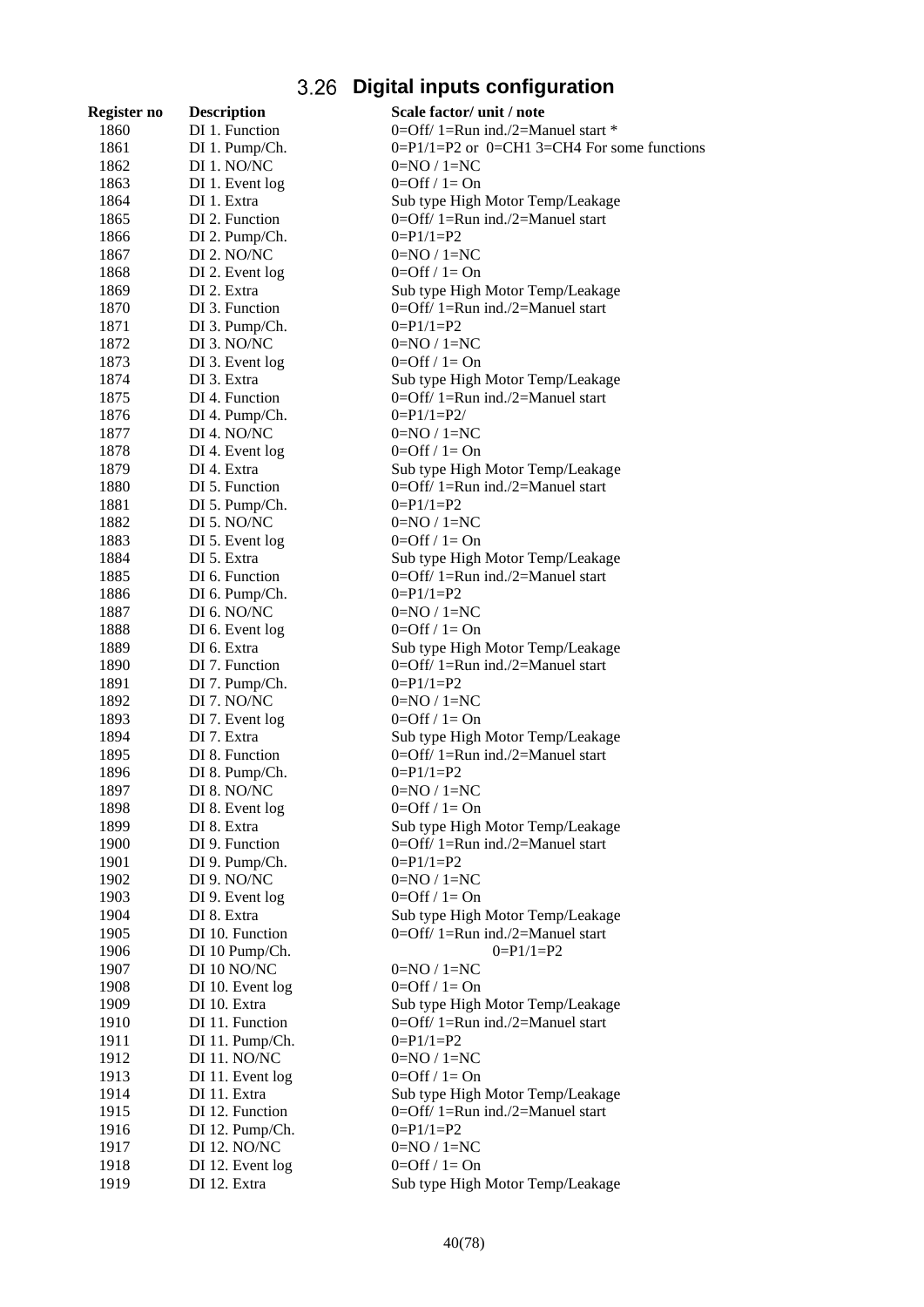# **Digital inputs configuration**

| Register no | <b>Description</b>  | Scale factor/ unit / note                       |
|-------------|---------------------|-------------------------------------------------|
| 1860        | DI 1. Function      | 0=Off/ 1=Run ind./2=Manuel start *              |
| 1861        | DI 1. Pump/Ch.      | $0=P1/1=P2$ or $0=CH1$ 3=CH4 For some functions |
| 1862        | DI 1. NO/NC         | $0=NQ/1=NC$                                     |
| 1863        | DI 1. Event log     | $0=Off / 1=On$                                  |
| 1864        | DI 1. Extra         | Sub type High Motor Temp/Leakage                |
| 1865        | DI 2. Function      | 0=Off/ 1=Run ind./2=Manuel start                |
| 1866        | DI 2. Pump/Ch.      | $0 = P1/1 = P2$                                 |
| 1867        | DI 2. NO/NC         | $0=NO / 1=NC$                                   |
| 1868        | DI 2. Event log     | $0=Off / 1=On$                                  |
| 1869        | DI 2. Extra         | Sub type High Motor Temp/Leakage                |
| 1870        | DI 3. Function      | $0=$ Off/ 1=Run ind./2=Manuel start             |
| 1871        | DI 3. Pump/Ch.      | $0 = P1/1 = P2$                                 |
| 1872        | DI 3. NO/NC         | $0=NO/1=NC$                                     |
| 1873        | DI 3. Event log     | $0=Off / 1=On$                                  |
| 1874        | DI 3. Extra         | Sub type High Motor Temp/Leakage                |
| 1875        | DI 4. Function      | $0=$ Off/ 1=Run ind./2=Manuel start             |
| 1876        | DI 4. Pump/Ch.      | $0 = P1/1 = P2/$                                |
| 1877        | DI 4. NO/NC         | $0=NO/1=NC$                                     |
| 1878        | DI 4. Event log     | $0=Off / 1=On$                                  |
| 1879        | DI 4. Extra         | Sub type High Motor Temp/Leakage                |
| 1880        | DI 5. Function      | 0=Off/ 1=Run ind./2=Manuel start                |
| 1881        | DI 5. Pump/Ch.      | $0 = P1/1 = P2$                                 |
| 1882        | DI 5. NO/NC         | $0=NO / 1=NC$                                   |
| 1883        | DI 5. Event log     | $0=Off / 1=On$                                  |
| 1884        | DI 5. Extra         | Sub type High Motor Temp/Leakage                |
| 1885        | DI 6. Function      | 0=Off/ 1=Run ind./2=Manuel start                |
| 1886        | DI 6. Pump/Ch.      | $0 = P1/1 = P2$                                 |
| 1887        | DI 6. NO/NC         | $0=NO/1=NC$                                     |
| 1888        | DI 6. Event log     | $0=Off / 1=On$                                  |
| 1889        | DI 6. Extra         | Sub type High Motor Temp/Leakage                |
| 1890        | DI 7. Function      | 0=Off/ 1=Run ind./2=Manuel start                |
| 1891        | DI 7. Pump/Ch.      | $0 = P1/1 = P2$                                 |
| 1892        | DI 7. NO/NC         | $0=NO/1=NC$                                     |
| 1893        | DI 7. Event log     | $0=Off / 1=On$                                  |
| 1894        | DI 7. Extra         | Sub type High Motor Temp/Leakage                |
| 1895        | DI 8. Function      | 0=Off/ 1=Run ind./2=Manuel start                |
| 1896        | DI 8. Pump/Ch.      | $0 = P1/1 = P2$                                 |
| 1897        | DI 8. NO/NC         | $0=NO / 1=NC$                                   |
| 1898        | DI 8. Event log     | $0=Off / 1=On$                                  |
| 1899        | DI 8. Extra         | Sub type High Motor Temp/Leakage                |
| 1900        | DI 9. Function      | $0=$ Off/ 1=Run ind./2=Manuel start             |
| 1901        | DI 9. Pump/Ch.      | $0 = P1/1 = P2$                                 |
| 1902        | DI 9. NO/NC         | $0=NO / 1=NC$                                   |
| 1903        | DI 9. Event log     | $0=Off / 1=On$                                  |
| 1904        | DI 8. Extra         | Sub type High Motor Temp/Leakage                |
| 1905        | DI 10. Function     | $0=Off/1=Run$ ind./2=Manuel start               |
| 1906        | DI 10 Pump/Ch.      | $0 = P1/1 = P2$                                 |
| 1907        | DI 10 NO/NC         | $0=NO/1=NC$                                     |
| 1908        | DI 10. Event log    | $0=Off / 1=On$                                  |
| 1909        | DI 10. Extra        | Sub type High Motor Temp/Leakage                |
| 1910        | DI 11. Function     | $0=$ Off/ 1=Run ind./2=Manuel start             |
| 1911        | DI 11. Pump/Ch.     | $0 = P1/1 = P2$                                 |
| 1912        | DI 11. NO/NC        | $0=NO / 1=NC$                                   |
| 1913        | DI 11. Event log    | $0=Off / 1=On$                                  |
| 1914        | DI 11. Extra        | Sub type High Motor Temp/Leakage                |
| 1915        | DI 12. Function     | 0=Off/ 1=Run ind./2=Manuel start                |
| 1916        | DI 12. Pump/Ch.     | $0 = P1/1 = P2$                                 |
| 1917        | <b>DI 12. NO/NC</b> | $0=NO / 1=NC$                                   |
| 1918        | DI 12. Event log    | $0=Off / 1=On$                                  |
| 1919        | DI 12. Extra        | Sub type High Motor Temp/Leakage                |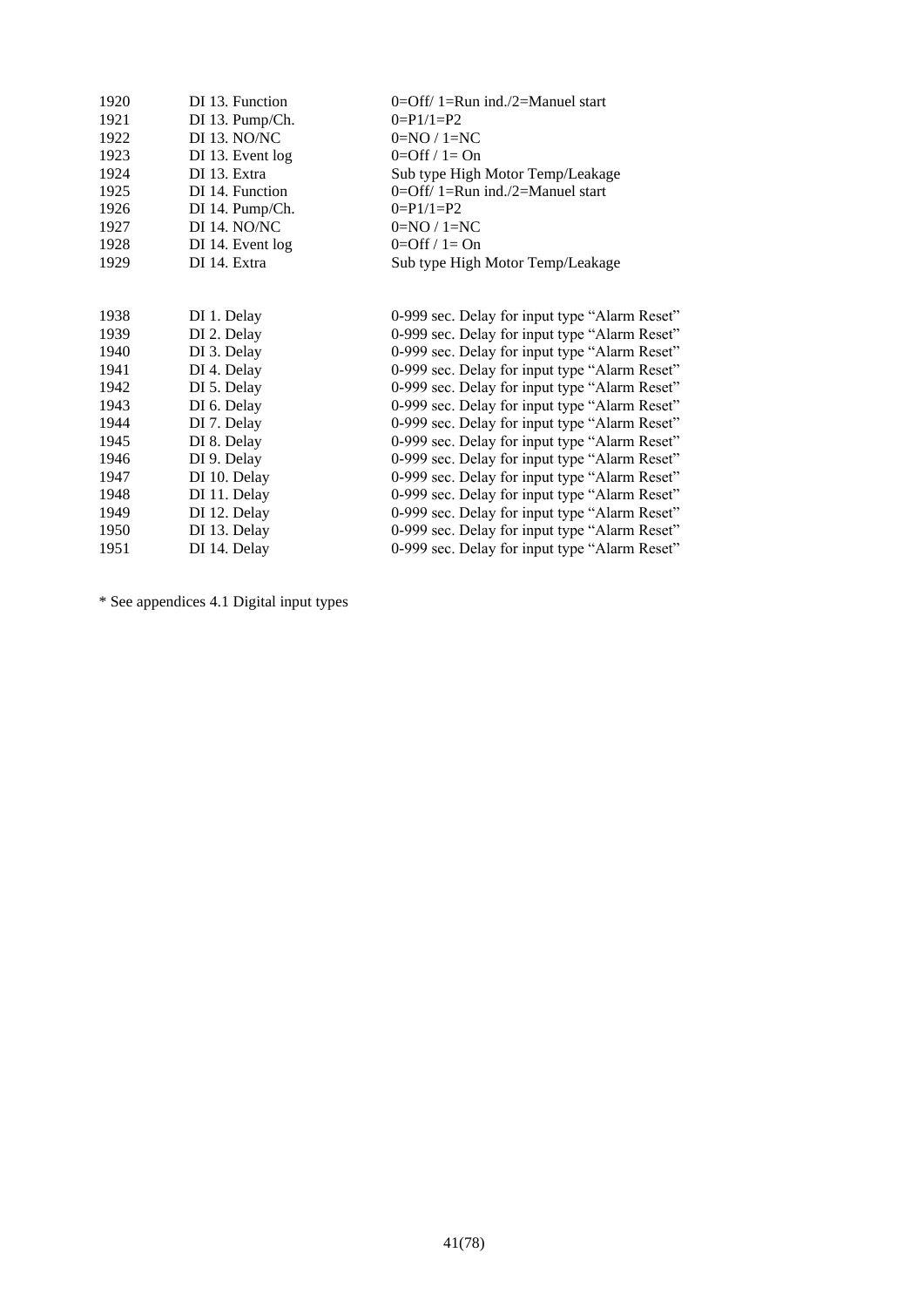| 1920 | DI 13. Function  | $0=$ Off/ 1=Run ind./2=Manuel start           |
|------|------------------|-----------------------------------------------|
| 1921 | DI 13. Pump/Ch.  | $0 = P1/1 = P2$                               |
| 1922 | DI 13. NO/NC     | $0=NQ/1=NC$                                   |
| 1923 | DI 13. Event log | $0=Off / 1=On$                                |
| 1924 | DI 13. Extra     | Sub type High Motor Temp/Leakage              |
| 1925 | DI 14. Function  | 0=Off/ 1=Run ind./2=Manuel start              |
| 1926 | DI 14. Pump/Ch.  | $0 = P1/1 = P2$                               |
| 1927 | DI 14. NO/NC     | $0=NQ/1=NC$                                   |
| 1928 | DI 14. Event log | $0=Off / 1=On$                                |
| 1929 | DI 14. Extra     | Sub type High Motor Temp/Leakage              |
|      |                  |                                               |
|      |                  |                                               |
| 1938 | DI 1. Delay      | 0-999 sec. Delay for input type "Alarm Reset" |
| 1939 | DI 2. Delay      | 0-999 sec. Delay for input type "Alarm Reset" |
| 1940 | DI 3. Delay      | 0-999 sec. Delay for input type "Alarm Reset" |
| 1941 | DI 4. Delay      | 0-999 sec. Delay for input type "Alarm Reset" |
| 1942 | DI 5. Delay      | 0-999 sec. Delay for input type "Alarm Reset" |
| 1943 | DI 6. Delay      | 0-999 sec. Delay for input type "Alarm Reset" |
| 1944 | DI 7. Delay      | 0-999 sec. Delay for input type "Alarm Reset" |
| 1945 | DI 8. Delay      | 0-999 sec. Delay for input type "Alarm Reset" |
| 1946 | DI 9. Delay      | 0-999 sec. Delay for input type "Alarm Reset" |
| 1947 | DI 10. Delay     | 0-999 sec. Delay for input type "Alarm Reset" |
| 1948 | DI 11. Delay     | 0-999 sec. Delay for input type "Alarm Reset" |
| 1949 | DI 12. Delay     | 0-999 sec. Delay for input type "Alarm Reset" |
| 1950 | DI 13. Delay     | 0-999 sec. Delay for input type "Alarm Reset" |
| 1951 | DI 14. Delay     | 0-999 sec. Delay for input type "Alarm Reset" |

\* See appendices [4.1](#page-69-0) Digital input types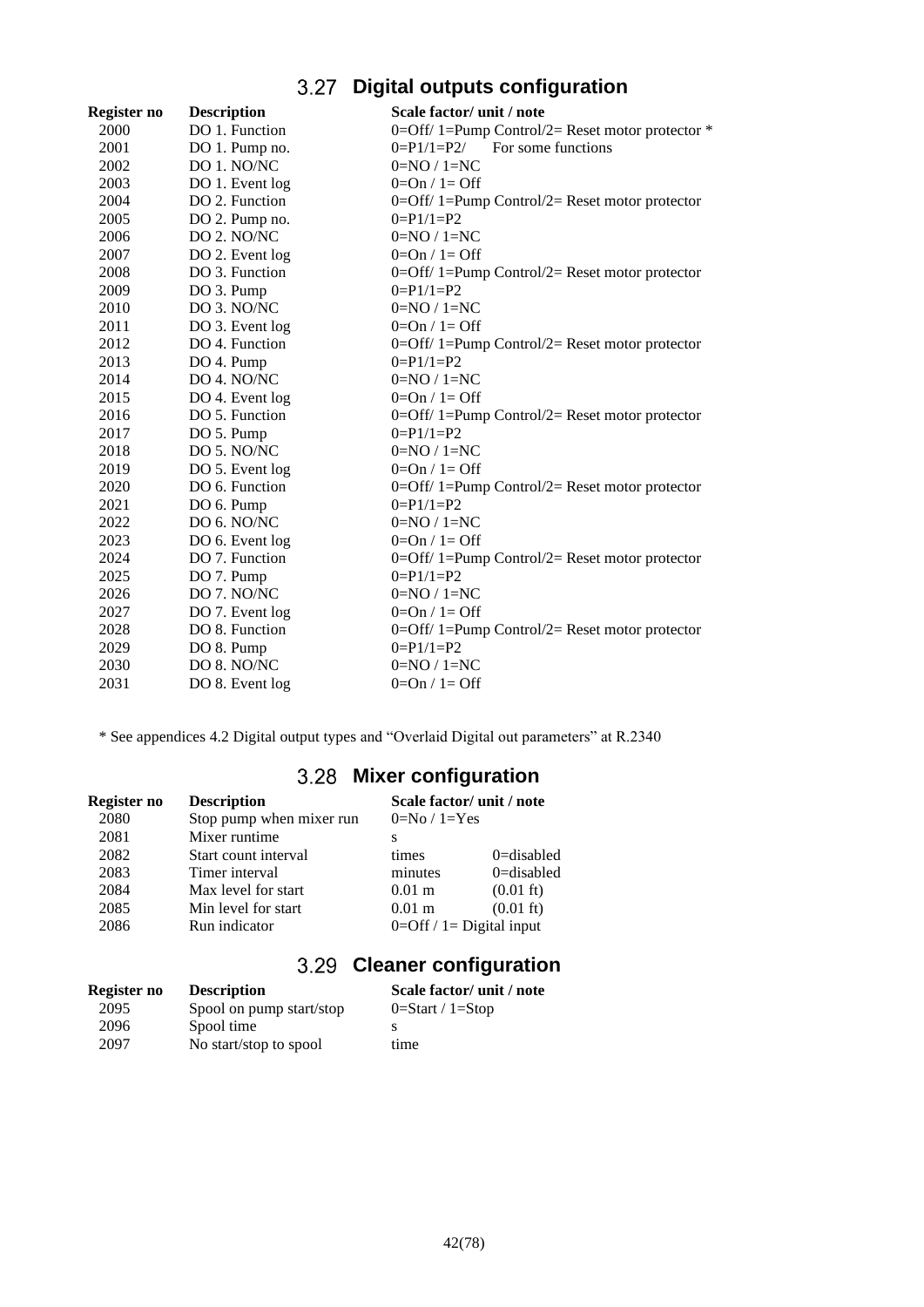# **Digital outputs configuration**

| Register no | <b>Description</b> | Scale factor/ unit / note                          |
|-------------|--------------------|----------------------------------------------------|
| 2000        | DO 1. Function     | 0=Off/ 1=Pump Control/2= Reset motor protector $*$ |
| 2001        | DO 1. Pump no.     | $0 = P1/1 = P2/$ For some functions                |
| 2002        | DO 1. NO/NC        | $0=NO/1=NC$                                        |
| 2003        | DO 1. Event log    | $0=On / 1=Off$                                     |
| 2004        | DO 2. Function     | $0=$ Off/ 1=Pump Control/2= Reset motor protector  |
| 2005        | DO 2. Pump no.     | $0 = P1/1 = P2$                                    |
| 2006        | DO 2. NO/NC        | $0=NO/1=NC$                                        |
| 2007        | DO 2. Event log    | $0=On / 1=Off$                                     |
| 2008        | DO 3. Function     | $0=$ Off/ 1=Pump Control/2= Reset motor protector  |
| 2009        | DO 3. Pump         | $0 = P1/1 = P2$                                    |
| 2010        | DO 3. NO/NC        | $0=NO/1=NC$                                        |
| 2011        | DO 3. Event log    | $0=On / 1=Off$                                     |
| 2012        | DO 4. Function     | $0=$ Off/ 1=Pump Control/2= Reset motor protector  |
| 2013        | DO 4. Pump         | $0=$ P1/1=P2                                       |
| 2014        | DO 4. NO/NC        | $0=NQ/1=NC$                                        |
| 2015        | DO 4. Event log    | $0=On / 1=Off$                                     |
| 2016        | DO 5. Function     | $0=$ Off/ 1=Pump Control/2= Reset motor protector  |
| 2017        | DO 5. Pump         | $0=$ P1/1=P2                                       |
| 2018        | DO 5. NO/NC        | $0=NQ/1=NC$                                        |
| 2019        | DO 5. Event log    | $0=On / 1=Off$                                     |
| 2020        | DO 6. Function     | $0=$ Off/ 1=Pump Control/2= Reset motor protector  |
| 2021        | DO 6. Pump         | $0 = P1/1 = P2$                                    |
| 2022        | DO 6. NO/NC        | $0=NQ/1=NC$                                        |
| 2023        | DO 6. Event log    | $0=On / 1=Off$                                     |
| 2024        | DO 7. Function     | $0=$ Off/ 1=Pump Control/2= Reset motor protector  |
| 2025        | DO 7. Pump         | $0 = P1/1 = P2$                                    |
| 2026        | DO 7. NO/NC        | $0=NO/1=NC$                                        |
| 2027        | DO 7. Event log    | $0=On / 1=Off$                                     |
| 2028        | DO 8. Function     | $0=$ Off/ 1=Pump Control/2= Reset motor protector  |
| 2029        | DO 8. Pump         | $0 = P1/1 = P2$                                    |
| 2030        | DO 8. NO/NC        | $0=NQ/1=NC$                                        |
| 2031        | DO 8. Event log    | $0=On / 1=Off$                                     |

\* See appendices [4.2](#page-70-0) Digital output types and "Overlaid Digital out parameters" at R.2340

# **Mixer configuration**

| Register no | <b>Description</b>       | Scale factor/ unit / note    |                     |
|-------------|--------------------------|------------------------------|---------------------|
| 2080        | Stop pump when mixer run | $0=No/1=Yes$                 |                     |
| 2081        | Mixer runtime            | s                            |                     |
| 2082        | Start count interval     | times                        | $0 =$ disabled      |
| 2083        | Timer interval           | minutes                      | $0 =$ disabled      |
| 2084        | Max level for start      | $0.01 \text{ m}$             | $(0.01 \text{ ft})$ |
| 2085        | Min level for start      | $0.01 \text{ m}$             | $(0.01 \text{ ft})$ |
| 2086        | Run indicator            | $0=$ Off / 1 = Digital input |                     |

# **Cleaner configuration**

| Register no | <b>Description</b>       | Scale factor/ unit / note |
|-------------|--------------------------|---------------------------|
| 2095        | Spool on pump start/stop | $0=Start / 1=Stop$        |
| 2096        | Spool time               |                           |
| 2097        | No start/stop to spool   | time                      |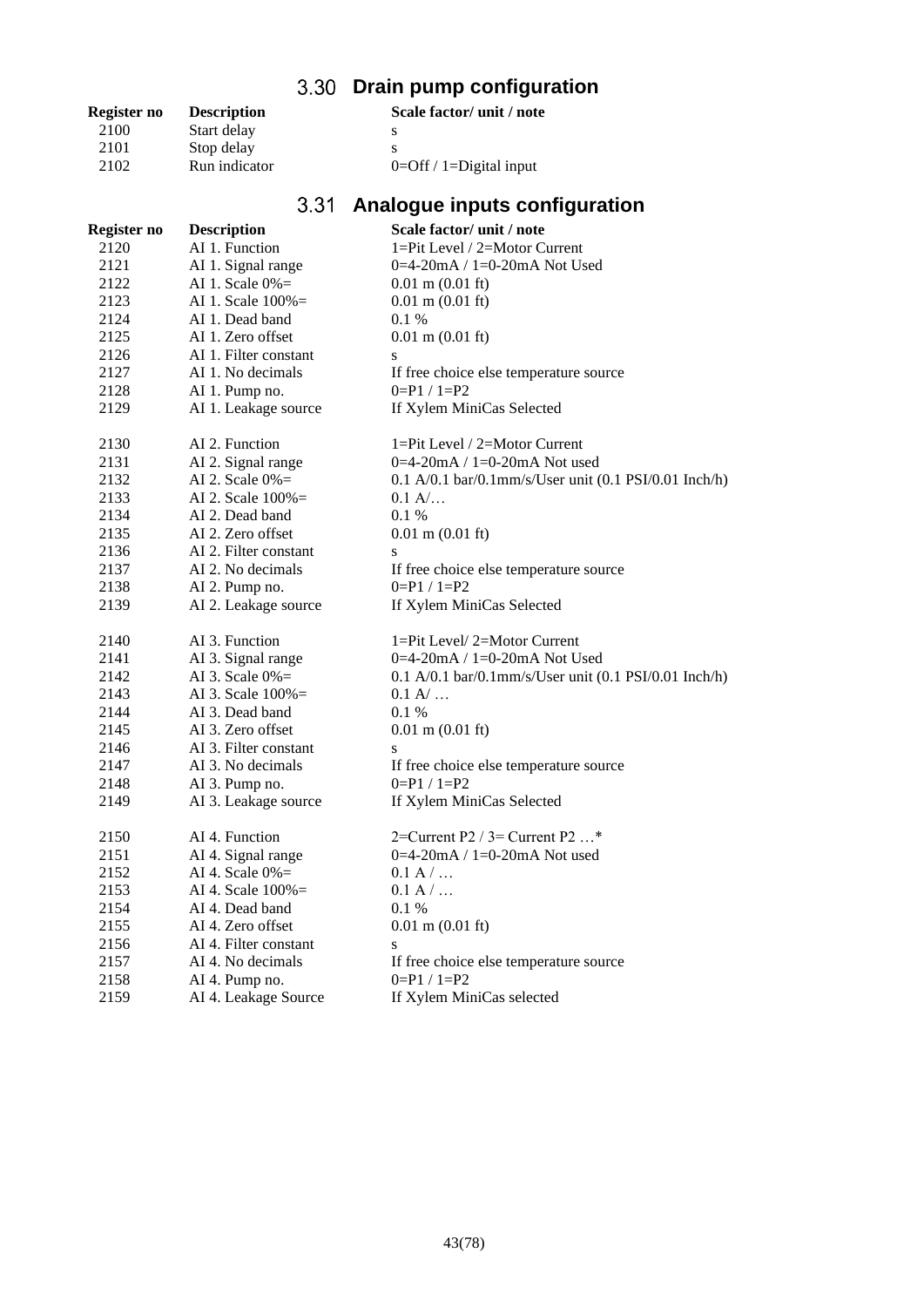# **Drain pump configuration**

| Register no | <b>Description</b> |       | Scale factor/ unit / note  |
|-------------|--------------------|-------|----------------------------|
| 2100        | Start delay        |       | S                          |
| 2101        | Stop delay         |       | s                          |
| 2102        | Run indicator      |       | $0=$ Off / 1=Digital input |
|             |                    |       |                            |
|             |                    | 2 2 1 | Analoguo inpute configu    |

# **Analogue inputs configuration**

| Register no | <b>Description</b>    | Scale factor/ unit / note                                |
|-------------|-----------------------|----------------------------------------------------------|
| 2120        | AI 1. Function        | 1=Pit Level / 2=Motor Current                            |
| 2121        | AI 1. Signal range    | 0=4-20mA / 1=0-20mA Not Used                             |
| 2122        | AI 1. Scale $0\% =$   | $0.01$ m $(0.01$ ft)                                     |
| 2123        | AI 1. Scale 100%=     | $0.01$ m $(0.01$ ft)                                     |
| 2124        | AI 1. Dead band       | 0.1%                                                     |
| 2125        | AI 1. Zero offset     | $0.01$ m $(0.01$ ft)                                     |
| 2126        | AI 1. Filter constant | ${\bf S}$                                                |
| 2127        | AI 1. No decimals     | If free choice else temperature source                   |
| 2128        | AI 1. Pump no.        | $0 = P1 / 1 = P2$                                        |
| 2129        | AI 1. Leakage source  | If Xylem MiniCas Selected                                |
| 2130        | AI 2. Function        | $1 = Pit$ Level / $2 = Motor$ Current                    |
| 2131        | AI 2. Signal range    | 0=4-20mA / 1=0-20mA Not used                             |
| 2132        | AI 2. Scale $0\%$ =   | $0.1 A/0.1 bar/0.1 mm/s/User unit (0.1 PSI/0.01 Inch/h)$ |
| 2133        | AI 2. Scale $100\%$ = | 0.1 A/                                                   |
| 2134        | AI 2. Dead band       | 0.1%                                                     |
| 2135        | AI 2. Zero offset     | $0.01$ m $(0.01$ ft)                                     |
| 2136        | AI 2. Filter constant | S                                                        |
| 2137        | AI 2. No decimals     | If free choice else temperature source                   |
| 2138        | AI 2. Pump no.        | $0=$ P1 / 1=P2                                           |
| 2139        | AI 2. Leakage source  | If Xylem MiniCas Selected                                |
| 2140        | AI 3. Function        | 1=Pit Level/2=Motor Current                              |
| 2141        | AI 3. Signal range    | 0=4-20mA / 1=0-20mA Not Used                             |
| 2142        | AI 3. Scale $0\%$ =   | $0.1 A/0.1 bar/0.1 mm/s/User unit (0.1 PSI/0.01 Inch/h)$ |
| 2143        | AI 3. Scale $100\% =$ | 0.1 A/                                                   |
| 2144        | AI 3. Dead band       | 0.1%                                                     |
| 2145        | AI 3. Zero offset     | $0.01$ m $(0.01$ ft)                                     |
| 2146        | AI 3. Filter constant | S                                                        |
| 2147        | AI 3. No decimals     | If free choice else temperature source                   |
| 2148        | AI 3. Pump no.        | $0=$ P1 / 1=P2                                           |
| 2149        | AI 3. Leakage source  | If Xylem MiniCas Selected                                |
| 2150        | AI 4. Function        | 2=Current P2 / 3= Current P2 $\ldots$ <sup>*</sup>       |
| 2151        | AI 4. Signal range    | 0=4-20mA / 1=0-20mA Not used                             |
| 2152        | AI 4. Scale $0\%$ =   | 0.1 A /                                                  |
| 2153        | AI 4. Scale $100\%$ = | 0.1 A /                                                  |
| 2154        | AI 4. Dead band       | 0.1%                                                     |
| 2155        | AI 4. Zero offset     | $0.01$ m $(0.01$ ft)                                     |
| 2156        | AI 4. Filter constant | ${\bf S}$                                                |
| 2157        | AI 4. No decimals     | If free choice else temperature source                   |
| 2158        | AI 4. Pump no.        | $0=$ P1 / 1=P2                                           |
| 2159        | AI 4. Leakage Source  | If Xylem MiniCas selected                                |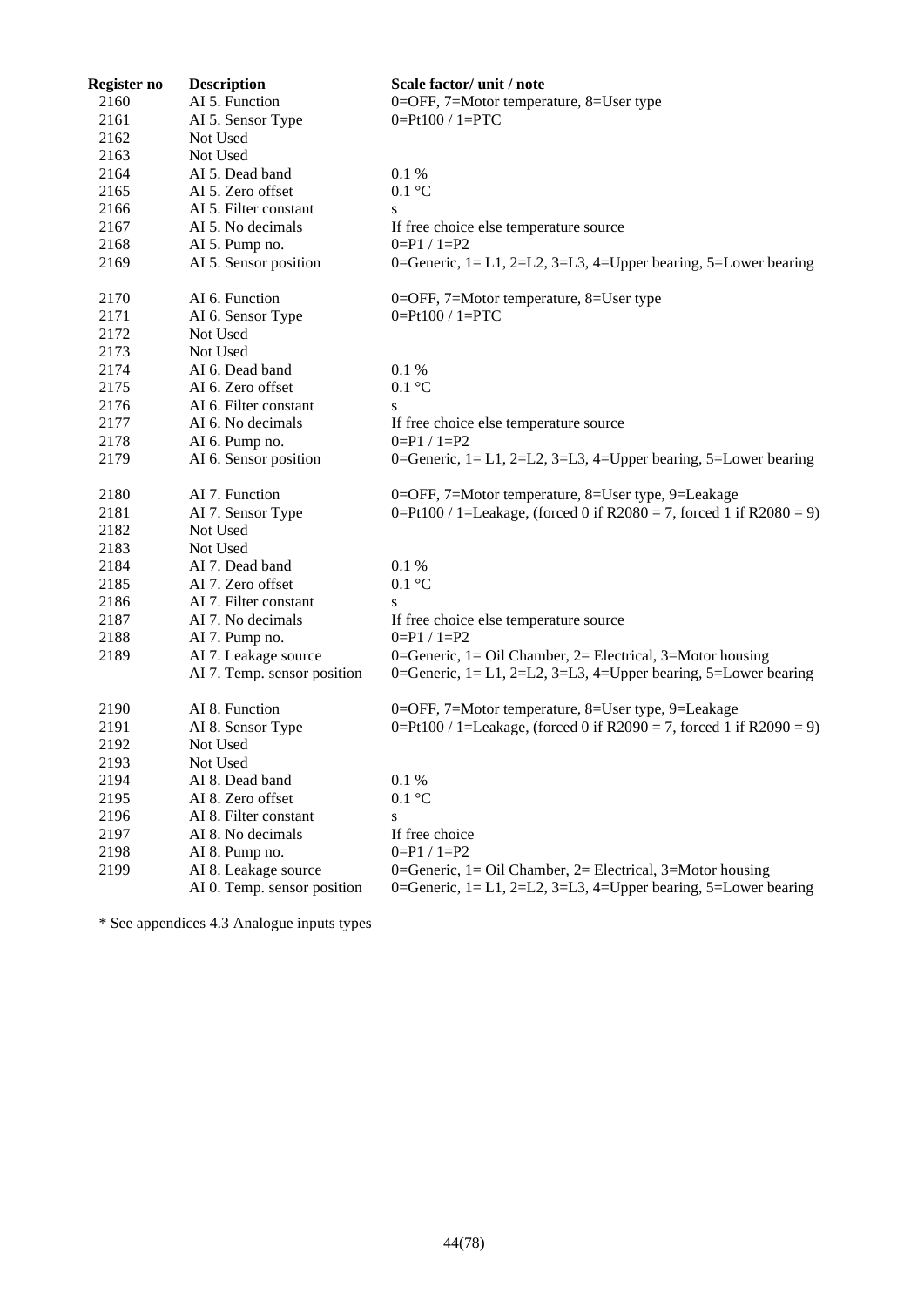| Register no | <b>Description</b>          | Scale factor/ unit / note                                           |
|-------------|-----------------------------|---------------------------------------------------------------------|
| 2160        | AI 5. Function              | 0=OFF, 7=Motor temperature, 8=User type                             |
| 2161        | AI 5. Sensor Type           | $0 = Pt100 / 1 = PTC$                                               |
| 2162        | Not Used                    |                                                                     |
| 2163        | Not Used                    |                                                                     |
| 2164        | AI 5. Dead band             | 0.1%                                                                |
| 2165        | AI 5. Zero offset           | $0.1 \text{ }^{\circ}C$                                             |
| 2166        | AI 5. Filter constant       | S                                                                   |
| 2167        | AI 5. No decimals           | If free choice else temperature source                              |
| 2168        | AI 5. Pump no.              | $0=$ P1 / 1=P2                                                      |
| 2169        | AI 5. Sensor position       | 0=Generic, 1= L1, 2=L2, 3=L3, 4=Upper bearing, 5=Lower bearing      |
| 2170        | AI 6. Function              | 0=OFF, 7=Motor temperature, 8=User type                             |
| 2171        | AI 6. Sensor Type           | $0 = Pt100 / 1 = PTC$                                               |
| 2172        | Not Used                    |                                                                     |
| 2173        | Not Used                    |                                                                     |
| 2174        | AI 6. Dead band             | 0.1%                                                                |
| 2175        | AI 6. Zero offset           | $0.1 \text{ }^{\circ}C$                                             |
| 2176        | AI 6. Filter constant       | S                                                                   |
| 2177        | AI 6. No decimals           | If free choice else temperature source                              |
| 2178        | AI 6. Pump no.              | $0=$ P1 / 1=P2                                                      |
| 2179        | AI 6. Sensor position       | 0=Generic, 1= L1, 2=L2, 3=L3, 4=Upper bearing, 5=Lower bearing      |
| 2180        | AI 7. Function              | 0=OFF, 7=Motor temperature, 8=User type, 9=Leakage                  |
| 2181        | AI 7. Sensor Type           | 0=Pt100 / 1=Leakage, (forced 0 if R2080 = 7, forced 1 if R2080 = 9) |
| 2182        | Not Used                    |                                                                     |
| 2183        | Not Used                    |                                                                     |
| 2184        | AI 7. Dead band             | 0.1 %                                                               |
| 2185        | AI 7. Zero offset           | $0.1\ ^{\circ}\textrm{C}$                                           |
| 2186        | AI 7. Filter constant       | S                                                                   |
| 2187        | AI 7. No decimals           | If free choice else temperature source                              |
| 2188        | AI 7. Pump no.              | $0=$ P1 / 1=P2                                                      |
| 2189        | AI 7. Leakage source        | 0=Generic, 1= Oil Chamber, 2= Electrical, 3=Motor housing           |
|             | AI 7. Temp. sensor position | 0=Generic, 1= L1, 2=L2, 3=L3, 4=Upper bearing, 5=Lower bearing      |
| 2190        | AI 8. Function              | 0=OFF, 7=Motor temperature, 8=User type, 9=Leakage                  |
| 2191        | AI 8. Sensor Type           | 0=Pt100 / 1=Leakage, (forced 0 if R2090 = 7, forced 1 if R2090 = 9) |
| 2192        | Not Used                    |                                                                     |
| 2193        | Not Used                    |                                                                     |
| 2194        | AI 8. Dead band             | 0.1 %                                                               |
| 2195        | AI 8. Zero offset           | $0.1 \text{ }^{\circ}C$                                             |
| 2196        | AI 8. Filter constant       | S                                                                   |
| 2197        | AI 8. No decimals           | If free choice                                                      |
| 2198        | AI 8. Pump no.              | $0 = P1 / 1 = P2$                                                   |
| 2199        | AI 8. Leakage source        | 0=Generic, 1= Oil Chamber, 2= Electrical, 3=Motor housing           |
|             | AI 0. Temp. sensor position | 0=Generic, 1= L1, 2=L2, 3=L3, 4=Upper bearing, 5=Lower bearing      |

\* See appendices [4.3](#page-70-1) Analogue inputs types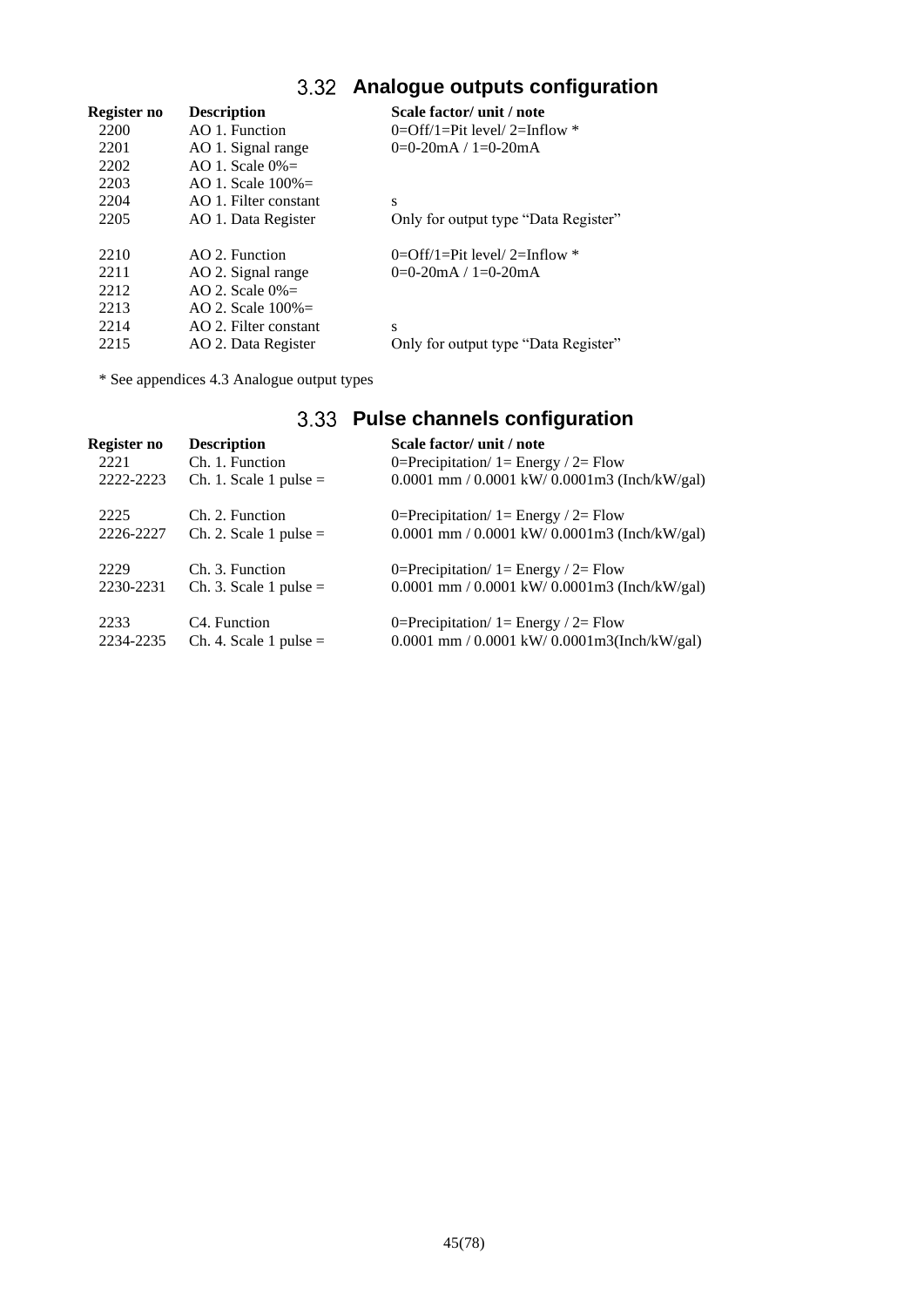## **Analogue outputs configuration**

| Register no | <b>Description</b>    | Scale factor/ unit / note            |
|-------------|-----------------------|--------------------------------------|
| 2200        | AO 1. Function        | $0=Off/1=Pit$ level/ 2=Inflow *      |
| 2201        | AO 1. Signal range    | $0=0-20$ mA / $1=0-20$ mA            |
| 2202        | AO 1. Scale $0\% =$   |                                      |
| 2203        | AO 1. Scale $100\% =$ |                                      |
| 2204        | AO 1. Filter constant | S                                    |
| 2205        | AO 1. Data Register   | Only for output type "Data Register" |
| 2210        | AO 2. Function        | $0=$ Off/1=Pit level/2=Inflow *      |
| 2211        | AO 2. Signal range    | $0=0-20$ mA / $1=0-20$ mA            |
| 2212        | AO 2. Scale $0\%$ =   |                                      |
| 2213        | AO 2. Scale $100\%$ = |                                      |
| 2214        | AO 2. Filter constant | S                                    |
| 2215        | AO 2. Data Register   | Only for output type "Data Register" |

\* See appendices [4.3](#page-70-1) Analogue output types

## **Pulse channels configuration Register no Description Scale factor/ unit / note** 2221 Ch. 1. Function  $0=Precription/ 1=Energy / 2= Flow$ 2222-2223 Ch. 1. Scale 1 pulse = 0.0001 mm / 0.0001 kW/ 0.0001m3 (Inch/kW/gal) 2225 Ch. 2. Function  $0=Precipitation/ 1= Energy / 2= Flow$ 2226-2227 Ch. 2. Scale 1 pulse = 0.0001 mm / 0.0001 kW/ 0.0001m3 (Inch/kW/gal) 2229 Ch. 3. Function  $0=Precipitation/ 1= Energy / 2= Flow$ 2230-2231 Ch. 3. Scale 1 pulse = 0.0001 mm / 0.0001 kW/ 0.0001m3 (Inch/kW/gal) 2233 C4. Function  $0=Precipitation/ 1= Energy / 2= Flow$ 2234-2235 Ch. 4. Scale 1 pulse = 0.0001 mm / 0.0001 kW/ 0.0001m3(Inch/kW/gal)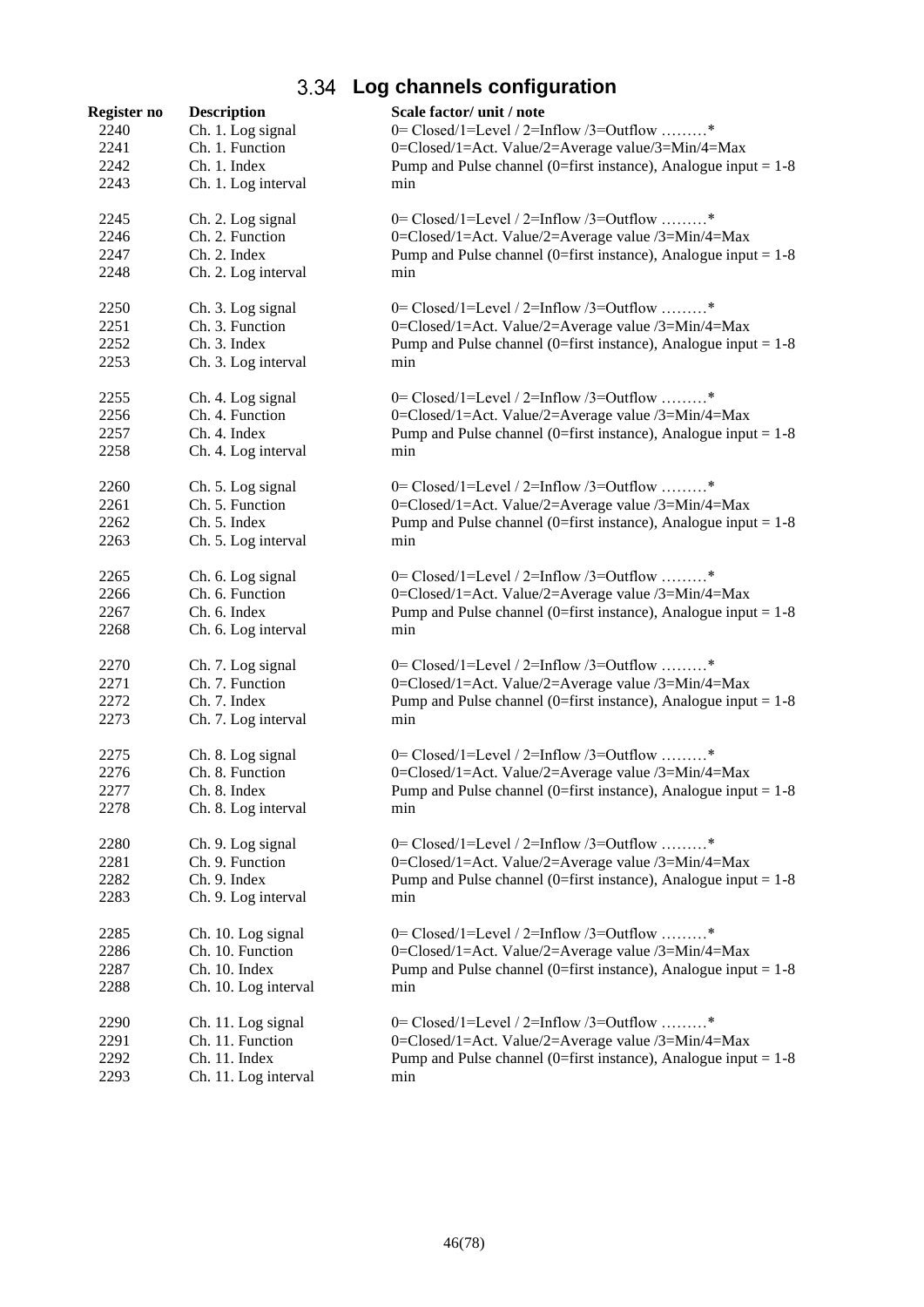# **Log channels configuration**

| 2240<br>Ch. 1. Log signal<br>0= $Closed/1 = Level / 2 = Inflow / 3 = Outflow$ *<br>Ch. 1. Function<br>2241<br>0=Closed/1=Act. Value/2=Average value/3=Min/4=Max<br>2242<br>Ch. 1. Index<br>Pump and Pulse channel (0=first instance), Analogue input = $1-8$<br>2243<br>Ch. 1. Log interval<br>min<br>2245<br>0= $Closed/1 = Level / 2 = Inflow / 3 = Outflow$ *<br>Ch. 2. Log signal<br>Ch. 2. Function<br>0=Closed/1=Act. Value/2=Average value /3=Min/4=Max<br>2246<br>Ch. 2. Index<br>Pump and Pulse channel (0=first instance), Analogue input = $1-8$<br>2247<br>2248<br>Ch. 2. Log interval<br>min<br>2250<br>0= Closed/1=Level / 2=Inflow /3=Outflow *<br>Ch. 3. Log signal<br>2251<br>Ch. 3. Function<br>0=Closed/1=Act. Value/2=Average value /3=Min/4=Max<br>2252<br>Ch. 3. Index<br>Pump and Pulse channel (0=first instance), Analogue input = $1-8$<br>Ch. 3. Log interval<br>2253<br>min<br>0= $Closed/1 = Level / 2 = Inflow / 3 = Outflow$ *<br>2255<br>Ch. 4. Log signal<br>2256<br>Ch. 4. Function<br>0=Closed/1=Act. Value/2=Average value /3=Min/4=Max<br>2257<br>Ch. 4. Index<br>Pump and Pulse channel (0=first instance), Analogue input = $1-8$<br>2258<br>Ch. 4. Log interval<br>min<br>0= $Closed/1 = Level / 2 = Inflow / 3 = Outflow$ *<br>2260<br>Ch. 5. Log signal<br>Ch. 5. Function<br>0=Closed/1=Act. Value/2=Average value /3=Min/4=Max<br>2261<br>Pump and Pulse channel (0=first instance), Analogue input = $1-8$<br>2262<br>Ch. 5. Index<br>Ch. 5. Log interval<br>2263<br>min<br>0= Closed/1=Level / 2=Inflow /3=Outflow *<br>2265<br>Ch. 6. Log signal<br>Ch. 6. Function<br>0=Closed/1=Act. Value/2=Average value /3=Min/4=Max<br>2266<br>2267<br>Ch. 6. Index<br>Pump and Pulse channel (0=first instance), Analogue input = $1-8$<br>2268<br>Ch. 6. Log interval<br>min<br>0= Closed/1=Level / 2=Inflow /3=Outflow *<br>2270<br>Ch. 7. Log signal<br>Ch. 7. Function<br>2271<br>0=Closed/1=Act. Value/2=Average value /3=Min/4=Max<br>2272<br>Ch. 7. Index<br>Pump and Pulse channel (0=first instance), Analogue input = $1-8$<br>2273<br>Ch. 7. Log interval<br>min<br>0= $Closed/1 = Level / 2 = Inflow / 3 = Outflow$ *<br>2275<br>Ch. 8. Log signal<br>Ch. 8. Function<br>2276<br>0=Closed/1=Act. Value/2=Average value /3=Min/4=Max<br>2277<br>Ch. 8. Index<br>Pump and Pulse channel (0=first instance), Analogue input = $1-8$<br>2278<br>Ch. 8. Log interval<br>min<br>0= $Closed/1 = Level / 2 = Inflow / 3 = Outflow$ *<br>2280<br>Ch. 9. Log signal<br>2281<br>Ch. 9. Function<br>0=Closed/1=Act. Value/2=Average value /3=Min/4=Max<br>2282<br>Ch. 9. Index<br>Pump and Pulse channel (0=first instance), Analogue input = $1-8$<br>2283<br>Ch. 9. Log interval<br>min<br>0= $Closed/1 = Level / 2 = Inflow / 3 = Outflow$ *<br>2285<br>Ch. 10. Log signal<br>2286<br>Ch. 10. Function<br>0=Closed/1=Act. Value/2=Average value /3=Min/4=Max<br>2287<br>Ch. 10. Index<br>Pump and Pulse channel (0=first instance), Analogue input = $1-8$<br>2288<br>Ch. 10. Log interval<br>min<br>0= $Closed/1 = Level / 2 = Inflow / 3 = Outflow$ *<br>2290<br>Ch. 11. Log signal<br>2291<br>Ch. 11. Function<br>0=Closed/1=Act. Value/2=Average value /3=Min/4=Max<br>2292<br>Ch. 11. Index<br>Pump and Pulse channel (0=first instance), Analogue input = $1-8$<br>2293<br>Ch. 11. Log interval<br>min | Register no | <b>Description</b> | Scale factor/ unit / note |
|-------------------------------------------------------------------------------------------------------------------------------------------------------------------------------------------------------------------------------------------------------------------------------------------------------------------------------------------------------------------------------------------------------------------------------------------------------------------------------------------------------------------------------------------------------------------------------------------------------------------------------------------------------------------------------------------------------------------------------------------------------------------------------------------------------------------------------------------------------------------------------------------------------------------------------------------------------------------------------------------------------------------------------------------------------------------------------------------------------------------------------------------------------------------------------------------------------------------------------------------------------------------------------------------------------------------------------------------------------------------------------------------------------------------------------------------------------------------------------------------------------------------------------------------------------------------------------------------------------------------------------------------------------------------------------------------------------------------------------------------------------------------------------------------------------------------------------------------------------------------------------------------------------------------------------------------------------------------------------------------------------------------------------------------------------------------------------------------------------------------------------------------------------------------------------------------------------------------------------------------------------------------------------------------------------------------------------------------------------------------------------------------------------------------------------------------------------------------------------------------------------------------------------------------------------------------------------------------------------------------------------------------------------------------------------------------------------------------------------------------------------------------------------------------------------------------------------------------------------------------------------------------------------------------------------------------------------------------------------------------------------------------------------------------------------------------------------------------------------------------------------------------------------------------------------------------------------------------------------------------------------------------------------------------------------------------------------------------------------|-------------|--------------------|---------------------------|
|                                                                                                                                                                                                                                                                                                                                                                                                                                                                                                                                                                                                                                                                                                                                                                                                                                                                                                                                                                                                                                                                                                                                                                                                                                                                                                                                                                                                                                                                                                                                                                                                                                                                                                                                                                                                                                                                                                                                                                                                                                                                                                                                                                                                                                                                                                                                                                                                                                                                                                                                                                                                                                                                                                                                                                                                                                                                                                                                                                                                                                                                                                                                                                                                                                                                                                                                                       |             |                    |                           |
|                                                                                                                                                                                                                                                                                                                                                                                                                                                                                                                                                                                                                                                                                                                                                                                                                                                                                                                                                                                                                                                                                                                                                                                                                                                                                                                                                                                                                                                                                                                                                                                                                                                                                                                                                                                                                                                                                                                                                                                                                                                                                                                                                                                                                                                                                                                                                                                                                                                                                                                                                                                                                                                                                                                                                                                                                                                                                                                                                                                                                                                                                                                                                                                                                                                                                                                                                       |             |                    |                           |
|                                                                                                                                                                                                                                                                                                                                                                                                                                                                                                                                                                                                                                                                                                                                                                                                                                                                                                                                                                                                                                                                                                                                                                                                                                                                                                                                                                                                                                                                                                                                                                                                                                                                                                                                                                                                                                                                                                                                                                                                                                                                                                                                                                                                                                                                                                                                                                                                                                                                                                                                                                                                                                                                                                                                                                                                                                                                                                                                                                                                                                                                                                                                                                                                                                                                                                                                                       |             |                    |                           |
|                                                                                                                                                                                                                                                                                                                                                                                                                                                                                                                                                                                                                                                                                                                                                                                                                                                                                                                                                                                                                                                                                                                                                                                                                                                                                                                                                                                                                                                                                                                                                                                                                                                                                                                                                                                                                                                                                                                                                                                                                                                                                                                                                                                                                                                                                                                                                                                                                                                                                                                                                                                                                                                                                                                                                                                                                                                                                                                                                                                                                                                                                                                                                                                                                                                                                                                                                       |             |                    |                           |
|                                                                                                                                                                                                                                                                                                                                                                                                                                                                                                                                                                                                                                                                                                                                                                                                                                                                                                                                                                                                                                                                                                                                                                                                                                                                                                                                                                                                                                                                                                                                                                                                                                                                                                                                                                                                                                                                                                                                                                                                                                                                                                                                                                                                                                                                                                                                                                                                                                                                                                                                                                                                                                                                                                                                                                                                                                                                                                                                                                                                                                                                                                                                                                                                                                                                                                                                                       |             |                    |                           |
|                                                                                                                                                                                                                                                                                                                                                                                                                                                                                                                                                                                                                                                                                                                                                                                                                                                                                                                                                                                                                                                                                                                                                                                                                                                                                                                                                                                                                                                                                                                                                                                                                                                                                                                                                                                                                                                                                                                                                                                                                                                                                                                                                                                                                                                                                                                                                                                                                                                                                                                                                                                                                                                                                                                                                                                                                                                                                                                                                                                                                                                                                                                                                                                                                                                                                                                                                       |             |                    |                           |
|                                                                                                                                                                                                                                                                                                                                                                                                                                                                                                                                                                                                                                                                                                                                                                                                                                                                                                                                                                                                                                                                                                                                                                                                                                                                                                                                                                                                                                                                                                                                                                                                                                                                                                                                                                                                                                                                                                                                                                                                                                                                                                                                                                                                                                                                                                                                                                                                                                                                                                                                                                                                                                                                                                                                                                                                                                                                                                                                                                                                                                                                                                                                                                                                                                                                                                                                                       |             |                    |                           |
|                                                                                                                                                                                                                                                                                                                                                                                                                                                                                                                                                                                                                                                                                                                                                                                                                                                                                                                                                                                                                                                                                                                                                                                                                                                                                                                                                                                                                                                                                                                                                                                                                                                                                                                                                                                                                                                                                                                                                                                                                                                                                                                                                                                                                                                                                                                                                                                                                                                                                                                                                                                                                                                                                                                                                                                                                                                                                                                                                                                                                                                                                                                                                                                                                                                                                                                                                       |             |                    |                           |
|                                                                                                                                                                                                                                                                                                                                                                                                                                                                                                                                                                                                                                                                                                                                                                                                                                                                                                                                                                                                                                                                                                                                                                                                                                                                                                                                                                                                                                                                                                                                                                                                                                                                                                                                                                                                                                                                                                                                                                                                                                                                                                                                                                                                                                                                                                                                                                                                                                                                                                                                                                                                                                                                                                                                                                                                                                                                                                                                                                                                                                                                                                                                                                                                                                                                                                                                                       |             |                    |                           |
|                                                                                                                                                                                                                                                                                                                                                                                                                                                                                                                                                                                                                                                                                                                                                                                                                                                                                                                                                                                                                                                                                                                                                                                                                                                                                                                                                                                                                                                                                                                                                                                                                                                                                                                                                                                                                                                                                                                                                                                                                                                                                                                                                                                                                                                                                                                                                                                                                                                                                                                                                                                                                                                                                                                                                                                                                                                                                                                                                                                                                                                                                                                                                                                                                                                                                                                                                       |             |                    |                           |
|                                                                                                                                                                                                                                                                                                                                                                                                                                                                                                                                                                                                                                                                                                                                                                                                                                                                                                                                                                                                                                                                                                                                                                                                                                                                                                                                                                                                                                                                                                                                                                                                                                                                                                                                                                                                                                                                                                                                                                                                                                                                                                                                                                                                                                                                                                                                                                                                                                                                                                                                                                                                                                                                                                                                                                                                                                                                                                                                                                                                                                                                                                                                                                                                                                                                                                                                                       |             |                    |                           |
|                                                                                                                                                                                                                                                                                                                                                                                                                                                                                                                                                                                                                                                                                                                                                                                                                                                                                                                                                                                                                                                                                                                                                                                                                                                                                                                                                                                                                                                                                                                                                                                                                                                                                                                                                                                                                                                                                                                                                                                                                                                                                                                                                                                                                                                                                                                                                                                                                                                                                                                                                                                                                                                                                                                                                                                                                                                                                                                                                                                                                                                                                                                                                                                                                                                                                                                                                       |             |                    |                           |
|                                                                                                                                                                                                                                                                                                                                                                                                                                                                                                                                                                                                                                                                                                                                                                                                                                                                                                                                                                                                                                                                                                                                                                                                                                                                                                                                                                                                                                                                                                                                                                                                                                                                                                                                                                                                                                                                                                                                                                                                                                                                                                                                                                                                                                                                                                                                                                                                                                                                                                                                                                                                                                                                                                                                                                                                                                                                                                                                                                                                                                                                                                                                                                                                                                                                                                                                                       |             |                    |                           |
|                                                                                                                                                                                                                                                                                                                                                                                                                                                                                                                                                                                                                                                                                                                                                                                                                                                                                                                                                                                                                                                                                                                                                                                                                                                                                                                                                                                                                                                                                                                                                                                                                                                                                                                                                                                                                                                                                                                                                                                                                                                                                                                                                                                                                                                                                                                                                                                                                                                                                                                                                                                                                                                                                                                                                                                                                                                                                                                                                                                                                                                                                                                                                                                                                                                                                                                                                       |             |                    |                           |
|                                                                                                                                                                                                                                                                                                                                                                                                                                                                                                                                                                                                                                                                                                                                                                                                                                                                                                                                                                                                                                                                                                                                                                                                                                                                                                                                                                                                                                                                                                                                                                                                                                                                                                                                                                                                                                                                                                                                                                                                                                                                                                                                                                                                                                                                                                                                                                                                                                                                                                                                                                                                                                                                                                                                                                                                                                                                                                                                                                                                                                                                                                                                                                                                                                                                                                                                                       |             |                    |                           |
|                                                                                                                                                                                                                                                                                                                                                                                                                                                                                                                                                                                                                                                                                                                                                                                                                                                                                                                                                                                                                                                                                                                                                                                                                                                                                                                                                                                                                                                                                                                                                                                                                                                                                                                                                                                                                                                                                                                                                                                                                                                                                                                                                                                                                                                                                                                                                                                                                                                                                                                                                                                                                                                                                                                                                                                                                                                                                                                                                                                                                                                                                                                                                                                                                                                                                                                                                       |             |                    |                           |
|                                                                                                                                                                                                                                                                                                                                                                                                                                                                                                                                                                                                                                                                                                                                                                                                                                                                                                                                                                                                                                                                                                                                                                                                                                                                                                                                                                                                                                                                                                                                                                                                                                                                                                                                                                                                                                                                                                                                                                                                                                                                                                                                                                                                                                                                                                                                                                                                                                                                                                                                                                                                                                                                                                                                                                                                                                                                                                                                                                                                                                                                                                                                                                                                                                                                                                                                                       |             |                    |                           |
|                                                                                                                                                                                                                                                                                                                                                                                                                                                                                                                                                                                                                                                                                                                                                                                                                                                                                                                                                                                                                                                                                                                                                                                                                                                                                                                                                                                                                                                                                                                                                                                                                                                                                                                                                                                                                                                                                                                                                                                                                                                                                                                                                                                                                                                                                                                                                                                                                                                                                                                                                                                                                                                                                                                                                                                                                                                                                                                                                                                                                                                                                                                                                                                                                                                                                                                                                       |             |                    |                           |
|                                                                                                                                                                                                                                                                                                                                                                                                                                                                                                                                                                                                                                                                                                                                                                                                                                                                                                                                                                                                                                                                                                                                                                                                                                                                                                                                                                                                                                                                                                                                                                                                                                                                                                                                                                                                                                                                                                                                                                                                                                                                                                                                                                                                                                                                                                                                                                                                                                                                                                                                                                                                                                                                                                                                                                                                                                                                                                                                                                                                                                                                                                                                                                                                                                                                                                                                                       |             |                    |                           |
|                                                                                                                                                                                                                                                                                                                                                                                                                                                                                                                                                                                                                                                                                                                                                                                                                                                                                                                                                                                                                                                                                                                                                                                                                                                                                                                                                                                                                                                                                                                                                                                                                                                                                                                                                                                                                                                                                                                                                                                                                                                                                                                                                                                                                                                                                                                                                                                                                                                                                                                                                                                                                                                                                                                                                                                                                                                                                                                                                                                                                                                                                                                                                                                                                                                                                                                                                       |             |                    |                           |
|                                                                                                                                                                                                                                                                                                                                                                                                                                                                                                                                                                                                                                                                                                                                                                                                                                                                                                                                                                                                                                                                                                                                                                                                                                                                                                                                                                                                                                                                                                                                                                                                                                                                                                                                                                                                                                                                                                                                                                                                                                                                                                                                                                                                                                                                                                                                                                                                                                                                                                                                                                                                                                                                                                                                                                                                                                                                                                                                                                                                                                                                                                                                                                                                                                                                                                                                                       |             |                    |                           |
|                                                                                                                                                                                                                                                                                                                                                                                                                                                                                                                                                                                                                                                                                                                                                                                                                                                                                                                                                                                                                                                                                                                                                                                                                                                                                                                                                                                                                                                                                                                                                                                                                                                                                                                                                                                                                                                                                                                                                                                                                                                                                                                                                                                                                                                                                                                                                                                                                                                                                                                                                                                                                                                                                                                                                                                                                                                                                                                                                                                                                                                                                                                                                                                                                                                                                                                                                       |             |                    |                           |
|                                                                                                                                                                                                                                                                                                                                                                                                                                                                                                                                                                                                                                                                                                                                                                                                                                                                                                                                                                                                                                                                                                                                                                                                                                                                                                                                                                                                                                                                                                                                                                                                                                                                                                                                                                                                                                                                                                                                                                                                                                                                                                                                                                                                                                                                                                                                                                                                                                                                                                                                                                                                                                                                                                                                                                                                                                                                                                                                                                                                                                                                                                                                                                                                                                                                                                                                                       |             |                    |                           |
|                                                                                                                                                                                                                                                                                                                                                                                                                                                                                                                                                                                                                                                                                                                                                                                                                                                                                                                                                                                                                                                                                                                                                                                                                                                                                                                                                                                                                                                                                                                                                                                                                                                                                                                                                                                                                                                                                                                                                                                                                                                                                                                                                                                                                                                                                                                                                                                                                                                                                                                                                                                                                                                                                                                                                                                                                                                                                                                                                                                                                                                                                                                                                                                                                                                                                                                                                       |             |                    |                           |
|                                                                                                                                                                                                                                                                                                                                                                                                                                                                                                                                                                                                                                                                                                                                                                                                                                                                                                                                                                                                                                                                                                                                                                                                                                                                                                                                                                                                                                                                                                                                                                                                                                                                                                                                                                                                                                                                                                                                                                                                                                                                                                                                                                                                                                                                                                                                                                                                                                                                                                                                                                                                                                                                                                                                                                                                                                                                                                                                                                                                                                                                                                                                                                                                                                                                                                                                                       |             |                    |                           |
|                                                                                                                                                                                                                                                                                                                                                                                                                                                                                                                                                                                                                                                                                                                                                                                                                                                                                                                                                                                                                                                                                                                                                                                                                                                                                                                                                                                                                                                                                                                                                                                                                                                                                                                                                                                                                                                                                                                                                                                                                                                                                                                                                                                                                                                                                                                                                                                                                                                                                                                                                                                                                                                                                                                                                                                                                                                                                                                                                                                                                                                                                                                                                                                                                                                                                                                                                       |             |                    |                           |
|                                                                                                                                                                                                                                                                                                                                                                                                                                                                                                                                                                                                                                                                                                                                                                                                                                                                                                                                                                                                                                                                                                                                                                                                                                                                                                                                                                                                                                                                                                                                                                                                                                                                                                                                                                                                                                                                                                                                                                                                                                                                                                                                                                                                                                                                                                                                                                                                                                                                                                                                                                                                                                                                                                                                                                                                                                                                                                                                                                                                                                                                                                                                                                                                                                                                                                                                                       |             |                    |                           |
|                                                                                                                                                                                                                                                                                                                                                                                                                                                                                                                                                                                                                                                                                                                                                                                                                                                                                                                                                                                                                                                                                                                                                                                                                                                                                                                                                                                                                                                                                                                                                                                                                                                                                                                                                                                                                                                                                                                                                                                                                                                                                                                                                                                                                                                                                                                                                                                                                                                                                                                                                                                                                                                                                                                                                                                                                                                                                                                                                                                                                                                                                                                                                                                                                                                                                                                                                       |             |                    |                           |
|                                                                                                                                                                                                                                                                                                                                                                                                                                                                                                                                                                                                                                                                                                                                                                                                                                                                                                                                                                                                                                                                                                                                                                                                                                                                                                                                                                                                                                                                                                                                                                                                                                                                                                                                                                                                                                                                                                                                                                                                                                                                                                                                                                                                                                                                                                                                                                                                                                                                                                                                                                                                                                                                                                                                                                                                                                                                                                                                                                                                                                                                                                                                                                                                                                                                                                                                                       |             |                    |                           |
|                                                                                                                                                                                                                                                                                                                                                                                                                                                                                                                                                                                                                                                                                                                                                                                                                                                                                                                                                                                                                                                                                                                                                                                                                                                                                                                                                                                                                                                                                                                                                                                                                                                                                                                                                                                                                                                                                                                                                                                                                                                                                                                                                                                                                                                                                                                                                                                                                                                                                                                                                                                                                                                                                                                                                                                                                                                                                                                                                                                                                                                                                                                                                                                                                                                                                                                                                       |             |                    |                           |
|                                                                                                                                                                                                                                                                                                                                                                                                                                                                                                                                                                                                                                                                                                                                                                                                                                                                                                                                                                                                                                                                                                                                                                                                                                                                                                                                                                                                                                                                                                                                                                                                                                                                                                                                                                                                                                                                                                                                                                                                                                                                                                                                                                                                                                                                                                                                                                                                                                                                                                                                                                                                                                                                                                                                                                                                                                                                                                                                                                                                                                                                                                                                                                                                                                                                                                                                                       |             |                    |                           |
|                                                                                                                                                                                                                                                                                                                                                                                                                                                                                                                                                                                                                                                                                                                                                                                                                                                                                                                                                                                                                                                                                                                                                                                                                                                                                                                                                                                                                                                                                                                                                                                                                                                                                                                                                                                                                                                                                                                                                                                                                                                                                                                                                                                                                                                                                                                                                                                                                                                                                                                                                                                                                                                                                                                                                                                                                                                                                                                                                                                                                                                                                                                                                                                                                                                                                                                                                       |             |                    |                           |
|                                                                                                                                                                                                                                                                                                                                                                                                                                                                                                                                                                                                                                                                                                                                                                                                                                                                                                                                                                                                                                                                                                                                                                                                                                                                                                                                                                                                                                                                                                                                                                                                                                                                                                                                                                                                                                                                                                                                                                                                                                                                                                                                                                                                                                                                                                                                                                                                                                                                                                                                                                                                                                                                                                                                                                                                                                                                                                                                                                                                                                                                                                                                                                                                                                                                                                                                                       |             |                    |                           |
|                                                                                                                                                                                                                                                                                                                                                                                                                                                                                                                                                                                                                                                                                                                                                                                                                                                                                                                                                                                                                                                                                                                                                                                                                                                                                                                                                                                                                                                                                                                                                                                                                                                                                                                                                                                                                                                                                                                                                                                                                                                                                                                                                                                                                                                                                                                                                                                                                                                                                                                                                                                                                                                                                                                                                                                                                                                                                                                                                                                                                                                                                                                                                                                                                                                                                                                                                       |             |                    |                           |
|                                                                                                                                                                                                                                                                                                                                                                                                                                                                                                                                                                                                                                                                                                                                                                                                                                                                                                                                                                                                                                                                                                                                                                                                                                                                                                                                                                                                                                                                                                                                                                                                                                                                                                                                                                                                                                                                                                                                                                                                                                                                                                                                                                                                                                                                                                                                                                                                                                                                                                                                                                                                                                                                                                                                                                                                                                                                                                                                                                                                                                                                                                                                                                                                                                                                                                                                                       |             |                    |                           |
|                                                                                                                                                                                                                                                                                                                                                                                                                                                                                                                                                                                                                                                                                                                                                                                                                                                                                                                                                                                                                                                                                                                                                                                                                                                                                                                                                                                                                                                                                                                                                                                                                                                                                                                                                                                                                                                                                                                                                                                                                                                                                                                                                                                                                                                                                                                                                                                                                                                                                                                                                                                                                                                                                                                                                                                                                                                                                                                                                                                                                                                                                                                                                                                                                                                                                                                                                       |             |                    |                           |
|                                                                                                                                                                                                                                                                                                                                                                                                                                                                                                                                                                                                                                                                                                                                                                                                                                                                                                                                                                                                                                                                                                                                                                                                                                                                                                                                                                                                                                                                                                                                                                                                                                                                                                                                                                                                                                                                                                                                                                                                                                                                                                                                                                                                                                                                                                                                                                                                                                                                                                                                                                                                                                                                                                                                                                                                                                                                                                                                                                                                                                                                                                                                                                                                                                                                                                                                                       |             |                    |                           |
|                                                                                                                                                                                                                                                                                                                                                                                                                                                                                                                                                                                                                                                                                                                                                                                                                                                                                                                                                                                                                                                                                                                                                                                                                                                                                                                                                                                                                                                                                                                                                                                                                                                                                                                                                                                                                                                                                                                                                                                                                                                                                                                                                                                                                                                                                                                                                                                                                                                                                                                                                                                                                                                                                                                                                                                                                                                                                                                                                                                                                                                                                                                                                                                                                                                                                                                                                       |             |                    |                           |
|                                                                                                                                                                                                                                                                                                                                                                                                                                                                                                                                                                                                                                                                                                                                                                                                                                                                                                                                                                                                                                                                                                                                                                                                                                                                                                                                                                                                                                                                                                                                                                                                                                                                                                                                                                                                                                                                                                                                                                                                                                                                                                                                                                                                                                                                                                                                                                                                                                                                                                                                                                                                                                                                                                                                                                                                                                                                                                                                                                                                                                                                                                                                                                                                                                                                                                                                                       |             |                    |                           |
|                                                                                                                                                                                                                                                                                                                                                                                                                                                                                                                                                                                                                                                                                                                                                                                                                                                                                                                                                                                                                                                                                                                                                                                                                                                                                                                                                                                                                                                                                                                                                                                                                                                                                                                                                                                                                                                                                                                                                                                                                                                                                                                                                                                                                                                                                                                                                                                                                                                                                                                                                                                                                                                                                                                                                                                                                                                                                                                                                                                                                                                                                                                                                                                                                                                                                                                                                       |             |                    |                           |
|                                                                                                                                                                                                                                                                                                                                                                                                                                                                                                                                                                                                                                                                                                                                                                                                                                                                                                                                                                                                                                                                                                                                                                                                                                                                                                                                                                                                                                                                                                                                                                                                                                                                                                                                                                                                                                                                                                                                                                                                                                                                                                                                                                                                                                                                                                                                                                                                                                                                                                                                                                                                                                                                                                                                                                                                                                                                                                                                                                                                                                                                                                                                                                                                                                                                                                                                                       |             |                    |                           |
|                                                                                                                                                                                                                                                                                                                                                                                                                                                                                                                                                                                                                                                                                                                                                                                                                                                                                                                                                                                                                                                                                                                                                                                                                                                                                                                                                                                                                                                                                                                                                                                                                                                                                                                                                                                                                                                                                                                                                                                                                                                                                                                                                                                                                                                                                                                                                                                                                                                                                                                                                                                                                                                                                                                                                                                                                                                                                                                                                                                                                                                                                                                                                                                                                                                                                                                                                       |             |                    |                           |
|                                                                                                                                                                                                                                                                                                                                                                                                                                                                                                                                                                                                                                                                                                                                                                                                                                                                                                                                                                                                                                                                                                                                                                                                                                                                                                                                                                                                                                                                                                                                                                                                                                                                                                                                                                                                                                                                                                                                                                                                                                                                                                                                                                                                                                                                                                                                                                                                                                                                                                                                                                                                                                                                                                                                                                                                                                                                                                                                                                                                                                                                                                                                                                                                                                                                                                                                                       |             |                    |                           |
|                                                                                                                                                                                                                                                                                                                                                                                                                                                                                                                                                                                                                                                                                                                                                                                                                                                                                                                                                                                                                                                                                                                                                                                                                                                                                                                                                                                                                                                                                                                                                                                                                                                                                                                                                                                                                                                                                                                                                                                                                                                                                                                                                                                                                                                                                                                                                                                                                                                                                                                                                                                                                                                                                                                                                                                                                                                                                                                                                                                                                                                                                                                                                                                                                                                                                                                                                       |             |                    |                           |
|                                                                                                                                                                                                                                                                                                                                                                                                                                                                                                                                                                                                                                                                                                                                                                                                                                                                                                                                                                                                                                                                                                                                                                                                                                                                                                                                                                                                                                                                                                                                                                                                                                                                                                                                                                                                                                                                                                                                                                                                                                                                                                                                                                                                                                                                                                                                                                                                                                                                                                                                                                                                                                                                                                                                                                                                                                                                                                                                                                                                                                                                                                                                                                                                                                                                                                                                                       |             |                    |                           |
|                                                                                                                                                                                                                                                                                                                                                                                                                                                                                                                                                                                                                                                                                                                                                                                                                                                                                                                                                                                                                                                                                                                                                                                                                                                                                                                                                                                                                                                                                                                                                                                                                                                                                                                                                                                                                                                                                                                                                                                                                                                                                                                                                                                                                                                                                                                                                                                                                                                                                                                                                                                                                                                                                                                                                                                                                                                                                                                                                                                                                                                                                                                                                                                                                                                                                                                                                       |             |                    |                           |
|                                                                                                                                                                                                                                                                                                                                                                                                                                                                                                                                                                                                                                                                                                                                                                                                                                                                                                                                                                                                                                                                                                                                                                                                                                                                                                                                                                                                                                                                                                                                                                                                                                                                                                                                                                                                                                                                                                                                                                                                                                                                                                                                                                                                                                                                                                                                                                                                                                                                                                                                                                                                                                                                                                                                                                                                                                                                                                                                                                                                                                                                                                                                                                                                                                                                                                                                                       |             |                    |                           |
|                                                                                                                                                                                                                                                                                                                                                                                                                                                                                                                                                                                                                                                                                                                                                                                                                                                                                                                                                                                                                                                                                                                                                                                                                                                                                                                                                                                                                                                                                                                                                                                                                                                                                                                                                                                                                                                                                                                                                                                                                                                                                                                                                                                                                                                                                                                                                                                                                                                                                                                                                                                                                                                                                                                                                                                                                                                                                                                                                                                                                                                                                                                                                                                                                                                                                                                                                       |             |                    |                           |
|                                                                                                                                                                                                                                                                                                                                                                                                                                                                                                                                                                                                                                                                                                                                                                                                                                                                                                                                                                                                                                                                                                                                                                                                                                                                                                                                                                                                                                                                                                                                                                                                                                                                                                                                                                                                                                                                                                                                                                                                                                                                                                                                                                                                                                                                                                                                                                                                                                                                                                                                                                                                                                                                                                                                                                                                                                                                                                                                                                                                                                                                                                                                                                                                                                                                                                                                                       |             |                    |                           |
|                                                                                                                                                                                                                                                                                                                                                                                                                                                                                                                                                                                                                                                                                                                                                                                                                                                                                                                                                                                                                                                                                                                                                                                                                                                                                                                                                                                                                                                                                                                                                                                                                                                                                                                                                                                                                                                                                                                                                                                                                                                                                                                                                                                                                                                                                                                                                                                                                                                                                                                                                                                                                                                                                                                                                                                                                                                                                                                                                                                                                                                                                                                                                                                                                                                                                                                                                       |             |                    |                           |
|                                                                                                                                                                                                                                                                                                                                                                                                                                                                                                                                                                                                                                                                                                                                                                                                                                                                                                                                                                                                                                                                                                                                                                                                                                                                                                                                                                                                                                                                                                                                                                                                                                                                                                                                                                                                                                                                                                                                                                                                                                                                                                                                                                                                                                                                                                                                                                                                                                                                                                                                                                                                                                                                                                                                                                                                                                                                                                                                                                                                                                                                                                                                                                                                                                                                                                                                                       |             |                    |                           |
|                                                                                                                                                                                                                                                                                                                                                                                                                                                                                                                                                                                                                                                                                                                                                                                                                                                                                                                                                                                                                                                                                                                                                                                                                                                                                                                                                                                                                                                                                                                                                                                                                                                                                                                                                                                                                                                                                                                                                                                                                                                                                                                                                                                                                                                                                                                                                                                                                                                                                                                                                                                                                                                                                                                                                                                                                                                                                                                                                                                                                                                                                                                                                                                                                                                                                                                                                       |             |                    |                           |
|                                                                                                                                                                                                                                                                                                                                                                                                                                                                                                                                                                                                                                                                                                                                                                                                                                                                                                                                                                                                                                                                                                                                                                                                                                                                                                                                                                                                                                                                                                                                                                                                                                                                                                                                                                                                                                                                                                                                                                                                                                                                                                                                                                                                                                                                                                                                                                                                                                                                                                                                                                                                                                                                                                                                                                                                                                                                                                                                                                                                                                                                                                                                                                                                                                                                                                                                                       |             |                    |                           |
|                                                                                                                                                                                                                                                                                                                                                                                                                                                                                                                                                                                                                                                                                                                                                                                                                                                                                                                                                                                                                                                                                                                                                                                                                                                                                                                                                                                                                                                                                                                                                                                                                                                                                                                                                                                                                                                                                                                                                                                                                                                                                                                                                                                                                                                                                                                                                                                                                                                                                                                                                                                                                                                                                                                                                                                                                                                                                                                                                                                                                                                                                                                                                                                                                                                                                                                                                       |             |                    |                           |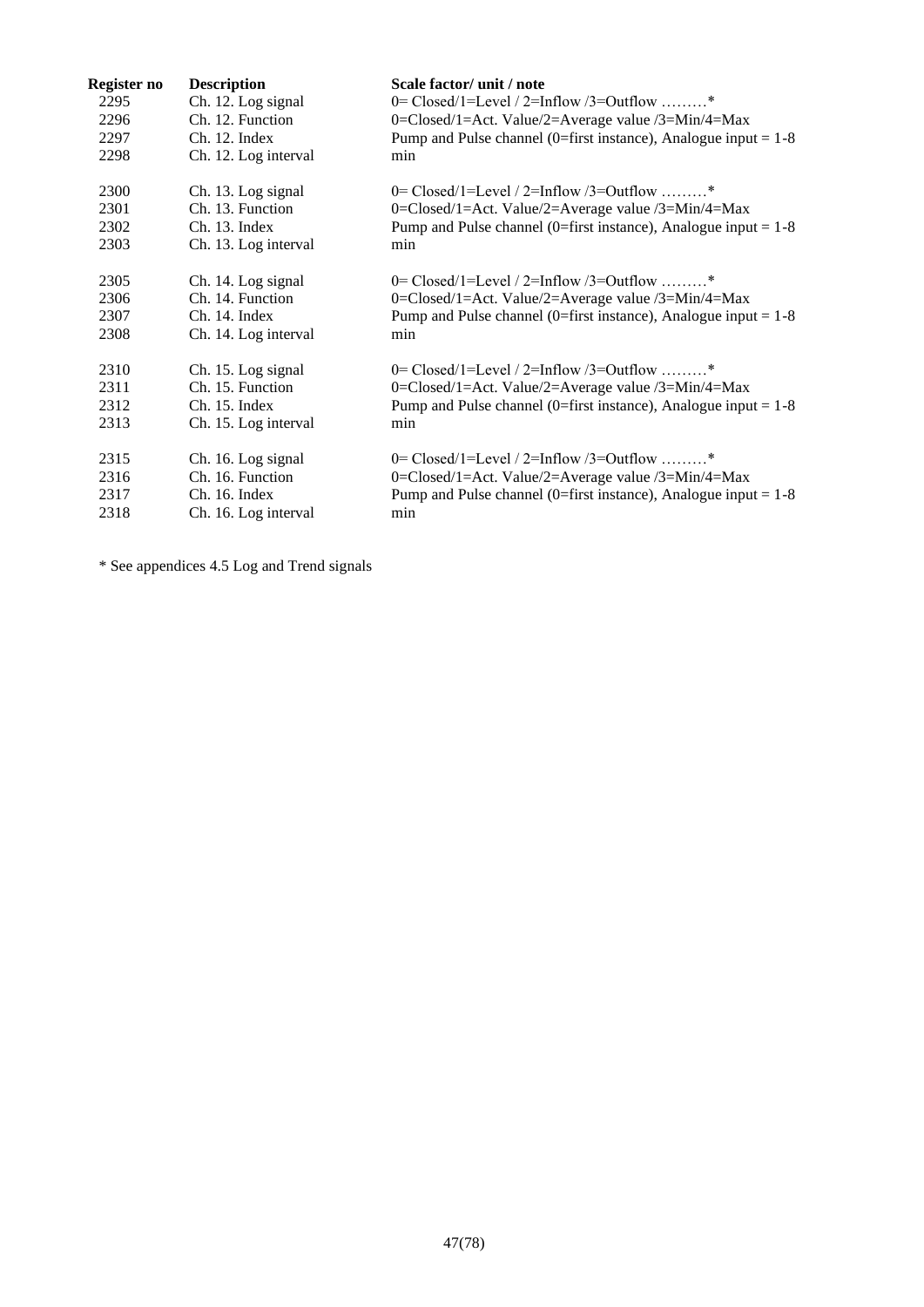| Register no | <b>Description</b>   | Scale factor/ unit / note                                         |
|-------------|----------------------|-------------------------------------------------------------------|
| 2295        | Ch. 12. Log signal   | 0= Closed/1=Level / 2=Inflow /3=Outflow *                         |
| 2296        | Ch. 12. Function     | 0=Closed/1=Act. Value/2=Average value /3=Min/4=Max                |
| 2297        | Ch. 12. Index        | Pump and Pulse channel (0=first instance), Analogue input = $1-8$ |
| 2298        | Ch. 12. Log interval | min                                                               |
| 2300        | Ch. 13. Log signal   | $0 = Closed/1 = Level / 2 = Inflow / 3 = Outflow$ *               |
| 2301        | Ch. 13. Function     | 0=Closed/1=Act. Value/2=Average value /3=Min/4=Max                |
| 2302        | Ch. 13. Index        | Pump and Pulse channel (0=first instance), Analogue input = $1-8$ |
| 2303        | Ch. 13. Log interval | min                                                               |
| 2305        | Ch. 14. Log signal   | 0= Closed/1=Level / 2=Inflow /3=Outflow *                         |
| 2306        | Ch. 14. Function     | 0=Closed/1=Act. Value/2=Average value /3=Min/4=Max                |
| 2307        | Ch. 14. Index        | Pump and Pulse channel (0=first instance), Analogue input = $1-8$ |
| 2308        | Ch. 14. Log interval | min                                                               |
| 2310        | Ch. 15. Log signal   | $0 = Closed/1 = Level / 2 = Inflow / 3 = Outflow$ *               |
| 2311        | Ch. 15. Function     | 0=Closed/1=Act. Value/2=Average value /3=Min/4=Max                |
| 2312        | Ch. 15. Index        | Pump and Pulse channel (0=first instance), Analogue input = $1-8$ |
| 2313        | Ch. 15. Log interval | min                                                               |
| 2315        | Ch. 16. Log signal   | 0= Closed/1=Level / 2=Inflow /3=Outflow *                         |
| 2316        | Ch. 16. Function     | 0=Closed/1=Act. Value/2=Average value /3=Min/4=Max                |
| 2317        | Ch. 16. Index        | Pump and Pulse channel (0=first instance), Analogue input = $1-8$ |
| 2318        | Ch. 16. Log interval | min                                                               |

\* See appendices [4.5](#page-71-0) Log and Trend signals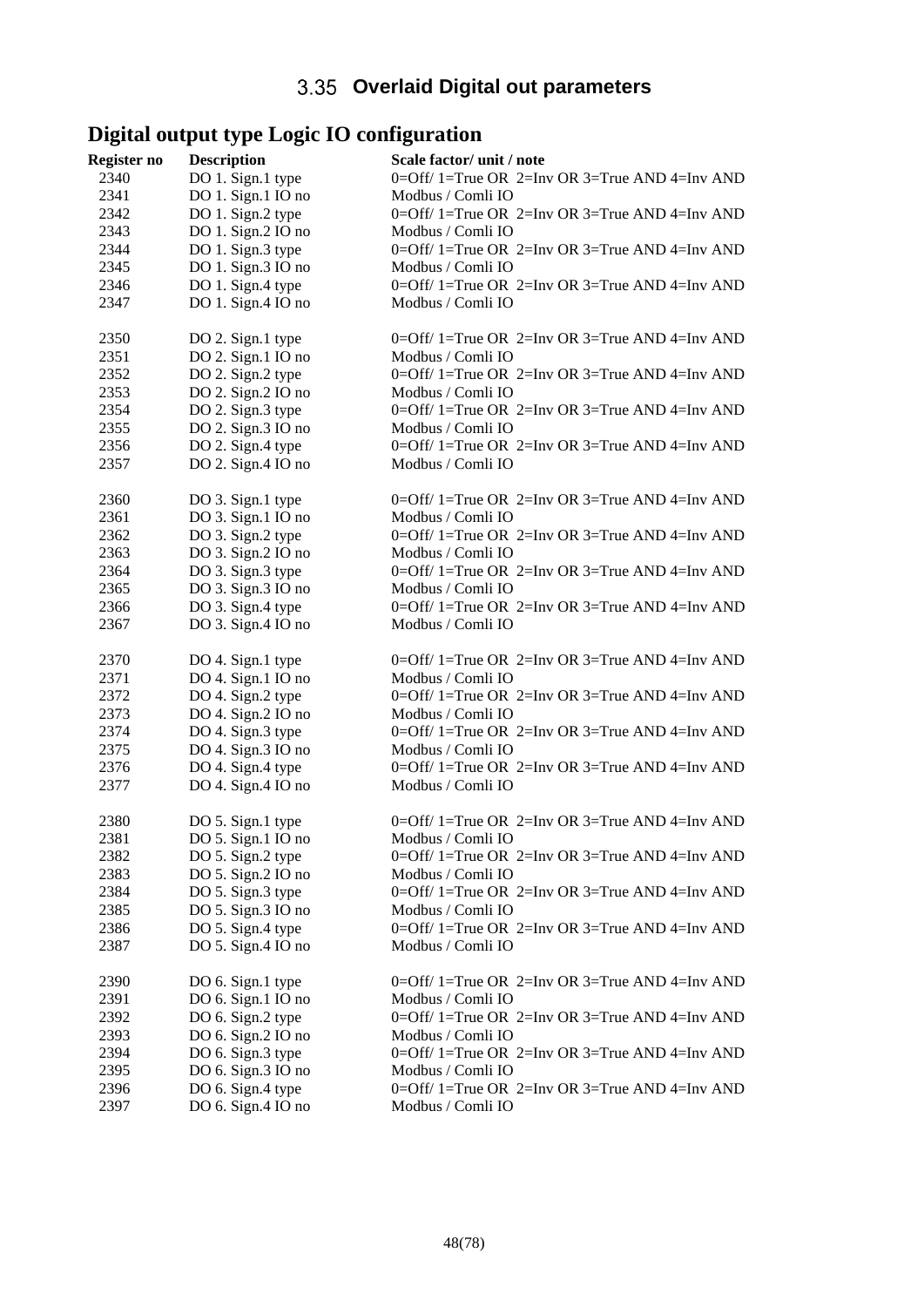# **Overlaid Digital out parameters**

# **Digital output type Logic IO configuration**

| Register no  | <b>Description</b>                      | Scale factor/ unit / note                                           |
|--------------|-----------------------------------------|---------------------------------------------------------------------|
| 2340         | DO 1. Sign.1 type                       | 0=Off/ 1=True OR 2=Inv OR 3=True AND 4=Inv AND                      |
| 2341         | DO 1. Sign.1 IO no                      | Modbus / Comli IO                                                   |
| 2342         | DO 1. Sign.2 type                       | 0=Off/ 1=True OR 2=Inv OR 3=True AND 4=Inv AND                      |
| 2343         | DO 1. Sign.2 IO no                      | Modbus / Comli IO                                                   |
| 2344         | DO 1. Sign.3 type                       | 0=Off/ 1=True OR 2=Inv OR 3=True AND 4=Inv AND                      |
| 2345         | DO 1. Sign.3 IO no                      | Modbus / Comli IO                                                   |
| 2346         | DO 1. Sign.4 type                       | 0=Off/ 1=True OR 2=Inv OR 3=True AND 4=Inv AND                      |
| 2347         | DO 1. Sign.4 IO no                      | Modbus / Comli IO                                                   |
| 2350         | DO 2. Sign.1 type                       | 0=Off/ 1=True OR 2=Inv OR 3=True AND 4=Inv AND                      |
| 2351         | DO 2. Sign.1 IO no                      | Modbus / Comli IO                                                   |
| 2352         | DO 2. Sign.2 type                       | 0=Off/ 1=True OR 2=Inv OR 3=True AND 4=Inv AND                      |
| 2353         | DO 2. Sign.2 IO no                      | Modbus / Comli IO                                                   |
| 2354         | DO 2. Sign.3 type                       | 0=Off/ 1=True OR 2=Inv OR 3=True AND 4=Inv AND                      |
| 2355         | DO 2. Sign.3 IO no                      | Modbus / Comli IO                                                   |
| 2356         | DO 2. Sign.4 type                       | 0=Off/ 1=True OR 2=Inv OR 3=True AND 4=Inv AND                      |
| 2357         | DO 2. Sign.4 IO no                      | Modbus / Comli IO                                                   |
| 2360         | DO 3. Sign.1 type                       | 0=Off/ 1=True OR 2=Inv OR 3=True AND 4=Inv AND                      |
| 2361         | DO 3. Sign.1 IO no                      | Modbus / Comli IO                                                   |
| 2362         | DO 3. Sign.2 type                       | 0=Off/ 1=True OR 2=Inv OR 3=True AND 4=Inv AND                      |
| 2363         | DO 3. Sign.2 IO no                      | Modbus / Comli IO                                                   |
| 2364<br>2365 | DO 3. Sign.3 type<br>DO 3. Sign.3 IO no | 0=Off/ 1=True OR 2=Inv OR 3=True AND 4=Inv AND                      |
| 2366         | DO 3. Sign.4 type                       | Modbus / Comli IO<br>0=Off/ 1=True OR 2=Inv OR 3=True AND 4=Inv AND |
| 2367         | DO 3. Sign.4 IO no                      | Modbus / Comli IO                                                   |
| 2370         | DO 4. Sign.1 type                       | 0=Off/ 1=True OR 2=Inv OR 3=True AND 4=Inv AND                      |
| 2371         | DO 4. Sign.1 IO no                      | Modbus / Comli IO                                                   |
| 2372         | DO 4. Sign.2 type                       | 0=Off/ 1=True OR 2=Inv OR 3=True AND 4=Inv AND                      |
| 2373         | DO 4. Sign.2 IO no                      | Modbus / Comli IO                                                   |
| 2374         | DO 4. Sign.3 type                       | 0=Off/ 1=True OR 2=Inv OR 3=True AND 4=Inv AND                      |
| 2375         | DO 4. Sign.3 IO no                      | Modbus / Comli IO                                                   |
| 2376         | DO 4. Sign.4 type                       | 0=Off/ 1=True OR 2=Inv OR 3=True AND 4=Inv AND                      |
| 2377         | DO 4. Sign.4 IO no                      | Modbus / Comli IO                                                   |
| 2380         | DO 5. Sign.1 type                       | $0=$ Off/ 1=True OR 2=Inv OR 3=True AND 4=Inv AND                   |
| 2381         | DO 5. Sign.1 IO no                      | Modbus / Comli IO                                                   |
| 2382         | DO 5. Sign.2 type                       | 0=Off/ 1=True OR 2=Inv OR 3=True AND 4=Inv AND                      |
| 2383         | DO 5. Sign.2 IO no                      | Modbus / Comli IO                                                   |
| 2384         | DO 5. Sign.3 type                       | 0=Off/ 1=True OR 2=Inv OR 3=True AND 4=Inv AND                      |
| 2385         | DO 5. Sign.3 IO no                      | Modbus / Comli IO                                                   |
| 2386         | DO 5. Sign.4 type                       | 0=Off/ 1=True OR 2=Inv OR 3=True AND 4=Inv AND                      |
| 2387         | DO 5. Sign.4 IO no                      | Modbus / Comli IO                                                   |
| 2390         | DO 6. Sign.1 type                       | $0=$ Off/ 1=True OR 2=Inv OR 3=True AND 4=Inv AND                   |
| 2391         | DO 6. Sign.1 IO no                      | Modbus / Comli IO                                                   |
| 2392         | DO 6. Sign.2 type                       | 0=Off/ 1=True OR 2=Inv OR 3=True AND 4=Inv AND                      |
| 2393         | DO 6. Sign.2 IO no                      | Modbus / Comli IO                                                   |
| 2394         | DO 6. Sign.3 type                       | 0=Off/ 1=True OR 2=Inv OR 3=True AND 4=Inv AND                      |
| 2395         | DO 6. Sign.3 IO no                      | Modbus / Comli IO                                                   |
| 2396         | DO 6. Sign.4 type                       | $0=$ Off/ 1=True OR 2=Inv OR 3=True AND 4=Inv AND                   |
| 2397         | DO 6. Sign.4 IO no                      | Modbus / Comli IO                                                   |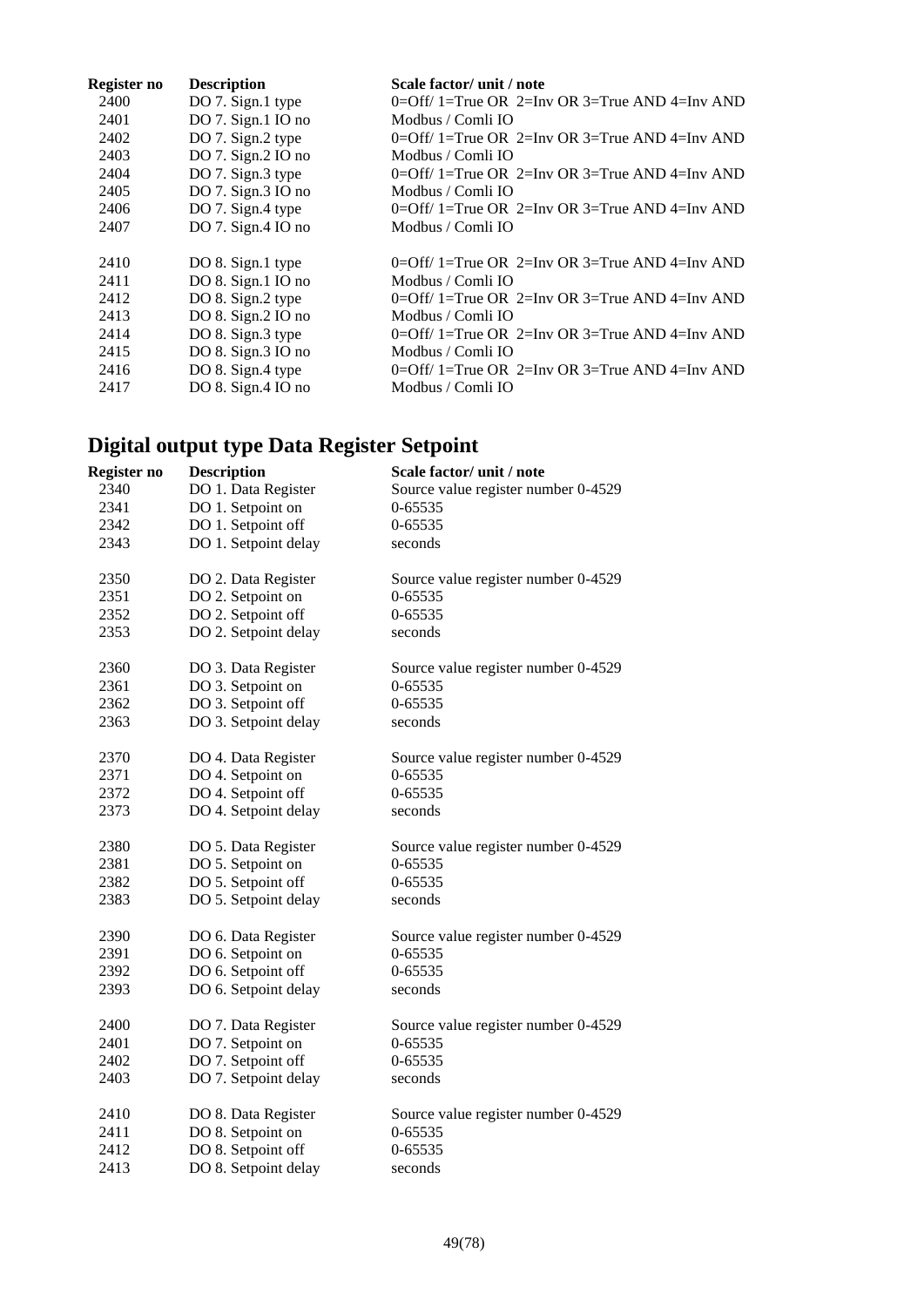| Register no | <b>Description</b>      | Scale factor/ unit / note                         |
|-------------|-------------------------|---------------------------------------------------|
| 2400        | DO 7. Sign.1 type       | 0=Off/ 1=True OR 2=Inv OR 3=True AND 4=Inv AND    |
| 2401        | DO $7.$ Sign.1 IO no    | Modbus / Comli IO                                 |
| 2402        | DO 7. Sign.2 type       | $0=$ Off/ 1=True OR 2=Inv OR 3=True AND 4=Inv AND |
| 2403        | DO $7.$ Sign. $2$ IO no | Modbus / Comli IO                                 |
| 2404        | DO 7. Sign.3 type       | 0=Off/ 1=True OR 2=Inv OR 3=True AND 4=Inv AND    |
| 2405        | DO 7. Sign. $3$ IO no   | Modbus / Comli IO                                 |
| 2406        | DO 7. Sign.4 type       | 0=Off/ 1=True OR 2=Inv OR 3=True AND 4=Inv AND    |
| 2407        | DO 7. Sign.4 IO no      | Modbus / Comli IO                                 |
|             |                         |                                                   |
| 2410        | DO 8. Sign.1 type       | 0=Off/ 1=True OR 2=Inv OR 3=True AND 4=Inv AND    |
| 2411        | DO 8. Sign.1 IO no      | Modbus / Comli IO                                 |
| 2412        | DO 8. Sign.2 type       | 0=Off/ 1=True OR 2=Inv OR 3=True AND 4=Inv AND    |
| 2413        | DO 8. Sign. $2$ IO no   | Modbus / Comli IO                                 |
| 2414        | DO 8. Sign.3 type       | 0=Off/ 1=True OR 2=Inv OR 3=True AND 4=Inv AND    |
| 2415        | DO 8. Sign.3 IO no      | Modbus / Comli IO                                 |
| 2416        | DO 8. Sign.4 type       | 0=Off/ 1=True OR 2=Inv OR 3=True AND 4=Inv AND    |
| 2417        | $DO 8.$ Sign. 4 IO no   | Modbus / Comli IO                                 |

# **Digital output type Data Register Setpoint**

| Register no | <b>Description</b>   | Scale factor/ unit / note           |
|-------------|----------------------|-------------------------------------|
| 2340        | DO 1. Data Register  | Source value register number 0-4529 |
| 2341        | DO 1. Setpoint on    | 0-65535                             |
| 2342        | DO 1. Setpoint off   | 0-65535                             |
| 2343        | DO 1. Setpoint delay | seconds                             |
| 2350        | DO 2. Data Register  | Source value register number 0-4529 |
| 2351        | DO 2. Setpoint on    | 0-65535                             |
| 2352        | DO 2. Setpoint off   | 0-65535                             |
| 2353        | DO 2. Setpoint delay | seconds                             |
| 2360        | DO 3. Data Register  | Source value register number 0-4529 |
| 2361        | DO 3. Setpoint on    | 0-65535                             |
| 2362        | DO 3. Setpoint off   | 0-65535                             |
| 2363        | DO 3. Setpoint delay | seconds                             |
| 2370        | DO 4. Data Register  | Source value register number 0-4529 |
| 2371        | DO 4. Setpoint on    | 0-65535                             |
| 2372        | DO 4. Setpoint off   | 0-65535                             |
| 2373        | DO 4. Setpoint delay | seconds                             |
| 2380        | DO 5. Data Register  | Source value register number 0-4529 |
| 2381        | DO 5. Setpoint on    | 0-65535                             |
| 2382        | DO 5. Setpoint off   | 0-65535                             |
| 2383        | DO 5. Setpoint delay | seconds                             |
| 2390        | DO 6. Data Register  | Source value register number 0-4529 |
| 2391        | DO 6. Setpoint on    | 0-65535                             |
| 2392        | DO 6. Setpoint off   | 0-65535                             |
| 2393        | DO 6. Setpoint delay | seconds                             |
| 2400        | DO 7. Data Register  | Source value register number 0-4529 |
| 2401        | DO 7. Setpoint on    | 0-65535                             |
| 2402        | DO 7. Setpoint off   | 0-65535                             |
| 2403        | DO 7. Setpoint delay | seconds                             |
| 2410        | DO 8. Data Register  | Source value register number 0-4529 |
| 2411        | DO 8. Setpoint on    | 0-65535                             |
| 2412        | DO 8. Setpoint off   | 0-65535                             |
| 2413        | DO 8. Setpoint delay | seconds                             |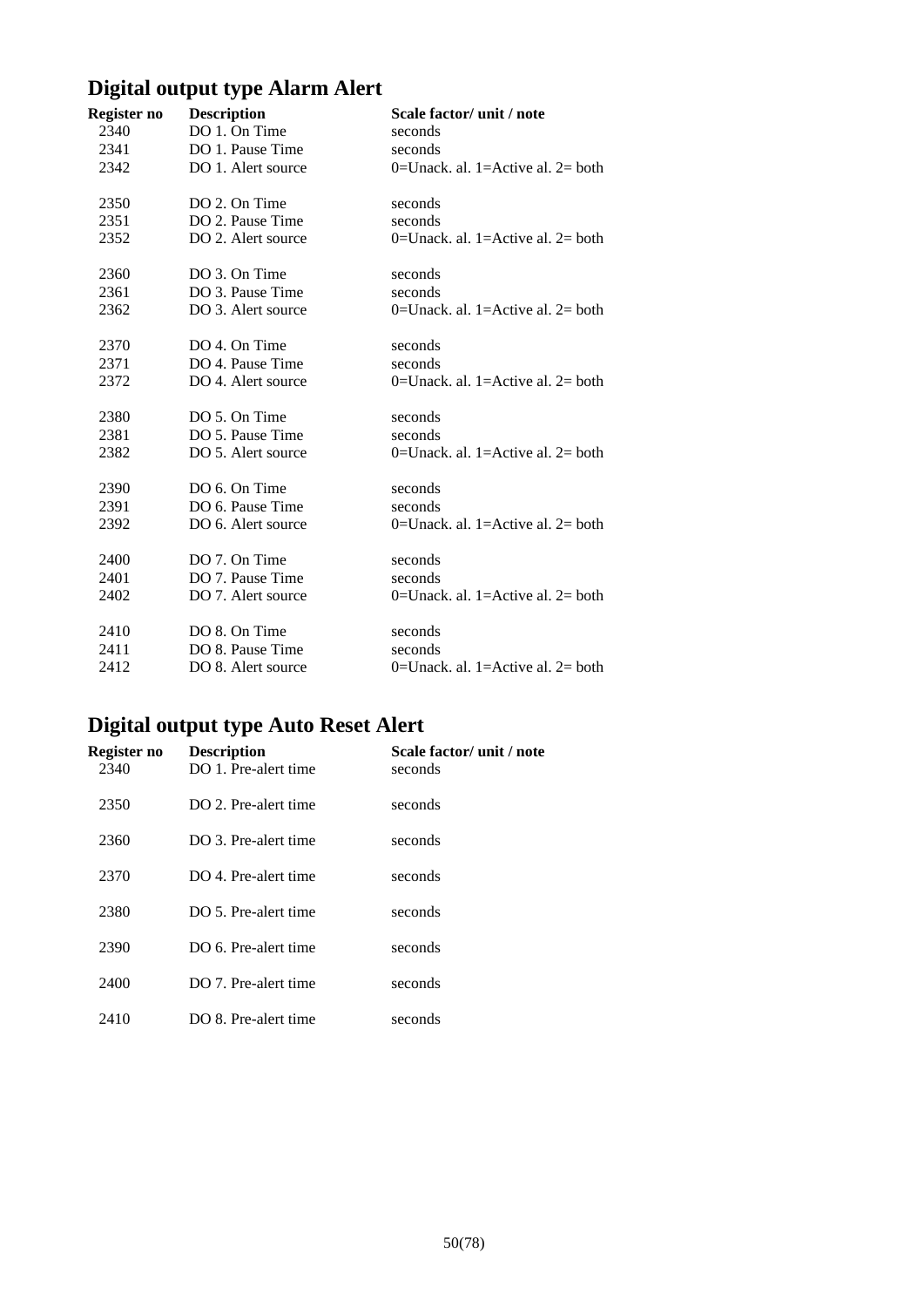# **Digital output type Alarm Alert**

| Register no | <b>Description</b> | Scale factor/ unit / note            |
|-------------|--------------------|--------------------------------------|
| 2340        | DO 1. On Time      | seconds                              |
| 2341        | DO 1. Pause Time   | seconds                              |
| 2342        | DO 1. Alert source | $0=$ Unack. al. 1=Active al. 2= both |
| 2350        | DO 2. On Time      | seconds                              |
| 2351        | DO 2. Pause Time   | seconds                              |
| 2352        | DO 2. Alert source | $0=$ Unack. al. 1=Active al. 2= both |
| 2360        | DO 3. On Time      | seconds                              |
| 2361        | DO 3. Pause Time   | seconds                              |
| 2362        | DO 3. Alert source | 0=Unack. al. 1=Active al. $2$ = both |
| 2370        | DO 4. On Time      | seconds                              |
| 2371        | DO 4. Pause Time   | seconds                              |
| 2372        | DO 4. Alert source | 0=Unack. al. 1=Active al. $2=$ both  |
| 2380        | DO 5. On Time      | seconds                              |
| 2381        | DO 5. Pause Time   | seconds                              |
| 2382        | DO 5. Alert source | 0=Unack. al. 1=Active al. $2=$ both  |
| 2390        | DO 6. On Time      | seconds                              |
| 2391        | DO 6. Pause Time   | seconds                              |
| 2392        | DO 6. Alert source | $0=$ Unack. al. 1=Active al. 2= both |
| 2400        | DO 7. On Time      | seconds                              |
| 2401        | DO 7. Pause Time   | seconds                              |
| 2402        | DO 7. Alert source | $0=$ Unack. al. 1=Active al. 2= both |
| 2410        | DO 8. On Time      | seconds                              |
| 2411        | DO 8. Pause Time   | seconds                              |
| 2412        | DO 8. Alert source | 0=Unack. al. 1=Active al. $2=$ both  |

# **Digital output type Auto Reset Alert**

| Register no<br>2340 | <b>Description</b><br>DO 1. Pre-alert time | Scale factor/ unit / note<br>seconds |
|---------------------|--------------------------------------------|--------------------------------------|
| 2350                | DO 2. Pre-alert time                       | seconds                              |
| 2360                | DO 3. Pre-alert time                       | seconds                              |
| 2370                | DO 4. Pre-alert time                       | seconds                              |
| 2380                | DO 5. Pre-alert time                       | seconds                              |
| 2390                | DO 6. Pre-alert time                       | seconds                              |
| 2400                | DO 7. Pre-alert time                       | seconds                              |
| 2410                | DO 8. Pre-alert time                       | seconds                              |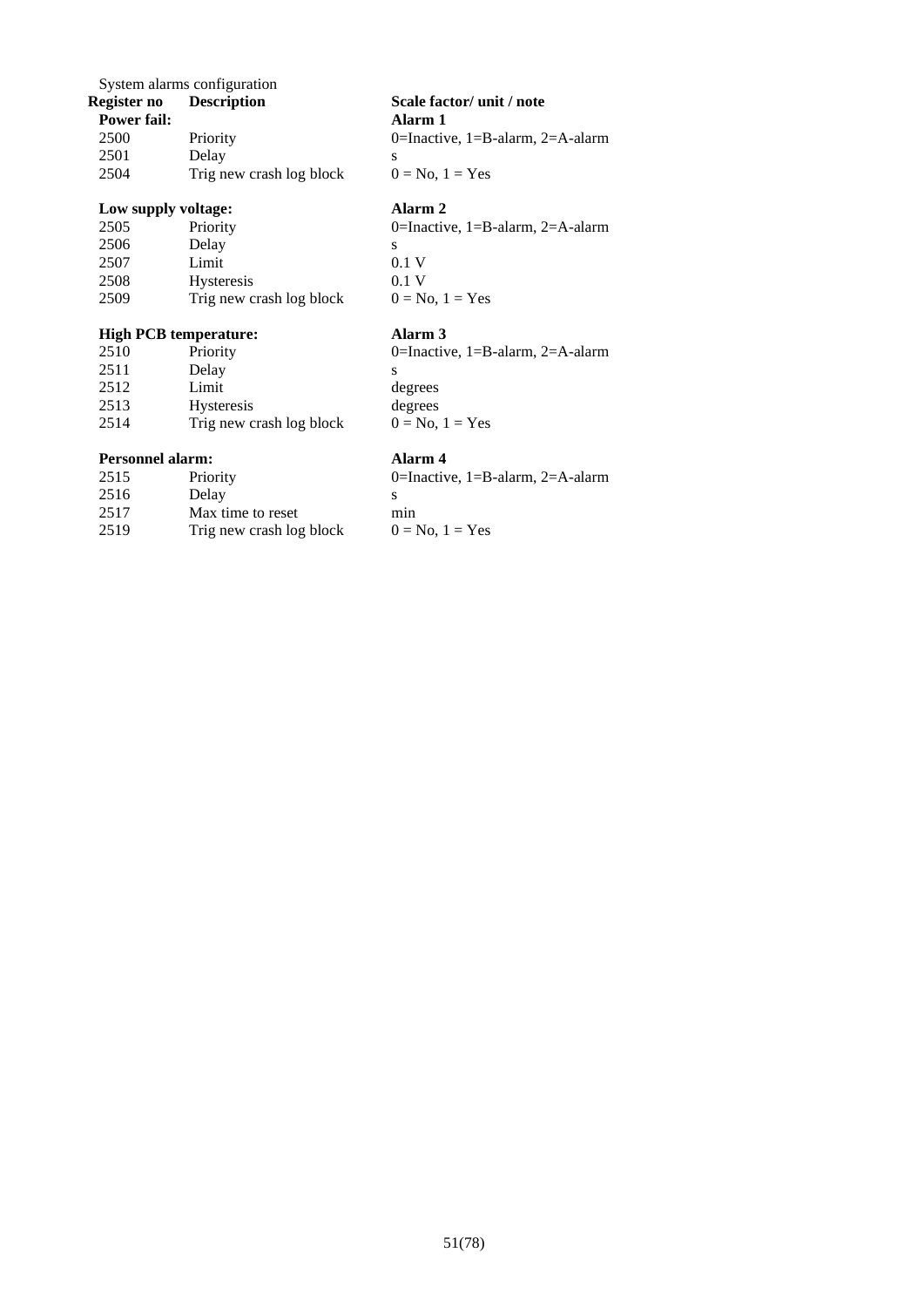System alarms configuration<br>Register no Description

| <b>TOWEL TAIL.</b> |                          |  |
|--------------------|--------------------------|--|
| 2500               | Priority                 |  |
| 2501               | Delay                    |  |
| 2504               | Trig new crash log block |  |
|                    |                          |  |

## **Low supply voltage: Alarm 2**

| 2505 | Priority                 | ſ |
|------|--------------------------|---|
| 2506 | Delay                    | S |
| 2507 | Limit                    | C |
| 2508 | <b>Hysteresis</b>        | ſ |
| 2509 | Trig new crash log block |   |

## **High PCB temperature: Alarm 3**

| 2510 | Priority                 |   |
|------|--------------------------|---|
| 2511 | Delay                    | S |
| 2512 | Limit                    | d |
| 2513 | <b>Hysteresis</b>        | d |
| 2514 | Trig new crash log block |   |

## **Personnel alarm: Alarm 4**

| $0=$ I |
|--------|
|        |
| min    |
| $() =$ |
|        |

**Register no Description Scale factor/ unit / note Power fail Alarm 1** 0=Inactive, 1=B-alarm, 2=A-alarm  $0 = No$ ,  $1 = Yes$ 

0=Inactive, 1=B-alarm, 2=A-alarm  $0.1 V$  $0.1 V$ 

 $0 = No$ ,  $1 = Yes$ 

0=Inactive, 1=B-alarm, 2=A-alarm degrees degrees  $0 = No$ ,  $1 = Yes$ 

0=Inactive, 1=B-alarm, 2=A-alarm  $0 = No$ ,  $1 = Yes$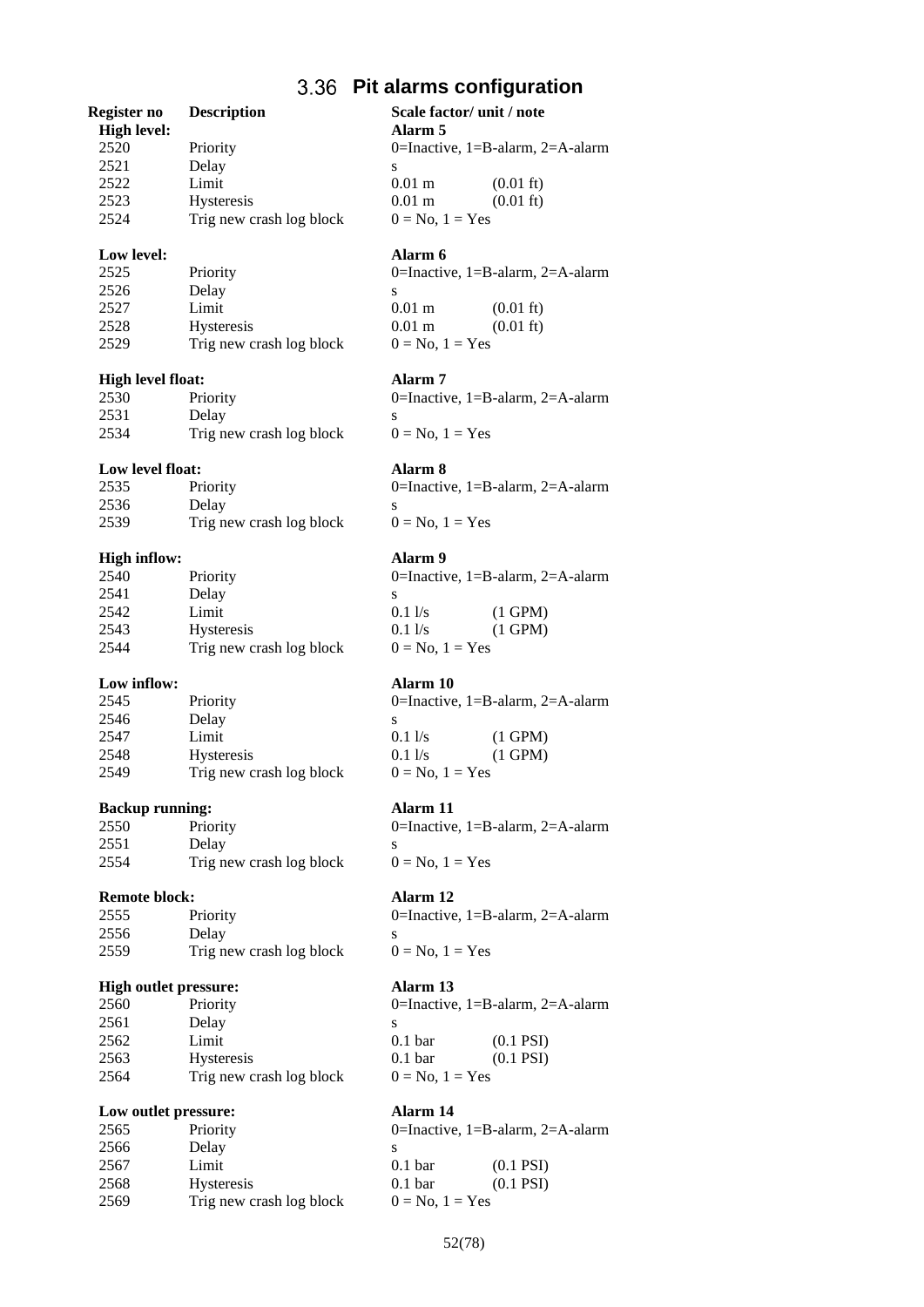## **Pit alarms configuration**

## **Register no Description Scale factor/ unit / note**

| ----------         |                          |                   |                                  |
|--------------------|--------------------------|-------------------|----------------------------------|
| <b>High level:</b> |                          | Alarm 5           |                                  |
| 2520               | Priority                 |                   | 0=Inactive, 1=B-alarm, 2=A-alarm |
| 2521               | Delay                    |                   |                                  |
| 2522               | Limit                    | $0.01 \text{ m}$  | $(0.01 \text{ ft})$              |
| 2523               | <b>Hysteresis</b>        | $0.01 \text{ m}$  | $(0.01 \text{ ft})$              |
| 2524               | Trig new crash log block | $0 = No, 1 = Yes$ |                                  |
|                    |                          |                   |                                  |

## **Low level: Alarm 6**

| 2525 | Priority                 | 0=Inactive, $1 = B$ |
|------|--------------------------|---------------------|
| 2526 | Delay                    |                     |
| 2527 | Limit                    | $0.01 \text{ m}$    |
| 2528 | <b>Hysteresis</b>        | $0.01 \text{ m}$    |
| 2529 | Trig new crash log block | $0 = No, 1 = Yes$   |

### **High level float: Alarm 7**

| 2530 | Priority                 |  |
|------|--------------------------|--|
| 2531 | Delay                    |  |
| 2534 | Trig new crash log block |  |

## **Low level float: Alarm 8**

| 2535 | Priority                 |  |
|------|--------------------------|--|
| 2536 | Delay                    |  |
| 2539 | Trig new crash log block |  |

## **High inflow: Alarm 9**

| 2540 | Priority                 | ſ |
|------|--------------------------|---|
| 2541 | Delay                    | S |
| 2542 | Limit                    | ſ |
| 2543 | <b>Hysteresis</b>        | ſ |
| 2544 | Trig new crash log block |   |

## **Low inflow: Alarm 10**

| 2545 | Priority                 | C |
|------|--------------------------|---|
| 2546 | Delay                    | S |
| 2547 | Limit                    | ſ |
| 2548 | <b>Hysteresis</b>        | ſ |
| 2549 | Trig new crash log block |   |

### **Backup running: Alarm 11**

| 2550 | Priority                 |  |
|------|--------------------------|--|
| 2551 | Delay                    |  |
| 2554 | Trig new crash log block |  |

## **Remote block: Alarm 12**

| 2555 | Priority                 |  |
|------|--------------------------|--|
| 2556 | Delay                    |  |
| 2559 | Trig new crash log block |  |

## **High outlet pressure: Alarm 13**

| 2560 | Priority                 |   |
|------|--------------------------|---|
| 2561 | Delay                    | S |
| 2562 | Limit                    | ſ |
| 2563 | <b>Hysteresis</b>        | ſ |
| 2564 | Trig new crash log block |   |
|      |                          |   |

## **Low outlet pressure: Alarm 14**

| 2565<br>Priority                 |   |
|----------------------------------|---|
| 2566<br>Delay                    | S |
| 2567<br>Limit                    | C |
| 2568<br><b>Hysteresis</b>        | ſ |
| 2569<br>Trig new crash log block |   |

0=Inactive, 1=B-alarm, 2=A-alarm  $0.01 \text{ m}$   $(0.01 \text{ ft})$  $0.01 \text{ m}$  (0.01 ft)

0=Inactive, 1=B-alarm, 2=A-alarm  $0 = No$ ,  $1 = Yes$ 

0=Inactive,  $1=$ B-alarm,  $2=$ A-alarm  $0 = No$ ,  $1 = Yes$ 

0=Inactive, 1=B-alarm, 2=A-alarm  $0.1 \text{ l/s}$  (1 GPM)  $0.1 \text{ l/s}$  (1 GPM)  $0 = No$ ,  $1 = Yes$ 

0=Inactive, 1=B-alarm, 2=A-alarm  $\begin{array}{lll} 0.1 \text{ l/s} & (1 \text{ GPM}) \\ 0.1 \text{ l/s} & (1 \text{ GPM}) \end{array}$  $(1 \text{ GPM})$  $0 = No$ ,  $1 = Yes$ 

0=Inactive,  $1 = B$ -alarm,  $2 = A$ -alarm  $0 = No$ ,  $1 = Yes$ 

0=Inactive,  $1=$ B-alarm,  $2=$ A-alarm  $0 = No$ ,  $1 = Yes$ 

0=Inactive, 1=B-alarm, 2=A-alarm 0.1 bar (0.1 PSI) 0.1 bar (0.1 PSI)

 $0 = No$ ,  $1 = Yes$ 

0=Inactive, 1=B-alarm, 2=A-alarm  $0.1 \text{ bar}$   $(0.1 \text{ PSI})$ 0.1 bar (0.1 PSI)  $0 = No, 1 = Yes$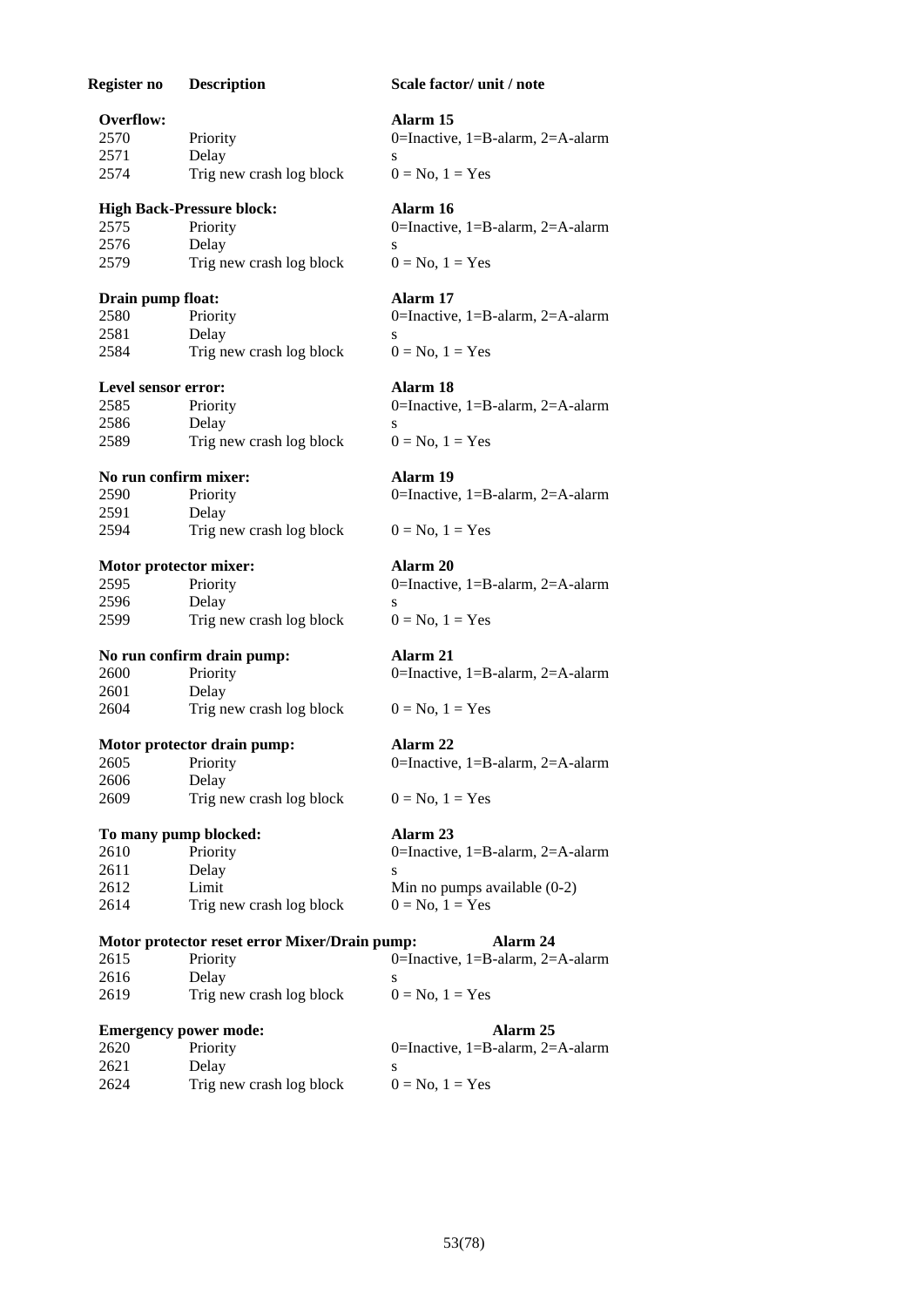| Register no            | <b>Description</b>                                        | Scale factor/ unit / note                              |
|------------------------|-----------------------------------------------------------|--------------------------------------------------------|
| <b>Overflow:</b>       |                                                           | Alarm 15                                               |
| 2570                   | Priority                                                  | 0=Inactive, $1 = B$ -alarm, $2 = A$ -alarm             |
| 2571                   | Delay                                                     | S                                                      |
| 2574                   | Trig new crash log block                                  | $0 = No$ , $1 = Yes$                                   |
|                        | <b>High Back-Pressure block:</b>                          | Alarm 16                                               |
| 2575                   | Priority                                                  | 0=Inactive, 1=B-alarm, 2=A-alarm                       |
| 2576                   | Delay                                                     | S                                                      |
| 2579                   | Trig new crash log block                                  | $0 = No, 1 = Yes$                                      |
| Drain pump float:      |                                                           | Alarm 17                                               |
| 2580                   | Priority                                                  | 0=Inactive, $1 = B$ -alarm, $2 = A$ -alarm             |
| 2581                   | Delay                                                     | S                                                      |
| 2584                   | Trig new crash log block                                  | $0 = No, 1 = Yes$                                      |
| Level sensor error:    |                                                           | Alarm 18                                               |
| 2585                   | Priority                                                  | 0=Inactive, $1 = B$ -alarm, $2 = A$ -alarm             |
| 2586                   | Delay                                                     | S                                                      |
| 2589                   | Trig new crash log block                                  | $0 = No$ , $1 = Yes$                                   |
| No run confirm mixer:  |                                                           | Alarm 19                                               |
| 2590                   | Priority                                                  | 0=Inactive, $1 = B$ -alarm, $2 = A$ -alarm             |
| 2591                   | Delay                                                     |                                                        |
| 2594                   | Trig new crash log block                                  | $0 = No, 1 = Yes$                                      |
| Motor protector mixer: |                                                           | Alarm 20                                               |
| 2595                   | Priority                                                  | 0=Inactive, $1 = B$ -alarm, $2 = A$ -alarm             |
| 2596                   | Delay                                                     | S                                                      |
| 2599                   | Trig new crash log block                                  | $0 = No, 1 = Yes$                                      |
|                        | No run confirm drain pump:                                | Alarm 21                                               |
| 2600                   | Priority                                                  | 0=Inactive, $1 = B$ -alarm, $2 = A$ -alarm             |
| 2601                   | Delay                                                     |                                                        |
| 2604                   | Trig new crash log block                                  | $0 = No, 1 = Yes$                                      |
|                        | Motor protector drain pump:                               | Alarm 22                                               |
|                        | 2605 Priority                                             | 0=Inactive, $1 = B$ -alarm, $2 = A$ -alarm             |
| 2606                   | Delay                                                     |                                                        |
| 2609                   | Trig new crash log block                                  | $0 = No$ , $1 = Yes$                                   |
|                        | To many pump blocked:                                     | Alarm <sub>23</sub>                                    |
| 2610                   | Priority                                                  | 0=Inactive, $1 = B$ -alarm, $2 = A$ -alarm             |
| 2611                   | Delay                                                     |                                                        |
| 2612<br>2614           | Limit<br>Trig new crash log block                         | Min no pumps available $(0-2)$<br>$0 = No$ , $1 = Yes$ |
|                        |                                                           | Alarm 24                                               |
| 2615                   | Motor protector reset error Mixer/Drain pump:<br>Priority | 0=Inactive, 1=B-alarm, 2=A-alarm                       |
| 2616                   | Delay                                                     | S                                                      |
| 2619                   | Trig new crash log block                                  | $0 = No, 1 = Yes$                                      |
|                        | <b>Emergency power mode:</b>                              | Alarm 25                                               |
| 2620                   | Priority                                                  | 0=Inactive, 1=B-alarm, 2=A-alarm                       |
| 2621                   | Delay                                                     | S                                                      |
| 2624                   | Trig new crash log block                                  | $0 = No, 1 = Yes$                                      |
|                        |                                                           |                                                        |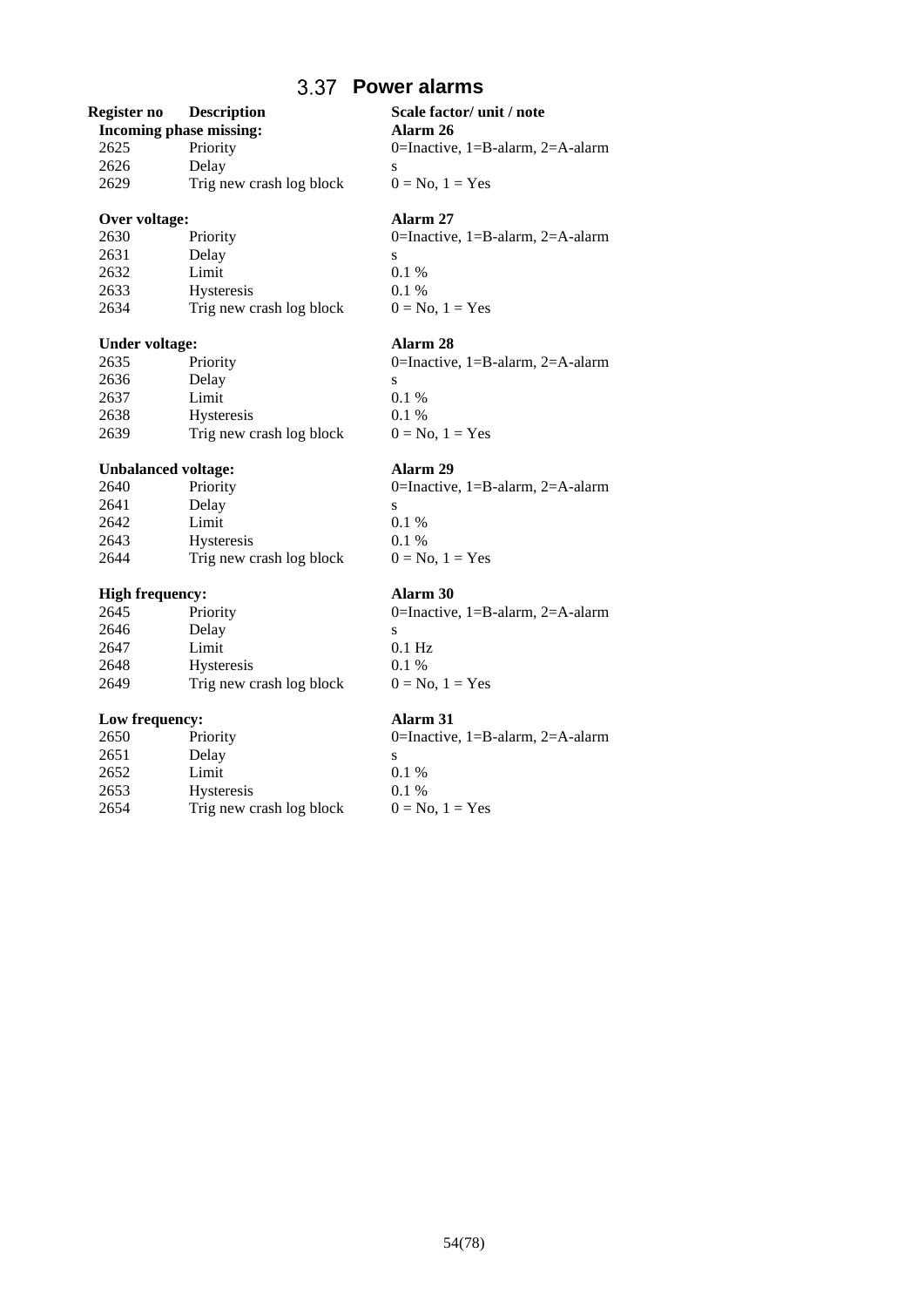## **Power alarms**

## **Register no Description Scale factor/ unit / note**

| Incoming phase missing: |                          |   |
|-------------------------|--------------------------|---|
| 2625                    | Priority                 |   |
| 2626                    | Delay                    | S |
| 2629                    | Trig new crash log block |   |

## **Over voltage: Alarm 27**

| 2630 | Priority                 |   |
|------|--------------------------|---|
| 2631 | Delay                    | S |
| 2632 | Limit                    | ſ |
| 2633 | <b>Hysteresis</b>        | ſ |
| 2634 | Trig new crash log block |   |

## **Under voltage: Alarm 28**

| 2635 | Priority                 | 0=Ina   |
|------|--------------------------|---------|
| 2636 | Delay                    |         |
| 2637 | Limit                    | $0.1\%$ |
| 2638 | <b>Hysteresis</b>        | $0.1\%$ |
| 2639 | Trig new crash log block | $0 = N$ |

## **Unbalanced voltage: Alarm 29**

| 2640 | Priority                 | C |
|------|--------------------------|---|
| 2641 | Delay                    | S |
| 2642 | Limit                    | ſ |
| 2643 | <b>Hysteresis</b>        | ſ |
| 2644 | Trig new crash log block |   |

## **High frequency: Alarm 30**

| 2645 | Priority                 | C |
|------|--------------------------|---|
| 2646 | Delay                    | S |
| 2647 | Limit                    | ſ |
| 2648 | <b>Hysteresis</b>        | C |
| 2649 | Trig new crash log block |   |

## **Low frequency: Alarm 31**

| 2650 | Priority                 | 0=Inactive, 1=B-alarm, 2=A-alarm |
|------|--------------------------|----------------------------------|
| 2651 | Delay                    |                                  |
| 2652 | Limit                    | $0.1\%$                          |
| 2653 | <b>Hysteresis</b>        | $0.1\%$                          |
| 2654 | Trig new crash log block | $0 = No, 1 = Yes$                |

**Incoming phase missing: Alarm 26** 0=Inactive, 1=B-alarm, 2=A-alarm  $0 = No$ ,  $1 = Yes$ 

0=Inactive, 1=B-alarm, 2=A-alarm  $0.1~\%$ 0.1 %  $0 = No$ ,  $1 = Yes$ 

0=Inactive, 1=B-alarm, 2=A-alarm  $0.1 %$  $0 = No$ ,  $1 = Yes$ 

0=Inactive, 1=B-alarm, 2=A-alarm  $0.1 %$ 0.1 %  $0 = No$ ,  $1 = Yes$ 

0=Inactive, 1=B-alarm, 2=A-alarm  $0.1\ \mathrm{Hz}$  $0.1 %$  $0 = No$ ,  $1 = Yes$ 

| 0=Inactive, 1=B-alarm, 2=A-alarm |
|----------------------------------|
| s                                |
| $0.1\%$                          |
| $0.1\%$                          |
| $0 = No. 1 = Yes$                |
|                                  |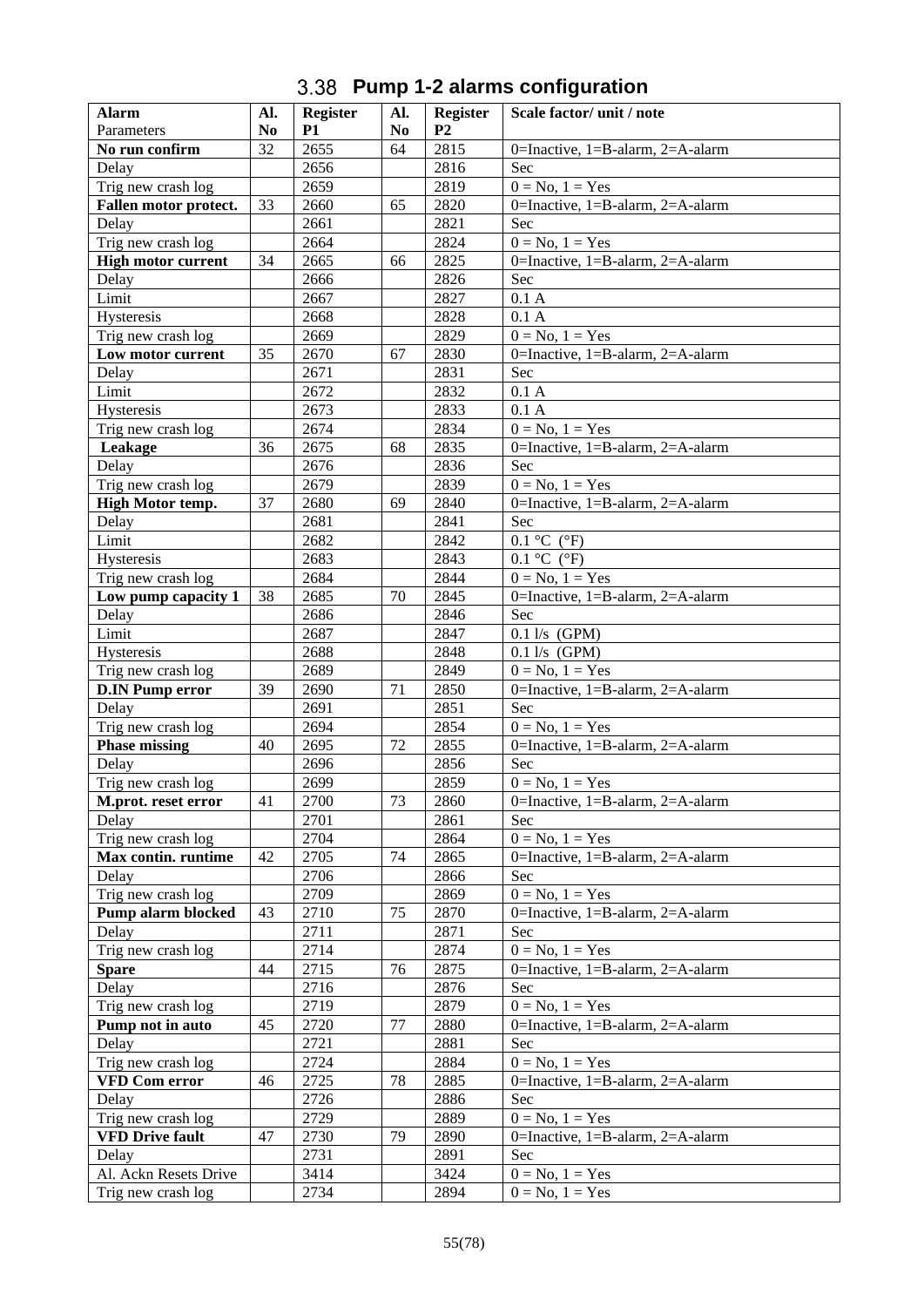# **Pump 1-2 alarms configuration**

| <b>Alarm</b>              | Al.            | <b>Register</b> | Al.            | <b>Register</b> | Scale factor/unit/note                     |
|---------------------------|----------------|-----------------|----------------|-----------------|--------------------------------------------|
| Parameters                | N <sub>0</sub> | P <sub>1</sub>  | N <sub>0</sub> | P <sub>2</sub>  |                                            |
| No run confirm            | 32             | 2655            | 64             | 2815            | 0=Inactive, $1 = B$ -alarm, $2 = A$ -alarm |
| Delay                     |                | 2656            |                | 2816            | Sec                                        |
| Trig new crash log        |                | 2659            |                | 2819            | $0 = No, 1 = Yes$                          |
| Fallen motor protect.     | 33             | 2660            | 65             | 2820            | 0=Inactive, 1=B-alarm, 2=A-alarm           |
| Delay                     |                | 2661            |                | 2821            | Sec                                        |
| Trig new crash log        |                | 2664            |                | 2824            | $0 = No, 1 = Yes$                          |
| <b>High motor current</b> | 34             | 2665            | 66             | 2825            | 0=Inactive, 1=B-alarm, 2=A-alarm           |
| Delay                     |                | 2666            |                | 2826            | Sec                                        |
| Limit                     |                | 2667            |                | 2827            | $0.1\;{\rm A}$                             |
| Hysteresis                |                | 2668            |                | 2828            | 0.1 A                                      |
| Trig new crash log        |                | 2669            |                | 2829            | $0 = No, 1 = Yes$                          |
| Low motor current         | 35             | 2670            | 67             | 2830            | 0=Inactive, 1=B-alarm, 2=A-alarm           |
| Delay                     |                | 2671            |                | 2831            | Sec                                        |
| Limit                     |                | 2672            |                | 2832            | 0.1 A                                      |
| Hysteresis                |                | 2673            |                | 2833            | 0.1 A                                      |
| Trig new crash log        |                | 2674            |                | 2834            | $0 = No, 1 = Yes$                          |
| Leakage                   | 36             | 2675            | 68             | 2835            | 0=Inactive, 1=B-alarm, 2=A-alarm           |
| Delay                     |                | 2676            |                | 2836            | Sec                                        |
| Trig new crash log        |                | 2679            |                | 2839            | $0 = No, 1 = Yes$                          |
| High Motor temp.          | 37             | 2680            | 69             | 2840            | 0=Inactive, 1=B-alarm, 2=A-alarm           |
| Delay                     |                | 2681            |                | 2841            | Sec                                        |
| Limit                     |                | 2682            |                | 2842            | $0.1 \text{ °C}$ ( $\text{ °F}$ )          |
| Hysteresis                |                | 2683            |                | 2843            | $0.1 \text{ °C}$ ( $\text{ °F}$ )          |
| Trig new crash log        |                | 2684            |                | 2844            | $0 = No, 1 = Yes$                          |
| Low pump capacity 1       | 38             | 2685            | 70             | 2845            | 0=Inactive, 1=B-alarm, 2=A-alarm           |
| Delay                     |                | 2686            |                | 2846            | Sec                                        |
| Limit                     |                | 2687            |                | 2847            | $0.1$ l/s (GPM)                            |
| Hysteresis                |                | 2688            |                | 2848            | $0.1$ l/s (GPM)                            |
| Trig new crash log        |                | 2689            |                | 2849            | $0 = No, 1 = Yes$                          |
| <b>D.IN Pump error</b>    | 39             | 2690            | 71             | 2850            | 0=Inactive, 1=B-alarm, 2=A-alarm           |
| Delay                     |                | 2691            |                | 2851            | Sec                                        |
| Trig new crash log        |                | 2694            |                | 2854            | $0 = No, 1 = Yes$                          |
| <b>Phase missing</b>      | 40             | 2695            | 72             | 2855            | 0=Inactive, 1=B-alarm, 2=A-alarm           |
| Delay                     |                | 2696            |                | 2856            | Sec                                        |
| Trig new crash log        |                | 2699            |                | 2859            | $0 = No, 1 = Yes$                          |
| M.prot. reset error       | 41             | 2700            | 73             | 2860            | 0=Inactive, 1=B-alarm, 2=A-alarm           |
| Delay                     |                | 2701            |                | 2861            | Sec                                        |
| Trig new crash log        |                | 2704            |                | 2864            | $0 = No, 1 = Yes$                          |
| Max contin. runtime       | 42             | 2705            | 74             | 2865            | 0=Inactive, 1=B-alarm, 2=A-alarm           |
| Delay                     |                | 2706            |                | 2866            | Sec                                        |
| Trig new crash log        |                | 2709            |                | 2869            | $0 = No, 1 = Yes$                          |
| Pump alarm blocked        | 43             | 2710            | 75             | 2870            | 0=Inactive, 1=B-alarm, 2=A-alarm           |
| Delay                     |                | 2711            |                | 2871            | Sec                                        |
| Trig new crash log        |                | 2714            |                | 2874            | $0 = No$ , $1 = Yes$                       |
| <b>Spare</b>              | 44             | 2715            | 76             | 2875            | 0=Inactive, 1=B-alarm, 2=A-alarm           |
| Delay                     |                | 2716            |                | 2876            | Sec                                        |
| Trig new crash log        |                | 2719            |                | 2879            | $0 = No, 1 = Yes$                          |
| Pump not in auto          | 45             | 2720            | 77             | 2880            | 0=Inactive, 1=B-alarm, 2=A-alarm           |
| Delay                     |                | 2721            |                | 2881            | Sec                                        |
| Trig new crash log        |                | 2724            |                | 2884            | $0 = No$ , $1 = Yes$                       |
| <b>VFD Com error</b>      | 46             | 2725            | 78             | 2885            | 0=Inactive, 1=B-alarm, 2=A-alarm           |
| Delay                     |                | 2726            |                | 2886            | Sec                                        |
| Trig new crash log        |                | 2729            |                | 2889            | $0 = No, 1 = Yes$                          |
| <b>VFD Drive fault</b>    | 47             | 2730            | 79             | 2890            | 0=Inactive, 1=B-alarm, 2=A-alarm           |
| Delay                     |                | 2731            |                | 2891            | <b>Sec</b>                                 |
| Al. Ackn Resets Drive     |                | 3414            |                | 3424            | $0 = No, 1 = Yes$                          |
| Trig new crash log        |                | 2734            |                | 2894            | $0 = No$ , $1 = Yes$                       |
|                           |                |                 |                |                 |                                            |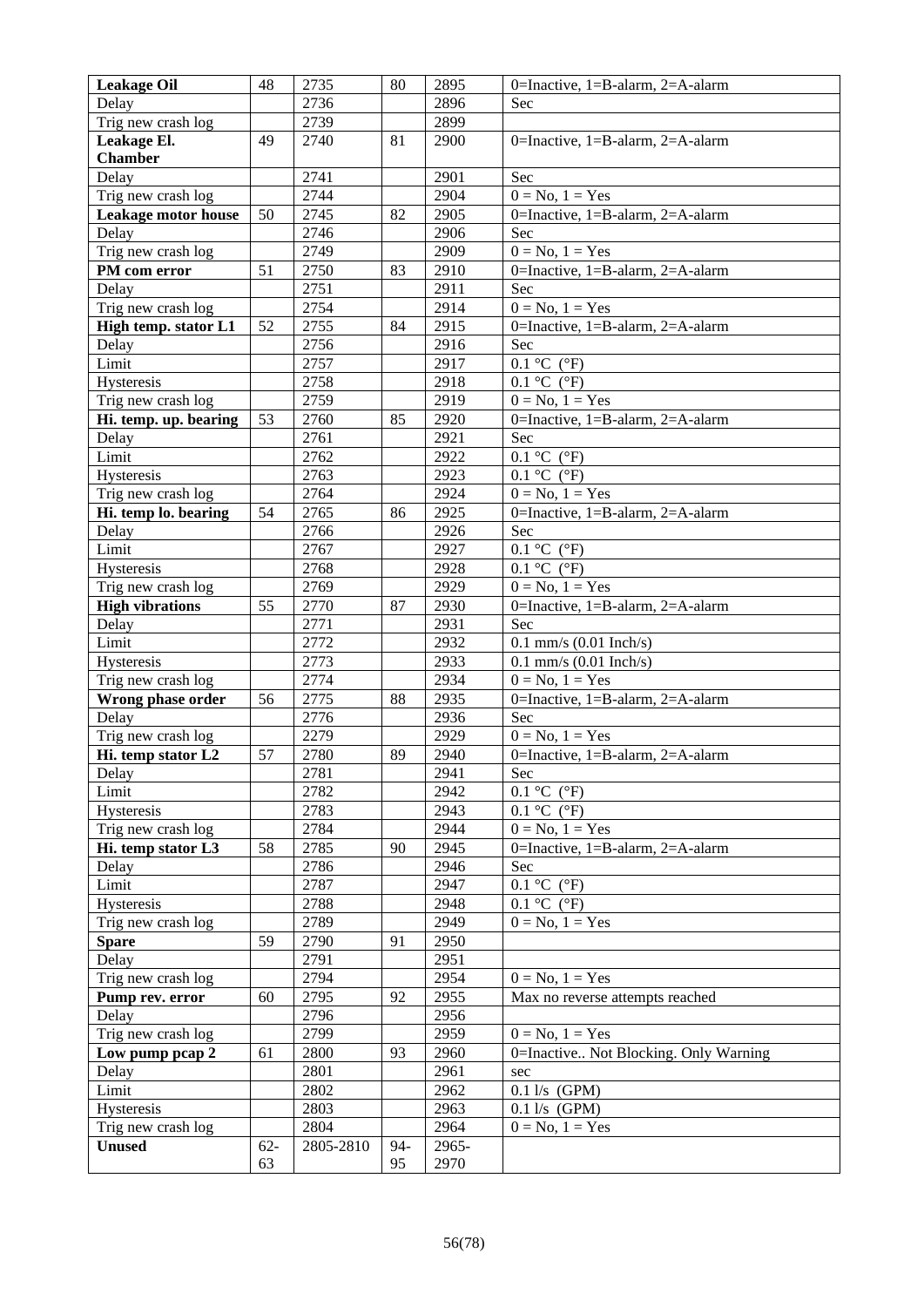| <b>Leakage Oil</b>         | 48     | 2735      | 80  | 2895  | 0=Inactive, $1 = B$ -alarm, $2 = A$ -alarm |
|----------------------------|--------|-----------|-----|-------|--------------------------------------------|
| Delay                      |        | 2736      |     | 2896  | Sec                                        |
| Trig new crash log         |        | 2739      |     | 2899  |                                            |
| Leakage El.                | 49     | 2740      | 81  | 2900  | 0=Inactive, $1 = B$ -alarm, $2 = A$ -alarm |
| <b>Chamber</b>             |        |           |     |       |                                            |
| Delay                      |        | 2741      |     | 2901  | Sec                                        |
| Trig new crash log         |        | 2744      |     | 2904  | $0 = No, 1 = Yes$                          |
| <b>Leakage motor house</b> | 50     | 2745      | 82  | 2905  | 0=Inactive, 1=B-alarm, 2=A-alarm           |
| Delay                      |        | 2746      |     | 2906  | Sec                                        |
| Trig new crash log         |        | 2749      |     | 2909  | $0 = No, 1 = Yes$                          |
| PM com error               | 51     | 2750      | 83  | 2910  | 0=Inactive, $1 = B$ -alarm, $2 = A$ -alarm |
| Delay                      |        | 2751      |     | 2911  | Sec                                        |
| Trig new crash log         |        | 2754      |     | 2914  | $0 = No$ , $1 = Yes$                       |
| High temp. stator L1       | 52     | 2755      | 84  | 2915  | 0=Inactive, $1 = B$ -alarm, $2 = A$ -alarm |
| Delay                      |        | 2756      |     | 2916  | Sec                                        |
| Limit                      |        | 2757      |     | 2917  | $0.1 \degree C \degree F$                  |
| Hysteresis                 |        | 2758      |     | 2918  | $0.1 \text{ °C}$ ( $\text{ °F}$ )          |
| Trig new crash log         |        | 2759      |     | 2919  | $0 = No$ , $1 = Yes$                       |
| Hi. temp. up. bearing      | 53     | 2760      | 85  | 2920  | 0=Inactive, 1=B-alarm, 2=A-alarm           |
| Delay                      |        | 2761      |     | 2921  | Sec                                        |
| Limit                      |        | 2762      |     | 2922  | $0.1 \degree C \ (^{\circ}F)$              |
|                            |        |           |     | 2923  |                                            |
| Hysteresis                 |        | 2763      |     |       | $0.1 \text{ °C}$ ( $\text{ °F}$ )          |
| Trig new crash log         |        | 2764      |     | 2924  | $0 = No$ , $1 = Yes$                       |
| Hi. temp lo. bearing       | 54     | 2765      | 86  | 2925  | 0=Inactive, $1 = B$ -alarm, $2 = A$ -alarm |
| Delay                      |        | 2766      |     | 2926  | Sec                                        |
| Limit                      |        | 2767      |     | 2927  | $0.1 \degree C \ (^{\circ}F)$              |
| Hysteresis                 |        | 2768      |     | 2928  | $0.1 \text{ °C}$ ( $\text{ °F}$ )          |
| Trig new crash log         |        | 2769      |     | 2929  | $0 = No$ , $1 = Yes$                       |
| <b>High vibrations</b>     | 55     | 2770      | 87  | 2930  | 0=Inactive, $1 = B$ -alarm, $2 = A$ -alarm |
| Delay                      |        | 2771      |     | 2931  | Sec                                        |
| Limit                      |        | 2772      |     | 2932  | $0.1$ mm/s $(0.01$ Inch/s)                 |
| Hysteresis                 |        | 2773      |     | 2933  | $0.1$ mm/s $(0.01$ Inch/s)                 |
| Trig new crash log         |        | 2774      |     | 2934  | $0 = No, 1 = Yes$                          |
| Wrong phase order          | 56     | 2775      | 88  | 2935  | 0=Inactive, 1=B-alarm, 2=A-alarm           |
| Delay                      |        | 2776      |     | 2936  | Sec                                        |
| Trig new crash log         |        | 2279      |     | 2929  | $0 = No, 1 = Yes$                          |
| Hi. temp stator L2         | 57     | 2780      | 89  | 2940  | 0=Inactive, $1 = B$ -alarm, $2 = A$ -alarm |
| Delay                      |        | 2781      |     | 2941  | Sec                                        |
| Limit                      |        | 2782      |     | 2942  | $0.1 \text{ °C}$ ( $\text{ °F}$ )          |
| Hysteresis                 |        | 2783      |     | 2943  | $0.1 \text{ °C}$ ( $\text{ °F}$ )          |
| Trig new crash log         |        | 2784      |     | 2944  | $0 = No$ , $1 = Yes$                       |
| Hi. temp stator L3         | 58     | 2785      | 90  | 2945  | 0=Inactive, 1=B-alarm, 2=A-alarm           |
| Delay                      |        | 2786      |     | 2946  | Sec                                        |
| Limit                      |        | 2787      |     | 2947  | $0.1 \degree C \ (^{\circ}F)$              |
| Hysteresis                 |        | 2788      |     | 2948  | $0.1 \text{ °C}$ ( $\text{ °F}$ )          |
| Trig new crash log         |        | 2789      |     | 2949  | $0 = No, 1 = Yes$                          |
| <b>Spare</b>               | 59     | 2790      | 91  | 2950  |                                            |
| Delay                      |        | 2791      |     | 2951  |                                            |
| Trig new crash log         |        | 2794      |     | 2954  | $0 = No, 1 = Yes$                          |
| Pump rev. error            | 60     | 2795      | 92  | 2955  | Max no reverse attempts reached            |
| Delay                      |        | 2796      |     | 2956  |                                            |
| Trig new crash log         |        | 2799      |     | 2959  | $0 = No$ , $1 = Yes$                       |
| Low pump peap 2            | 61     | 2800      | 93  | 2960  | 0=Inactive Not Blocking. Only Warning      |
| Delay                      |        | 2801      |     | 2961  | sec                                        |
| Limit                      |        | 2802      |     | 2962  | $0.1$ l/s (GPM)                            |
| Hysteresis                 |        | 2803      |     | 2963  | $0.1$ l/s (GPM)                            |
| Trig new crash log         |        | 2804      |     | 2964  | $\overline{0}$ = No, 1 = Yes               |
| <b>Unused</b>              | $62 -$ | 2805-2810 | 94- | 2965- |                                            |
|                            | 63     |           | 95  | 2970  |                                            |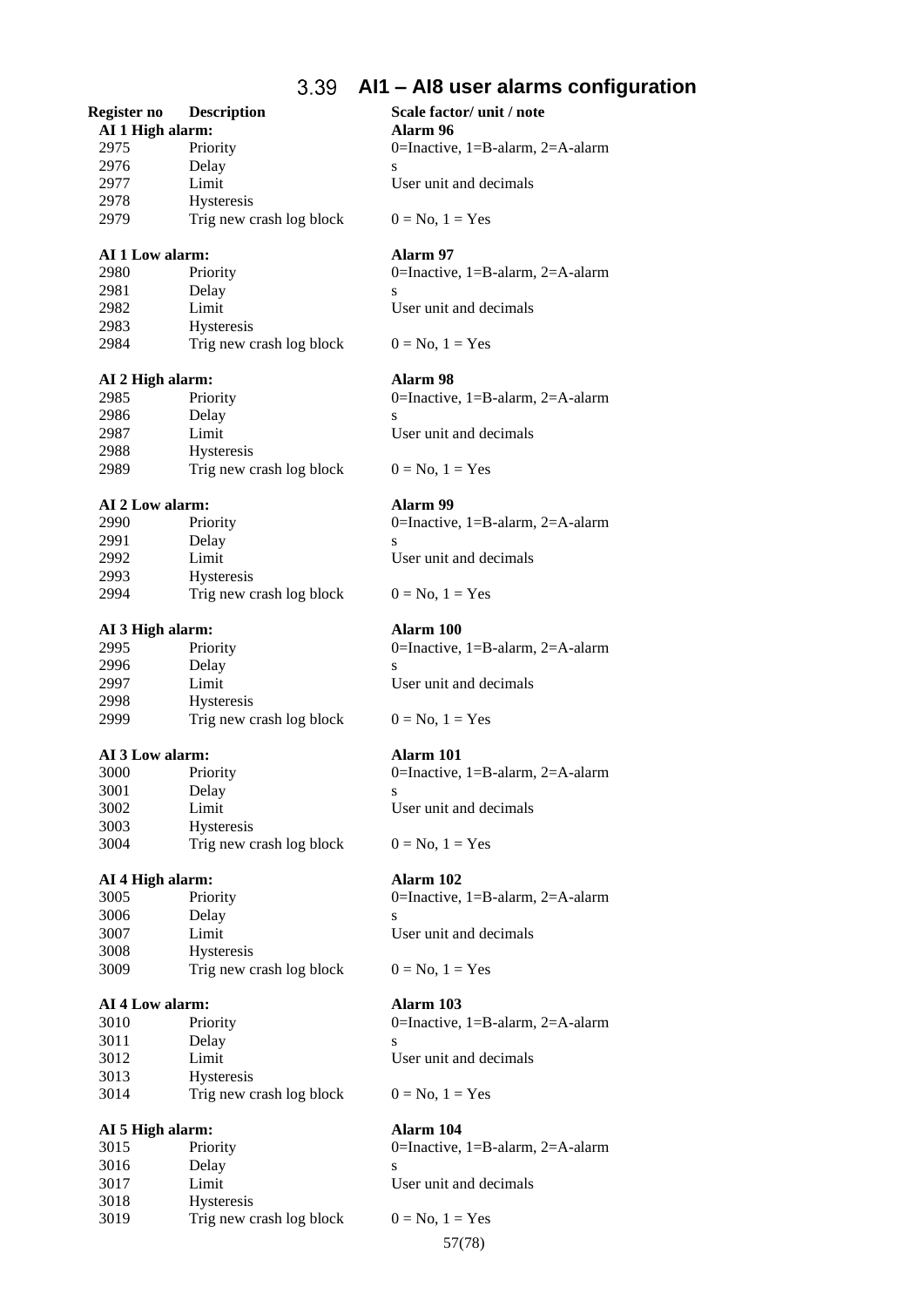### 3.39 **AI1 – AI8 user alarms configuration**

## **Register no Description Scale factor/ unit / note**

**AI 1 High alarm: Alarm 96** 2975 Priority 0=Inactive, 1=B-alarm, 2=A-alarm 2976 Delay s 2977 Limit User unit and decimals

2979 Trig new crash log block  $0 = No, 1 = Yes$ 

## **AI 1 Low alarm: Alarm 97**

2978 Hysteresis

2983 Hysteresis

2988 Hysteresis

2993 Hysteresis

2998 Hysteresis

3003 Hysteresis

3008 Hysteresis

3013 Hysteresis

2989 Trig new crash log block  $0 = No, 1 = Yes$ 

2991 Delay s

2980 Priority 0=Inactive, 1=B-alarm, 2=A-alarm 2981 Delay s 2982 Limit User unit and decimals

2984 Trig new crash log block  $0 = No, 1 = Yes$ 

## **AI 2 High alarm: Alarm 98**

2985 Priority 0=Inactive, 1=B-alarm, 2=A-alarm 2986 Delay s<br>2987 Limit I **2987** Limit User unit and decimals

## **AI 2 Low alarm: Alarm 99**

2990 Priority 0=Inactive, 1=B-alarm, 2=A-alarm

2992 Limit User unit and decimals

## 2994 Trig new crash log block  $0 = No, 1 = Yes$

## **AI 3 High alarm: Alarm 100**

2995 Priority 0=Inactive, 1=B-alarm, 2=A-alarm 2996 Delay s 2997 Limit User unit and decimals

2999 Trig new crash log block  $0 = No, 1 = Yes$ 

## **AI 3 Low alarm: Alarm 101**

3000 Priority 0=Inactive, 1=B-alarm, 2=A-alarm 3001 Delay s

3002 Limit User unit and decimals

3004 Trig new crash log block  $0 = No, 1 = Yes$ 

## **AI 4 High alarm: Alarm 102**

3005 Priority 0=Inactive, 1=B-alarm, 2=A-alarm 3006 Delay s 3007 Limit User unit and decimals

3009 Trig new crash log block  $0 = No, 1 = Yes$ 

## **AI 4 Low alarm: Alarm 103**

3010 Priority 0=Inactive, 1=B-alarm, 2=A-alarm 3011 Delay s 3012 Limit User unit and decimals

3014 Trig new crash log block  $0 = No, 1 = Yes$ 

## **AI 5 High alarm: Alarm 104**

| 3015 | Priority                 |   |
|------|--------------------------|---|
| 3016 | Delay                    | S |
| 3017 | Limit                    |   |
| 3018 | <b>Hysteresis</b>        |   |
| 3019 | Trig new crash log block |   |

0=Inactive,  $1 = B$ -alarm,  $2 = A$ -alarm User unit and decimals

57(78)  $0 = No$ ,  $1 = Yes$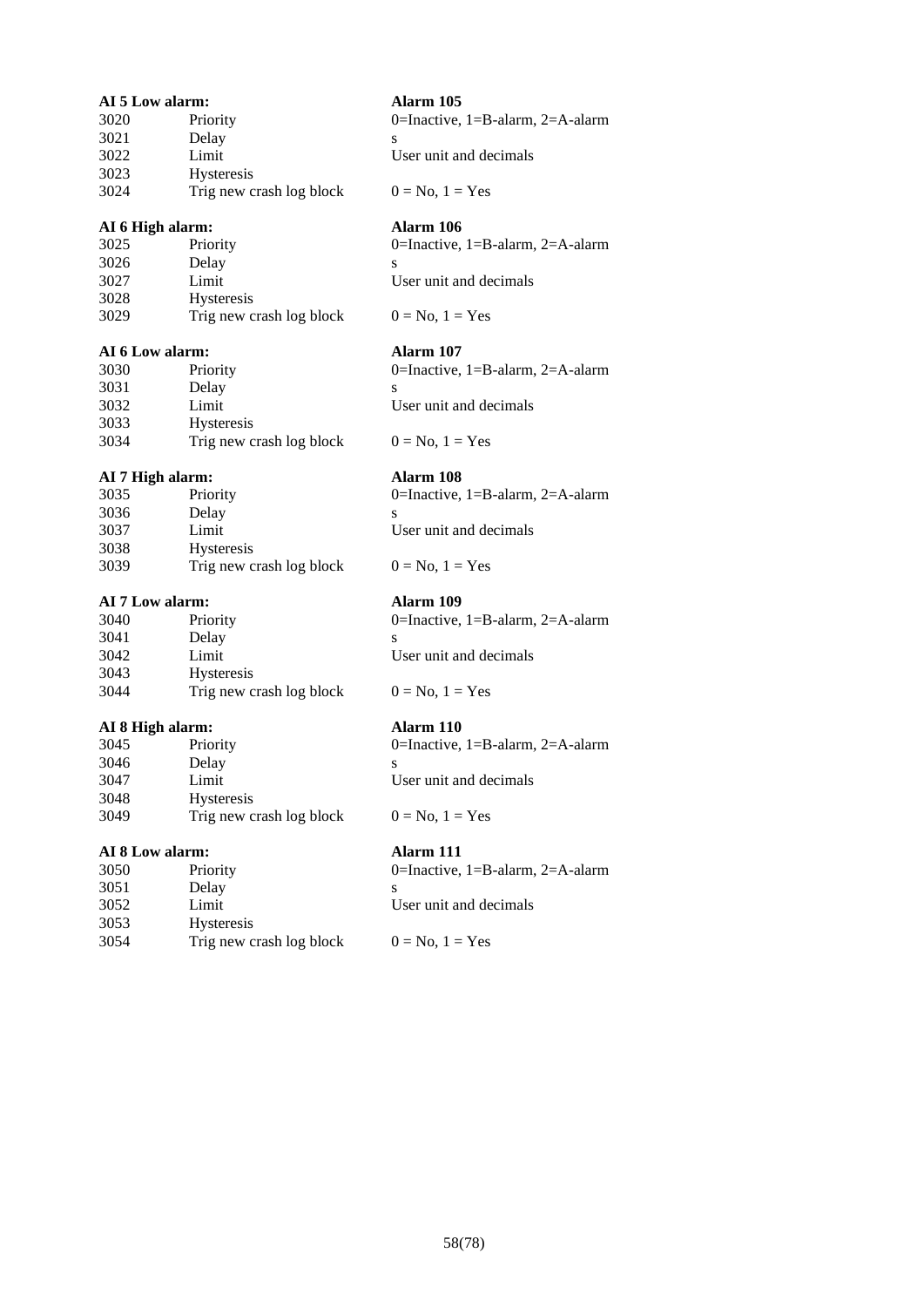| AI 5 Low alarm:        |                          | Alarm 105                        |
|------------------------|--------------------------|----------------------------------|
| 3020                   | Priority                 | 0=Inactive, 1=B-alarm, 2=A-alarm |
| 3021                   | Delay                    |                                  |
| 3022                   | Limit                    | User unit and decimals           |
| 3023                   | Hysteresis               |                                  |
| 3024                   | Trig new crash log block | $0 = No, 1 = Yes$                |
| AI 6 High alarm:       |                          | Alarm 106                        |
| 3025                   | Priority                 | 0=Inactive, 1=B-alarm, 2=A-alarm |
| 3026                   | Delay                    | S                                |
| 3027                   | Limit                    | User unit and decimals           |
| 3028                   | Hysteresis               |                                  |
| 3029                   | Trig new crash log block | $0 = No, 1 = Yes$                |
| <b>AI 6 Low alarm:</b> |                          | Alarm 107                        |
| 3030                   | Priority                 | 0=Inactive, 1=B-alarm, 2=A-alarm |
| 3031                   | Delay                    | S                                |
| 3032                   | Limit                    | User unit and decimals           |
| 3033                   | Hysteresis               |                                  |
| 3034                   | Trig new crash log block | $0 = No, 1 = Yes$                |
| AI 7 High alarm:       |                          | Alarm 108                        |
| 3035                   | Priority                 | 0=Inactive, 1=B-alarm, 2=A-alarm |
| 3036                   | Delay                    | S                                |
| 3037                   | Limit                    | User unit and decimals           |
| 3038                   | Hysteresis               |                                  |
| 3039                   | Trig new crash log block | $0 = No, 1 = Yes$                |
| AI 7 Low alarm:        |                          | Alarm 109                        |
| 3040                   | Priority                 | 0=Inactive, 1=B-alarm, 2=A-alarm |
| 3041                   | Delay                    | S                                |
| 3042                   | Limit                    | User unit and decimals           |
| 3043                   | Hysteresis               |                                  |
| 3044                   | Trig new crash log block | $0 = No, 1 = Yes$                |
| AI 8 High alarm:       |                          | Alarm 110                        |
| 3045                   | Priority                 | 0=Inactive, 1=B-alarm, 2=A-alarm |
| 3046                   | Delay                    | S                                |
| 3047                   | Limit                    | User unit and decimals           |
| 3048                   | Hysteresis               |                                  |
| 3049                   | Trig new crash log block | $0 = No, 1 = Yes$                |
| AI 8 Low alarm:        |                          | Alarm 111                        |
| 3050                   | Priority                 | 0=Inactive, 1=B-alarm, 2=A-alarm |

3051 Delay s<br>3052 Limit U 3052 Limit<br>
3053 Hysteresis<br>
3054 Trig new crash log block<br>  $0 = No, 1 = Yes$  Hysteresis 3054 Trig new crash log block  $0 = No, 1 = Yes$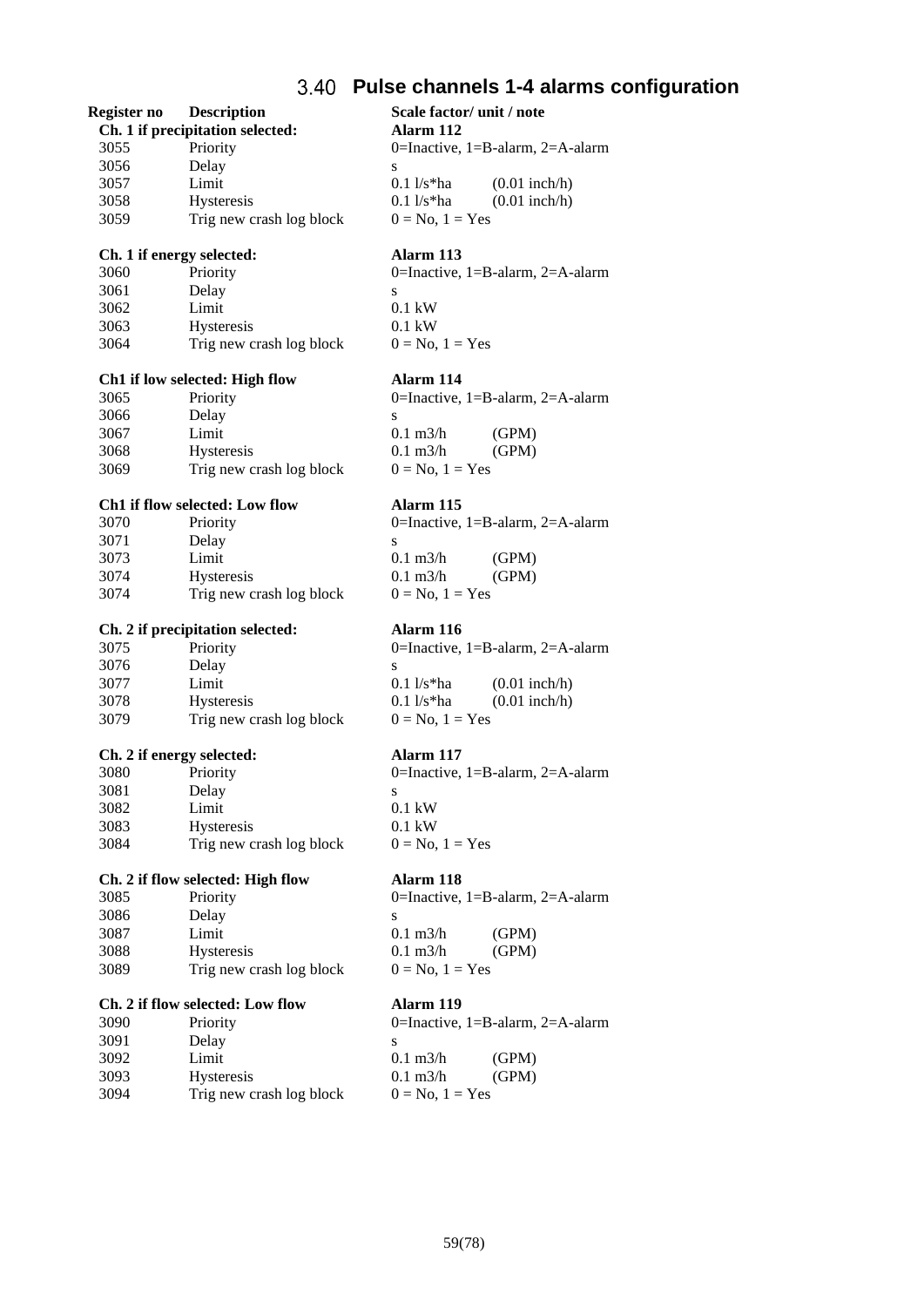## **Pulse channels 1-4 alarms configuration**

## **Register no Description Scale factor/ unit / note**

**Ch. 1 if precipitation selected: Alarm 112** 3055 Priority 0=Inactive, 1=B-alarm, 2=A-alarm 3056 Delay s 3057 Limit 0.1 l/s\*ha (0.01 inch/h) 3058 Hysteresis 0.1 l/s\*ha (0.01 inch/h) 3059 Trig new crash log block  $0 = No, 1 = Yes$ 

## **Ch. 1 if energy selected: Alarm 113**

3060 Priority 0=Inactive, 1=B-alarm, 2=A-alarm 3061 Delay s 3062 Limit 0.1 kW 3063 Hysteresis 0.1 kW 3064 Trig new crash log block  $0 = No, 1 = Yes$ 

3069 Trig new crash log block  $0 = No, 1 = Yes$ 

| 0=Inactive, $1 = B$ -alarm, $2 = A$ -alarn |
|--------------------------------------------|
|                                            |
| (GPM)                                      |
| (GPM)                                      |
| $0 = No, 1 = Yes$                          |
|                                            |
|                                            |

|              |                   | 0=Inactive, $1 = B$ -alarm, $2 = A$ |
|--------------|-------------------|-------------------------------------|
|              |                   |                                     |
| $0.11$ /s*ha |                   | $(0.01$ inch/                       |
| $0.11$ /s*ha |                   | $(0.01$ inch/                       |
|              | $0 = No, 1 = Yes$ |                                     |

0=Inactive, 1=B-alarm, 2=A-alarm  $0.1 \text{ kW}$  $0.1 \text{ kW}$  $0 = No$ ,  $1 = Yes$ 

## **Ch. 2 if flow selected: High flow Alarm 118**

0=Inactive,  $1 = B$ -alarm,  $2 = A$ -alarm  $0.1 \text{ m3/h}$  (GPM)  $0.1 \text{ m3/h}$  (GPM)  $0 = No$ ,  $1 = Yes$ 

 $0$ =Inactive, 1=B-alarm, 2=A-alarm  $0.1 \text{ m3/h}$  (GPM)  $0.1 \text{ m3/h}$  (GPM)  $0 = No, 1 = Yes$ 

**Ch1 if low selected: High flow Alarm 114** 3065 Priority 0=Inactive, 1=B-alarm, 2=A-alarm 3066 Delay s<br>3067 Limit 0  $1 \text{ min}$   $0.1 \text{ m3/h}$  (GPM) 3068 Hysteresis 0.1 m3/h (GPM)

## **Ch1 if flow selected: Low flow Alarm 115**

| 3070 | Priority                 |                     | 0=Inactive, $1 = B$ -alarm, $2 = A$ -alarm |
|------|--------------------------|---------------------|--------------------------------------------|
| 3071 | Delay                    |                     |                                            |
| 3073 | Limit                    | $0.1 \text{ m}$ 3/h | (GPM)                                      |
| 3074 | <b>Hysteresis</b>        | $0.1 \text{ m}$ 3/h | (GPM)                                      |
| 3074 | Trig new crash log block | $0 = No, 1 = Yes$   |                                            |

## **Ch. 2 if precipitation selected: Alarm 116**

| 3075 | Priority                 |                   | 0=Inactive, $1 = B$ -alarm, $2 = A$ -alarm |
|------|--------------------------|-------------------|--------------------------------------------|
| 3076 | Delay                    |                   |                                            |
| 3077 | Limit                    | 0.1 $1/s*ha$      | $(0.01$ inch/h)                            |
| 3078 | <b>Hysteresis</b>        | 0.1 $1/s*ha$      | $(0.01$ inch/h)                            |
| 3079 | Trig new crash log block | $0 = No, 1 = Yes$ |                                            |

### **Ch. 2 if energy selected: Alarm 117**

| 3080 | Priority                 | C |
|------|--------------------------|---|
| 3081 | Delay                    | S |
| 3082 | Limit                    | C |
| 3083 | <b>Hysteresis</b>        | ſ |
| 3084 | Trig new crash log block |   |
|      |                          |   |

|  |  |  |  | Ch. 2 if flow selected: High flow |  |  |
|--|--|--|--|-----------------------------------|--|--|
|--|--|--|--|-----------------------------------|--|--|

| 3085 | Priority                 |   |
|------|--------------------------|---|
| 3086 | Delay                    | S |
| 3087 | Limit                    |   |
| 3088 | <b>Hysteresis</b>        |   |
| 3089 | Trig new crash log block |   |

## **Ch. 2 if flow selected: Low flow Alarm 119**

| 3090 | Priority                 |   |
|------|--------------------------|---|
| 3091 | Delay                    | S |
| 3092 | Limit                    | ſ |
| 3093 | <b>Hysteresis</b>        | ſ |
| 3094 | Trig new crash log block |   |
|      |                          |   |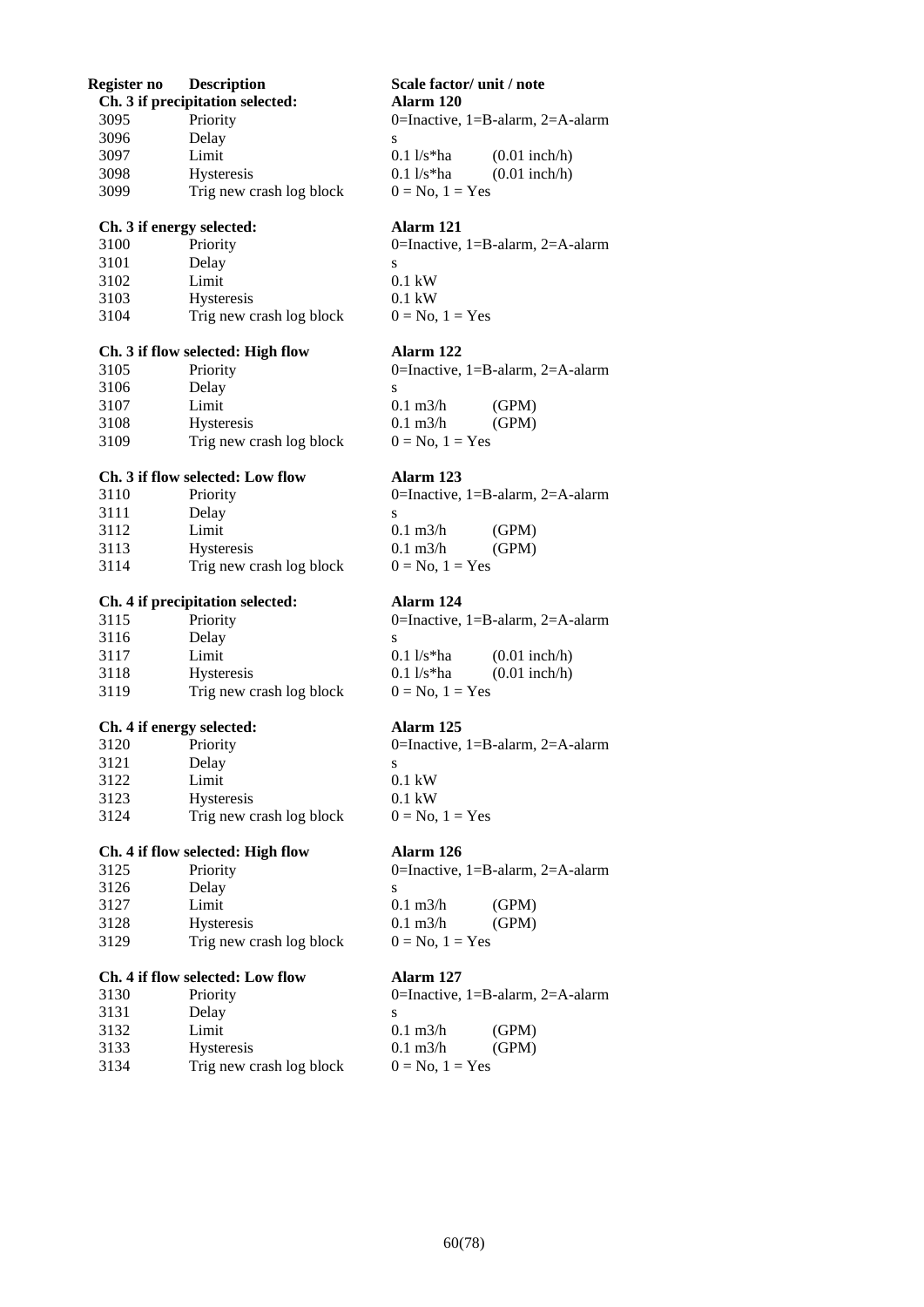| Register no | <b>Description</b>                | Scale factor/ unit / note                  |
|-------------|-----------------------------------|--------------------------------------------|
|             | Ch. 3 if precipitation selected:  | Alarm 120                                  |
| 3095        | Priority                          | 0=Inactive, $1 = B$ -alarm, $2 = A$ -alarm |
| 3096        | Delay                             | S                                          |
| 3097        | Limit                             | $0.1 \frac{1}{s^*}$ ha<br>$(0.01$ inch/h)  |
| 3098        | Hysteresis                        | $0.1 \frac{1}{s^*}$ ha<br>$(0.01$ inch/h)  |
| 3099        | Trig new crash log block          | $0 = No$ , $1 = Yes$                       |
|             | Ch. 3 if energy selected:         | Alarm 121                                  |
| 3100        | Priority                          | 0=Inactive, 1=B-alarm, 2=A-alarm           |
| 3101        | Delay                             | S                                          |
| 3102        | Limit                             | $0.1$ kW                                   |
| 3103        | Hysteresis                        | $0.1$ kW                                   |
| 3104        | Trig new crash log block          | $0 = No$ , $1 = Yes$                       |
|             | Ch. 3 if flow selected: High flow | Alarm 122                                  |
| 3105        | Priority                          | 0=Inactive, 1=B-alarm, 2=A-alarm           |
| 3106        | Delay                             | S                                          |
| 3107        | Limit                             | $0.1 \text{ m}^3/h$<br>(GPM)               |
| 3108        | Hysteresis                        | $0.1 \text{ m}^3/h$<br>(GPM)               |
| 3109        | Trig new crash log block          | $0 = No, 1 = Yes$                          |
|             | Ch. 3 if flow selected: Low flow  | Alarm 123                                  |
| 3110        | Priority                          | 0=Inactive, 1=B-alarm, 2=A-alarm           |
| 3111        | Delay                             | S                                          |
| 3112        | Limit                             | $0.1 \text{ m}^3/h$<br>(GPM)               |
| 3113        | Hysteresis                        | $0.1 \text{ m}^3/h$<br>(GPM)               |
| 3114        | Trig new crash log block          | $0 = No, 1 = Yes$                          |
|             | Ch. 4 if precipitation selected:  | Alarm 124                                  |
| 3115        | Priority                          | 0=Inactive, 1=B-alarm, 2=A-alarm           |
| 3116        | Delay                             | S                                          |
| 3117        | Limit                             | $0.1 \frac{1}{s^*}$ ha<br>$(0.01$ inch/h)  |
| 3118        | Hysteresis                        | $(0.01$ inch/h)<br>$0.1 \frac{1}{s^*}$ ha  |
| 3119        | Trig new crash log block          | $0 = No$ , $1 = Yes$                       |
|             | Ch. 4 if energy selected:         | Alarm 125                                  |
| 3120        | Priority                          | 0=Inactive, $1 = B$ -alarm, $2 = A$ -alarm |
| 3121        | Delay                             | ${\bf S}$                                  |
| 3122        | Limit                             | $0.1 \text{ kW}$                           |
| 3123        | Hysteresis                        | $0.1 \text{ kW}$                           |
| 3124        | Trig new crash log block          | $0 = No$ , $1 = Yes$                       |
|             | Ch. 4 if flow selected: High flow | Alarm 126                                  |
| 3125        | Priority                          | 0=Inactive, $1 = B$ -alarm, $2 = A$ -alarm |
| 3126        | Delay                             | S                                          |
| 3127        | Limit                             | $0.1 \text{ m}3/h$<br>(GPM)                |
| 3128        | Hysteresis                        | $0.1 \text{ m}3/h$<br>(GPM)                |
| 3129        | Trig new crash log block          | $0 = No$ , $1 = Yes$                       |
|             | Ch. 4 if flow selected: Low flow  | Alarm 127                                  |
| 3130        | Priority                          | 0=Inactive, $1 = B$ -alarm, $2 = A$ -alarm |
| 3131        | Delay                             | S                                          |
| 3132        | Limit                             | $0.1 \text{ m}^3/h$<br>(GPM)               |
| 3133        | Hysteresis                        | $0.1 \text{ m}$ 3/h<br>(GPM)               |
| 3134        | Trig new crash log block          | $0 = No$ , $1 = Yes$                       |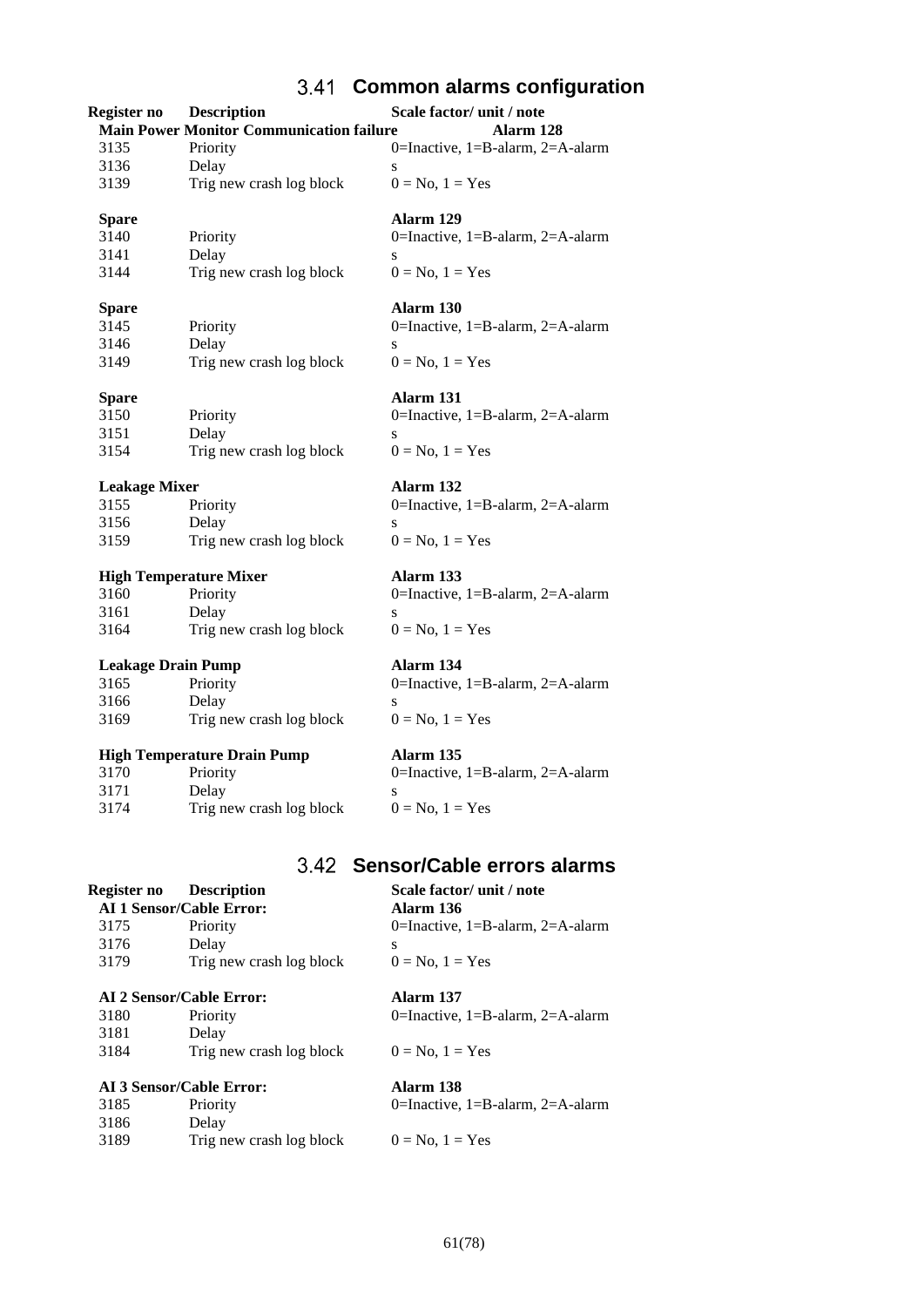## **Common alarms configuration**

| Register no               | <b>Description</b>                              | Scale factor/ unit / note                  |
|---------------------------|-------------------------------------------------|--------------------------------------------|
|                           | <b>Main Power Monitor Communication failure</b> | Alarm 128                                  |
| 3135                      | Priority                                        | 0=Inactive, 1=B-alarm, 2=A-alarm           |
| 3136                      | Delay                                           | ${\bf S}$                                  |
| 3139                      | Trig new crash log block                        | $0 = No$ , $1 = Yes$                       |
| <b>Spare</b>              |                                                 | Alarm 129                                  |
| 3140                      | Priority                                        | 0=Inactive, 1=B-alarm, 2=A-alarm           |
| 3141                      | Delay                                           | S                                          |
| 3144                      | Trig new crash log block                        | $0 = No, 1 = Yes$                          |
| <b>Spare</b>              |                                                 | Alarm 130                                  |
| 3145                      | Priority                                        | 0=Inactive, 1=B-alarm, 2=A-alarm           |
| 3146                      | Delay                                           | S                                          |
| 3149                      | Trig new crash log block                        | $0 = No$ , $1 = Yes$                       |
| <b>Spare</b>              |                                                 | Alarm 131                                  |
| 3150                      | Priority                                        | 0=Inactive, $1 = B$ -alarm, $2 = A$ -alarm |
| 3151                      | Delay                                           | S                                          |
| 3154                      | Trig new crash log block                        | $0 = No$ , $1 = Yes$                       |
| <b>Leakage Mixer</b>      |                                                 | Alarm 132                                  |
| 3155                      | Priority                                        | 0=Inactive, 1=B-alarm, 2=A-alarm           |
| 3156                      | Delay                                           | S                                          |
| 3159                      | Trig new crash log block                        | $0 = No$ , $1 = Yes$                       |
|                           |                                                 |                                            |
|                           | <b>High Temperature Mixer</b>                   | Alarm 133                                  |
| 3160                      | Priority                                        | 0=Inactive, 1=B-alarm, 2=A-alarm           |
| 3161                      | Delay                                           | S                                          |
| 3164                      | Trig new crash log block                        | $0 = No$ , $1 = Yes$                       |
| <b>Leakage Drain Pump</b> |                                                 | Alarm 134                                  |
| 3165                      | Priority                                        | 0=Inactive, $1 = B$ -alarm, $2 = A$ -alarm |
| 3166                      | Delay                                           | S                                          |
| 3169                      | Trig new crash log block                        | $0 = No$ , $1 = Yes$                       |
|                           | <b>High Temperature Drain Pump</b>              | Alarm 135                                  |
| 3170                      | Priority                                        | 0=Inactive, 1=B-alarm, 2=A-alarm           |
| 3171                      | Delay                                           | S                                          |
| 3174                      | Trig new crash log block                        | $0 = No$ , $1 = Yes$                       |

## **Sensor/Cable errors alarms**

## **Register no Description Scale factor/ unit / note**<br> **AI 1 Sensor/Cable Error: Alarm 136 AI 1 Sensor/Cable Error:**<br>3175 Priority 3175 Priority 0=Inactive, 1=B-alarm, 2=A-alarm 3176 Delay s 3179 Trig new crash log block  $0 = No, 1 = Yes$ **AI 2 Sensor/Cable Error: Alarm 137** 3180 Priority 0=Inactive, 1=B-alarm, 2=A-alarm

## 3181 Delay 3184 Trig new crash log block  $0 = No, 1 = Yes$

## **AI 3 Sensor/Cable Error: Alarm 138**

| Alarm 158                                  |  |
|--------------------------------------------|--|
| 0=Inactive, $1 = B$ -alarm, $2 = A$ -alarm |  |

3185 Priority 3186 Delay 3189 Trig new crash log block  $0 = No, 1 = Yes$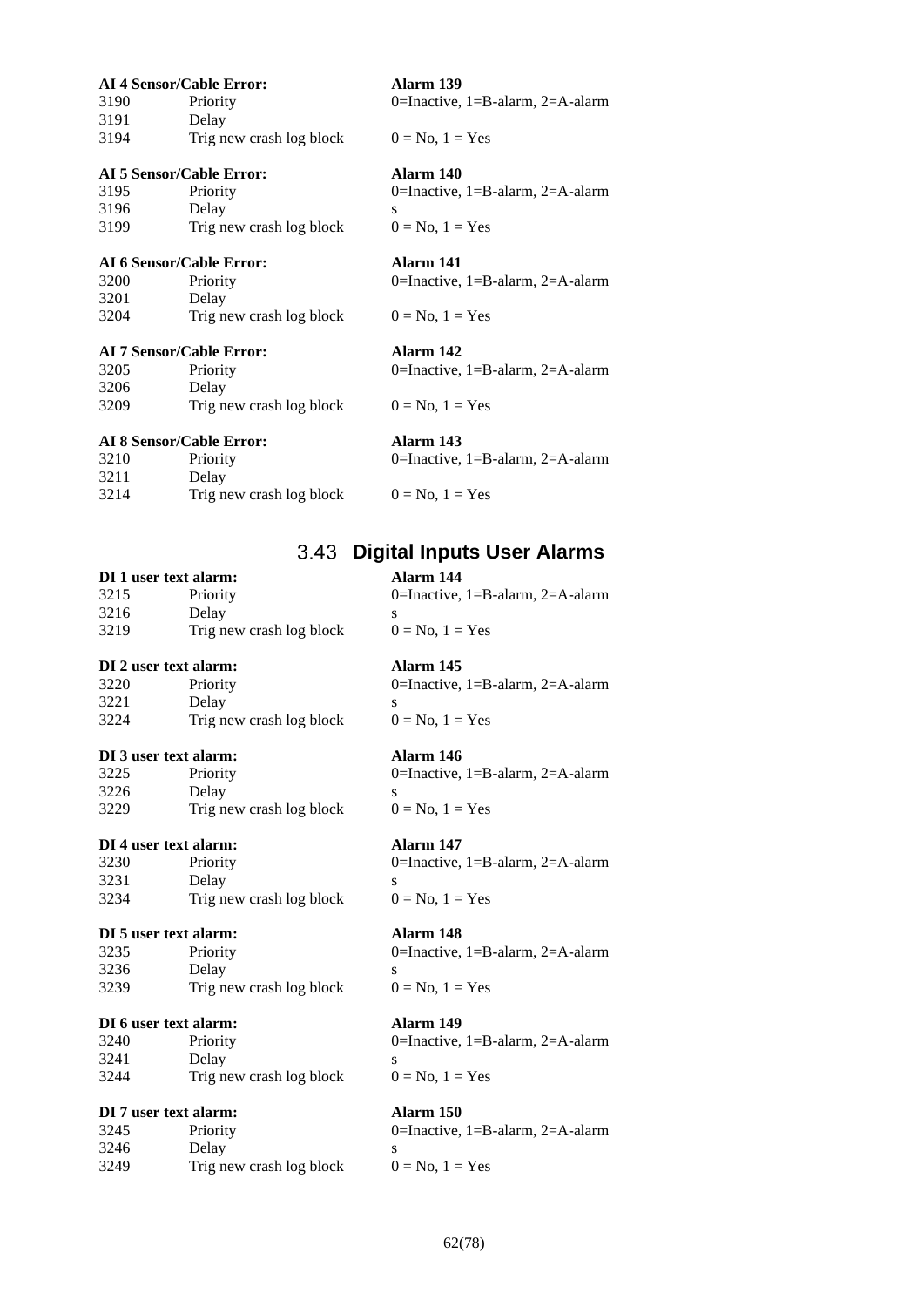|      | <b>AI 4 Sensor/Cable Error:</b> | Alarm 139                                  |
|------|---------------------------------|--------------------------------------------|
| 3190 | Priority                        | 0=Inactive, $1 = B$ -alarm, $2 = A$ -alarm |
| 3191 | Delay                           |                                            |
| 3194 | Trig new crash log block        | $0 = No, 1 = Yes$                          |
|      | AI 5 Sensor/Cable Error:        | Alarm 140                                  |
| 3195 | Priority                        | 0=Inactive, $1 = B$ -alarm, $2 = A$ -alarm |
| 3196 | Delay                           | S                                          |
| 3199 | Trig new crash log block        | $0 = No$ , $1 = Yes$                       |
|      | <b>AI 6 Sensor/Cable Error:</b> | Alarm 141                                  |
| 3200 | Priority                        | 0=Inactive, 1=B-alarm, 2=A-alarm           |
| 3201 | Delay                           |                                            |
| 3204 | Trig new crash log block        | $0 = No, 1 = Yes$                          |
|      | AI 7 Sensor/Cable Error:        | Alarm 142                                  |
| 3205 | Priority                        | 0=Inactive, $1 = B$ -alarm, $2 = A$ -alarm |
| 3206 | Delay                           |                                            |
| 3209 | Trig new crash log block        | $0 = No, 1 = Yes$                          |
|      | $ATQCquas =  C0 LL0 Lquas$      |                                            |

### **AI 8 Sensor/Cable Error: Alarm 143**

| 3210 | Priority                 | 0=Inactive, 1=B-alarm, 2=A-alarm |
|------|--------------------------|----------------------------------|
| 3211 | Delay                    |                                  |
| 3214 | Trig new crash log block | $0 = No. 1 = Yes$                |

## **Digital Inputs User Alarms**

## **DI 1 user text alarm: Alarm 144**

| 3215 | Priority                 | 0=Inactive, 1=B-alarm, 2=A-alarm |
|------|--------------------------|----------------------------------|
| 3216 | Delay                    |                                  |
| 3219 | Trig new crash log block | $0 = No. 1 = Yes$                |

### **DI 2 user text alarm: Alarm 145**

| 3220 | Priority                 |  |
|------|--------------------------|--|
| 3221 | Delay                    |  |
| 3224 | Trig new crash log block |  |

## **DI 3 user text alarm: Alarm 146**

| 3225 | Priority                 |  |
|------|--------------------------|--|
| 3226 | Delay                    |  |
| 3229 | Trig new crash log block |  |

## **DI 4 user text alarm: Alarm 147**

| 3230<br>3231 | Priority                 |  |
|--------------|--------------------------|--|
|              | Delay                    |  |
| 3234         | Trig new crash log block |  |

## **DI 5 user text alarm: Alarm 148**

| 3235 | Priority                 |  |
|------|--------------------------|--|
| 3236 | Delay                    |  |
| 3239 | Trig new crash log block |  |

### **DI 6 user text alarm: Alarm 149**

| 3240<br>3241<br>3244 | Priority                 |  |
|----------------------|--------------------------|--|
|                      | Delay                    |  |
|                      | Trig new crash log block |  |

## **DI 7 user text alarm: Alarm 150**

| 3245 | Priority                 |  |
|------|--------------------------|--|
| 3246 | Delay                    |  |
| 3249 | Trig new crash log block |  |

 $0$ =Inactive, 1=B-alarm, 2=A-alarm  $0 = No$ ,  $1 = Yes$ 

0=Inactive, 1=B-alarm, 2=A-alarm  $0 = No$ ,  $1 = Yes$ 

0=Inactive, 1=B-alarm, 2=A-alarm  $0 = No, 1 = Yes$ 

# 0=Inactive, 1=B-alarm, 2=A-alarm

 $0 = No$ ,  $1 = Yes$ 

0=Inactive, 1=B-alarm, 2=A-alarm  $0 = No$ ,  $1 = Yes$ 

0=Inactive, 1=B-alarm, 2=A-alarm  $0 = No$ ,  $1 = Yes$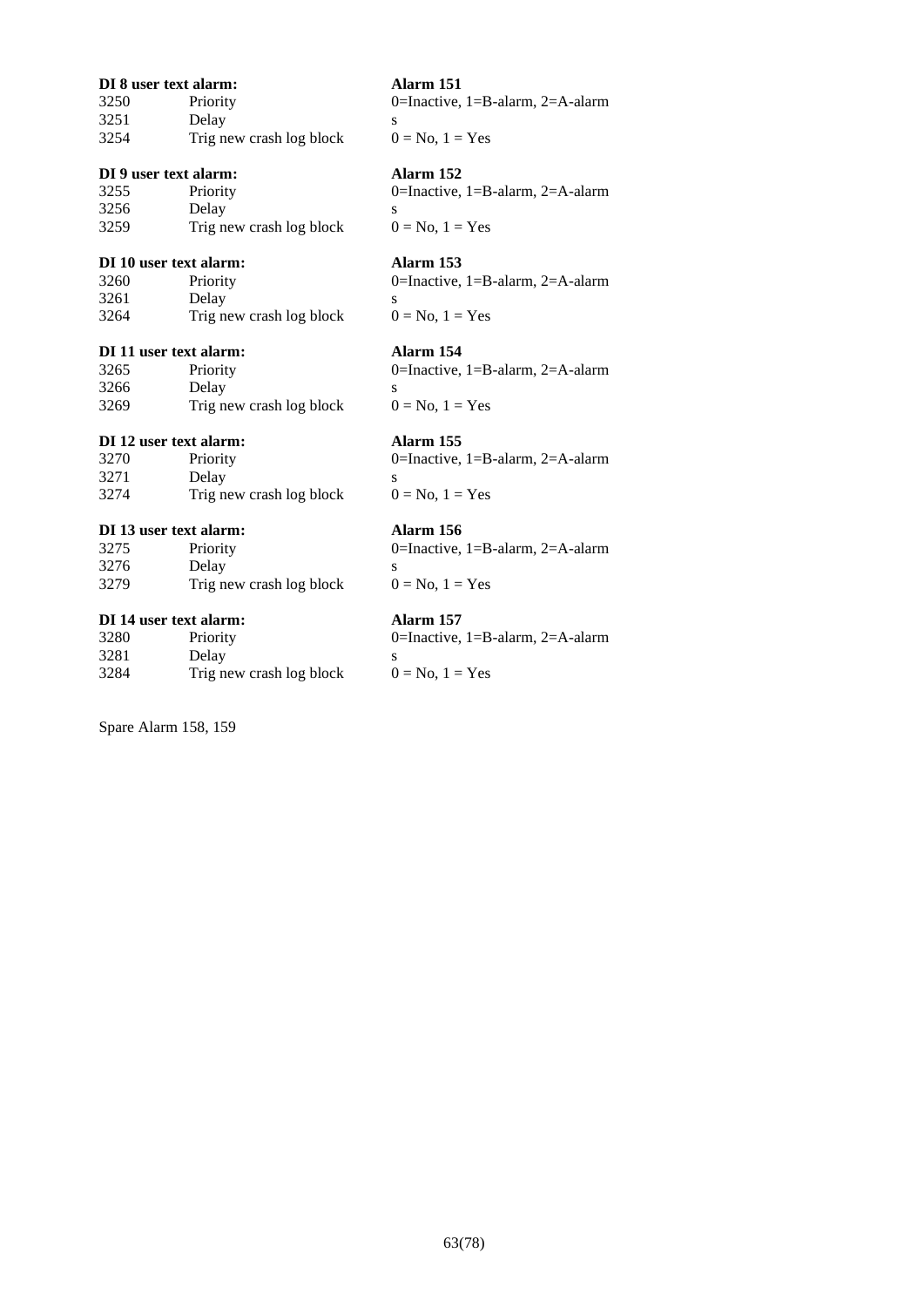| DI 8 user text alarm: |                          |   |
|-----------------------|--------------------------|---|
| 3250                  | Priority                 |   |
| 3251                  | Delay                    | s |
| 3254                  | Trig new crash log block |   |

## **DI 9 user text alarm: Alarm 152**

| 3255 | Priority                 |  |
|------|--------------------------|--|
| 3256 | Delay                    |  |
| 3259 | Trig new crash log block |  |

### **DI 10 user text alarm: Alarm 153**

| 3260 | Priority                 |  |
|------|--------------------------|--|
| 3261 | Delay                    |  |
| 3264 | Trig new crash log block |  |

## **DI 11 user text alarm: Alarm 154**

| 3265 | Priority                 |  |
|------|--------------------------|--|
| 3266 | Delay                    |  |
| 3269 | Trig new crash log block |  |

# $0 = No, 1 = Yes$

## **DI 12 user text alarm: Alarm 155**

| 3270 | Priority                 |  |
|------|--------------------------|--|
| 3271 | Delay                    |  |
| 3274 | Trig new crash log block |  |

## **DI 13 user text alarm: Alarm 156**

| 3275 | Priority                 |  |
|------|--------------------------|--|
| 3276 | Delay                    |  |
| 3279 | Trig new crash log block |  |

## **DI 14 user text alarm: Alarm 157**

| 3280 | Priority                 | 0=Inactive, $1 = B$ -alarm, |
|------|--------------------------|-----------------------------|
| 3281 | Delay                    |                             |
| 3284 | Trig new crash log block | $0 = No. 1 = Yes$           |

Spare Alarm 158, 159

**DI 8 user text alarm: Alarm 151** 0=Inactive, 1=B-alarm, 2=A-alarm  $0 = No$ ,  $1 = Yes$ 

0=Inactive, 1=B-alarm, 2=A-alarm  $0 = No$ ,  $1 = Yes$ 

# 0=Inactive, 1=B-alarm, 2=A-alarm

 $0 = No$ ,  $1 = Yes$ 

0=Inactive, 1=B-alarm, 2=A-alarm

0=Inactive, 1=B-alarm, 2=A-alarm  $0 = No$ ,  $1 = Yes$ 

0=Inactive, 1=B-alarm, 2=A-alarm  $0 = No$ ,  $1 = Yes$ 

 $2=$ A-alarm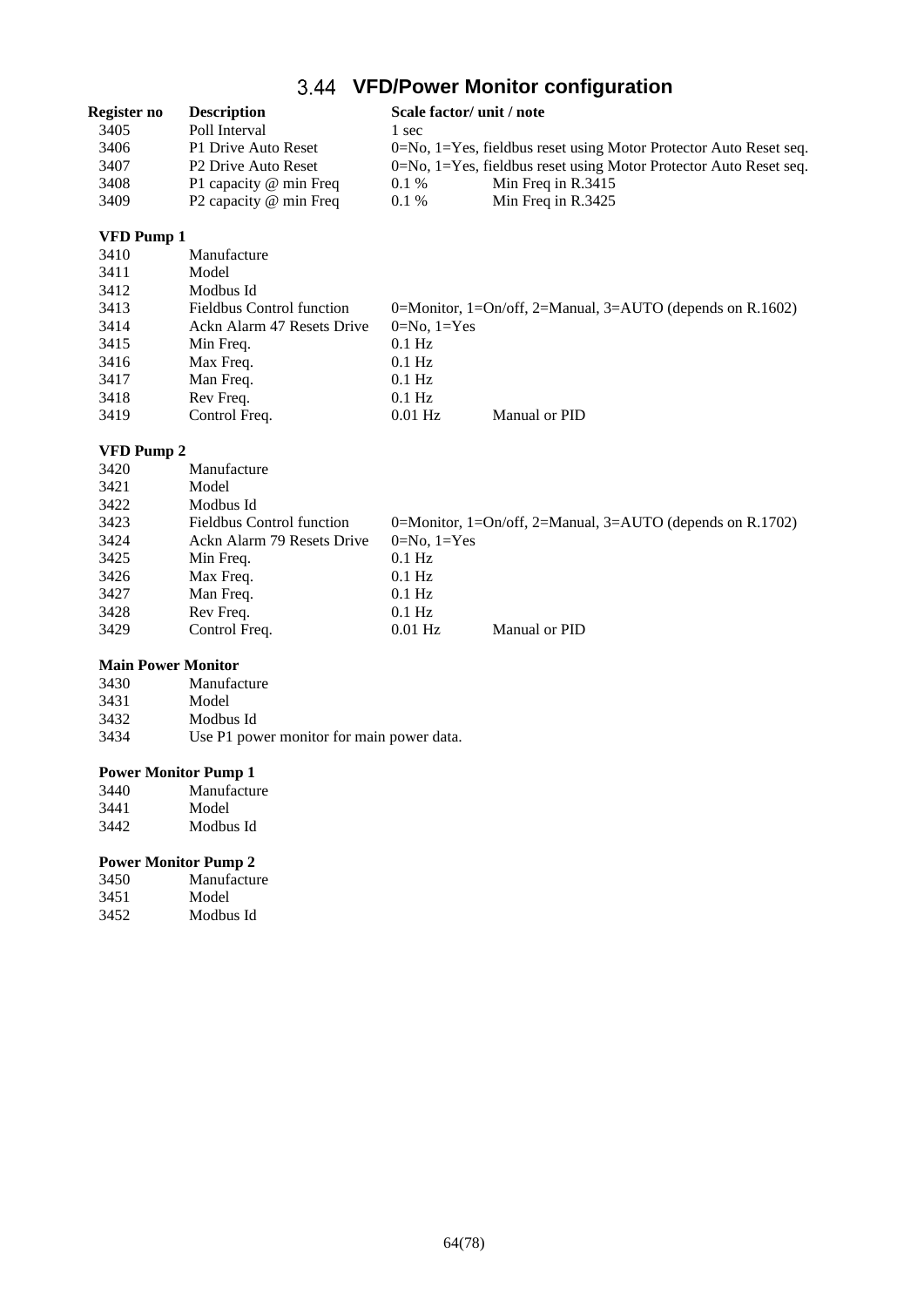# **VFD/Power Monitor configuration**

| Register no | <b>Description</b>              |         | Scale factor/ unit / note                                             |
|-------------|---------------------------------|---------|-----------------------------------------------------------------------|
| 3405        | Poll Interval                   | sec     |                                                                       |
| 3406        | P1 Drive Auto Reset             |         | $0=N_0$ , 1=Yes, fieldbus reset using Motor Protector Auto Reset seq. |
| 3407        | P <sub>2</sub> Drive Auto Reset |         | $0=N_0$ , 1=Yes, fieldbus reset using Motor Protector Auto Reset seq. |
| 3408        | P1 capacity @ min Freq          | $0.1\%$ | Min Freq in $R.3415$                                                  |
| 3409        | P2 capacity @ min Freq          | $0.1\%$ | Min Freq in $R.3425$                                                  |

## **VFD Pump 1**

| 3410 | Manufacture                      |               |                                                           |
|------|----------------------------------|---------------|-----------------------------------------------------------|
| 3411 | Model                            |               |                                                           |
| 3412 | Modbus Id                        |               |                                                           |
| 3413 | <b>Fieldbus Control function</b> |               | 0=Monitor, 1=On/off, 2=Manual, 3=AUTO (depends on R.1602) |
| 3414 | Ackn Alarm 47 Resets Drive       | $0=No, 1=Yes$ |                                                           |
| 3415 | Min Freq.                        | $0.1$ Hz      |                                                           |
| 3416 | Max Freq.                        | $0.1$ Hz      |                                                           |
| 3417 | Man Freq.                        | $0.1$ Hz      |                                                           |
| 3418 | Rev Freq.                        | $0.1$ Hz      |                                                           |
| 3419 | Control Freq.                    | $0.01$ Hz     | Manual or PID                                             |

## **VFD Pump 2**

| 3420 | Manufacture                      |               |                                                           |
|------|----------------------------------|---------------|-----------------------------------------------------------|
| 3421 | Model                            |               |                                                           |
| 3422 | Modbus Id                        |               |                                                           |
| 3423 | <b>Fieldbus Control function</b> |               | 0=Monitor, 1=On/off, 2=Manual, 3=AUTO (depends on R.1702) |
| 3424 | Ackn Alarm 79 Resets Drive       | $0=No, 1=Yes$ |                                                           |
| 3425 | Min Freq.                        | $0.1$ Hz      |                                                           |
| 3426 | Max Freq.                        | $0.1$ Hz      |                                                           |
| 3427 | Man Freq.                        | $0.1$ Hz      |                                                           |
| 3428 | Rev Freq.                        | $0.1$ Hz      |                                                           |
| 3429 | Control Freq.                    | $0.01$ Hz     | Manual or PID                                             |

## **Main Power Monitor**

| 3430 | Manufacture                               |
|------|-------------------------------------------|
| 3431 | Model                                     |
| 3432 | Modbus Id                                 |
| 3434 | Use P1 power monitor for main power data. |

## **Power Monitor Pump 1**

| 3440 | Manufacture |
|------|-------------|
| 3441 | Model       |
| 3442 | Modbus Id   |

## **Power Monitor Pump 2**

| 3450 | Manufacture |
|------|-------------|
| 3451 | Model       |
| 3452 | Modbus Id   |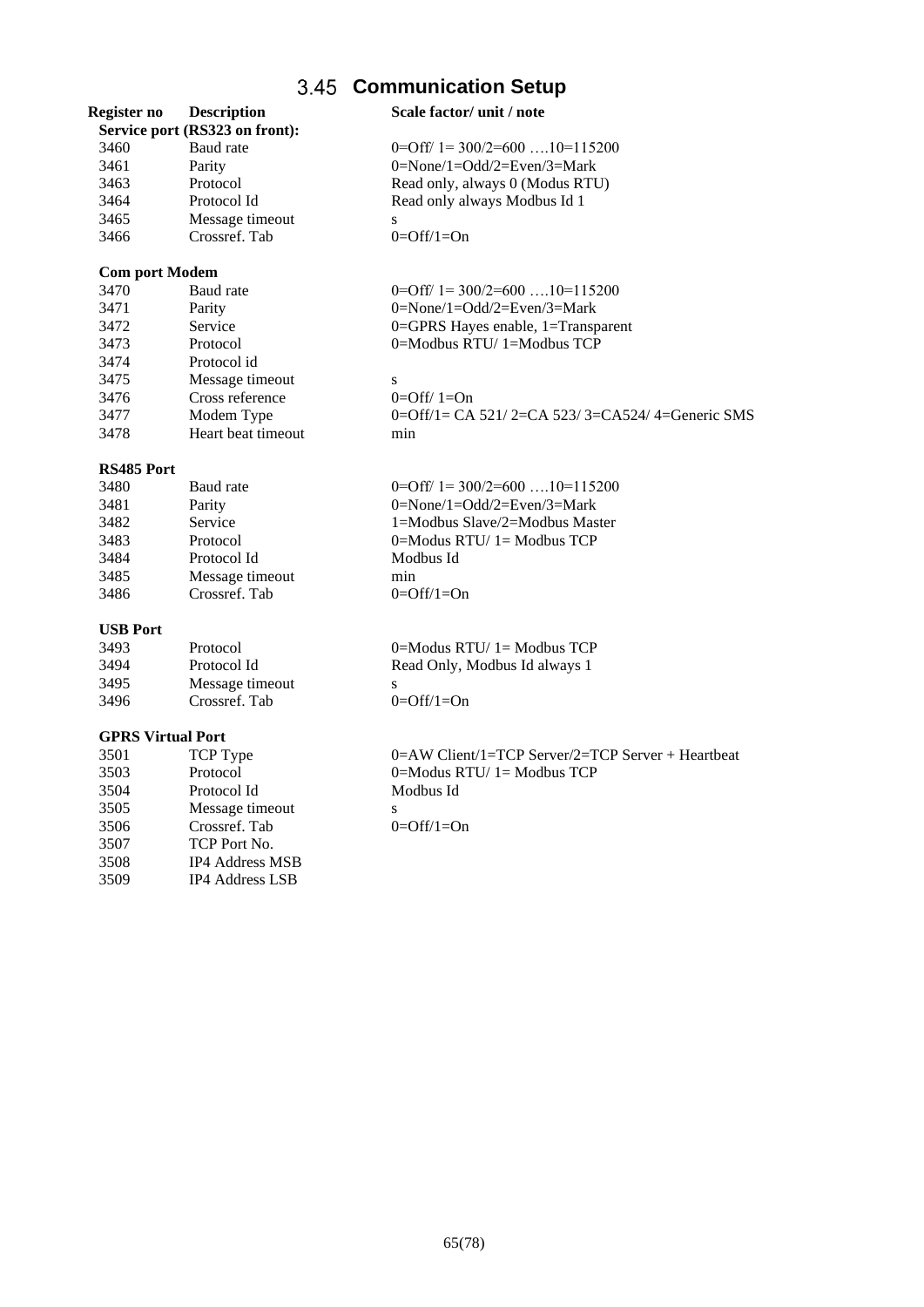# **Communication Setup**

| Register no              | <b>Description</b><br>Service port (RS323 on front): | Scale factor/ unit / note                                        |
|--------------------------|------------------------------------------------------|------------------------------------------------------------------|
| 3460                     | Baud rate                                            | $0=Off/1=300/2=600$ 10=115200                                    |
| 3461                     | Parity                                               | $0 = \text{None}/1 = \text{Odd}/2 = \text{Even}/3 = \text{Mark}$ |
| 3463                     | Protocol                                             | Read only, always 0 (Modus RTU)                                  |
| 3464                     | Protocol Id                                          | Read only always Modbus Id 1                                     |
| 3465                     | Message timeout                                      | ${\bf S}$                                                        |
| 3466                     | Crossref. Tab                                        | $0=Off/1=On$                                                     |
| <b>Com port Modem</b>    |                                                      |                                                                  |
| 3470                     | Baud rate                                            | $0 = \text{Off}/1 = 300/2 = 600 \dots 10 = 115200$               |
| 3471                     | Parity                                               | 0=None/1=Odd/2=Even/3=Mark                                       |
| 3472                     | Service                                              | 0=GPRS Hayes enable, 1=Transparent                               |
| 3473                     | Protocol                                             | 0=Modbus RTU/1=Modbus TCP                                        |
| 3474                     | Protocol id                                          |                                                                  |
| 3475                     | Message timeout                                      | S                                                                |
| 3476                     | Cross reference                                      | $0=Off/1=On$                                                     |
| 3477                     | Modem Type                                           | 0=Off/1= CA 521/2=CA 523/3=CA524/4=Generic SMS                   |
| 3478                     | Heart beat timeout                                   | min                                                              |
| RS485 Port               |                                                      |                                                                  |
| 3480                     | Baud rate                                            | $0=Off/1=300/2=600$ 10=115200                                    |
| 3481                     | Parity                                               | $0 = \text{None}/1 = \text{Odd}/2 = \text{Even}/3 = \text{Mark}$ |
| 3482                     | Service                                              | 1=Modbus Slave/2=Modbus Master                                   |
| 3483                     | Protocol                                             | 0=Modus RTU/1=Modbus TCP                                         |
| 3484                     | Protocol Id                                          | Modbus Id                                                        |
| 3485                     | Message timeout                                      | min                                                              |
| 3486                     | Crossref. Tab                                        | $0=Off/1=On$                                                     |
| <b>USB Port</b>          |                                                      |                                                                  |
| 3493                     | Protocol                                             | $0 = Modus RTU/1 = Modbus TCP$                                   |
| 3494                     | Protocol Id                                          | Read Only, Modbus Id always 1                                    |
| 3495                     | Message timeout                                      | ${\bf S}$                                                        |
| 3496                     | Crossref. Tab                                        | $0=Off/1=On$                                                     |
| <b>GPRS Virtual Port</b> |                                                      |                                                                  |
| 3501                     | TCP Type                                             | 0=AW Client/1=TCP Server/2=TCP Server + Heartbeat                |
| 3503                     | Protocol                                             | $0 = Modus RTU/1 = Modbus TCP$                                   |
| 3504                     | Protocol Id                                          | Modbus Id                                                        |
| 3505                     | Message timeout                                      | ${\bf S}$                                                        |
| 3506                     | Crossref. Tab                                        | $0=Off/1=On$                                                     |
| 3507                     | TCP Port No.                                         |                                                                  |
| 3508                     | IP4 Address MSB                                      |                                                                  |
| 3509                     | IP4 Address LSB                                      |                                                                  |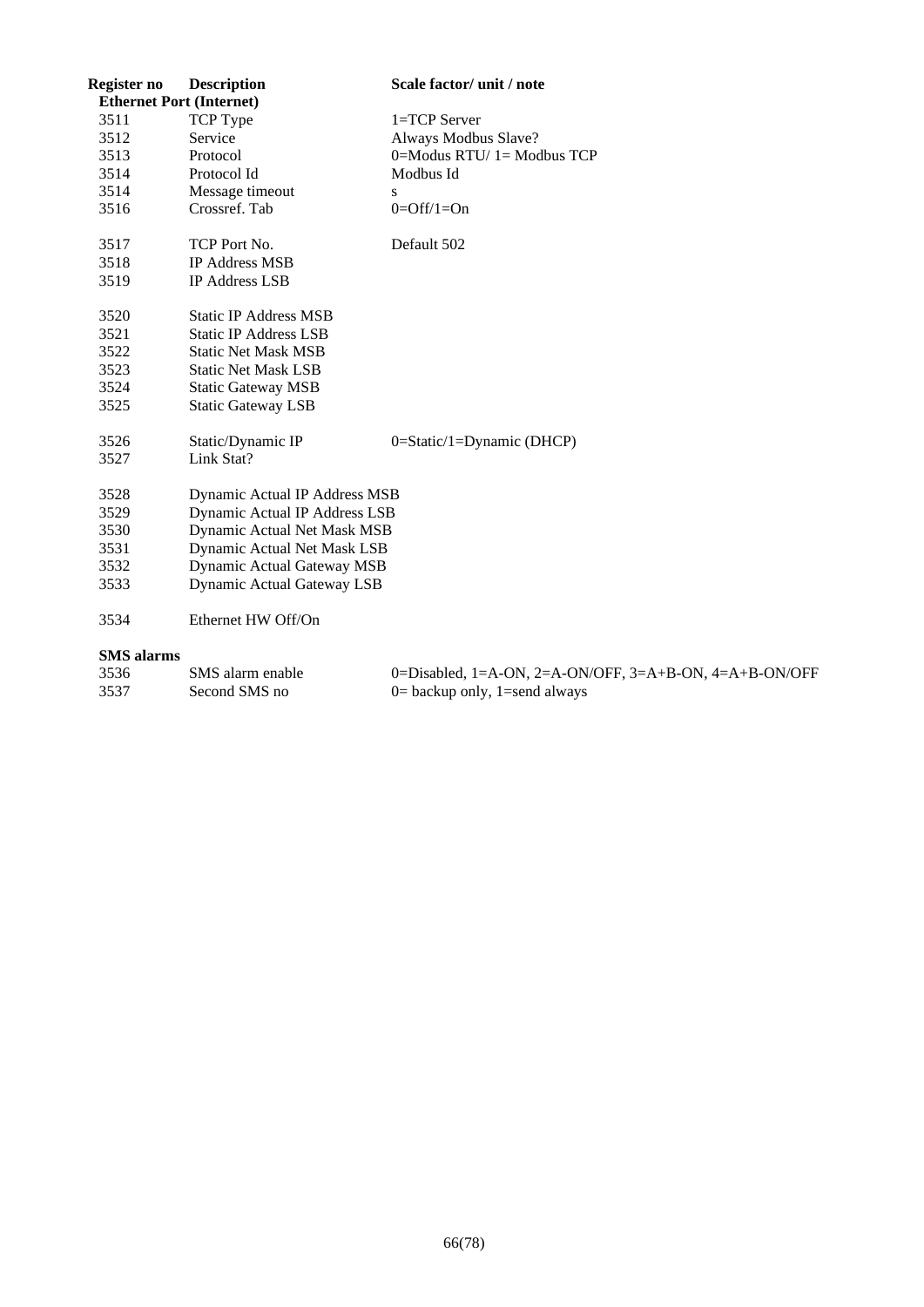| Register no       | <b>Description</b>                | Scale factor/ unit / note                              |
|-------------------|-----------------------------------|--------------------------------------------------------|
|                   | <b>Ethernet Port (Internet)</b>   |                                                        |
| 3511              | <b>TCP</b> Type                   | 1=TCP Server                                           |
| 3512              | Service                           | Always Modbus Slave?                                   |
| 3513              | Protocol                          | $0 = Modus RTU/1 = Modbus TCP$                         |
| 3514              | Protocol Id                       | Modbus Id                                              |
| 3514              | Message timeout                   | S                                                      |
| 3516              | Crossref. Tab                     | $0=Off/1=On$                                           |
| 3517              | TCP Port No.                      | Default 502                                            |
| 3518              | <b>IP Address MSB</b>             |                                                        |
| 3519              | <b>IP Address LSB</b>             |                                                        |
| 3520              | <b>Static IP Address MSB</b>      |                                                        |
| 3521              | <b>Static IP Address LSB</b>      |                                                        |
| 3522              | <b>Static Net Mask MSB</b>        |                                                        |
| 3523              | <b>Static Net Mask LSB</b>        |                                                        |
| 3524              | <b>Static Gateway MSB</b>         |                                                        |
| 3525              | <b>Static Gateway LSB</b>         |                                                        |
| 3526              | Static/Dynamic IP                 | $0 = \text{Static}/1 = \text{Dynamic}$ (DHCP)          |
| 3527              | Link Stat?                        |                                                        |
| 3528              | Dynamic Actual IP Address MSB     |                                                        |
| 3529              | Dynamic Actual IP Address LSB     |                                                        |
| 3530              | Dynamic Actual Net Mask MSB       |                                                        |
| 3531              | Dynamic Actual Net Mask LSB       |                                                        |
| 3532              | <b>Dynamic Actual Gateway MSB</b> |                                                        |
| 3533              | <b>Dynamic Actual Gateway LSB</b> |                                                        |
| 3534              | Ethernet HW Off/On                |                                                        |
| <b>SMS</b> alarms |                                   |                                                        |
| 3536              | SMS alarm enable                  | 0=Disabled, 1=A-ON, 2=A-ON/OFF, 3=A+B-ON, 4=A+B-ON/OFF |
| 3537              | Second SMS no                     | $0=$ backup only, 1=send always                        |
|                   |                                   |                                                        |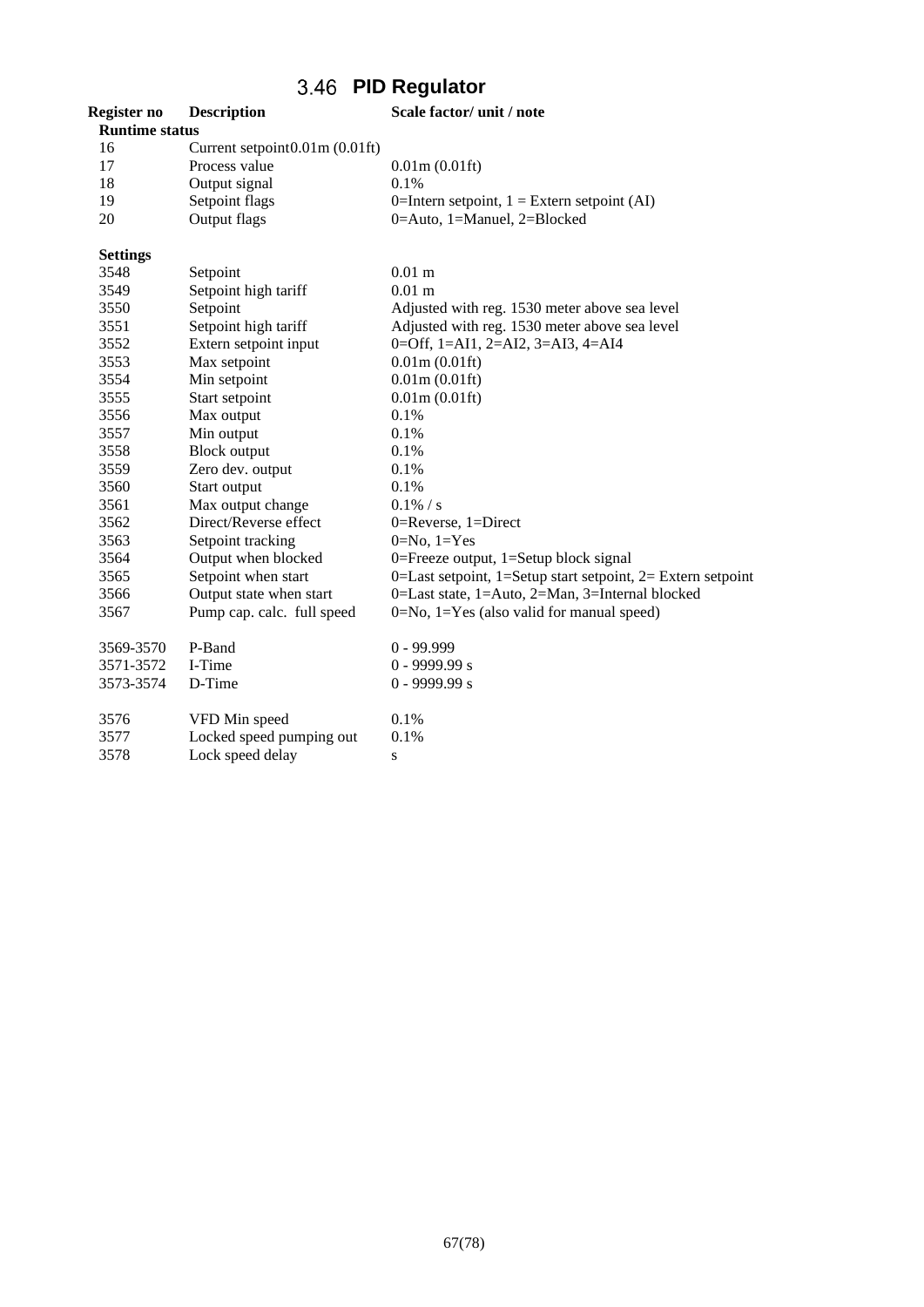## **PID Regulator**

| Register no           | <b>Description</b>             | Scale factor/ unit / note                                   |
|-----------------------|--------------------------------|-------------------------------------------------------------|
| <b>Runtime status</b> |                                |                                                             |
| 16                    | Current setpoint0.01m (0.01ft) |                                                             |
| 17                    | Process value                  | 0.01m(0.01ft)                                               |
| 18                    | Output signal                  | 0.1%                                                        |
| 19                    | Setpoint flags                 | 0=Intern setpoint, $1 =$ Extern setpoint (AI)               |
| 20                    | Output flags                   | 0=Auto, 1=Manuel, 2=Blocked                                 |
| <b>Settings</b>       |                                |                                                             |
| 3548                  | Setpoint                       | $0.01$ m                                                    |
| 3549                  | Setpoint high tariff           | $0.01$ m                                                    |
| 3550                  | Setpoint                       | Adjusted with reg. 1530 meter above sea level               |
| 3551                  | Setpoint high tariff           | Adjusted with reg. 1530 meter above sea level               |
| 3552                  | Extern setpoint input          | $0=$ Off, 1=AI1, 2=AI2, 3=AI3, 4=AI4                        |
| 3553                  | Max setpoint                   | 0.01m(0.01ft)                                               |
| 3554                  | Min setpoint                   | 0.01m(0.01ft)                                               |
| 3555                  | Start setpoint                 | 0.01m(0.01ft)                                               |
| 3556                  | Max output                     | 0.1%                                                        |
| 3557                  | Min output                     | 0.1%                                                        |
| 3558                  | <b>Block output</b>            | 0.1%                                                        |
| 3559                  | Zero dev. output               | 0.1%                                                        |
| 3560                  | Start output                   | 0.1%                                                        |
| 3561                  | Max output change              | $0.1\% / s$                                                 |
| 3562                  | Direct/Reverse effect          | 0=Reverse, 1=Direct                                         |
| 3563                  | Setpoint tracking              | $0=No, 1=Yes$                                               |
| 3564                  | Output when blocked            | 0=Freeze output, $1=$ Setup block signal                    |
| 3565                  | Setpoint when start            | 0=Last setpoint, 1=Setup start setpoint, 2= Extern setpoint |
| 3566                  | Output state when start        | 0=Last state, 1=Auto, 2=Man, 3=Internal blocked             |
| 3567                  | Pump cap. calc. full speed     | $0 = No$ , $1 = Yes$ (also valid for manual speed)          |
| 3569-3570             | P-Band                         | $0 - 99.999$                                                |
| 3571-3572             | I-Time                         | $0 - 9999.99 s$                                             |
| 3573-3574             | D-Time                         | $0 - 9999.99 s$                                             |
| 3576                  | VFD Min speed                  | 0.1%                                                        |
| 3577                  | Locked speed pumping out       | 0.1%                                                        |
| 3578                  | Lock speed delay               | S                                                           |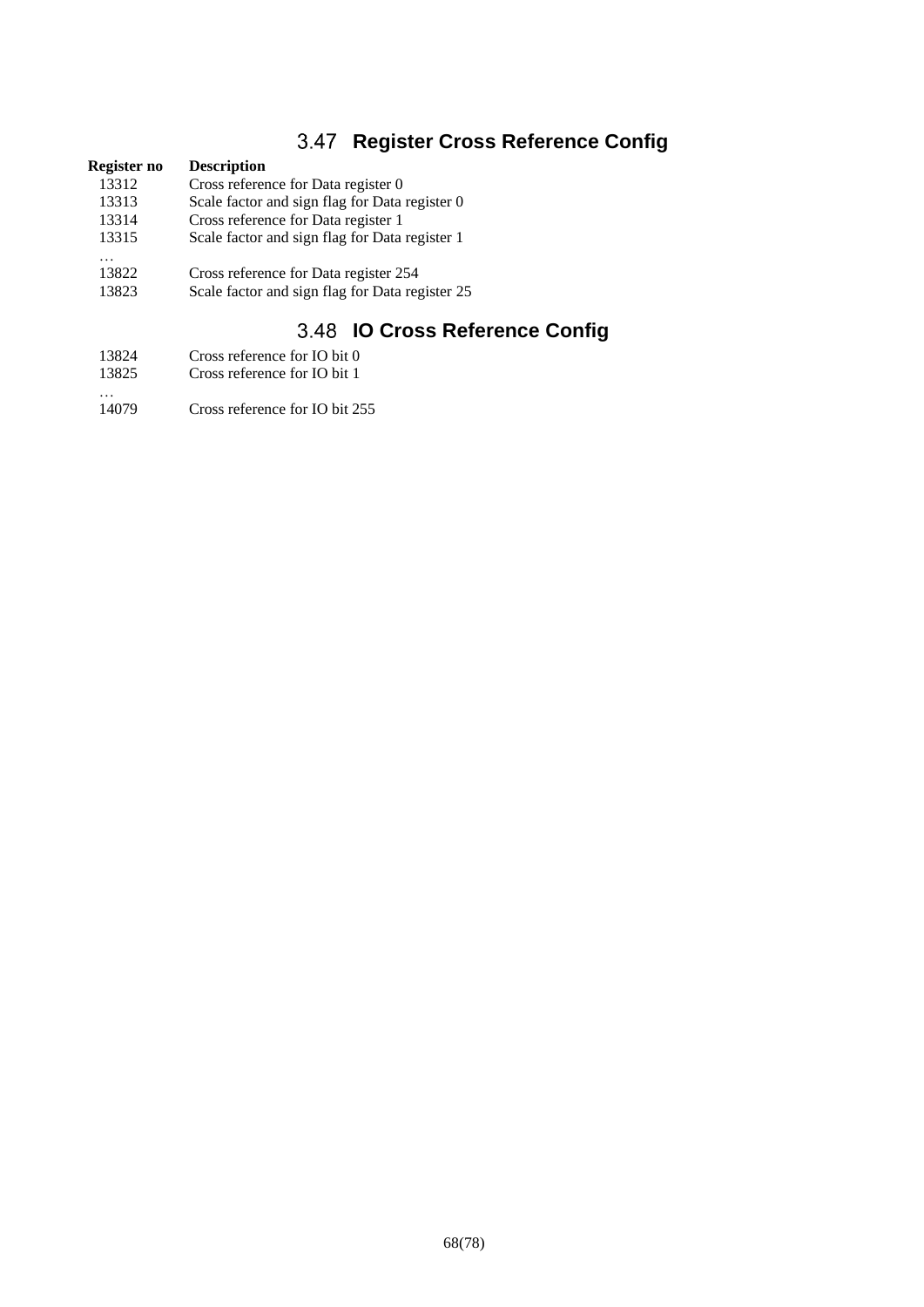## **3.47 Register Cross Reference Config**

# **Register no Description**<br>13312 **Cross referent**

- 13312 Cross reference for Data register 0<br>13313 Scale factor and sign flag for Data
- 13313 Scale factor and sign flag for Data register 0<br>13314 Cross reference for Data register 1
- Cross reference for Data register 1
- 13315 Scale factor and sign flag for Data register 1
- …<br>13822 Cross reference for Data register 254
- 13823 Scale factor and sign flag for Data register 25

## **IO Cross Reference Config**

- 13824 Cross reference for IO bit 0
- 13825 Cross reference for IO bit 1
- …<br>14079 Cross reference for IO bit 255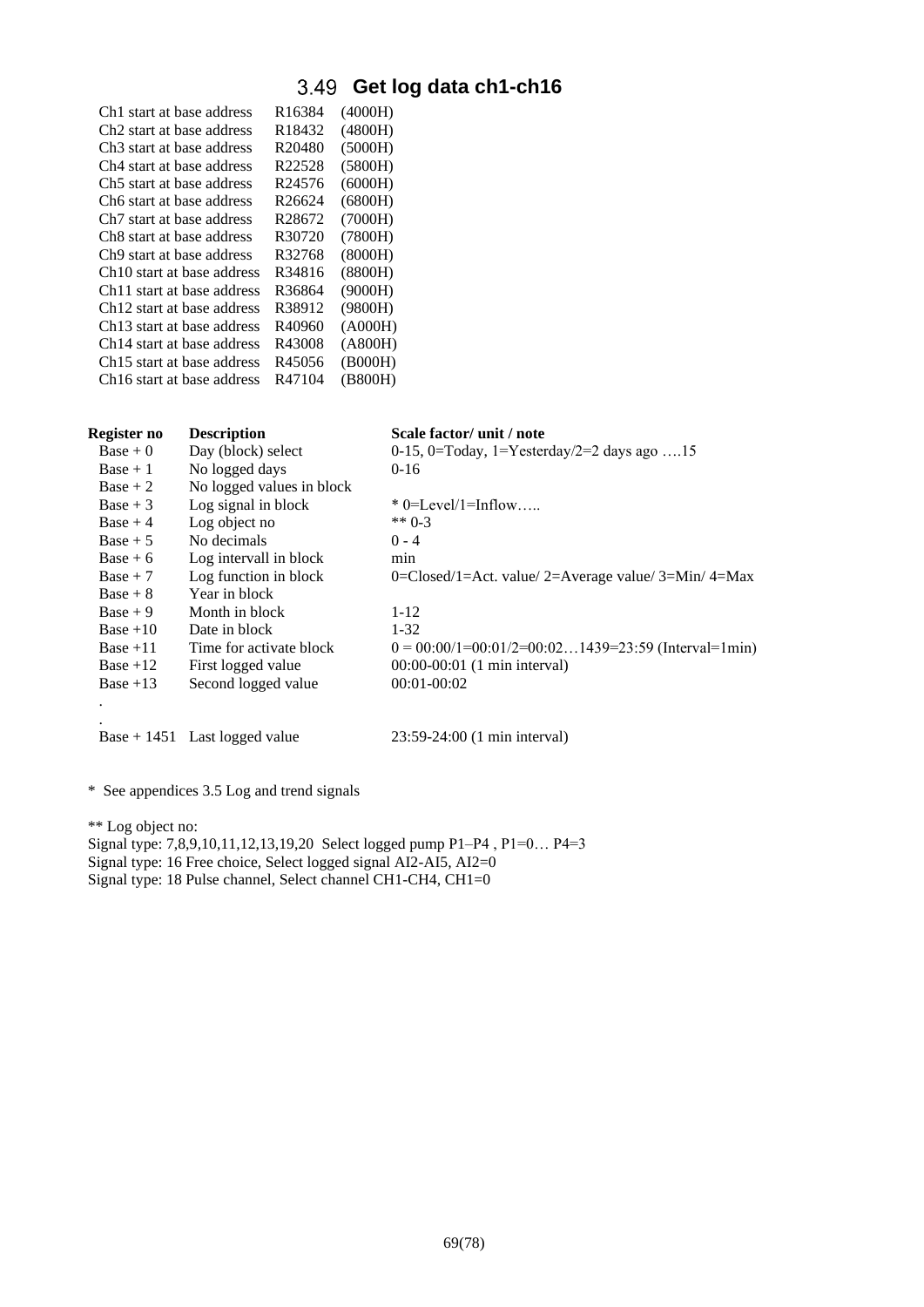# **Get log data ch1-ch16**

| Ch1 start at base address              | R <sub>16384</sub> | (4000H) |
|----------------------------------------|--------------------|---------|
| Ch <sub>2</sub> start at base address  | R18432             | (4800H) |
| Ch3 start at base address              | R <sub>20480</sub> | (5000H) |
| Ch4 start at base address              | R22528             | (5800H) |
| Ch5 start at base address              | R24576             | (6000H) |
| Ch6 start at base address              | R <sub>26624</sub> | (6800H) |
| Ch <sub>7</sub> start at base address  | R28672             | (7000H) |
| Ch8 start at base address              | R30720             | (7800H) |
| Ch <sub>9</sub> start at base address  | R32768             | (8000H) |
| Ch <sub>10</sub> start at base address | R34816             | (8800H) |
| Ch <sub>11</sub> start at base address | R36864             | (9000H) |
| Ch <sub>12</sub> start at base address | R38912             | (9800H) |
| Ch <sub>13</sub> start at base address | R40960             | (A000H) |
| Ch <sub>14</sub> start at base address | R43008             | (AB00H) |
| Ch <sub>15</sub> start at base address | R45056             | (B000H) |
| Ch <sub>16</sub> start at base address | R47104             | (B800H) |
|                                        |                    |         |

| Register no | <b>Description</b>        | Scale factor/ unit / note                                   |
|-------------|---------------------------|-------------------------------------------------------------|
| $Base + 0$  | Day (block) select        | 0-15, 0=Today, 1=Yesterday/2=2 days ago 15                  |
| $Base + 1$  | No logged days            | $0-16$                                                      |
| $Base + 2$  | No logged values in block |                                                             |
| $Base + 3$  | Log signal in block       | $*$ 0=Level/1=Inflow                                        |
| $Base + 4$  | Log object no             | ** $0-3$                                                    |
| $Base + 5$  | No decimals               | $0 - 4$                                                     |
| $Base + 6$  | Log intervall in block    | min                                                         |
| $Base + 7$  | Log function in block     | 0=Closed/1=Act. value/2=Average value/3=Min/4=Max           |
| $Base + 8$  | Year in block             |                                                             |
| $Base + 9$  | Month in block            | $1 - 12$                                                    |
| $Base +10$  | Date in block             | $1 - 32$                                                    |
| $Base + 11$ | Time for activate block   | $0 = 00:00/1 = 00:01/2 = 00:021439 = 23:59$ (Interval=1min) |
| $Base +12$  | First logged value        | 00:00-00:01 (1 min interval)                                |
| Base $+13$  | Second logged value       | $00:01-00:02$                                               |
|             |                           |                                                             |
|             |                           |                                                             |

Base + 1451 Last logged value 23:59-24:00 (1 min interval)

\* See appendices 3.5 Log and trend signals

\*\* Log object no:

Signal type: 7,8,9,10,11,12,13,19,20 Select logged pump P1–P4 , P1=0… P4=3 Signal type: 16 Free choice, Select logged signal AI2-AI5, AI2=0 Signal type: 18 Pulse channel, Select channel CH1-CH4, CH1=0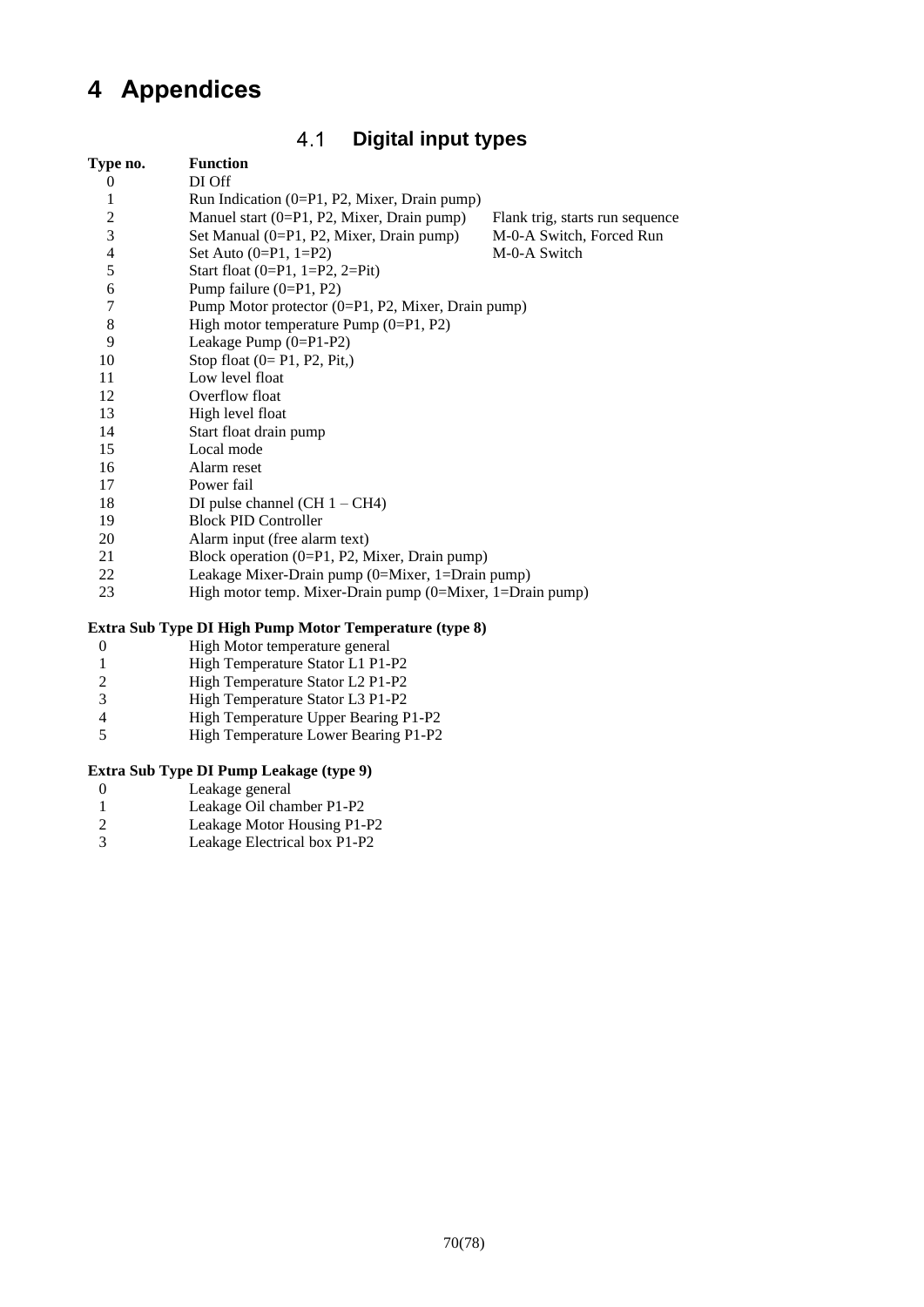# <span id="page-69-0"></span>**Appendices**

### $4.1$ **Digital input types**

| Type no.                 | <b>Function</b>                                             |                                 |
|--------------------------|-------------------------------------------------------------|---------------------------------|
| $\theta$                 | DI Off                                                      |                                 |
| 1                        | Run Indication $(0=P1, P2,$ Mixer, Drain pump)              |                                 |
| $\overline{\mathbf{c}}$  | Manuel start (0=P1, P2, Mixer, Drain pump)                  | Flank trig, starts run sequence |
| $\overline{\mathbf{3}}$  | Set Manual (0=P1, P2, Mixer, Drain pump)                    | M-0-A Switch, Forced Run        |
| $\overline{\mathcal{L}}$ | Set Auto $(0=P1, 1=P2)$                                     | M-0-A Switch                    |
| 5                        | Start float $(0=P1, 1=P2, 2=Pit)$                           |                                 |
| 6                        | Pump failure $(0=P1, P2)$                                   |                                 |
| $\tau$                   | Pump Motor protector (0=P1, P2, Mixer, Drain pump)          |                                 |
| 8                        | High motor temperature Pump $(0=P1, P2)$                    |                                 |
| 9                        | Leakage Pump (0=P1-P2)                                      |                                 |
| 10                       | Stop float $(0=P1, P2, Pit)$                                |                                 |
| 11                       | Low level float                                             |                                 |
| 12                       | Overflow float                                              |                                 |
| 13                       | High level float                                            |                                 |
| 14                       | Start float drain pump                                      |                                 |
| 15                       | Local mode                                                  |                                 |
| 16                       | Alarm reset                                                 |                                 |
| 17                       | Power fail                                                  |                                 |
| 18                       | DI pulse channel (CH $1 - CH4$ )                            |                                 |
| 19                       | <b>Block PID Controller</b>                                 |                                 |
| 20                       | Alarm input (free alarm text)                               |                                 |
| 21                       | Block operation (0=P1, P2, Mixer, Drain pump)               |                                 |
| 22                       | Leakage Mixer-Drain pump (0=Mixer, 1=Drain pump)            |                                 |
| 23                       | High motor temp. Mixer-Drain pump $(0=Mixer, 1=Drain pump)$ |                                 |

## **Extra Sub Type DI High Pump Motor Temperature (type 8)**

- 0 High Motor temperature general<br>1 High Temperature Stator L1 P1-
- 1 High Temperature Stator L1 P1-P2<br>2 High Temperature Stator L2 P1-P2
- 2 High Temperature Stator L2 P1-P2<br>3 High Temperature Stator L3 P1-P2
- High Temperature Stator L3 P1-P2
- 4 High Temperature Upper Bearing P1-P2<br>5 High Temperature Lower Bearing P1-P2
- High Temperature Lower Bearing P1-P2

## **Extra Sub Type DI Pump Leakage (type 9)**

- 0 Leakage general<br>1 Leakage Oil cha
- 1 Leakage Oil chamber P1-P2<br>2 Leakage Motor Housing P1-
- 2 Leakage Motor Housing P1-P2<br>3 Leakage Electrical box P1-P2
- Leakage Electrical box P1-P2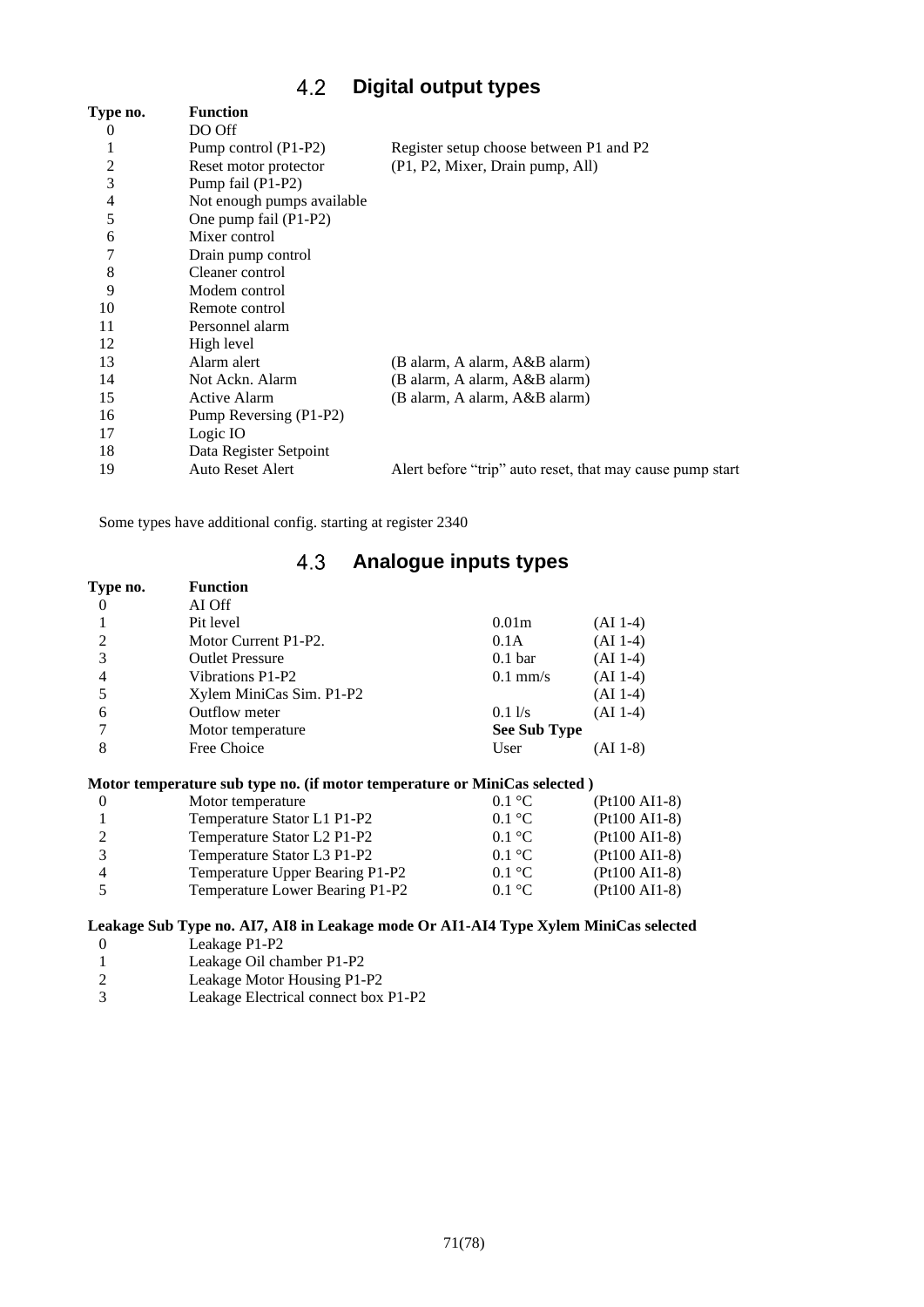### $4.2$ **Digital output types**

<span id="page-70-0"></span>

| Type no.       | <b>Function</b>            |                                                           |
|----------------|----------------------------|-----------------------------------------------------------|
| 0              | DO Off                     |                                                           |
|                | Pump control (P1-P2)       | Register setup choose between P1 and P2                   |
| 2              | Reset motor protector      | (P1, P2, Mixer, Drain pump, All)                          |
| 3              | Pump fail (P1-P2)          |                                                           |
| $\overline{4}$ | Not enough pumps available |                                                           |
| 5              | One pump fail (P1-P2)      |                                                           |
| 6              | Mixer control              |                                                           |
| 7              | Drain pump control         |                                                           |
| 8              | Cleaner control            |                                                           |
| 9              | Modem control              |                                                           |
| 10             | Remote control             |                                                           |
| 11             | Personnel alarm            |                                                           |
| 12             | High level                 |                                                           |
| 13             | Alarm alert                | (B alarm, A alarm, A&B alarm)                             |
| 14             | Not Ackn. Alarm            | (B alarm, A alarm, A&B alarm)                             |
| 15             | <b>Active Alarm</b>        | (B alarm, A alarm, A&B alarm)                             |
| 16             | Pump Reversing (P1-P2)     |                                                           |
| 17             | Logic IO                   |                                                           |
| 18             | Data Register Setpoint     |                                                           |
| 19             | <b>Auto Reset Alert</b>    | Alert before "trip" auto reset, that may cause pump start |
|                |                            |                                                           |

<span id="page-70-1"></span>Some types have additional config. starting at register 2340

## **Analogue inputs types**

| Type no. | <b>Function</b>          |                     |            |
|----------|--------------------------|---------------------|------------|
|          | AI Off                   |                     |            |
|          | Pit level                | 0.01 <sub>m</sub>   | $(AI 1-4)$ |
| 2        | Motor Current P1-P2.     | 0.1A                | $(AI 1-4)$ |
| 3        | <b>Outlet Pressure</b>   | 0.1 <sub>bar</sub>  | $(AI 1-4)$ |
| 4        | Vibrations P1-P2         | $0.1$ mm/s          | $(AI 1-4)$ |
|          | Xylem MiniCas Sim. P1-P2 |                     | $(AI 1-4)$ |
| 6        | Outflow meter            | 0.11/s              | $(AI 1-4)$ |
|          | Motor temperature        | <b>See Sub Type</b> |            |
| 8        | Free Choice              | User                | (AI 1-8)   |

## **Motor temperature sub type no. (if motor temperature or MiniCas selected )**

| Motor temperature                                                | $0.1 \text{ }^{\circ}C$ | $(Pt100 AI1-8)$ |
|------------------------------------------------------------------|-------------------------|-----------------|
| Temperature Stator L1 P1-P2                                      | $0.1 \text{ }^{\circ}C$ | $(Pt100 AI1-8)$ |
| Temperature Stator L <sub>2</sub> P <sub>1</sub> -P <sub>2</sub> | $0.1 \text{ }^{\circ}C$ | $(Pt100 AI1-8)$ |
| Temperature Stator L3 P1-P2                                      | $0.1 \text{ }^{\circ}C$ | $(Pt100 AI1-8)$ |
| Temperature Upper Bearing P1-P2                                  | $0.1 \text{ }^{\circ}C$ | $(Pt100 AI1-8)$ |
| Temperature Lower Bearing P1-P2                                  | $0.1 \text{ }^{\circ}C$ | $(Pt100 AI1-8)$ |

## **Leakage Sub Type no. AI7, AI8 in Leakage mode Or AI1-AI4 Type Xylem MiniCas selected**

- 0 Leakage P1-P2<br>1 Leakage Oil cha
- 1 Leakage Oil chamber P1-P2<br>2 Leakage Motor Housing P1-
- 2 Leakage Motor Housing P1-P2<br>3 Leakage Electrical connect box
- Leakage Electrical connect box P1-P2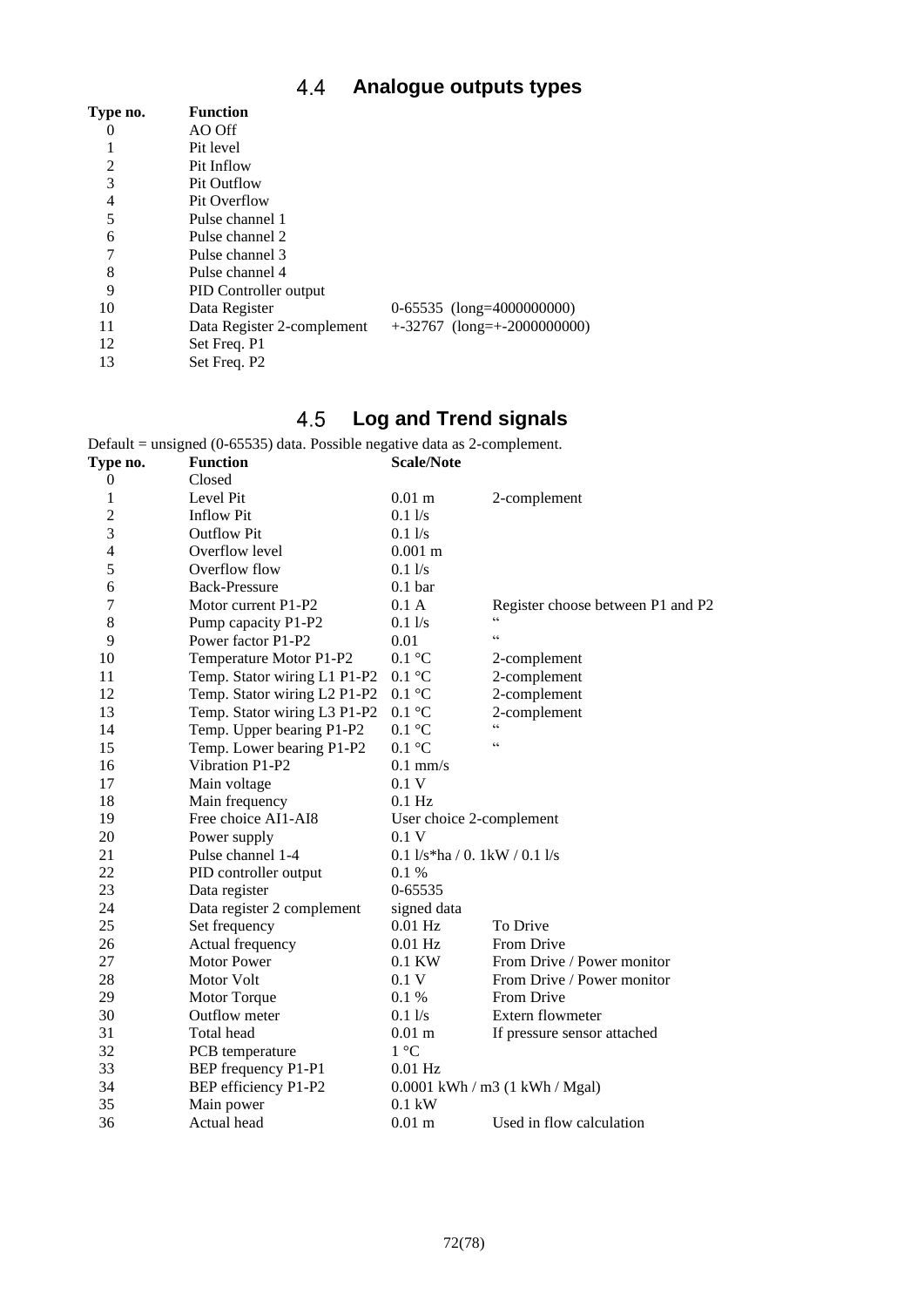### **Analogue outputs types** 4.4

| Type no. | <b>Function</b>            |                                |
|----------|----------------------------|--------------------------------|
| $\theta$ | AO Off                     |                                |
|          | Pit level                  |                                |
| 2        | Pit Inflow                 |                                |
| 3        | <b>Pit Outflow</b>         |                                |
| 4        | Pit Overflow               |                                |
| 5        | Pulse channel 1            |                                |
| 6        | Pulse channel 2            |                                |
| 7        | Pulse channel 3            |                                |
| 8        | Pulse channel 4            |                                |
| 9        | PID Controller output      |                                |
| 10       | Data Register              | $0-65535$ (long=4000000000)    |
| 11       | Data Register 2-complement | $+32767$ (long= $+200000000$ ) |
| 12       | Set Freq. P1               |                                |
| 13       | Set Freq. P2               |                                |

### **Log and Trend signals** 4.5

<span id="page-71-0"></span>Default = unsigned (0-65535) data. Possible negative data as 2-complement.

| Type no.     | <b>Function</b>              | <b>Scale/Note</b>               |                                   |
|--------------|------------------------------|---------------------------------|-----------------------------------|
| $\mathbf{0}$ | Closed                       |                                 |                                   |
| 1            | Level Pit                    | $0.01$ m                        | 2-complement                      |
| 2            | <b>Inflow Pit</b>            | 0.11/s                          |                                   |
| 3            | <b>Outflow Pit</b>           | 0.11/s                          |                                   |
| 4            | Overflow level               | $0.001 \text{ m}$               |                                   |
| 5            | Overflow flow                | 0.11/s                          |                                   |
| 6            | <b>Back-Pressure</b>         | 0.1 <sub>bar</sub>              |                                   |
| 7            | Motor current P1-P2          | 0.1 A                           | Register choose between P1 and P2 |
| 8            | Pump capacity P1-P2          | $0.1$ $\sqrt{s}$                | $\zeta$ $\zeta$                   |
| 9            | Power factor P1-P2           | 0.01                            | $\zeta$ $\zeta$                   |
| 10           | Temperature Motor P1-P2      | $0.1 \text{ }^{\circ}C$         | 2-complement                      |
| 11           | Temp. Stator wiring L1 P1-P2 | $0.1 \text{ }^{\circ}C$         | 2-complement                      |
| 12           | Temp. Stator wiring L2 P1-P2 | $0.1 \text{ }^{\circ}C$         | 2-complement                      |
| 13           | Temp. Stator wiring L3 P1-P2 | 0.1 °C                          | 2-complement                      |
| 14           | Temp. Upper bearing P1-P2    | $0.1 \text{ }^{\circ}C$         | $\epsilon$                        |
| 15           | Temp. Lower bearing P1-P2    | $0.1\ ^{\circ}\textrm{C}$       | $\zeta$ $\zeta$                   |
| 16           | Vibration P1-P2              | $0.1$ mm/s                      |                                   |
| 17           | Main voltage                 | 0.1V                            |                                   |
| 18           | Main frequency               | $0.1$ Hz                        |                                   |
| 19           | Free choice AI1-AI8          | User choice 2-complement        |                                   |
| 20           | Power supply                 | 0.1V                            |                                   |
| 21           | Pulse channel 1-4            | 0.1 $1/s*ha / 0.1 kW / 0.1 l/s$ |                                   |
| 22           | PID controller output        | 0.1%                            |                                   |
| 23           | Data register                | 0-65535                         |                                   |
| 24           | Data register 2 complement   | signed data                     |                                   |
| 25           | Set frequency                | $0.01$ Hz                       | To Drive                          |
| 26           | Actual frequency             | $0.01$ Hz                       | From Drive                        |
| 27           | <b>Motor Power</b>           | 0.1 KW                          | From Drive / Power monitor        |
| 28           | <b>Motor Volt</b>            | $0.1\;\mathrm{V}$               | From Drive / Power monitor        |
| 29           | Motor Torque                 | 0.1%                            | From Drive                        |
| 30           | Outflow meter                | 0.11/s                          | Extern flowmeter                  |
| 31           | Total head                   | $0.01$ m                        | If pressure sensor attached       |
| 32           | PCB temperature              | $1^{\circ}C$                    |                                   |
| 33           | BEP frequency P1-P1          | $0.01$ Hz                       |                                   |
| 34           | BEP efficiency P1-P2         |                                 | 0.0001 kWh / m3 (1 kWh / Mgal)    |
| 35           | Main power                   | $0.1$ kW                        |                                   |
| 36           | Actual head                  | $0.01$ m                        | Used in flow calculation          |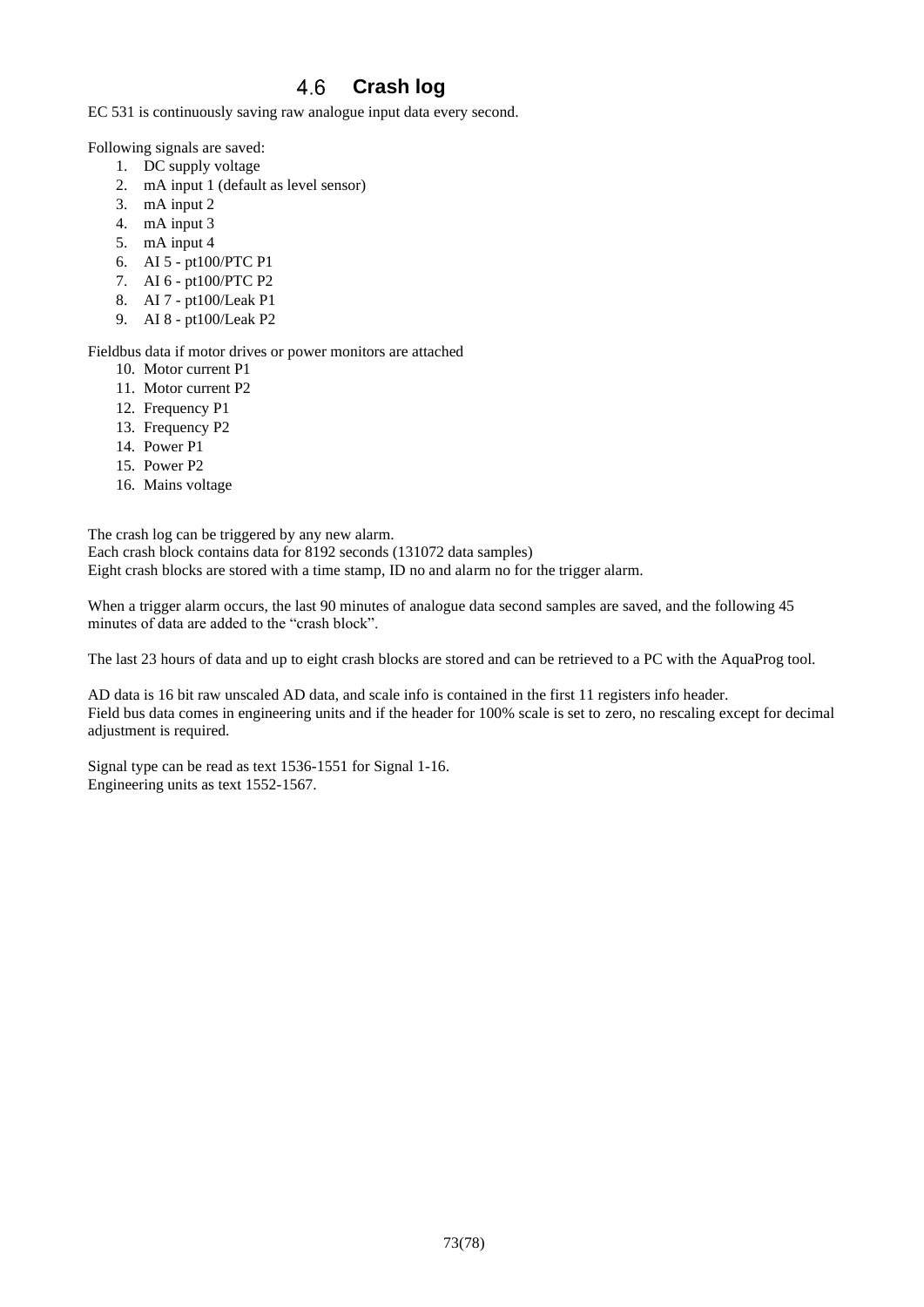## 4.6 **Crash log**

EC 531 is continuously saving raw analogue input data every second.

Following signals are saved:

- 1. DC supply voltage
- 2. mA input 1 (default as level sensor)
- 3. mA input 2
- 4. mA input 3
- 5. mA input 4
- 6. AI 5 pt100/PTC P1
- 7. AI 6 pt100/PTC P2
- 8. AI 7 pt100/Leak P1
- 9. AI 8 pt100/Leak P2

Fieldbus data if motor drives or power monitors are attached

- 10. Motor current P1
- 11. Motor current P2
- 12. Frequency P1
- 13. Frequency P2
- 14. Power P1
- 15. Power P2
- 16. Mains voltage

The crash log can be triggered by any new alarm. Each crash block contains data for 8192 seconds (131072 data samples) Eight crash blocks are stored with a time stamp, ID no and alarm no for the trigger alarm.

When a trigger alarm occurs, the last 90 minutes of analogue data second samples are saved, and the following 45 minutes of data are added to the "crash block".

The last 23 hours of data and up to eight crash blocks are stored and can be retrieved to a PC with the AquaProg tool.

AD data is 16 bit raw unscaled AD data, and scale info is contained in the first 11 registers info header. Field bus data comes in engineering units and if the header for 100% scale is set to zero, no rescaling except for decimal adjustment is required.

Signal type can be read as text 1536-1551 for Signal 1-16. Engineering units as text 1552-1567.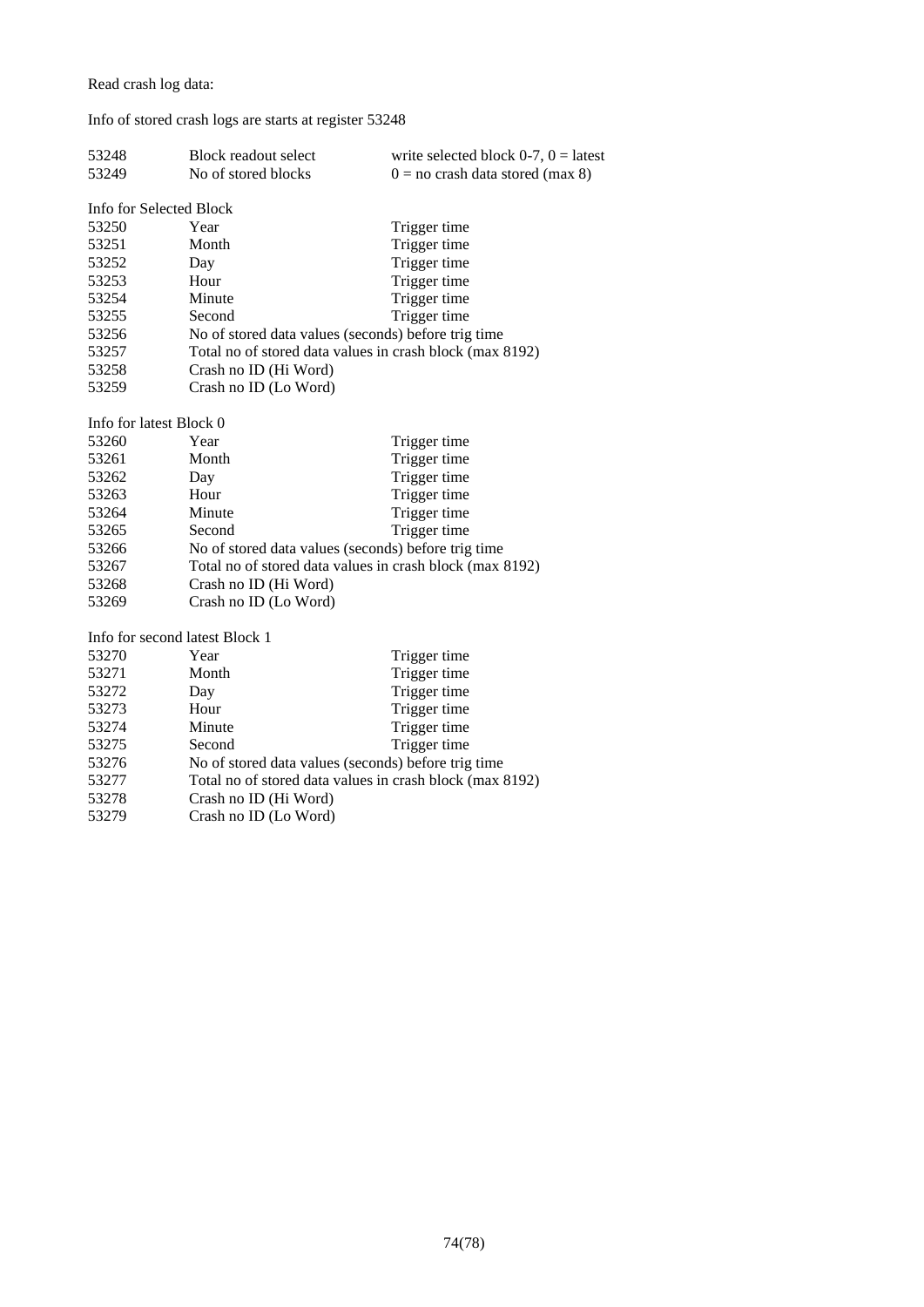Read crash log data:

## Info of stored crash logs are starts at register 53248

| 53248                          | <b>Block readout select</b>                              | write selected block $0-7$ , $0 =$ latest           |  |
|--------------------------------|----------------------------------------------------------|-----------------------------------------------------|--|
| 53249                          | No of stored blocks                                      | $0 =$ no crash data stored (max 8)                  |  |
|                                |                                                          |                                                     |  |
| Info for Selected Block        |                                                          |                                                     |  |
| 53250                          | Year                                                     | Trigger time                                        |  |
| 53251                          | Month                                                    | Trigger time                                        |  |
| 53252                          | Day                                                      | Trigger time                                        |  |
| 53253                          | Hour                                                     | Trigger time                                        |  |
| 53254                          | Minute                                                   | Trigger time                                        |  |
| 53255                          | Second                                                   | Trigger time                                        |  |
| 53256                          |                                                          | No of stored data values (seconds) before trig time |  |
| 53257                          | Total no of stored data values in crash block (max 8192) |                                                     |  |
| 53258                          | Crash no ID (Hi Word)                                    |                                                     |  |
| 53259                          | Crash no ID (Lo Word)                                    |                                                     |  |
|                                |                                                          |                                                     |  |
| Info for latest Block 0        |                                                          |                                                     |  |
| 53260                          | Year                                                     | Trigger time                                        |  |
| 53261                          | Month                                                    | Trigger time                                        |  |
| 53262                          | Day                                                      | Trigger time                                        |  |
| 53263                          | Hour                                                     | Trigger time                                        |  |
| 53264                          | Minute                                                   | Trigger time                                        |  |
| 53265                          | Second                                                   | Trigger time                                        |  |
| 53266                          | No of stored data values (seconds) before trig time      |                                                     |  |
| 53267                          | Total no of stored data values in crash block (max 8192) |                                                     |  |
| 53268                          | Crash no ID (Hi Word)                                    |                                                     |  |
| 53269                          | Crash no ID (Lo Word)                                    |                                                     |  |
|                                |                                                          |                                                     |  |
| Info for second latest Block 1 |                                                          |                                                     |  |
| 53270                          | Year                                                     | Trigger time                                        |  |
| 53271                          | Month                                                    | Trigger time                                        |  |
| 53272                          | Day                                                      | Trigger time                                        |  |
| 53273                          | Hour                                                     | Trigger time                                        |  |
| 53274                          | Minute                                                   | Trigger time                                        |  |
| 53275                          | Second                                                   | Trigger time                                        |  |
| 53276                          | No of stored data values (seconds) before trig time      |                                                     |  |
| 53277                          | Total no of stored data values in crash block (max 8192) |                                                     |  |
| 53278                          | Crash no ID (Hi Word)                                    |                                                     |  |
| 53279                          | Crash no ID (Lo Word)                                    |                                                     |  |

74(78)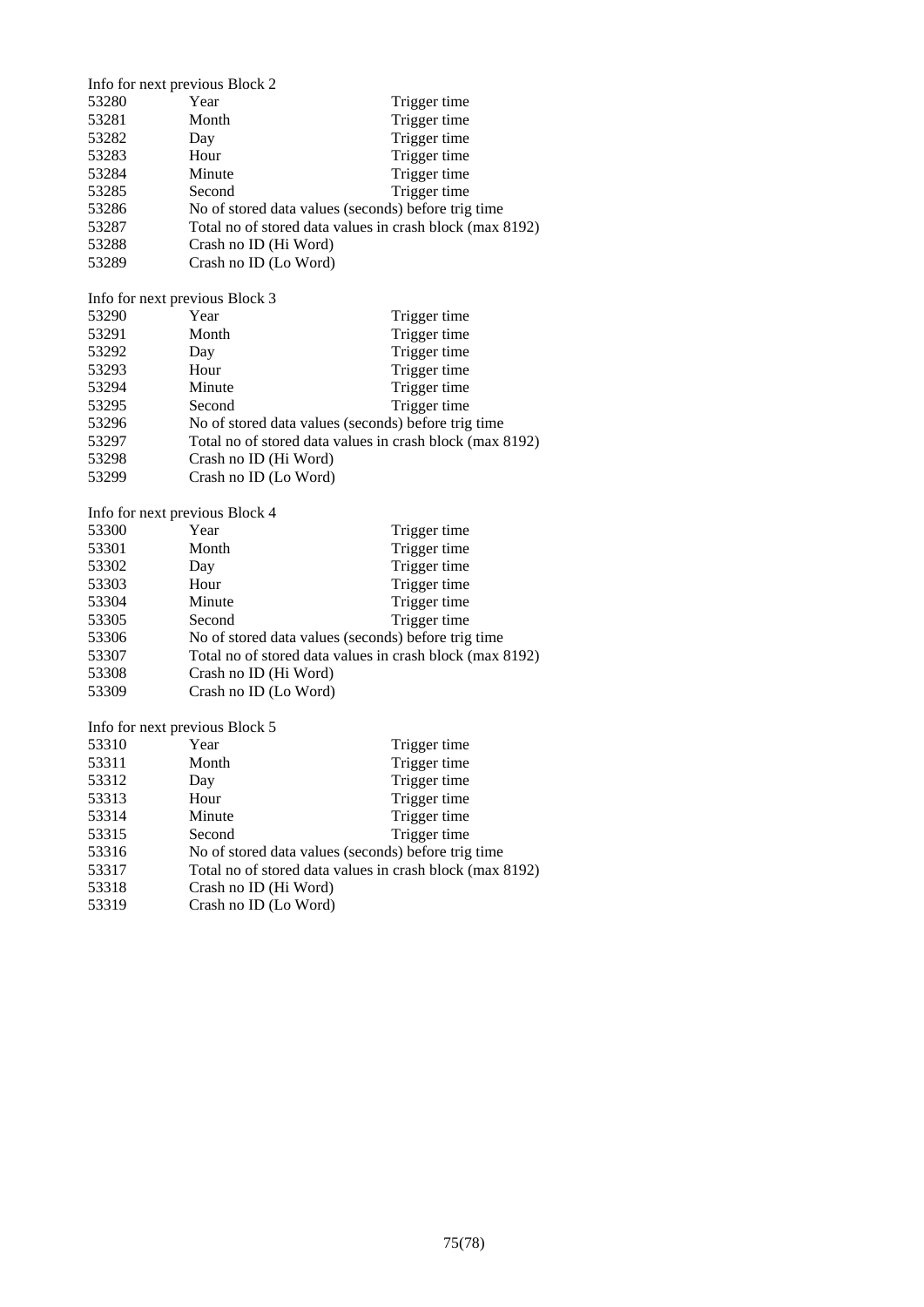|       | Info for next previous Block 2                           |              |
|-------|----------------------------------------------------------|--------------|
| 53280 | Year                                                     | Trigger time |
| 53281 | Month                                                    | Trigger time |
| 53282 | Day                                                      | Trigger time |
| 53283 | Hour                                                     | Trigger time |
| 53284 | Minute                                                   | Trigger time |
| 53285 | Second                                                   | Trigger time |
| 53286 | No of stored data values (seconds) before trig time      |              |
| 53287 | Total no of stored data values in crash block (max 8192) |              |
| 53288 | Crash no ID (Hi Word)                                    |              |
| 53289 | Crash no ID (Lo Word)                                    |              |

Info for next previous Block 3

| 53290 | Year                  | Trigger time                                             |
|-------|-----------------------|----------------------------------------------------------|
| 53291 | Month                 | Trigger time                                             |
| 53292 | Day                   | Trigger time                                             |
| 53293 | Hour                  | Trigger time                                             |
| 53294 | Minute                | Trigger time                                             |
| 53295 | Second                | Trigger time                                             |
| 53296 |                       | No of stored data values (seconds) before trig time      |
| 53297 |                       | Total no of stored data values in crash block (max 8192) |
| 53298 | Crash no ID (Hi Word) |                                                          |
| 53299 | Crash no ID (Lo Word) |                                                          |

Info for next previous Block 4

| 53300 | Year                  | Trigger time                                             |
|-------|-----------------------|----------------------------------------------------------|
| 53301 | Month                 | Trigger time                                             |
| 53302 | Day                   | Trigger time                                             |
| 53303 | Hour                  | Trigger time                                             |
| 53304 | Minute                | Trigger time                                             |
| 53305 | Second                | Trigger time                                             |
| 53306 |                       | No of stored data values (seconds) before trig time      |
| 53307 |                       | Total no of stored data values in crash block (max 8192) |
| 53308 | Crash no ID (Hi Word) |                                                          |
| 53309 | Crash no ID (Lo Word) |                                                          |

Info for next previous Block 5

| Year                                                     | Trigger time |
|----------------------------------------------------------|--------------|
| Month                                                    | Trigger time |
| Day                                                      | Trigger time |
| Hour                                                     | Trigger time |
| Minute                                                   | Trigger time |
| Second                                                   | Trigger time |
| No of stored data values (seconds) before trig time      |              |
| Total no of stored data values in crash block (max 8192) |              |
| Crash no ID (Hi Word)                                    |              |
| Crash no ID (Lo Word)                                    |              |
|                                                          |              |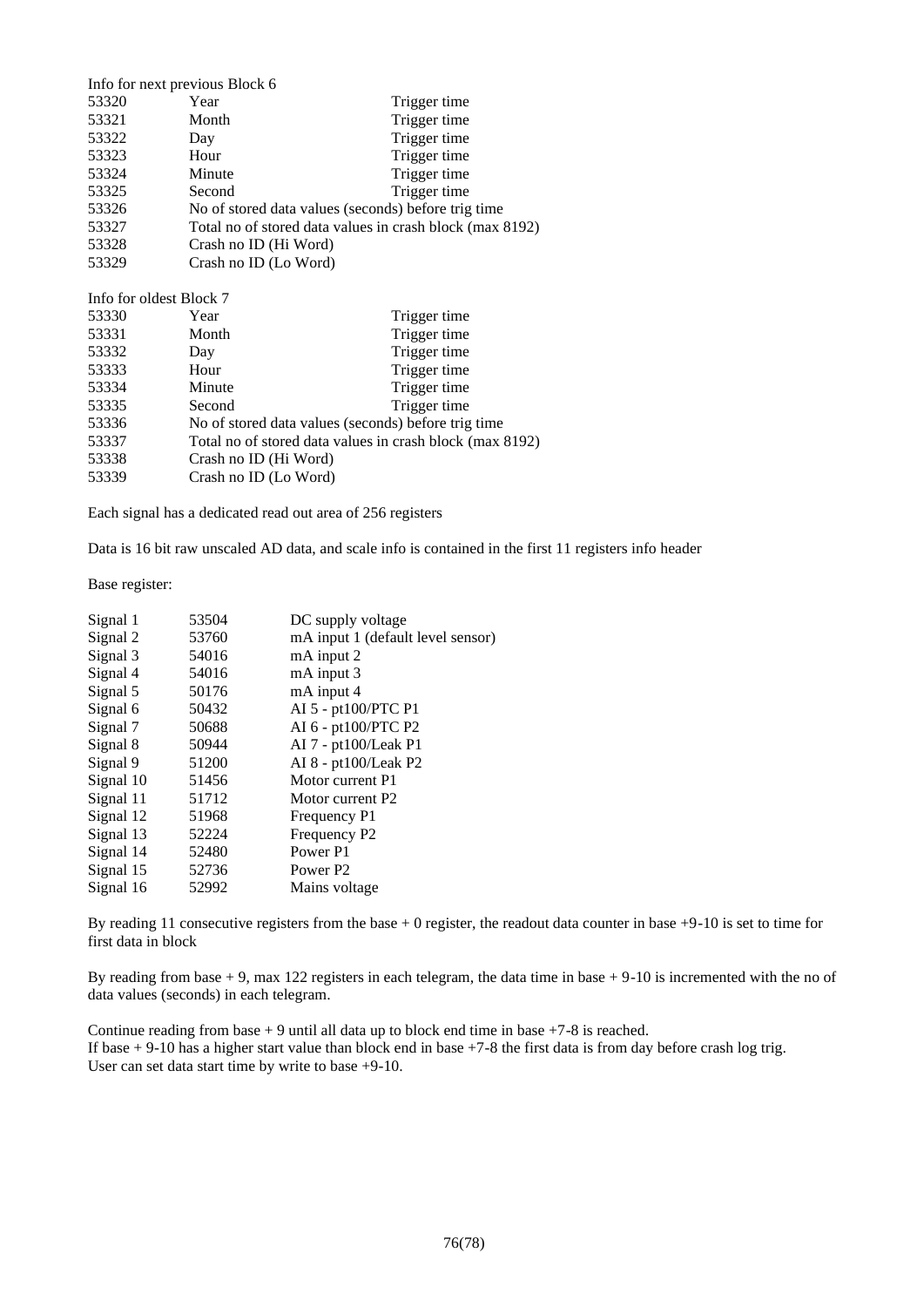| Info for next previous Block 6 |                                                          |              |
|--------------------------------|----------------------------------------------------------|--------------|
| 53320                          | Year                                                     | Trigger time |
| 53321                          | Month                                                    | Trigger time |
| 53322                          | Day                                                      | Trigger time |
| 53323                          | Hour                                                     | Trigger time |
| 53324                          | Minute                                                   | Trigger time |
| 53325                          | Second                                                   | Trigger time |
| 53326                          | No of stored data values (seconds) before trig time      |              |
| 53327                          | Total no of stored data values in crash block (max 8192) |              |
| 53328                          | Crash no ID (Hi Word)                                    |              |
| 53329                          | Crash no ID (Lo Word)                                    |              |
|                                |                                                          |              |

Info for oldest Block 7<br>53330 Year Year Trigger time 53331 Month Trigger time 53332 Day Trigger time 53333 Hour Trigger time 53334 Minute Trigger time 53335 Second Trigger time 53336 No of stored data values (seconds) before trig time 53337 Total no of stored data values in crash block (max 8192) 53338 Crash no ID (Hi Word) 53339 Crash no ID (Lo Word)

Each signal has a dedicated read out area of 256 registers

Data is 16 bit raw unscaled AD data, and scale info is contained in the first 11 registers info header

Base register:

| Signal 1  | 53504 | DC supply voltage                 |
|-----------|-------|-----------------------------------|
| Signal 2  | 53760 | mA input 1 (default level sensor) |
| Signal 3  | 54016 | mA input 2                        |
| Signal 4  | 54016 | mA input 3                        |
| Signal 5  | 50176 | mA input 4                        |
| Signal 6  | 50432 | AI 5 - pt100/PTC P1               |
| Signal 7  | 50688 | AI 6 - pt100/PTC P2               |
| Signal 8  | 50944 | $AI$ 7 - pt $100$ /Leak P1        |
| Signal 9  | 51200 | AI 8 - pt100/Leak P2              |
| Signal 10 | 51456 | Motor current P1                  |
| Signal 11 | 51712 | Motor current P2                  |
| Signal 12 | 51968 | Frequency P1                      |
| Signal 13 | 52224 | Frequency P2                      |
| Signal 14 | 52480 | Power P1                          |
| Signal 15 | 52736 | Power P <sub>2</sub>              |
| Signal 16 | 52992 | Mains voltage                     |

By reading 11 consecutive registers from the base + 0 register, the readout data counter in base +9-10 is set to time for first data in block

By reading from base + 9, max 122 registers in each telegram, the data time in base + 9-10 is incremented with the no of data values (seconds) in each telegram.

Continue reading from base  $+9$  until all data up to block end time in base  $+7-8$  is reached. If base  $+9-10$  has a higher start value than block end in base  $+7-8$  the first data is from day before crash log trig. User can set data start time by write to base +9-10.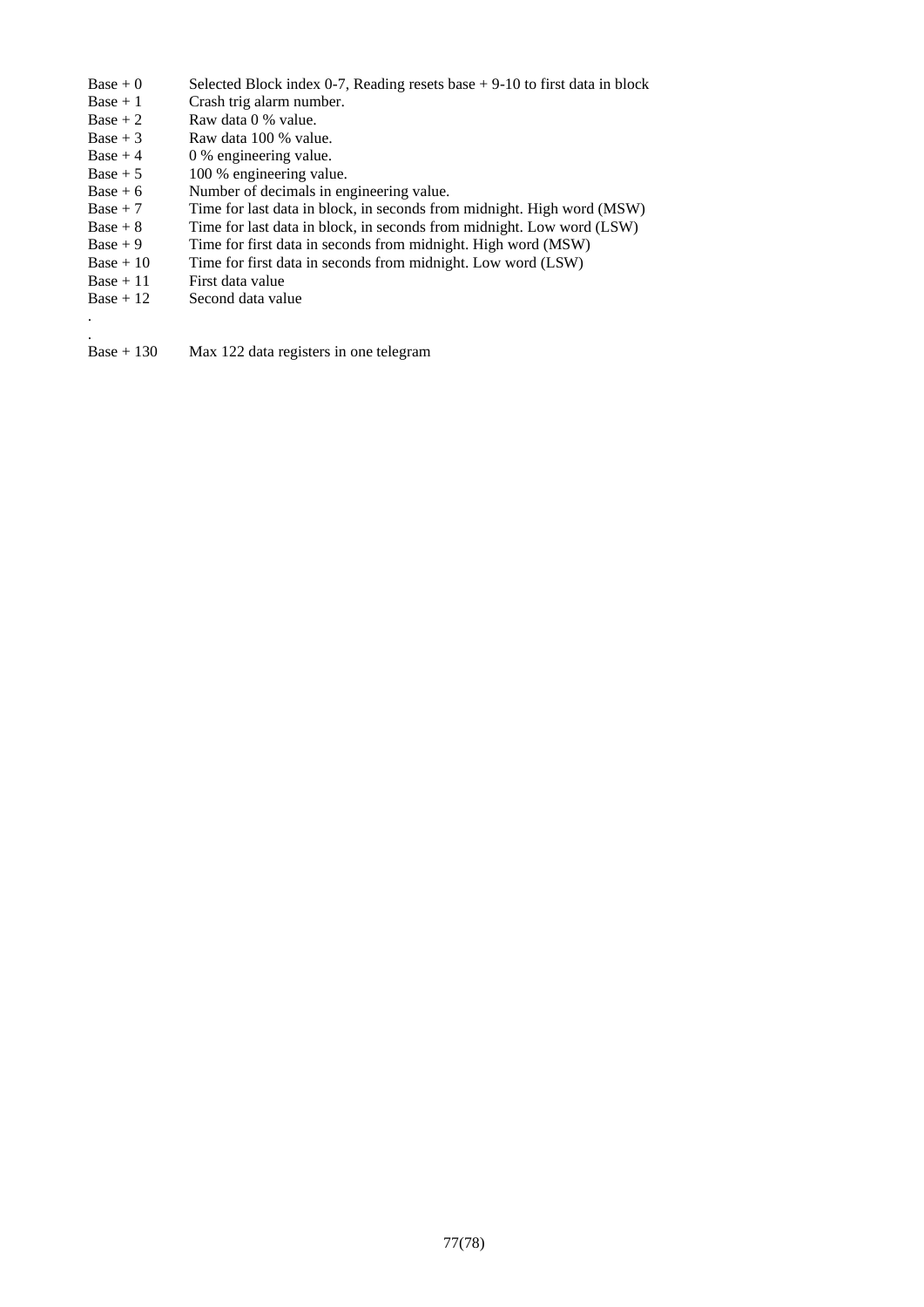- Base  $+ 0$  Selected Block index 0-7, Reading resets base  $+ 9-10$  to first data in block Base  $+ 1$  Crash trig alarm number.
- Base + 1 Crash trig alarm number.<br>Base + 2 Raw data 0 % value.
- Raw data 0 % value.
- Base  $+3$  Raw data 100 % value.
- Base  $+4$  0 % engineering value.
- Base  $+ 5$  100 % engineering value.
- Base  $+ 6$  Number of decimals in engineering value.
- Base  $+7$  Time for last data in block, in seconds from midnight. High word (MSW)
- Base + 8 Time for last data in block, in seconds from midnight. Low word (LSW)
- Base  $+9$  Time for first data in seconds from midnight. High word (MSW)<br>Base  $+10$  Time for first data in seconds from midnight. Low word (LSW)
- Base + 10 Time for first data in seconds from midnight. Low word  $(LSW)$ <br>Base + 11 First data value
- $Base + 11$  First data value<br>Base + 12 Second data val

. .

Second data value

Base + 130 Max 122 data registers in one telegram